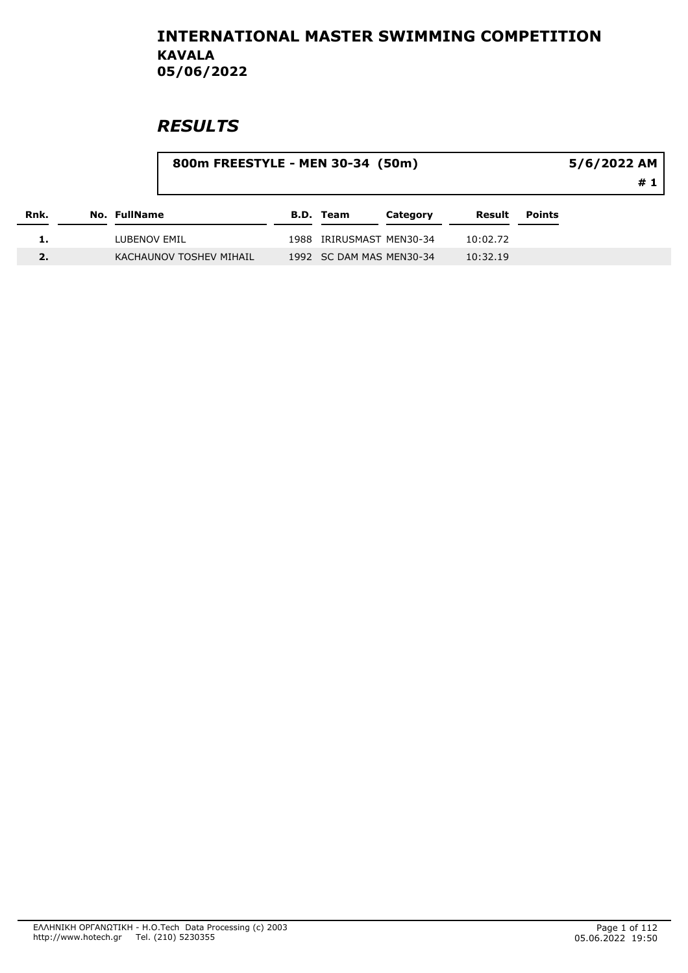|      |                         | 800m FREESTYLE - MEN 30-34 (50m) |                  | $5/6/2022$ AM            |          |               |             |
|------|-------------------------|----------------------------------|------------------|--------------------------|----------|---------------|-------------|
|      |                         |                                  |                  |                          |          |               | # 1 $\vert$ |
| Rnk. | No. FullName            |                                  | <b>B.D. Team</b> | Category                 | Result   | <b>Points</b> |             |
|      | LUBENOV EMIL            |                                  |                  | 1988 IRIRUSMAST MEN30-34 | 10:02.72 |               |             |
|      | KACHAUNOV TOSHEV MIHAIL |                                  |                  | 1992 SC DAM MAS MEN30-34 | 10:32.19 |               |             |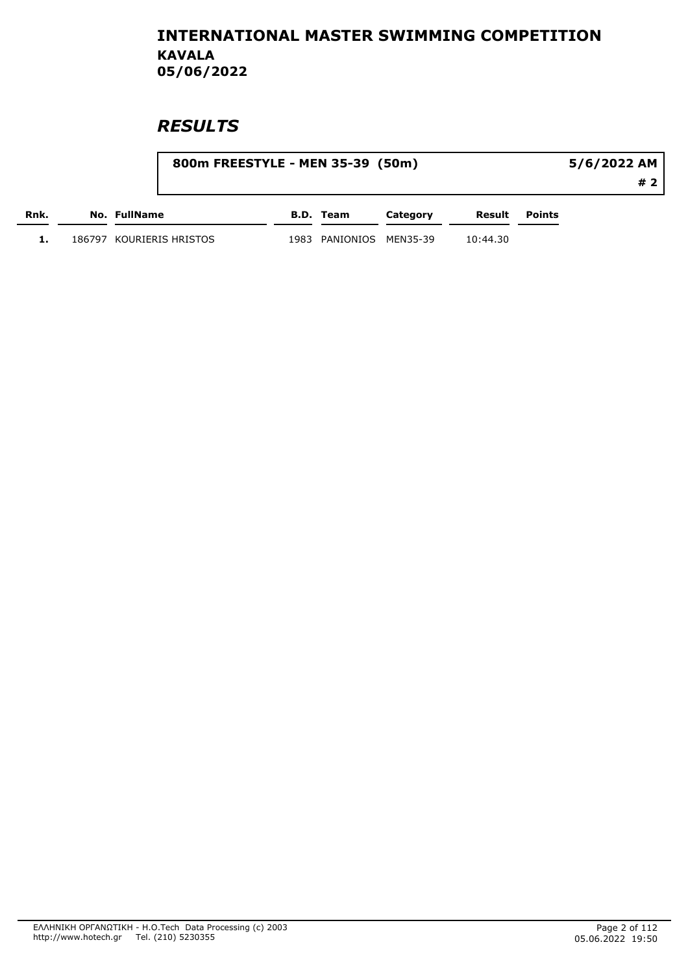|      | 800m FREESTYLE - MEN 35-39 (50m) |      |                    | 5/6/2022 AM |          |               |     |
|------|----------------------------------|------|--------------------|-------------|----------|---------------|-----|
|      |                                  |      |                    |             |          |               | # 2 |
| Rnk. | No. FullName                     |      | B.D. Team          | Category    | Result   | <b>Points</b> |     |
|      | 186797   KOURIERIS HRISTOS       | 1983 | PANIONIOS MEN35-39 |             | 10:44.30 |               |     |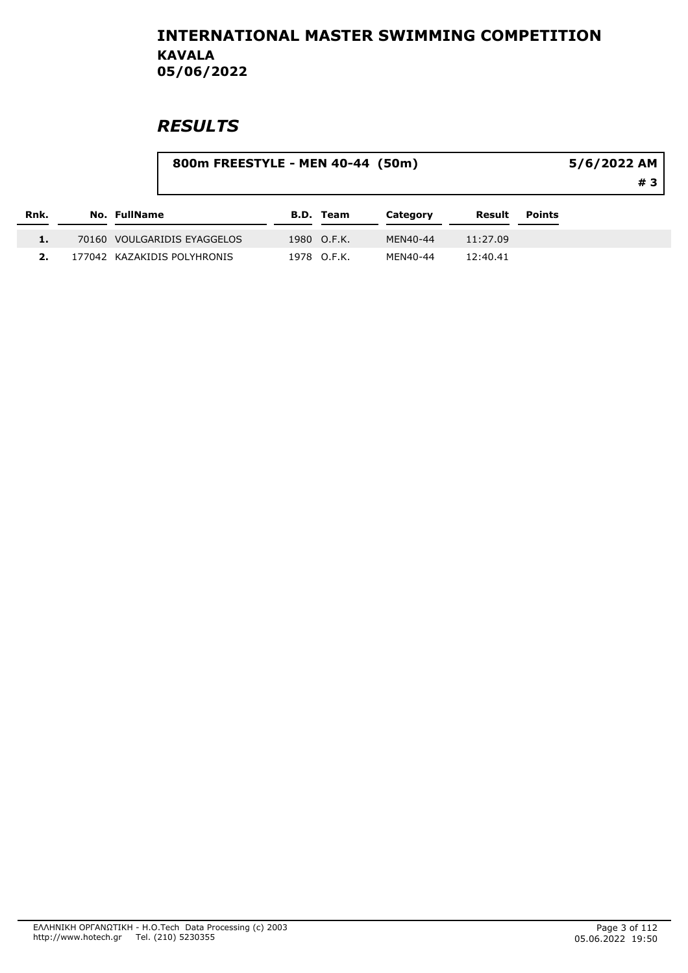|      |              |                             | 800m FREESTYLE - MEN 40-44 (50m) |                  |          |          |               |  |
|------|--------------|-----------------------------|----------------------------------|------------------|----------|----------|---------------|--|
| Rnk. | No. FullName |                             |                                  | <b>B.D. Team</b> | Category | Result   | <b>Points</b> |  |
|      |              | 70160 VOULGARIDIS EYAGGELOS |                                  | 1980 O.F.K.      | MEN40-44 | 11:27.09 |               |  |
| 2.   |              | 177042 KAZAKIDIS POLYHRONIS |                                  | 1978 O.F.K.      | MEN40-44 | 12:40.41 |               |  |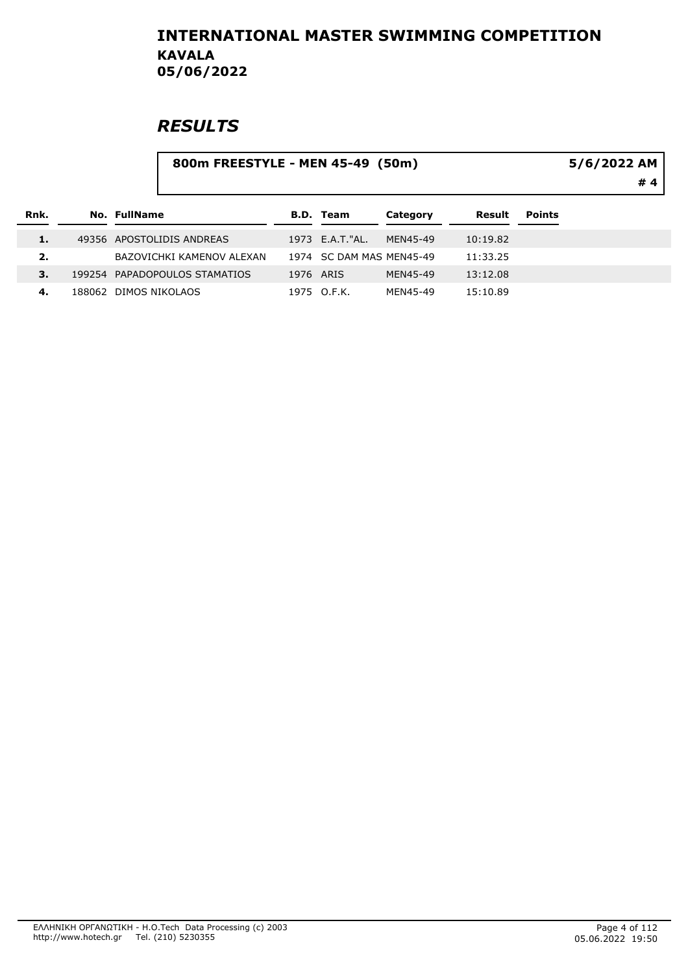|      |  |                               | 5/6/2022 AM<br>#4 |                          |          |          |               |  |
|------|--|-------------------------------|-------------------|--------------------------|----------|----------|---------------|--|
| Rnk. |  | <b>No. FullName</b>           |                   | <b>B.D. Team</b>         | Category | Result   | <b>Points</b> |  |
|      |  | 49356 APOSTOLIDIS ANDREAS     |                   | 1973 E.A.T."AL.          | MFN45-49 | 10:19.82 |               |  |
| 2.   |  | BAZOVICHKI KAMENOV ALEXAN     |                   | 1974 SC DAM MAS MEN45-49 |          | 11:33.25 |               |  |
| 3.   |  | 199254 PAPADOPOULOS STAMATIOS | 1976 ARIS         |                          | MEN45-49 | 13:12.08 |               |  |
| 4.   |  | 188062 DIMOS NIKOLAOS         |                   | 1975 O.F.K.              | MEN45-49 | 15:10.89 |               |  |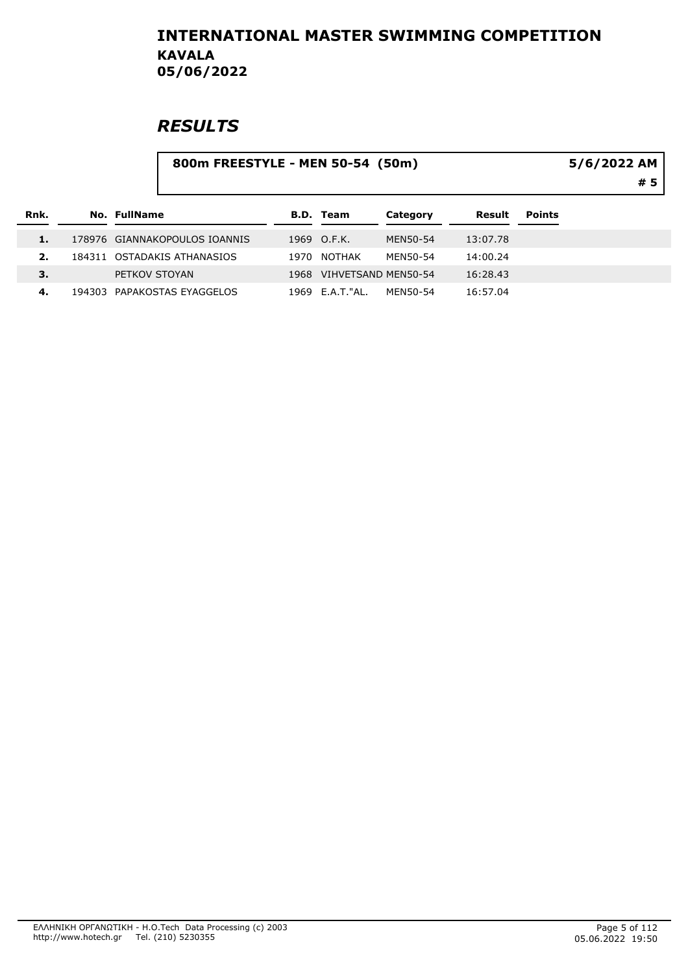|      |                     | 800m FREESTYLE - MEN 50-54 (50m) | 5/6/2022 AM<br>#5 |                     |          |          |               |  |
|------|---------------------|----------------------------------|-------------------|---------------------|----------|----------|---------------|--|
| Rnk. | <b>No. FullName</b> |                                  |                   | <b>B.D. Team</b>    | Category | Result   | <b>Points</b> |  |
|      |                     | 178976 GIANNAKOPOULOS IOANNIS    |                   | 1969 O.F.K.         | MEN50-54 | 13:07.78 |               |  |
| 2.   |                     | 184311 OSTADAKIS ATHANASIOS      | 1970              | <b>NOTHAK</b>       | MEN50-54 | 14:00.24 |               |  |
| 3.   | PETKOV STOYAN       |                                  | 1968              | VIHVETSAND MEN50-54 |          | 16:28.43 |               |  |
| 4.   |                     | 194303 PAPAKOSTAS EYAGGELOS      |                   | 1969 E.A.T. "AL.    | MEN50-54 | 16:57.04 |               |  |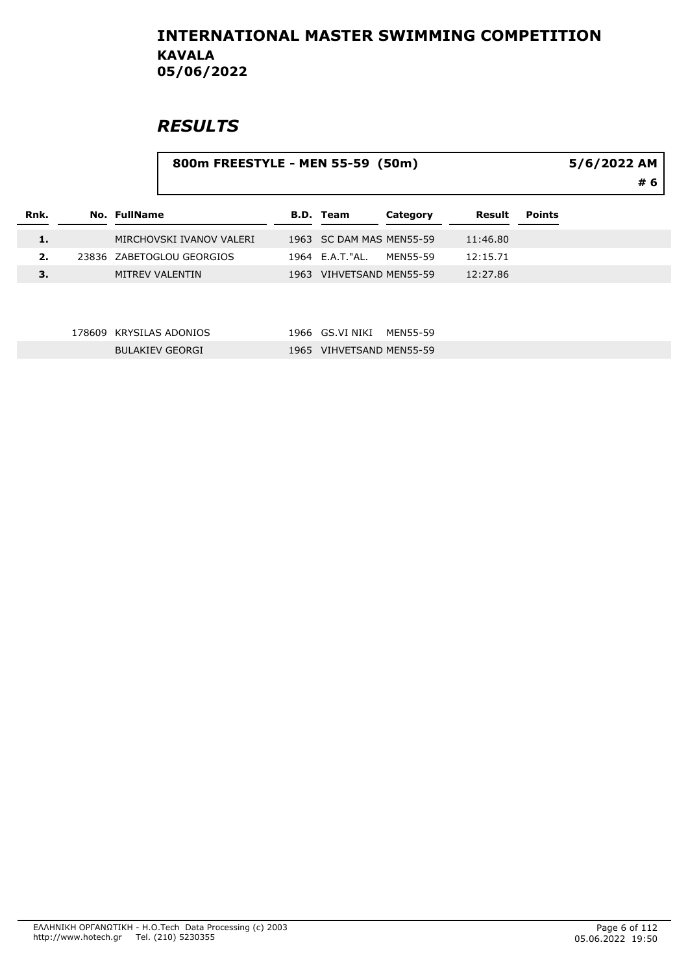|      |        |                           | 800m FREESTYLE - MEN 55-59 (50m) |                          |          |          |               |  |  |
|------|--------|---------------------------|----------------------------------|--------------------------|----------|----------|---------------|--|--|
| Rnk. |        | <b>No. FullName</b>       |                                  | <b>B.D. Team</b>         | Category | Result   | <b>Points</b> |  |  |
| 1.   |        | MIRCHOVSKI IVANOV VALERI  |                                  | 1963 SC DAM MAS MEN55-59 |          | 11:46.80 |               |  |  |
| 2.   |        | 23836 ZABETOGLOU GEORGIOS |                                  | 1964 E.A.T."AL.          | MEN55-59 | 12:15.71 |               |  |  |
| 3.   |        | <b>MITREV VALENTIN</b>    |                                  | 1963 VIHVETSAND MEN55-59 |          | 12:27.86 |               |  |  |
|      | 178609 | <b>KRYSILAS ADONIOS</b>   | 1966                             | GS.VI NIKI               | MEN55-59 |          |               |  |  |
|      |        | <b>BULAKIEV GEORGI</b>    |                                  | 1965 VIHVETSAND MEN55-59 |          |          |               |  |  |
|      |        |                           |                                  |                          |          |          |               |  |  |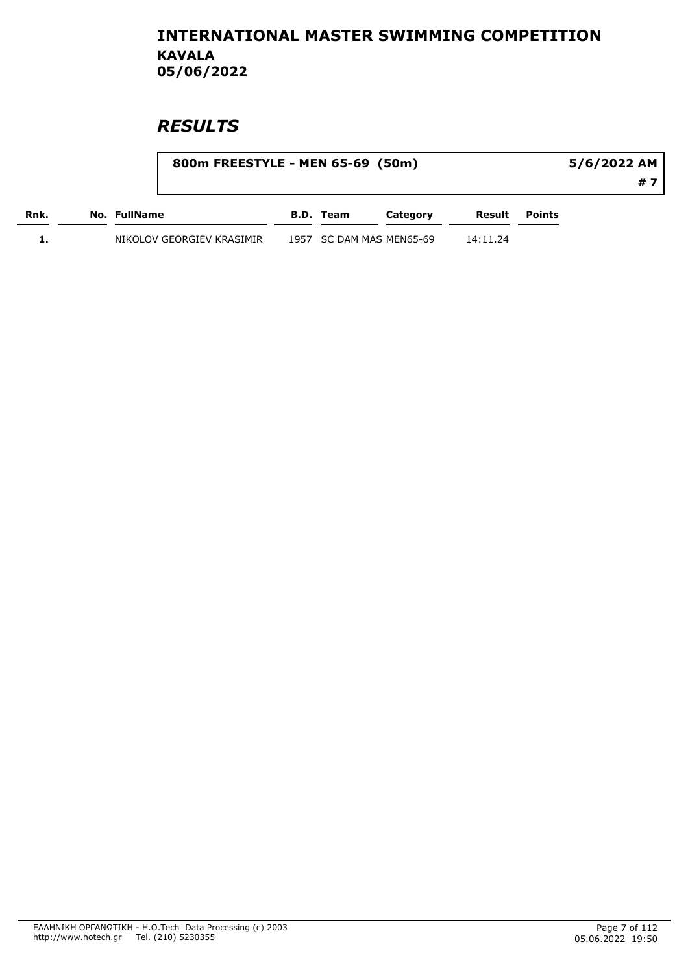|      | 800m FREESTYLE - MEN 65-69 (50m) |                          |          |          |                      | 5/6/2022 AM |  |
|------|----------------------------------|--------------------------|----------|----------|----------------------|-------------|--|
|      |                                  |                          |          |          |                      | # 7         |  |
| Rnk. | No. FullName                     | B.D. Team                | Category |          | <b>Result</b> Points |             |  |
|      | NIKOLOV GEORGIEV KRASIMIR        | 1957 SC DAM MAS MEN65-69 |          | 14:11.24 |                      |             |  |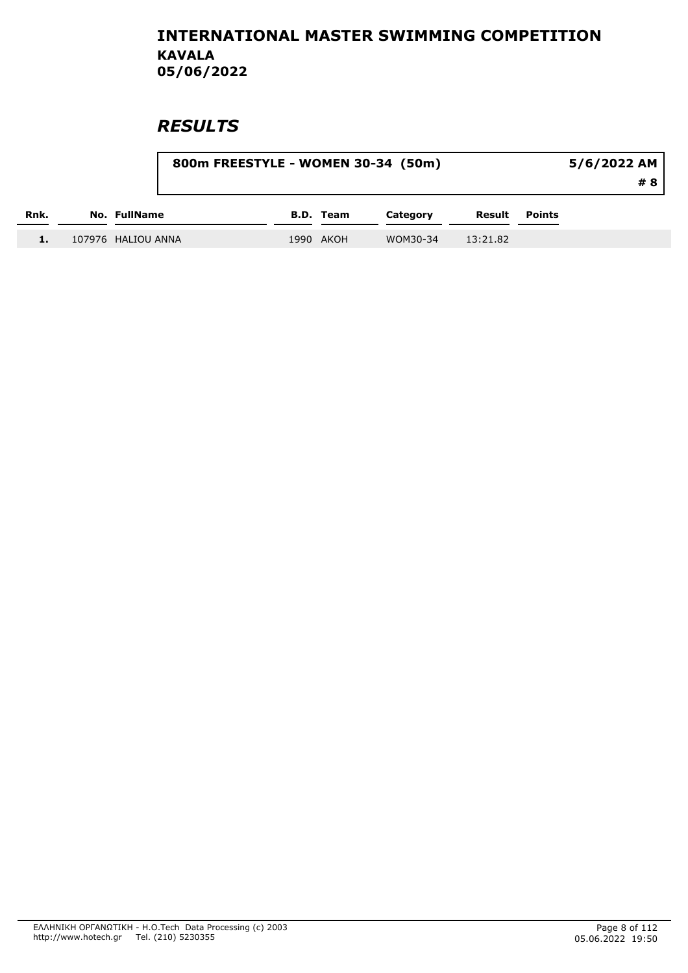|      |                    | 800m FREESTYLE - WOMEN 30-34 (50m) |                  |          |          |               | 5/6/2022 AM<br># 8 |
|------|--------------------|------------------------------------|------------------|----------|----------|---------------|--------------------|
| Rnk. | No. FullName       |                                    | <b>B.D.</b> Team | Category | Result   | <b>Points</b> |                    |
| 1.   | 107976 HALIOU ANNA |                                    | 1990 AKOH        | WOM30-34 | 13:21.82 |               |                    |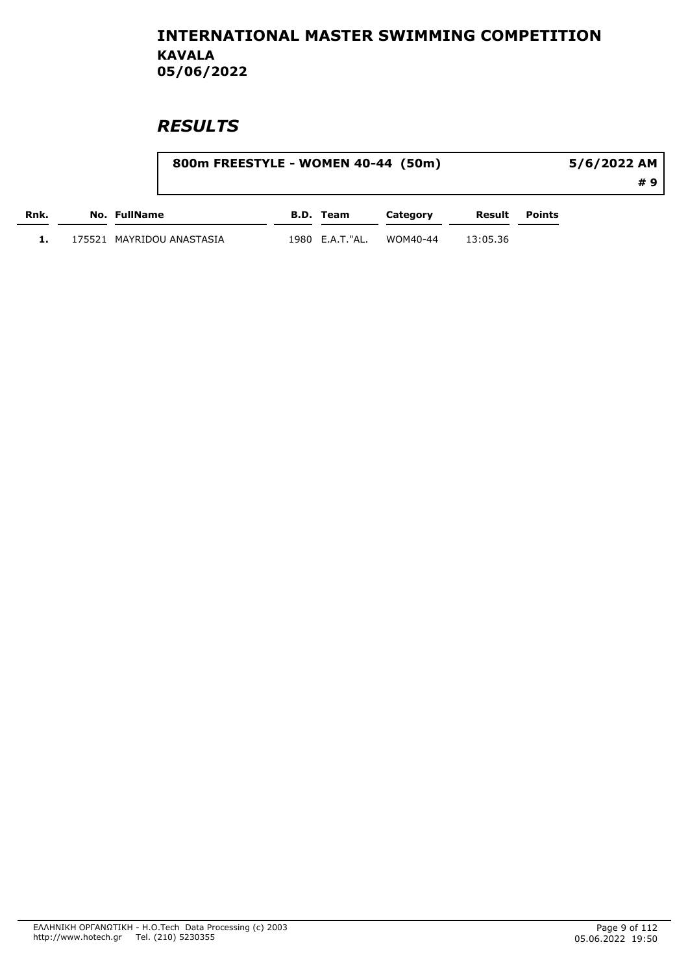|      | 800m FREESTYLE - WOMEN 40-44 (50m) |                 |          |          |        | 5/6/2022 AM |    |
|------|------------------------------------|-----------------|----------|----------|--------|-------------|----|
|      |                                    |                 |          |          |        |             | #9 |
| Rnk. | No. FullName                       | B.D. Team       | Category | Result   | Points |             |    |
|      | 175521   MAYRIDOU ANASTASIA        | 1980 E.A.T."AL. | WOM40-44 | 13:05.36 |        |             |    |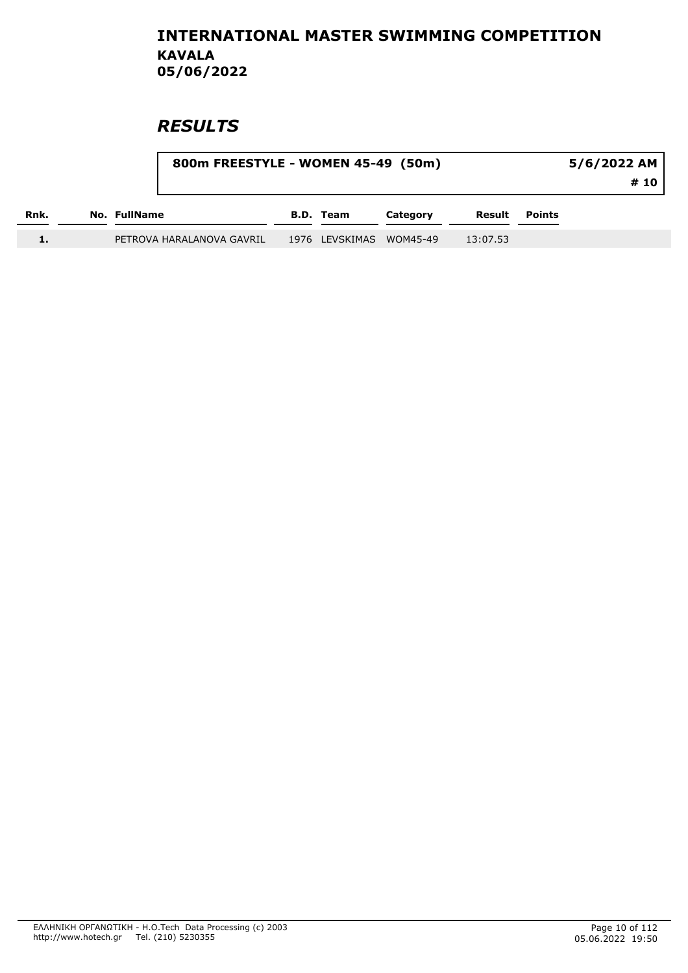|      |              |                           | 800m FREESTYLE - WOMEN 45-49 (50m) |                  |          |          |               |  |
|------|--------------|---------------------------|------------------------------------|------------------|----------|----------|---------------|--|
| Rnk. | No. FullName |                           |                                    | <b>B.D. Team</b> | Category | Result   | <b>Points</b> |  |
|      |              | PETROVA HARALANOVA GAVRIL |                                    | 1976 LEVSKIMAS   | WOM45-49 | 13:07.53 |               |  |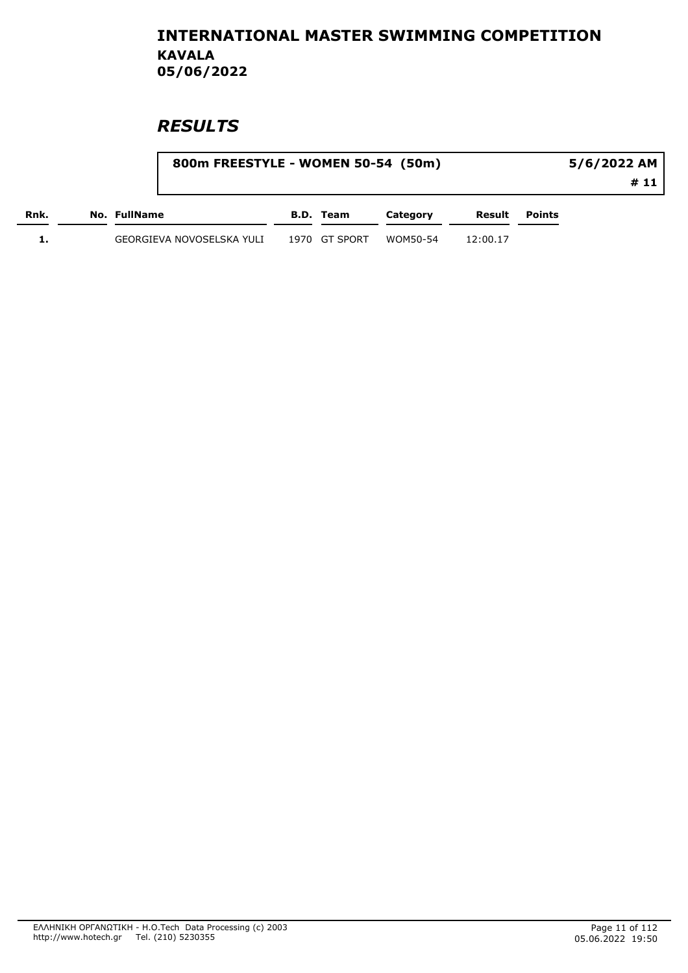|      |                           | 800m FREESTYLE - WOMEN 50-54 (50m) |               |          | 5/6/2022 AM |        |      |
|------|---------------------------|------------------------------------|---------------|----------|-------------|--------|------|
|      |                           |                                    |               |          |             |        | # 11 |
| Rnk. | No. FullName              |                                    | B.D. Team     | Category | Result      | Points |      |
|      | GEORGIEVA NOVOSELSKA YULI |                                    | 1970 GT SPORT | WOM50-54 | 12:00.17    |        |      |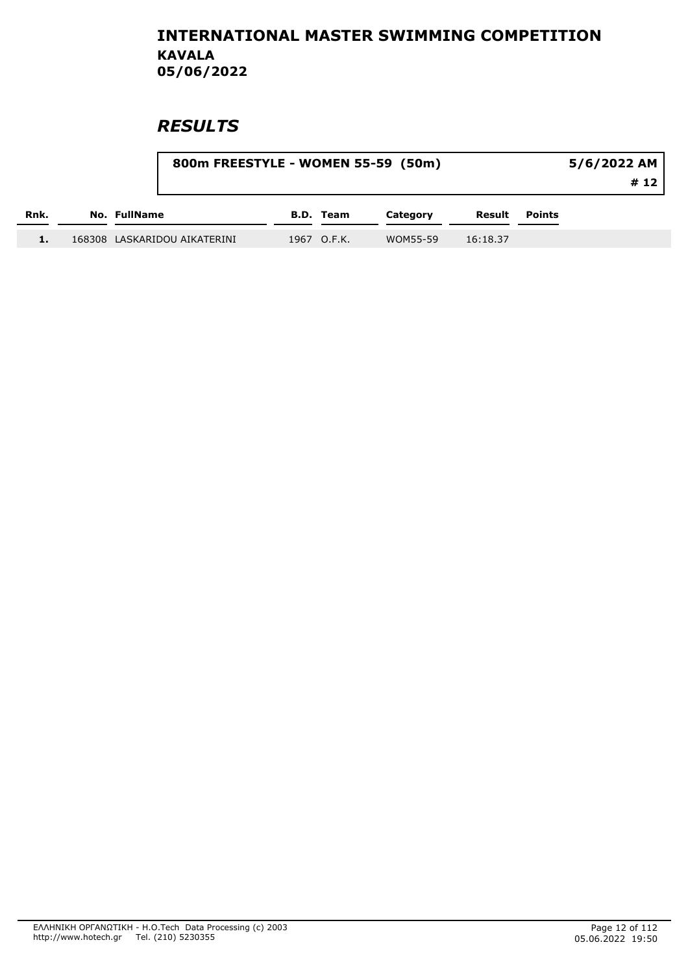|      | 800m FREESTYLE - WOMEN 55-59 (50m) |             |          |          | 5/6/2022 AM<br># 12 |  |
|------|------------------------------------|-------------|----------|----------|---------------------|--|
| Rnk. | No. FullName                       | B.D. Team   | Category | Result   | <b>Points</b>       |  |
|      | 168308 LASKARIDOU AIKATERINI       | 1967 O.F.K. | WOM55-59 | 16:18.37 |                     |  |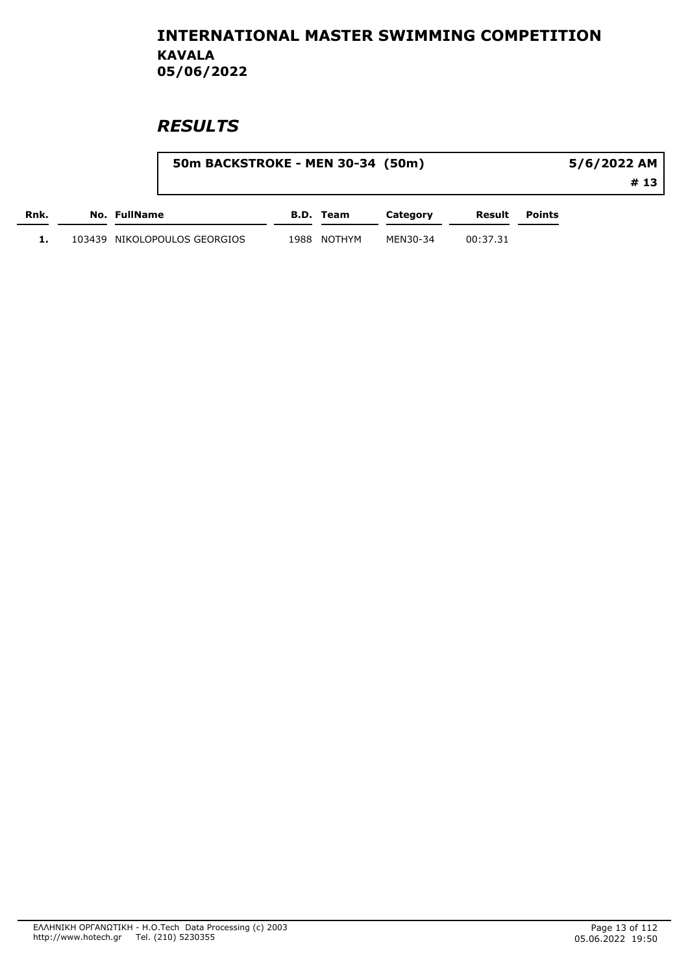|      |                              | 50m BACKSTROKE - MEN 30-34 (50m) |           |          |          |        |      |
|------|------------------------------|----------------------------------|-----------|----------|----------|--------|------|
|      |                              |                                  |           |          |          |        | # 13 |
| Rnk. | No. FullName                 |                                  | B.D. Team | Category | Result   | Points |      |
|      | 103439 NIKOLOPOULOS GEORGIOS | 1988                             | NOTHYM    | MEN30-34 | 00:37.31 |        |      |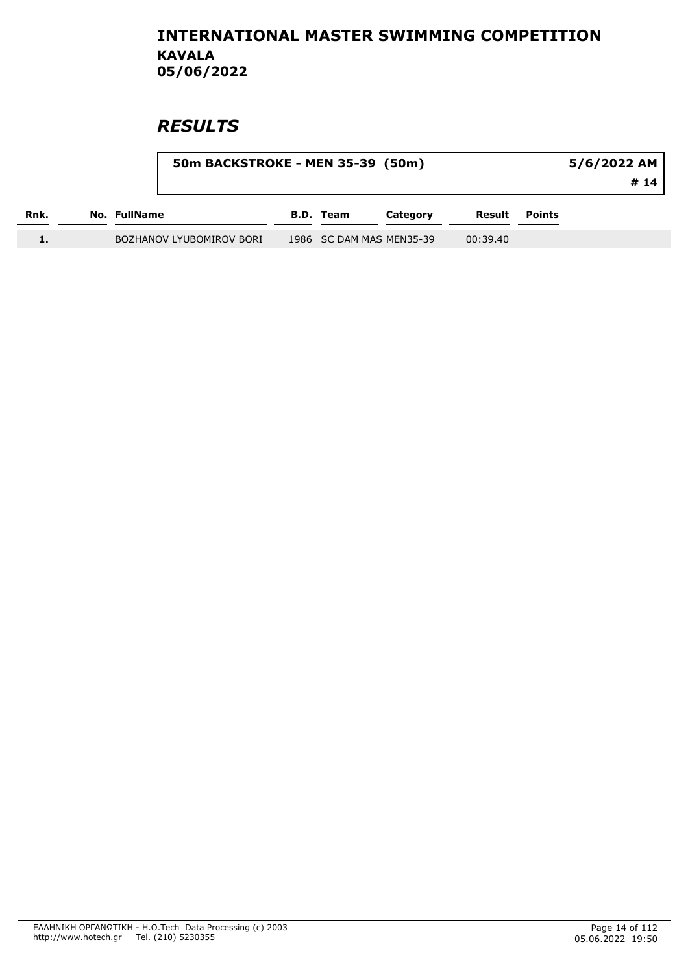|      |              | 50m BACKSTROKE - MEN 35-39 (50m) |           | 5/6/2022 AM<br># 14      |          |               |  |
|------|--------------|----------------------------------|-----------|--------------------------|----------|---------------|--|
| Rnk. | No. FullName |                                  | B.D. Team | Category                 | Result   | <b>Points</b> |  |
|      |              | BOZHANOV LYUBOMIROV BORI         |           | 1986 SC DAM MAS MEN35-39 | 00:39.40 |               |  |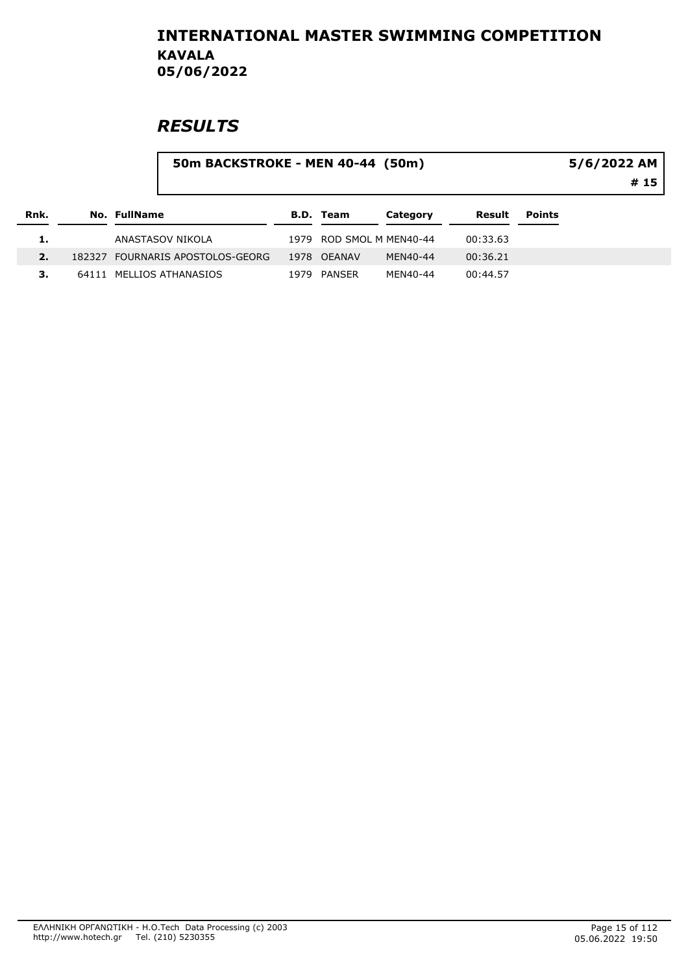|      |       |              | 50m BACKSTROKE - MEN 40-44 (50m) |      |                  |                          |          |               | 5/6/2022 AM<br># 15 |
|------|-------|--------------|----------------------------------|------|------------------|--------------------------|----------|---------------|---------------------|
| Rnk. |       | No. FullName |                                  |      | <b>B.D. Team</b> | Category                 | Result   | <b>Points</b> |                     |
| 1.   |       |              | ANASTASOV NIKOLA                 |      |                  | 1979 ROD SMOL M MEN40-44 | 00:33.63 |               |                     |
| 2.   |       |              | 182327 FOURNARIS APOSTOLOS-GEORG |      | 1978 OEANAV      | MEN40-44                 | 00:36.21 |               |                     |
| з.   | 64111 |              | MELLIOS ATHANASIOS               | 1979 | PANSER           | MEN40-44                 | 00:44.57 |               |                     |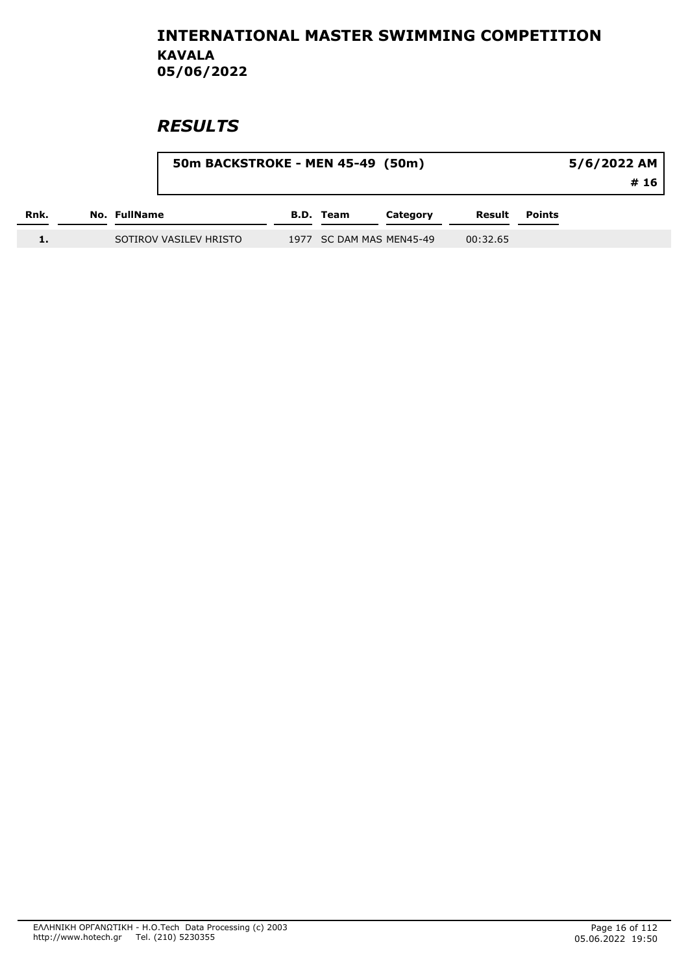|      |                        | 50m BACKSTROKE - MEN 45-49 (50m) |           |                          |          |               |  |
|------|------------------------|----------------------------------|-----------|--------------------------|----------|---------------|--|
| Rnk. | No. FullName           |                                  | B.D. Team | Category                 | Result   | <b>Points</b> |  |
|      | SOTIROV VASILEV HRISTO |                                  |           | 1977 SC DAM MAS MEN45-49 | 00:32.65 |               |  |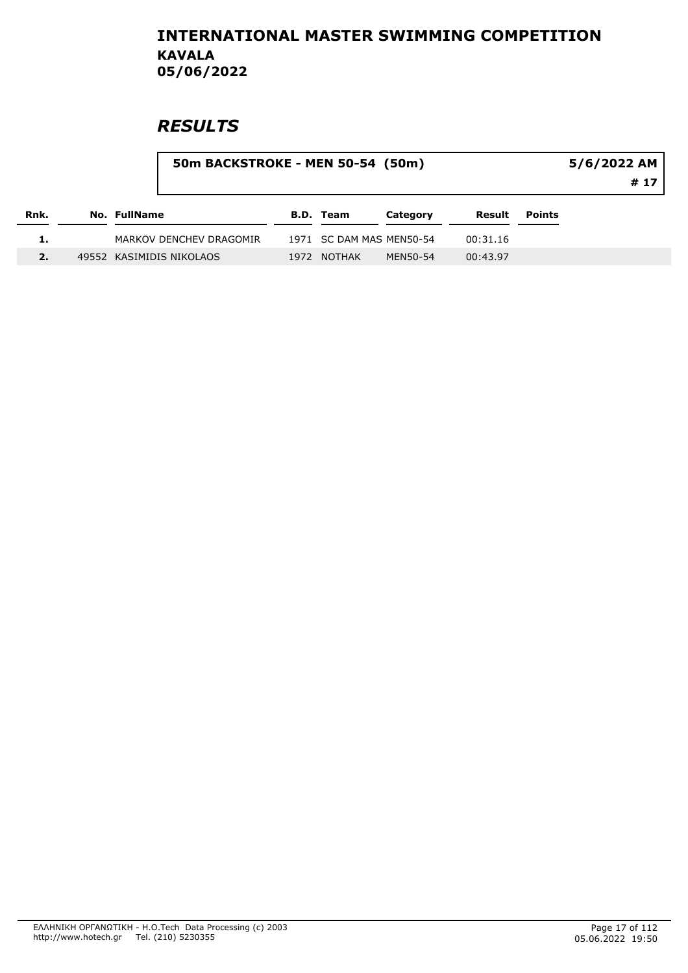|      |                     |                          | 50m BACKSTROKE - MEN 50-54 (50m) |                          |          |          |        |      |  |
|------|---------------------|--------------------------|----------------------------------|--------------------------|----------|----------|--------|------|--|
| Rnk. | <b>No. FullName</b> |                          |                                  | <b>B.D. Team</b>         | Category | Result   | Points | # 17 |  |
|      |                     | MARKOV DENCHEV DRAGOMIR  |                                  | 1971 SC DAM MAS MEN50-54 |          | 00:31.16 |        |      |  |
|      |                     | 49552 KASIMIDIS NIKOLAOS |                                  | 1972 NOTHAK              | MEN50-54 | 00:43.97 |        |      |  |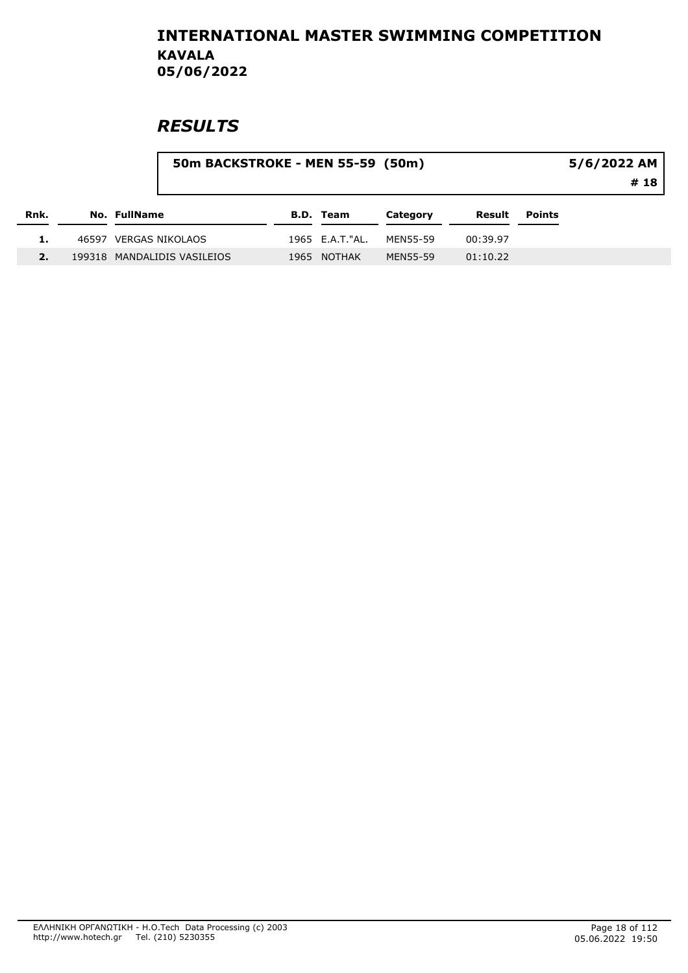|      |                             | 50m BACKSTROKE - MEN 55-59 (50m) |                  |          |          |               | 5/6/2022 AM<br># 18 |
|------|-----------------------------|----------------------------------|------------------|----------|----------|---------------|---------------------|
| Rnk. | <b>No. FullName</b>         |                                  | <b>B.D. Team</b> | Category | Result   | <b>Points</b> |                     |
|      | 46597 VERGAS NIKOLAOS       |                                  | 1965 E.A.T."AL.  | MEN55-59 | 00:39.97 |               |                     |
|      | 199318 MANDALIDIS VASILEIOS |                                  | 1965 NOTHAK      | MEN55-59 | 01:10.22 |               |                     |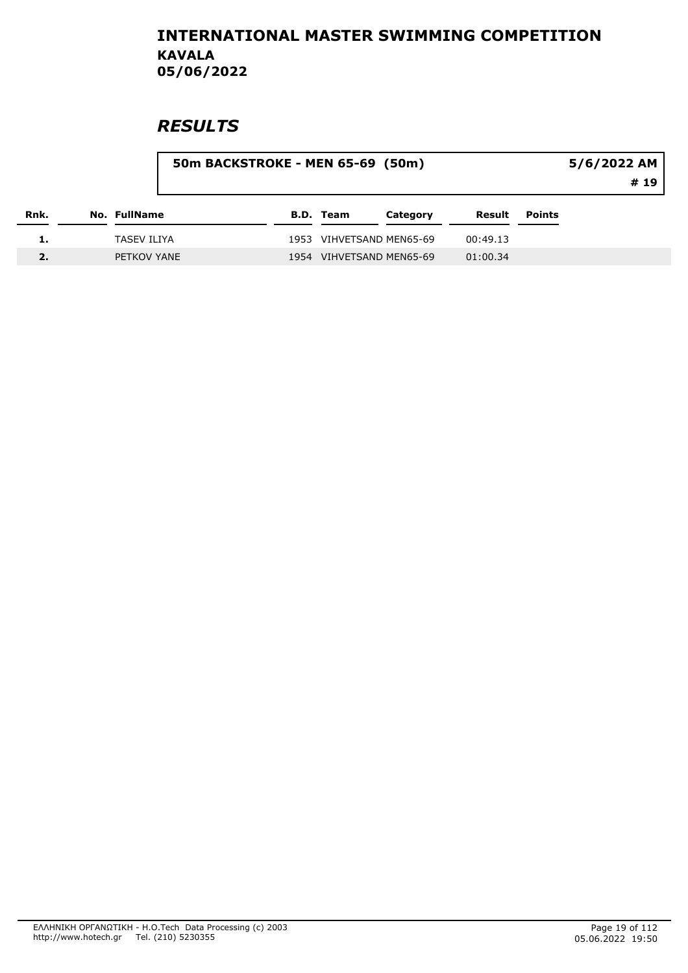|      |              | 50m BACKSTROKE - MEN 65-69 (50m) |  |  |                  |                          |          | 5/6/2022 AM<br># 19 |  |
|------|--------------|----------------------------------|--|--|------------------|--------------------------|----------|---------------------|--|
| Rnk. | No. FullName |                                  |  |  | <b>B.D. Team</b> | Category                 | Result   | <b>Points</b>       |  |
|      | TASEV ILIYA  |                                  |  |  |                  | 1953 VIHVETSAND MEN65-69 | 00:49.13 |                     |  |
|      | PETKOV YANE  |                                  |  |  |                  | 1954 VIHVETSAND MEN65-69 | 01:00.34 |                     |  |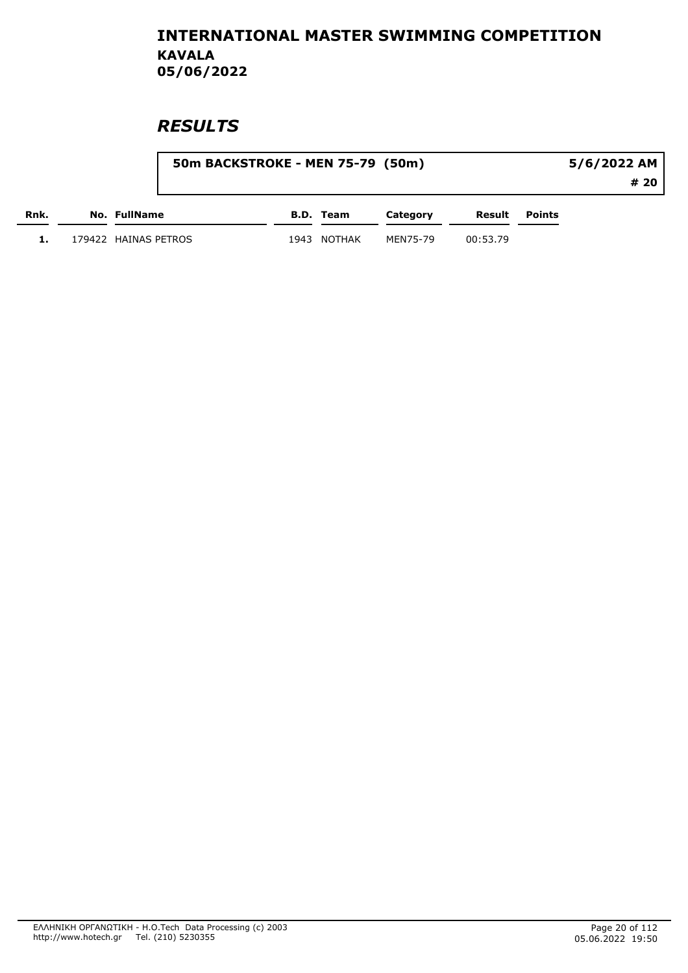|      |                      | 50m BACKSTROKE - MEN 75-79 (50m) | 5/6/2022 AM |          |          |        |      |
|------|----------------------|----------------------------------|-------------|----------|----------|--------|------|
|      |                      |                                  |             |          |          |        | # 20 |
| Rnk. | <b>No. FullName</b>  |                                  | B.D. Team   | Category | Result   | Points |      |
|      | 179422 HAINAS PETROS |                                  | 1943 NOTHAK | MEN75-79 | 00:53.79 |        |      |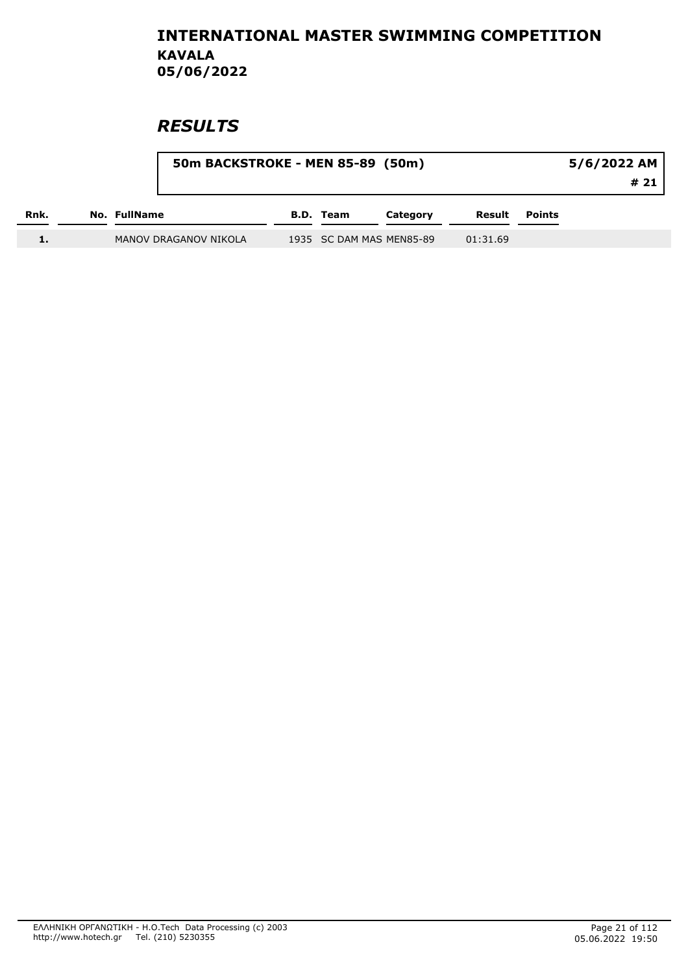|      |                       | 50m BACKSTROKE - MEN 85-89 (50m) |           |                          |          |               |  |
|------|-----------------------|----------------------------------|-----------|--------------------------|----------|---------------|--|
| Rnk. | No. FullName          |                                  | B.D. Team | Category                 | Result   | <b>Points</b> |  |
|      | MANOV DRAGANOV NIKOLA |                                  |           | 1935 SC DAM MAS MEN85-89 | 01:31.69 |               |  |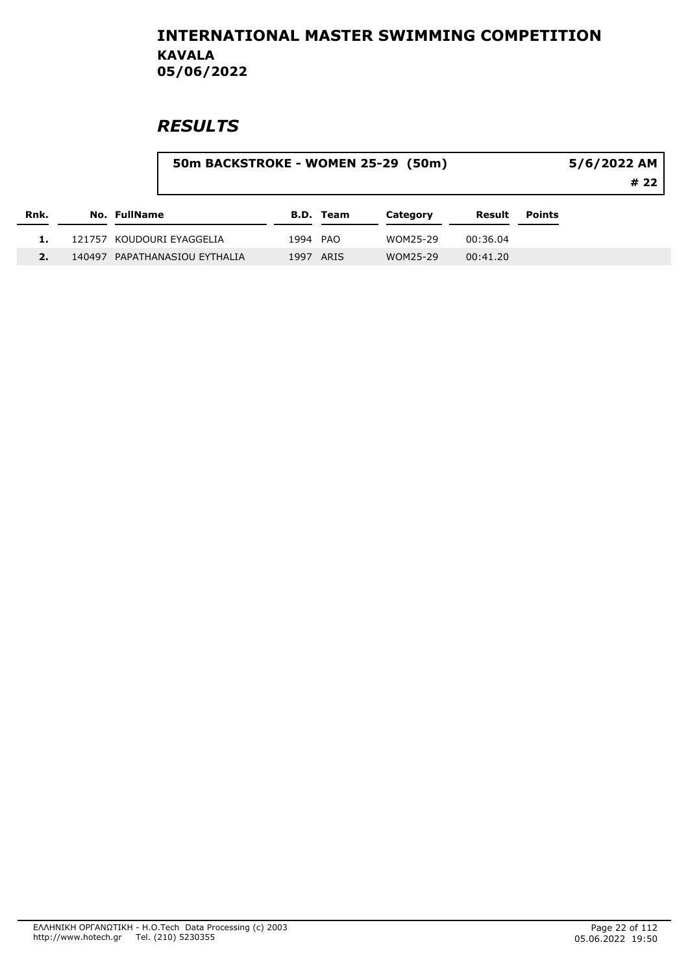|      |                               | 50m BACKSTROKE - WOMEN 25-29 (50m) |                  |          |          |               |  |  |
|------|-------------------------------|------------------------------------|------------------|----------|----------|---------------|--|--|
| Rnk. | <b>No. FullName</b>           |                                    | <b>B.D. Team</b> | Category | Result   | <b>Points</b> |  |  |
|      | 121757 KOUDOURI EYAGGELIA     | 1994 PAO                           |                  | WOM25-29 | 00:36.04 |               |  |  |
|      | 140497 PAPATHANASIOU EYTHALIA |                                    | 1997 ARIS        | WOM25-29 | 00:41.20 |               |  |  |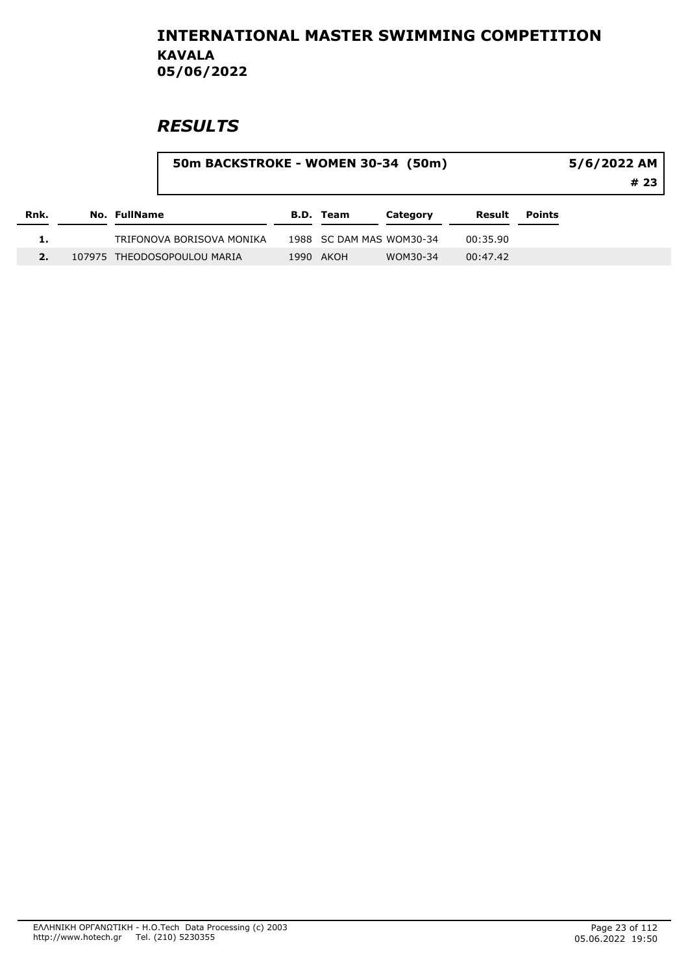|      |                     |                             | 50m BACKSTROKE - WOMEN 30-34 (50m) |                          |          |          |               | 5/6/2022 AM<br># 23 |
|------|---------------------|-----------------------------|------------------------------------|--------------------------|----------|----------|---------------|---------------------|
| Rnk. | <b>No. FullName</b> |                             |                                    | <b>B.D. Team</b>         | Category | Result   | <b>Points</b> |                     |
|      |                     | TRIFONOVA BORISOVA MONIKA   |                                    | 1988 SC DAM MAS WOM30-34 |          | 00:35.90 |               |                     |
|      |                     | 107975 THEODOSOPOULOU MARIA |                                    | 1990 AKOH                | WOM30-34 | 00:47.42 |               |                     |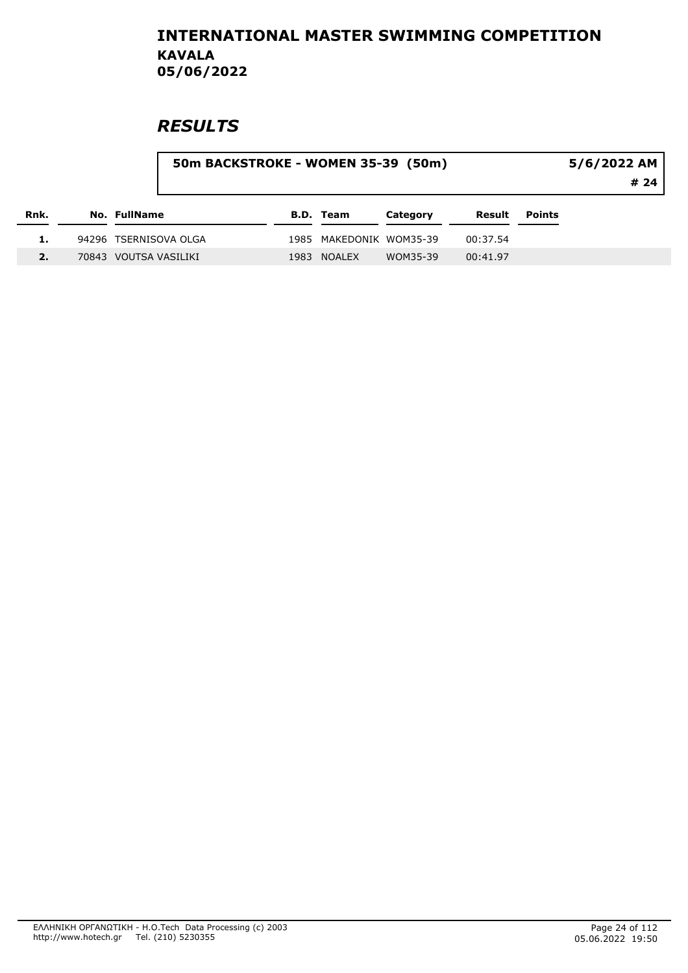|      | 50m BACKSTROKE - WOMEN 35-39 (50m) |                       |  |      |                         |          |          | 5/6/2022 AM   |      |  |
|------|------------------------------------|-----------------------|--|------|-------------------------|----------|----------|---------------|------|--|
|      |                                    |                       |  |      |                         |          |          |               | # 24 |  |
| Rnk. |                                    | <b>No. FullName</b>   |  |      | <b>B.D. Team</b>        | Category | Result   | <b>Points</b> |      |  |
|      |                                    | 94296 TSERNISOVA OLGA |  |      | 1985 MAKEDONIK WOM35-39 |          | 00:37.54 |               |      |  |
|      |                                    | 70843 VOUTSA VASILIKI |  | 1983 | <b>NOALEX</b>           | WOM35-39 | 00:41.97 |               |      |  |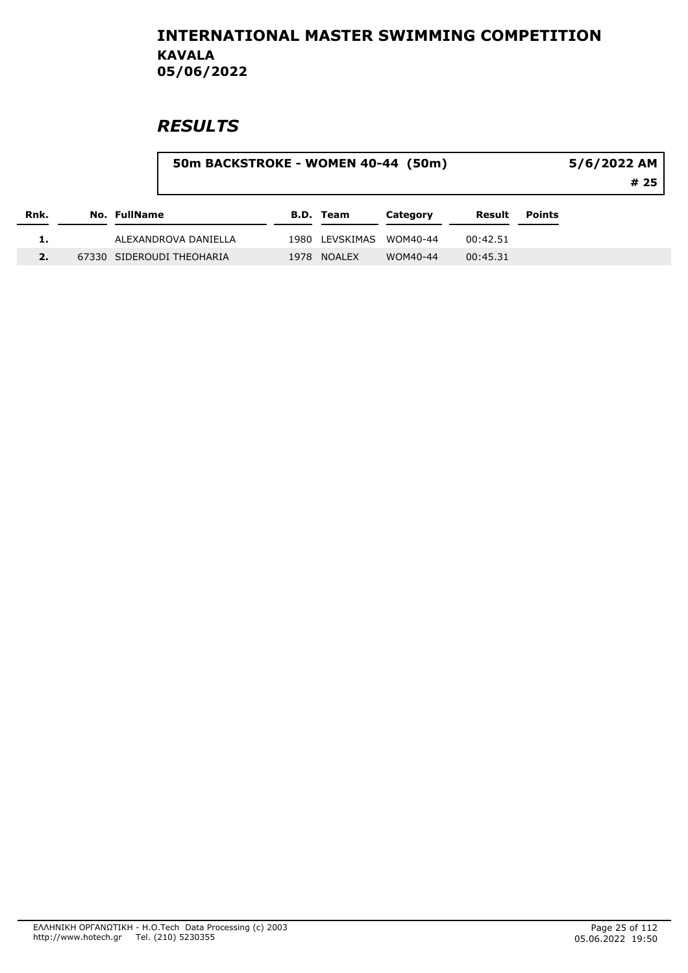|      |                     |                           | 50m BACKSTROKE - WOMEN 40-44 (50m) |                  |          |          |               | 5/6/2022 AM<br>#25 |  |  |
|------|---------------------|---------------------------|------------------------------------|------------------|----------|----------|---------------|--------------------|--|--|
| Rnk. | <b>No. FullName</b> |                           |                                    | <b>B.D. Team</b> | Category | Result   | <b>Points</b> |                    |  |  |
|      |                     | ALEXANDROVA DANIELLA      |                                    | 1980 LEVSKIMAS   | WOM40-44 | 00:42.51 |               |                    |  |  |
| 2.   |                     | 67330 SIDEROUDI THEOHARIA |                                    | 1978 NOALEX      | WOM40-44 | 00:45.31 |               |                    |  |  |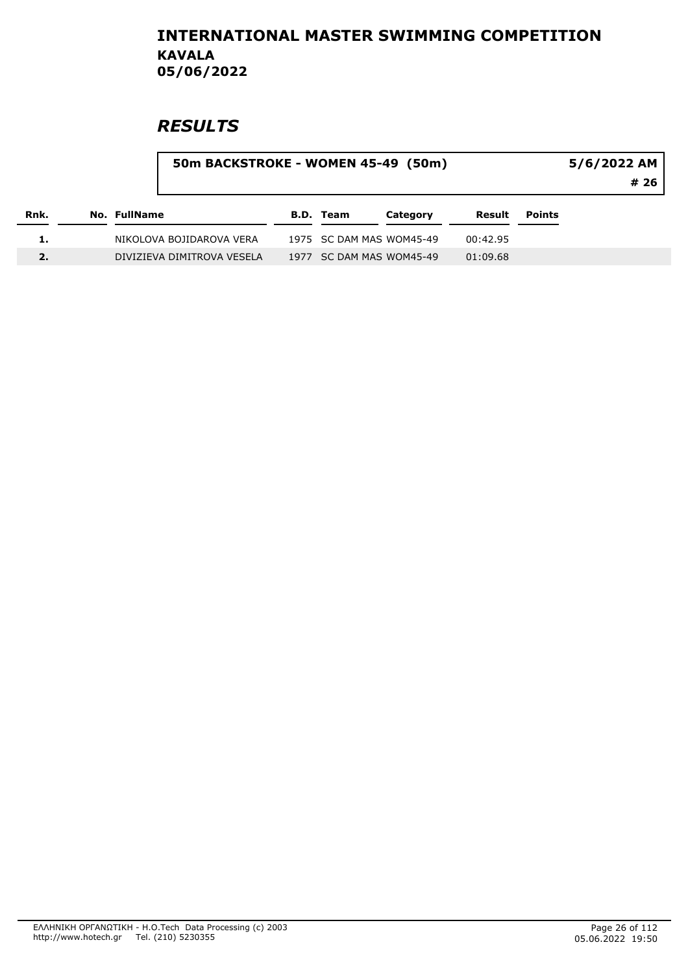|      |              |                            | 50m BACKSTROKE - WOMEN 45-49 (50m) |                  |                          |          |        |  |
|------|--------------|----------------------------|------------------------------------|------------------|--------------------------|----------|--------|--|
| Rnk. | No. FullName |                            |                                    | <b>B.D. Team</b> | Category                 | Result   | Points |  |
|      |              | NIKOLOVA BOJIDAROVA VERA   |                                    |                  | 1975 SC DAM MAS WOM45-49 | 00:42.95 |        |  |
|      |              | DIVIZIEVA DIMITROVA VESELA |                                    |                  | 1977 SC DAM MAS WOM45-49 | 01:09.68 |        |  |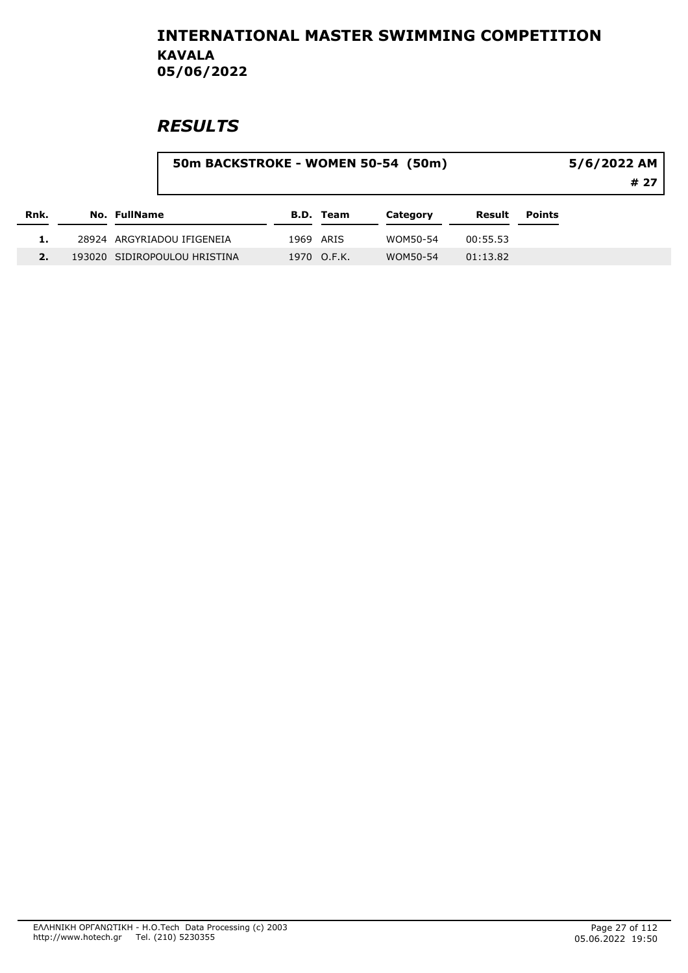|      |                              | 50m BACKSTROKE - WOMEN 50-54 (50m) | 5/6/2022 AM      |          |          |               |      |
|------|------------------------------|------------------------------------|------------------|----------|----------|---------------|------|
|      |                              |                                    |                  |          |          |               | # 27 |
| Rnk. | <b>No. FullName</b>          |                                    | <b>B.D. Team</b> | Category | Result   | <b>Points</b> |      |
|      | 28924 ARGYRIADOU IFIGENEIA   |                                    | 1969 ARIS        | WOM50-54 | 00:55.53 |               |      |
|      | 193020 SIDIROPOULOU HRISTINA |                                    | 1970 O.F.K.      | WOM50-54 | 01:13.82 |               |      |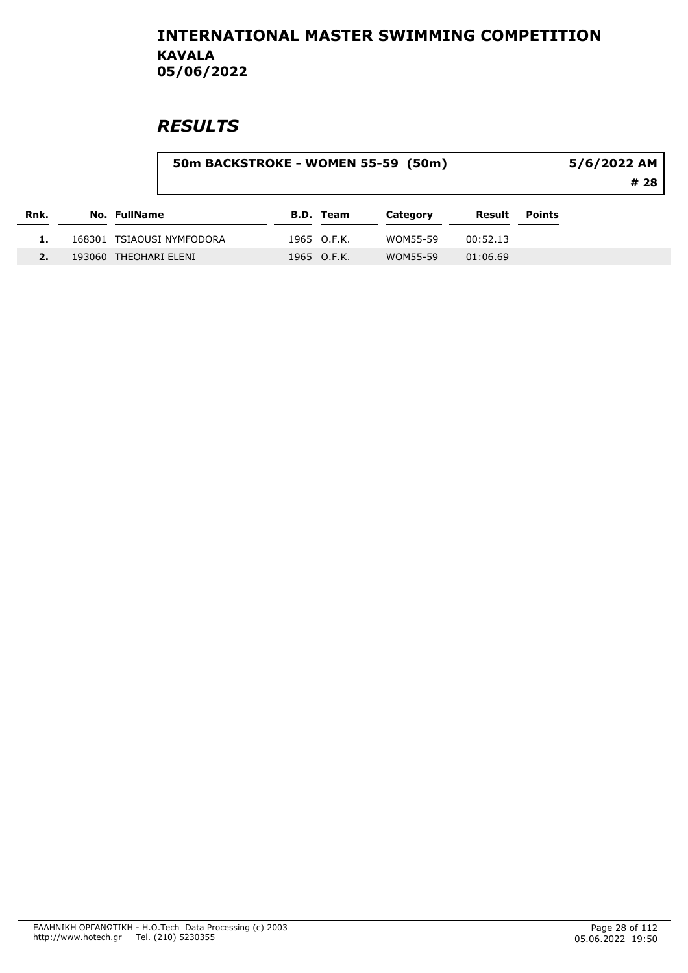|      |                           | 50m BACKSTROKE - WOMEN 55-59 (50m) |                  |          |          |               | 5/6/2022 AM<br># 28 |  |  |
|------|---------------------------|------------------------------------|------------------|----------|----------|---------------|---------------------|--|--|
| Rnk. | <b>No. FullName</b>       |                                    | <b>B.D. Team</b> | Category | Result   | <b>Points</b> |                     |  |  |
|      | 168301 TSIAOUSI NYMFODORA |                                    | 1965 O.F.K.      | WOM55-59 | 00:52.13 |               |                     |  |  |
|      | 193060 THEOHARI ELENI     |                                    | 1965 O.F.K.      | WOM55-59 | 01:06.69 |               |                     |  |  |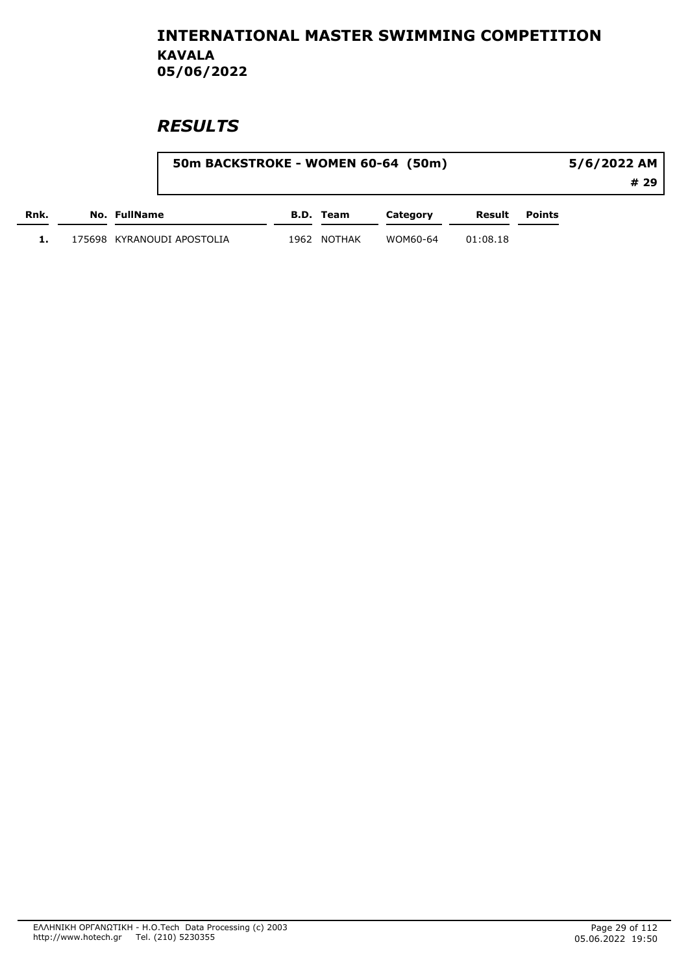|      | 50m BACKSTROKE - WOMEN 60-64 (50m) |      |           |          |          | 5/6/2022 AM |      |  |
|------|------------------------------------|------|-----------|----------|----------|-------------|------|--|
|      |                                    |      |           |          |          |             | # 29 |  |
| Rnk. | No. FullName                       |      | B.D. Team | Category | Result   | Points      |      |  |
|      | 175698 KYRANOUDI APOSTOLIA         | 1962 | NOTHAK    | WOM60-64 | 01:08.18 |             |      |  |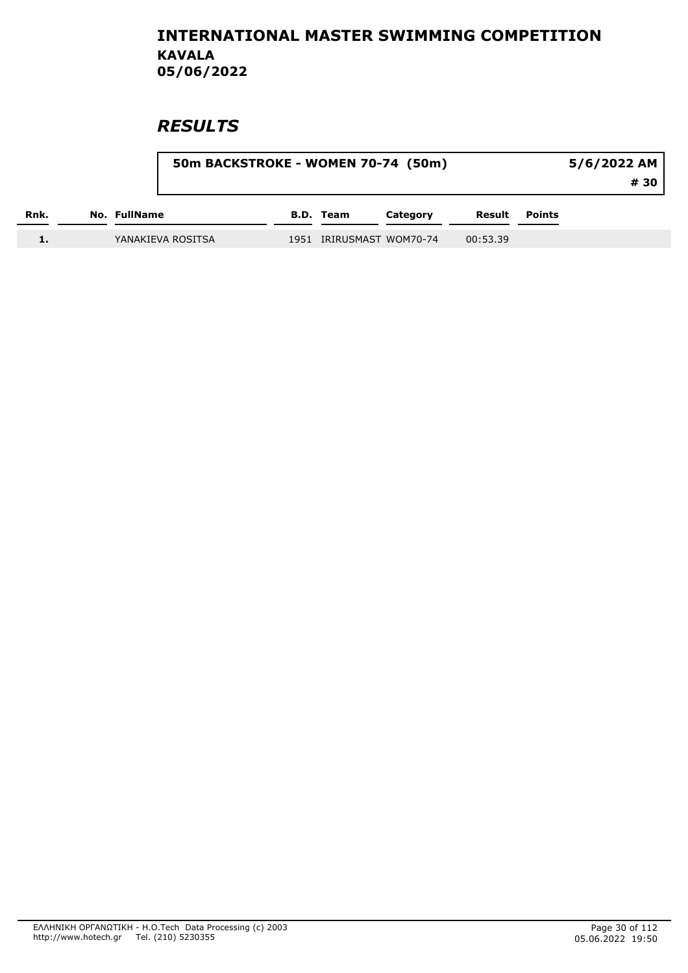|      | 50m BACKSTROKE - WOMEN 70-74 (50m) |  |                          | 5/6/2022 AM |          |               |      |
|------|------------------------------------|--|--------------------------|-------------|----------|---------------|------|
|      |                                    |  |                          |             |          |               | # 30 |
| Rnk. | No. FullName                       |  | <b>B.D.</b> Team         | Category    | Result   | <b>Points</b> |      |
|      | YANAKIEVA ROSITSA                  |  | 1951 IRIRUSMAST WOM70-74 |             | 00:53.39 |               |      |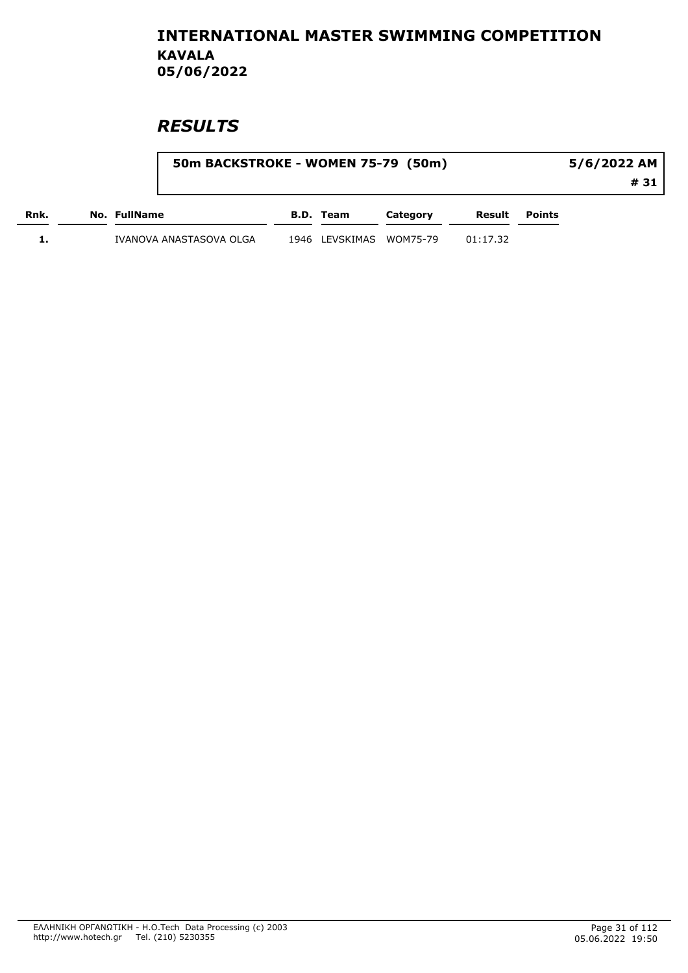|      |              | 50m BACKSTROKE - WOMEN 75-79 (50m) |                         |          |          | 5/6/2022 AM          |      |  |
|------|--------------|------------------------------------|-------------------------|----------|----------|----------------------|------|--|
|      |              |                                    |                         |          |          |                      | # 31 |  |
| Rnk. | No. FullName |                                    | B.D. Team               | Category |          | <b>Result</b> Points |      |  |
|      |              | IVANOVA ANASTASOVA OLGA            | 1946 LEVSKIMAS WOM75-79 |          | 01:17.32 |                      |      |  |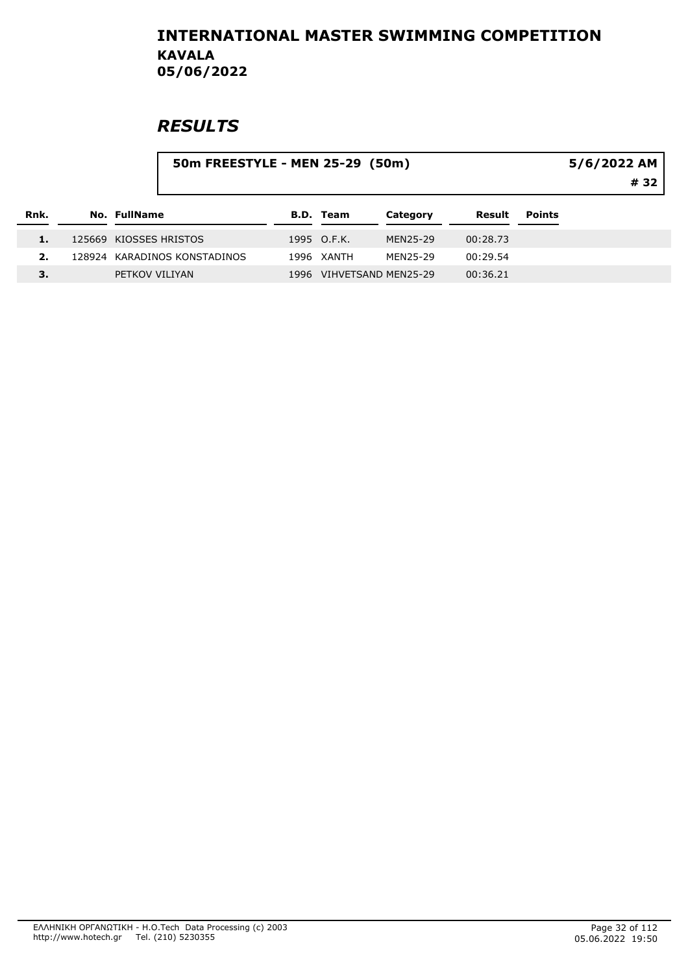|      |                        | 50m FREESTYLE - MEN 25-29 (50m) | 5/6/2022 AM<br># 32 |                          |          |               |  |
|------|------------------------|---------------------------------|---------------------|--------------------------|----------|---------------|--|
| Rnk. | No. FullName           |                                 | <b>B.D. Team</b>    | Category                 | Result   | <b>Points</b> |  |
|      | 125669 KIOSSES HRISTOS |                                 | 1995 O.F.K.         | MEN25-29                 | 00:28.73 |               |  |
| 2.   |                        | 128924 KARADINOS KONSTADINOS    | 1996 XANTH          | MEN25-29                 | 00:29.54 |               |  |
| З.   | PETKOV VILIYAN         |                                 |                     | 1996 VIHVETSAND MEN25-29 | 00:36.21 |               |  |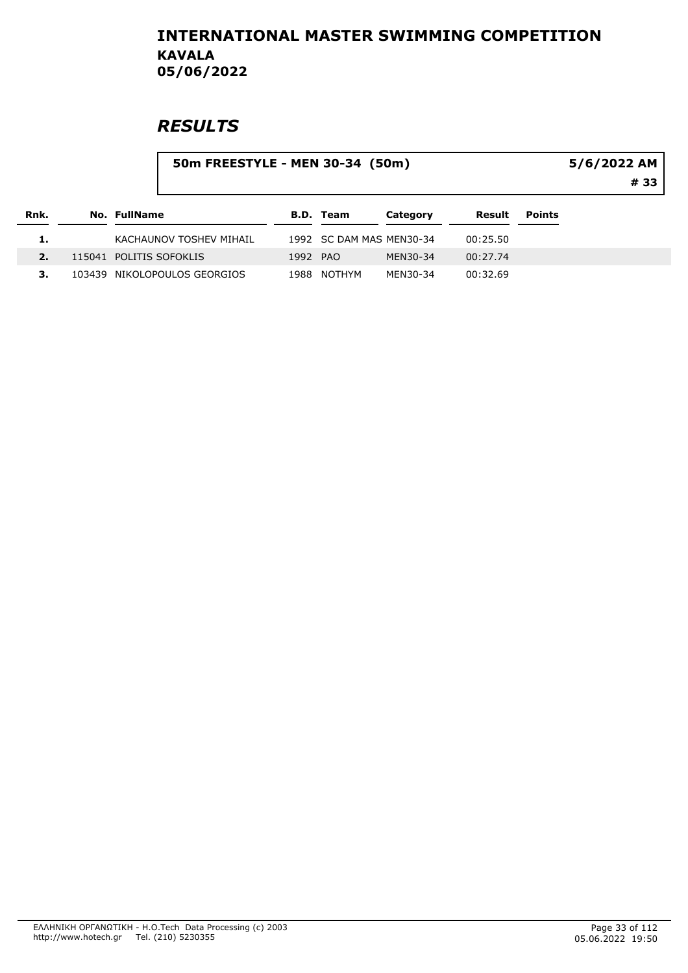|      |              | 50m FREESTYLE - MEN 30-34 (50m) |          |                          |          |          |               | $5/6/2022$ AM<br># 33 |
|------|--------------|---------------------------------|----------|--------------------------|----------|----------|---------------|-----------------------|
| Rnk. | No. FullName |                                 |          | <b>B.D. Team</b>         | Category | Result   | <b>Points</b> |                       |
|      |              | KACHAUNOV TOSHEV MIHAIL         |          | 1992 SC DAM MAS MEN30-34 |          | 00:25.50 |               |                       |
|      |              | 115041 POLITIS SOFOKLIS         | 1992 PAO |                          | MEN30-34 | 00:27.74 |               |                       |
|      |              | 103439 NIKOLOPOULOS GEORGIOS    | 1988     | NOTHYM                   | MEN30-34 | 00:32.69 |               |                       |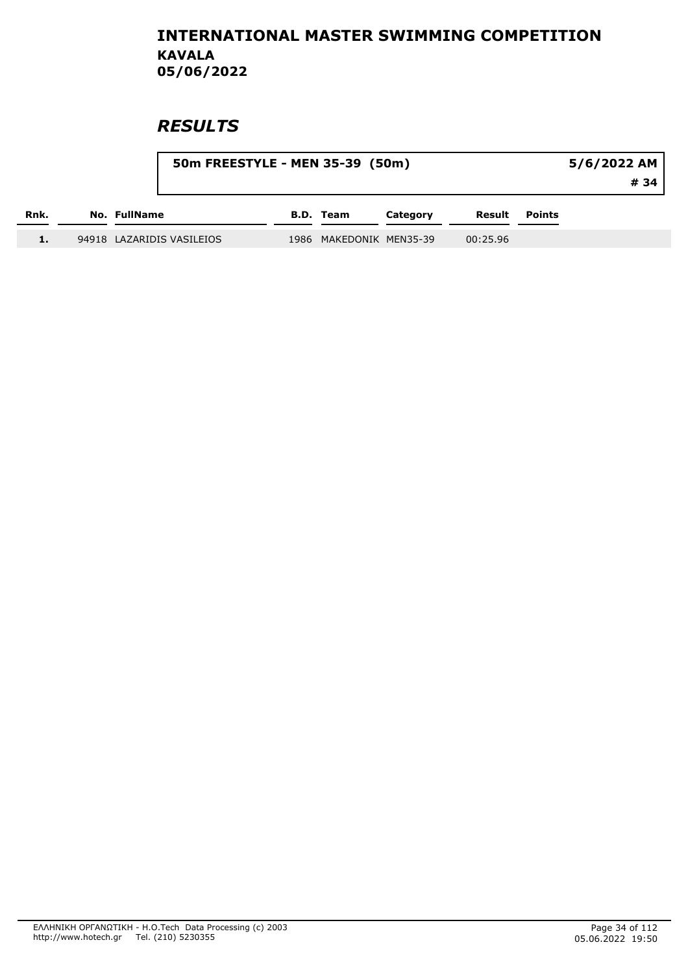|      |              | 50m FREESTYLE - MEN 35-39 (50m) |  | 5/6/2022 AM             |          |          |               |      |
|------|--------------|---------------------------------|--|-------------------------|----------|----------|---------------|------|
|      |              |                                 |  |                         |          |          |               | # 34 |
| Rnk. | No. FullName |                                 |  | B.D. Team               | Category | Result   | <b>Points</b> |      |
| 1.   |              | 94918 LAZARIDIS VASILEIOS       |  | 1986 MAKEDONIK MEN35-39 |          | 00:25.96 |               |      |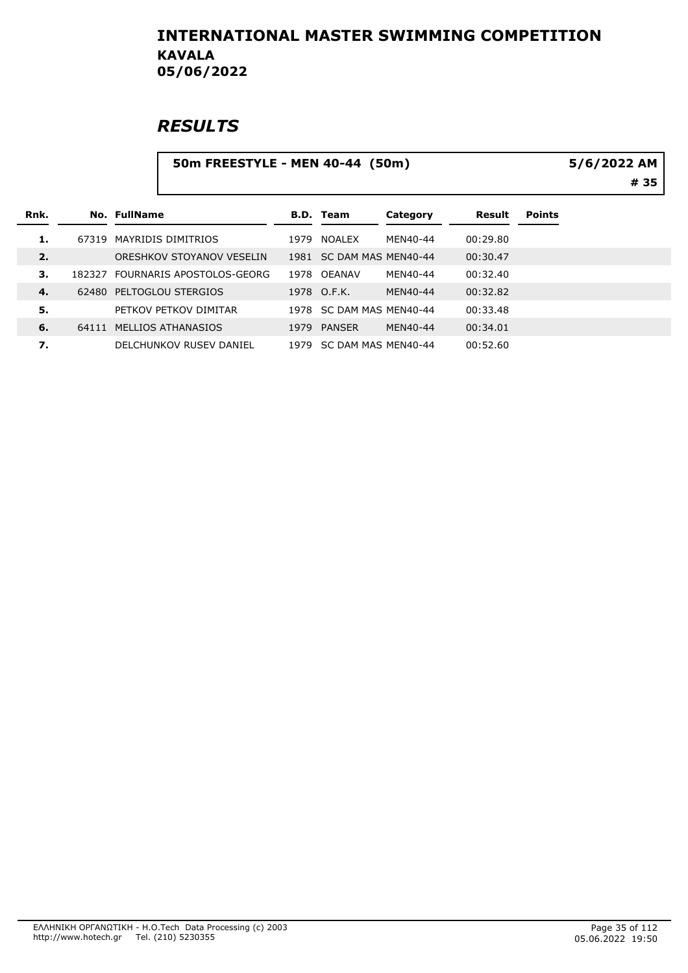|      |        | 50m FREESTYLE - MEN 40-44 (50m) |                           |      |                          |          |          |               | 5/6/2022 AM<br># 35 |
|------|--------|---------------------------------|---------------------------|------|--------------------------|----------|----------|---------------|---------------------|
| Rnk. |        | No. FullName                    |                           |      | <b>B.D. Team</b>         | Category | Result   | <b>Points</b> |                     |
| 1.   | 67319  |                                 | MAYRIDIS DIMITRIOS        | 1979 | NOALEX                   | MEN40-44 | 00:29.80 |               |                     |
| 2.   |        |                                 | ORESHKOV STOYANOV VESELIN |      | 1981 SC DAM MAS MEN40-44 |          | 00:30.47 |               |                     |
| З.   | 182327 |                                 | FOURNARIS APOSTOLOS-GEORG |      | 1978 OEANAV              | MEN40-44 | 00:32.40 |               |                     |
| 4.   |        |                                 | 62480 PELTOGLOU STERGIOS  |      | 1978 O.F.K.              | MEN40-44 | 00:32.82 |               |                     |
| 5.   |        |                                 | PETKOV PETKOV DIMITAR     | 1978 | SC DAM MAS MEN40-44      |          | 00:33.48 |               |                     |
| 6.   | 64111  |                                 | MELLIOS ATHANASIOS        | 1979 | PANSER                   | MEN40-44 | 00:34.01 |               |                     |
| 7.   |        |                                 | DELCHUNKOV RUSEV DANIEL   |      | 1979 SC DAM MAS MEN40-44 |          | 00:52.60 |               |                     |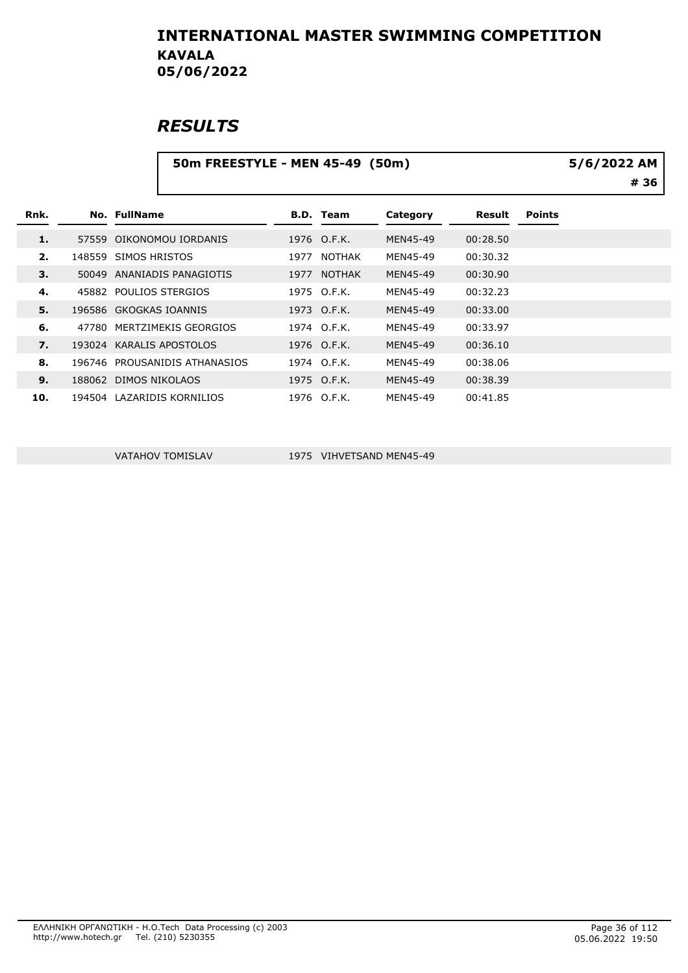### **RESULTS**

|      |       | 50m FREESTYLE - MEN 45-49 (50m) |      | 5/6/2022 AM      |          |          |               |      |
|------|-------|---------------------------------|------|------------------|----------|----------|---------------|------|
|      |       |                                 |      |                  |          |          |               | # 36 |
| Rnk. |       | <b>No. FullName</b>             |      | <b>B.D. Team</b> | Category | Result   | <b>Points</b> |      |
| 1.   |       | 57559 OIKONOMOU IORDANIS        |      | 1976 O.F.K.      | MEN45-49 | 00:28.50 |               |      |
| 2.   |       | 148559 SIMOS HRISTOS            | 1977 | NOTHAK           | MEN45-49 | 00:30.32 |               |      |
| 3.   |       | 50049 ANANIADIS PANAGIOTIS      | 1977 | <b>NOTHAK</b>    | MEN45-49 | 00:30.90 |               |      |
| 4.   |       | 45882 POULIOS STERGIOS          |      | 1975 O.F.K.      | MEN45-49 | 00:32.23 |               |      |
| 5.   |       | 196586 GKOGKAS IOANNIS          |      | 1973 O.F.K.      | MEN45-49 | 00:33.00 |               |      |
| 6.   | 47780 | MERTZIMEKIS GEORGIOS            |      | 1974 O.F.K.      | MEN45-49 | 00:33.97 |               |      |
| 7.   |       | 193024 KARALIS APOSTOLOS        |      | 1976 O.F.K.      | MEN45-49 | 00:36.10 |               |      |
| 8.   |       | 196746 PROUSANIDIS ATHANASIOS   |      | 1974 O.F.K.      | MEN45-49 | 00:38.06 |               |      |
| 9.   |       | 188062 DIMOS NIKOLAOS           |      | 1975 O.F.K.      | MEN45-49 | 00:38.39 |               |      |
| 10.  |       | 194504 LAZARIDIS KORNILIOS      |      | 1976 O.F.K.      | MEN45-49 | 00:41.85 |               |      |

VATAHOV TOMISLAV 1975 VIHVETSAND MEN45-49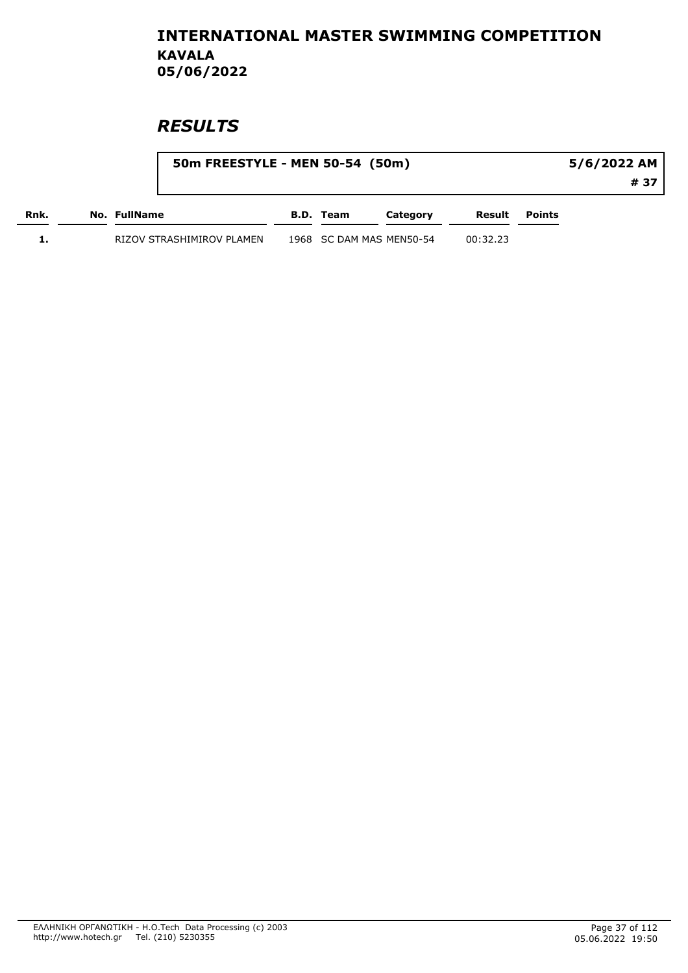|      |                           | 50m FREESTYLE - MEN 50-54 (50m) |                  |                          |          | 5/6/2022 AM   |      |  |
|------|---------------------------|---------------------------------|------------------|--------------------------|----------|---------------|------|--|
|      |                           |                                 |                  |                          |          |               | # 37 |  |
| Rnk. | No. FullName              |                                 | <b>B.D.</b> Team | Category                 | Result   | <b>Points</b> |      |  |
|      | RIZOV STRASHIMIROV PLAMEN |                                 |                  | 1968 SC DAM MAS MEN50-54 | 00:32.23 |               |      |  |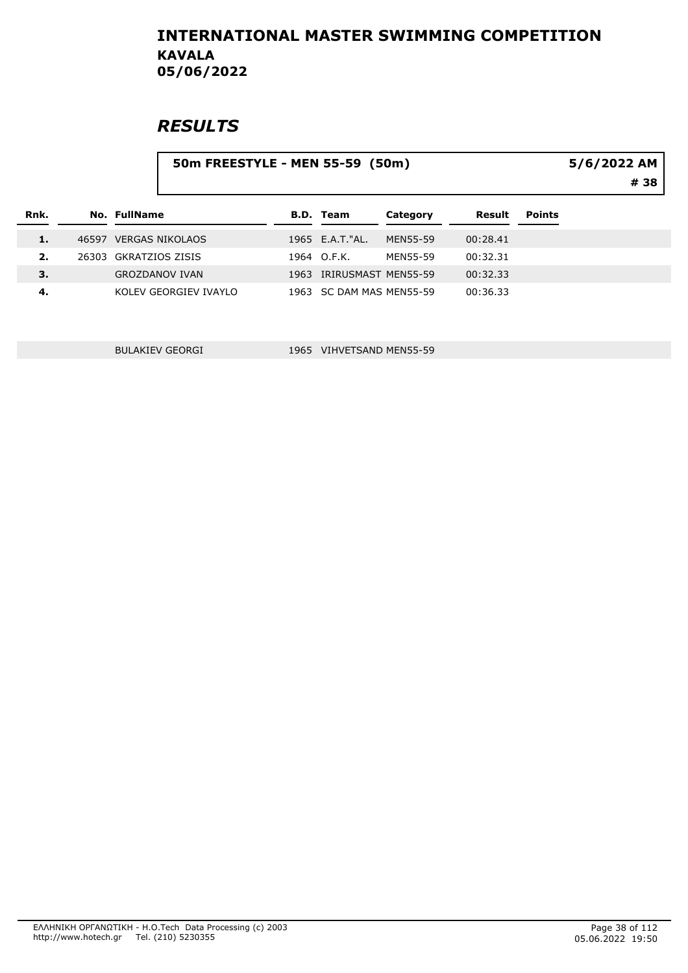# **RESULTS**

|      | 50m FREESTYLE - MEN 55-59 (50m) |      | 5/6/2022 AM<br># 38 |                          |          |               |  |
|------|---------------------------------|------|---------------------|--------------------------|----------|---------------|--|
| Rnk. | No. FullName                    |      | <b>B.D. Team</b>    | Category                 | Result   | <b>Points</b> |  |
| 1.   | 46597 VERGAS NIKOLAOS           |      | 1965 E.A.T."AL.     | <b>MEN55-59</b>          | 00:28.41 |               |  |
| 2.   | 26303 GKRATZIOS ZISIS           |      | 1964 O.F.K.         | <b>MEN55-59</b>          | 00:32.31 |               |  |
| 3.   | <b>GROZDANOV IVAN</b>           | 1963 |                     | IRIRUSMAST MEN55-59      | 00:32.33 |               |  |
| 4.   | KOLEV GEORGIEV IVAYLO           |      |                     | 1963 SC DAM MAS MEN55-59 | 00:36.33 |               |  |

BULAKIEV GEORGI 1965 VIHVETSAND MEN55-59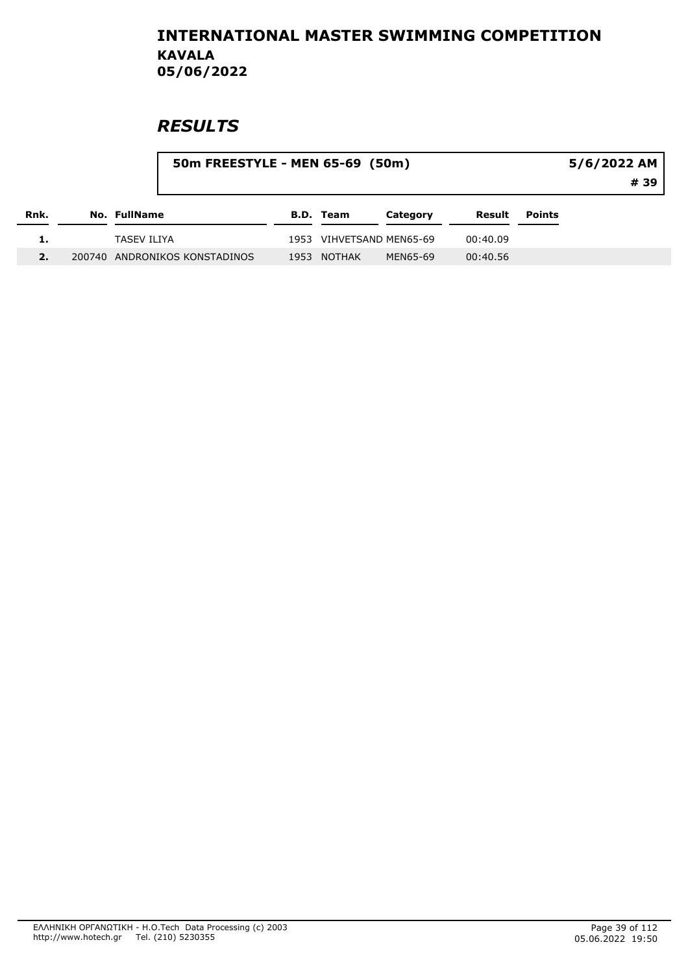|      |  |              |                               | 50m FREESTYLE - MEN 65-69 (50m) |                     |          |          |               |  |  |  |
|------|--|--------------|-------------------------------|---------------------------------|---------------------|----------|----------|---------------|--|--|--|
|      |  |              |                               |                                 |                     |          |          | # 39          |  |  |  |
| Rnk. |  | No. FullName |                               |                                 | <b>B.D. Team</b>    | Category | Result   | <b>Points</b> |  |  |  |
| ı.   |  | TASEV ILIYA  |                               | 1953                            | VIHVETSAND MEN65-69 |          | 00:40.09 |               |  |  |  |
| 2.   |  |              | 200740 ANDRONIKOS KONSTADINOS | 1953                            | NOTHAK              | MEN65-69 | 00:40.56 |               |  |  |  |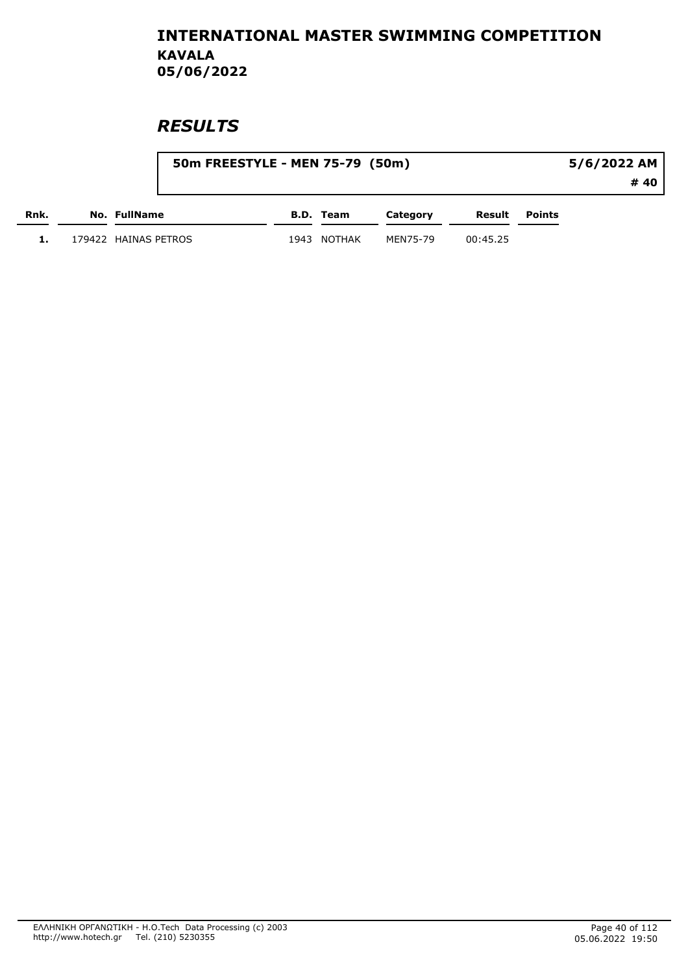|      |                      | 50m FREESTYLE - MEN 75-79 (50m) |           |          |          |        |      |
|------|----------------------|---------------------------------|-----------|----------|----------|--------|------|
|      |                      |                                 |           |          |          |        | # 40 |
| Rnk. | No. FullName         |                                 | B.D. Team | Category | Result   | Points |      |
|      | 179422 HAINAS PETROS | 1943                            | NOTHAK    | MEN75-79 | 00:45.25 |        |      |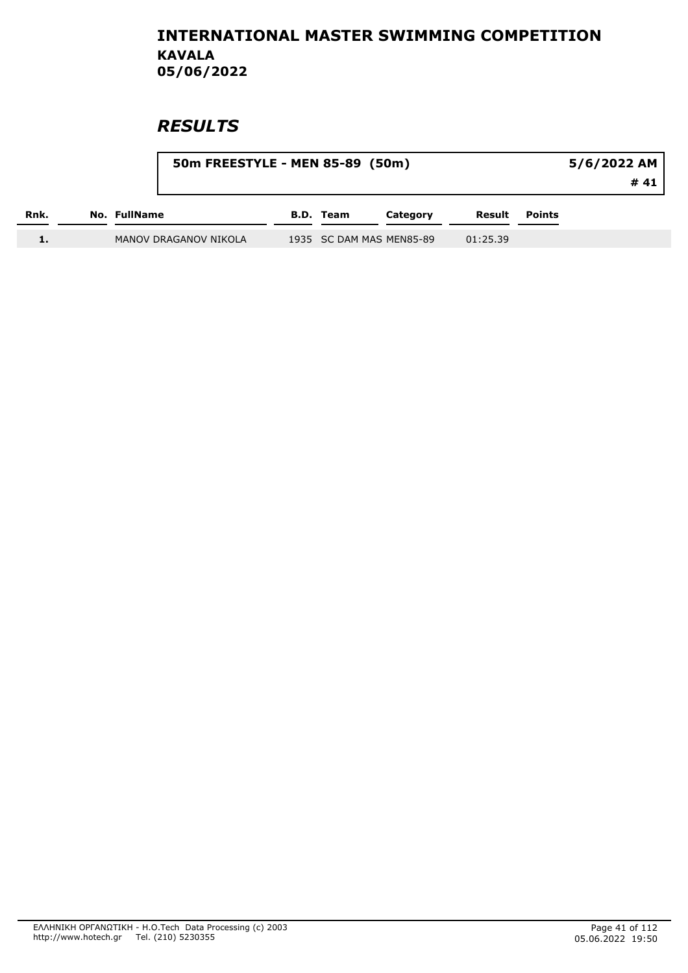|      |              | 50m FREESTYLE - MEN 85-89 (50m) |                  |                          |          | 5/6/2022 AM<br># 41 |  |
|------|--------------|---------------------------------|------------------|--------------------------|----------|---------------------|--|
| Rnk. | No. FullName |                                 | <b>B.D.</b> Team | Category                 | Result   | <b>Points</b>       |  |
|      |              | MANOV DRAGANOV NIKOLA           |                  | 1935 SC DAM MAS MEN85-89 | 01:25.39 |                     |  |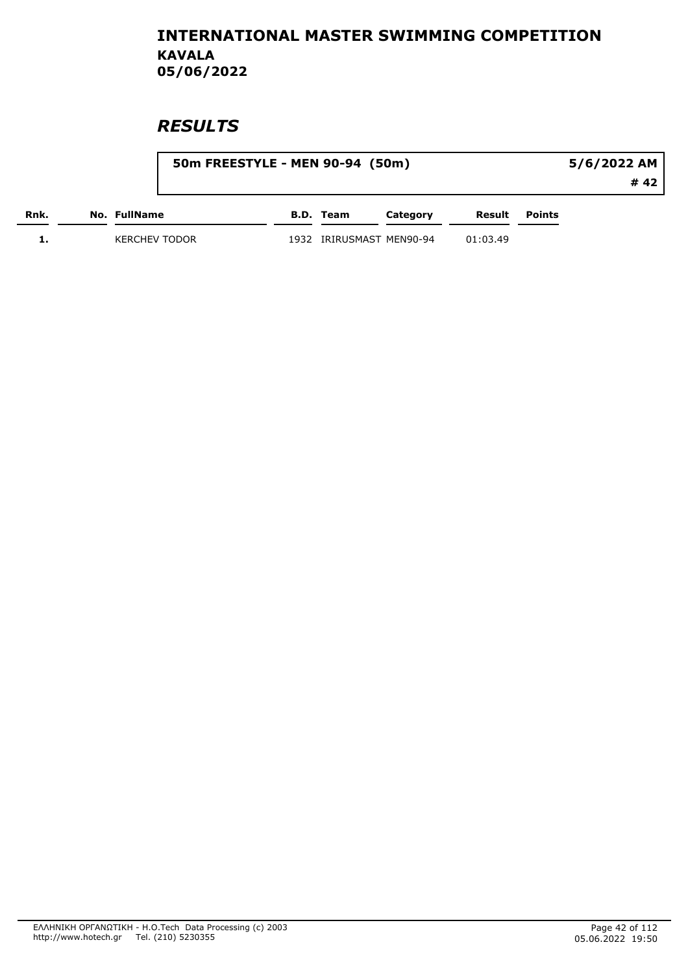|      |                      | 50m FREESTYLE - MEN 90-94 (50m) |      |                     |          |          |        | 5/6/2022 AM |
|------|----------------------|---------------------------------|------|---------------------|----------|----------|--------|-------------|
|      |                      |                                 |      |                     |          |          |        | # 42        |
| Rnk. | No. FullName         |                                 |      | B.D. Team           | Category | Result   | Points |             |
|      | <b>KERCHEV TODOR</b> |                                 | 1932 | IRIRUSMAST MEN90-94 |          | 01:03.49 |        |             |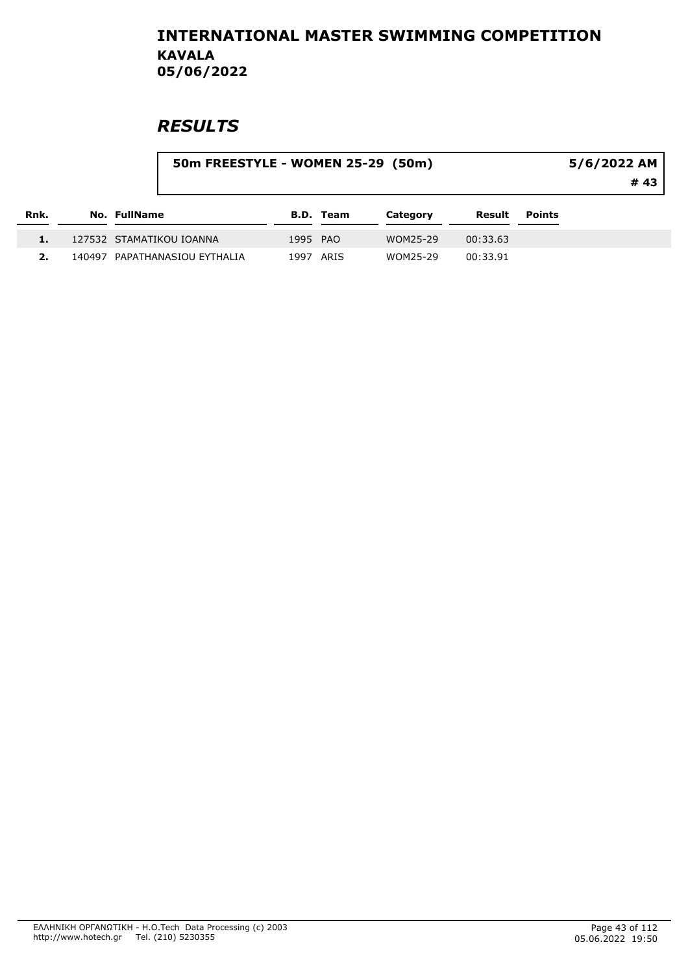## **RESULTS**

 $\overline{a}$ 

|      |  |                               | 5/6/2022 AM |                  |          |          |               |  |
|------|--|-------------------------------|-------------|------------------|----------|----------|---------------|--|
|      |  |                               |             |                  |          |          | # 43          |  |
| Rnk. |  | No. FullName                  |             | <b>B.D. Team</b> | Category | Result   | <b>Points</b> |  |
|      |  | 127532 STAMATIKOU IOANNA      | 1995 PAO    |                  | WOM25-29 | 00:33.63 |               |  |
|      |  | 140497 PAPATHANASIOU EYTHALIA | 1997        | ARIS             | WOM25-29 | 00:33.91 |               |  |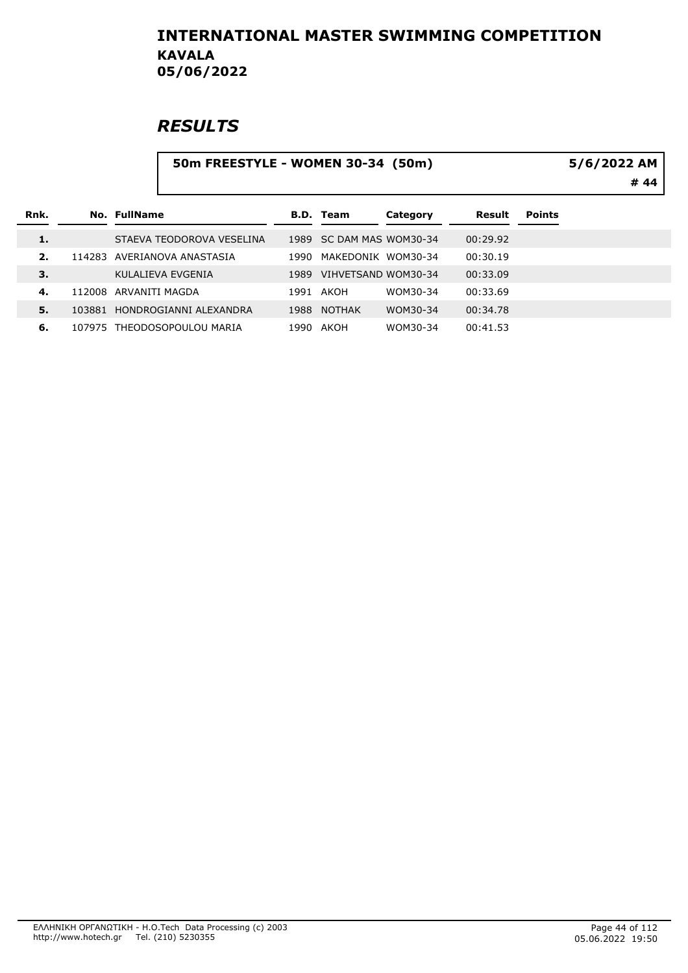|      |        |                | 50m FREESTYLE - WOMEN 30-34 (50m) |      | 5/6/2022 AM<br># 44 |          |          |               |  |
|------|--------|----------------|-----------------------------------|------|---------------------|----------|----------|---------------|--|
| Rnk. |        | No. FullName   |                                   |      | <b>B.D. Team</b>    | Category | Result   | <b>Points</b> |  |
| 1.   |        |                | STAEVA TEODOROVA VESELINA         | 1989 | SC DAM MAS WOM30-34 |          | 00:29.92 |               |  |
| 2.   |        |                | 114283 AVERIANOVA ANASTASIA       | 1990 | MAKEDONIK WOM30-34  |          | 00:30.19 |               |  |
| 3.   |        |                | KULALIEVA EVGENIA                 | 1989 | VIHVETSAND WOM30-34 |          | 00:33.09 |               |  |
| 4.   | 112008 | ARVANITI MAGDA |                                   | 1991 | AKOH                | WOM30-34 | 00:33.69 |               |  |
| 5.   |        |                | 103881 HONDROGIANNI ALEXANDRA     | 1988 | <b>NOTHAK</b>       | WOM30-34 | 00:34.78 |               |  |
| 6.   |        |                | 107975 THEODOSOPOULOU MARIA       |      | 1990 AKOH           | WOM30-34 | 00:41.53 |               |  |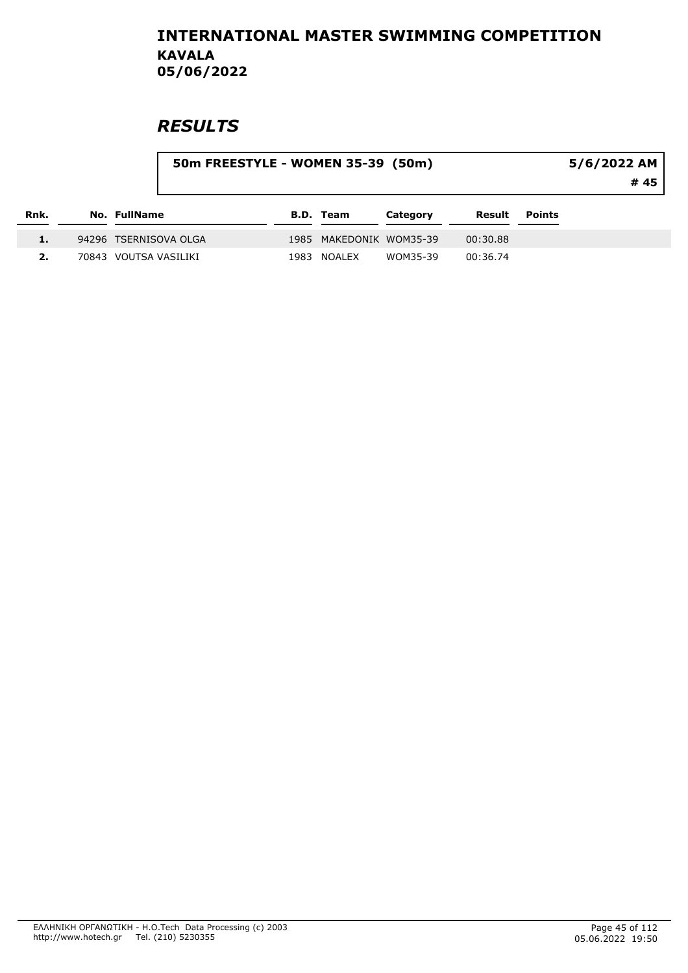|      |                       | 50m FREESTYLE - WOMEN 35-39 (50m) |                         |          |          |               | $5/6/2022$ AM<br># 45 |
|------|-----------------------|-----------------------------------|-------------------------|----------|----------|---------------|-----------------------|
| Rnk. | No. FullName          |                                   | <b>B.D. Team</b>        | Category | Result   | <b>Points</b> |                       |
| 1.   | 94296 TSERNISOVA OLGA |                                   | 1985 MAKEDONIK WOM35-39 |          | 00:30.88 |               |                       |
|      | 70843 VOUTSA VASILIKI |                                   | 1983 NOALEX             | WOM35-39 | 00:36.74 |               |                       |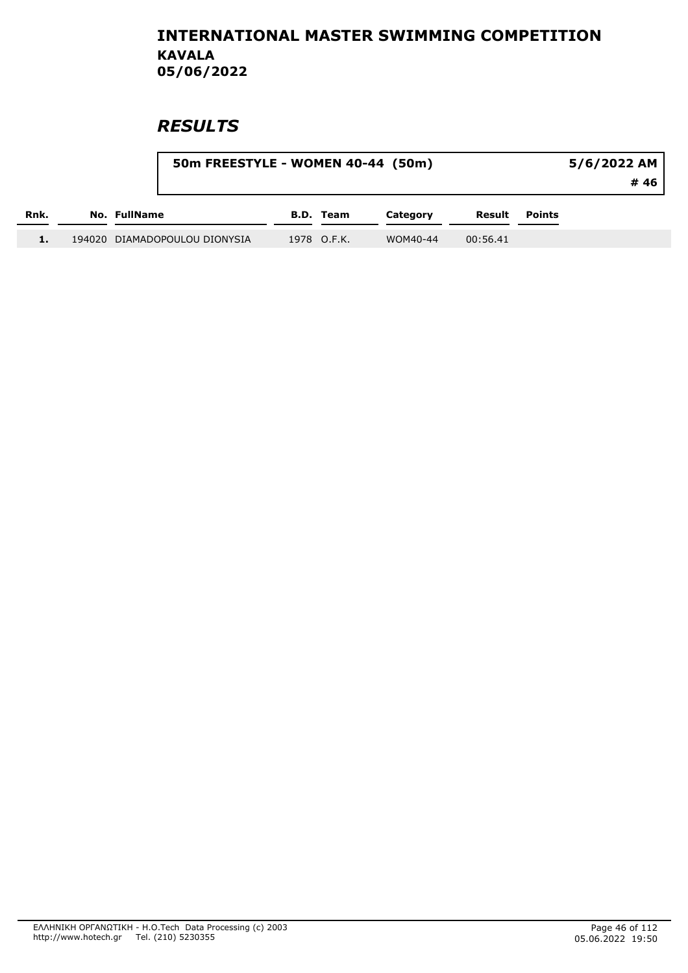|      | 50m FREESTYLE - WOMEN 40-44 (50m) |             |          | $5/6/2022$ AM |               |      |
|------|-----------------------------------|-------------|----------|---------------|---------------|------|
|      |                                   |             |          |               |               | # 46 |
| Rnk. | No. FullName                      | B.D. Team   | Category | Result        | <b>Points</b> |      |
| . .  | 194020 DIAMADOPOULOU DIONYSIA     | 1978 O.F.K. | WOM40-44 | 00:56.41      |               |      |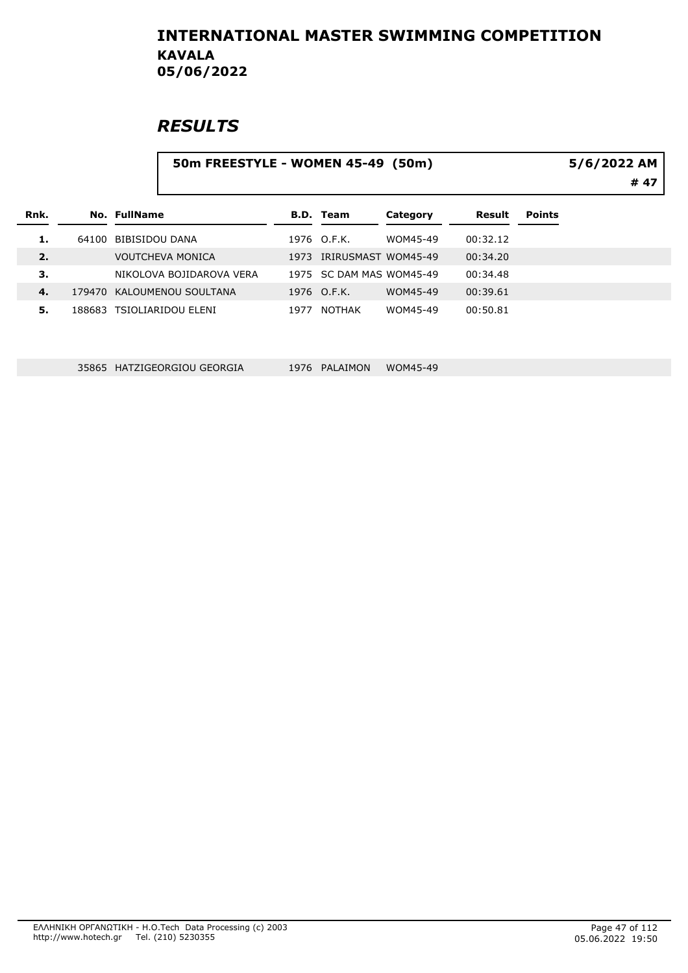# **RESULTS**

|      |        | 50m FREESTYLE - WOMEN 45-49 (50m) |      | 5/6/2022 AM<br># 47      |          |          |               |  |
|------|--------|-----------------------------------|------|--------------------------|----------|----------|---------------|--|
| Rnk. |        | No. FullName                      |      | <b>B.D. Team</b>         | Category | Result   | <b>Points</b> |  |
| 1.   | 64100  | BIBISIDOU DANA                    |      | 1976 O.F.K.              | WOM45-49 | 00:32.12 |               |  |
| 2.   |        | <b>VOUTCHEVA MONICA</b>           |      | 1973 IRIRUSMAST WOM45-49 |          | 00:34.20 |               |  |
| З.   |        | NIKOLOVA BOJIDAROVA VERA          |      | 1975 SC DAM MAS WOM45-49 |          | 00:34.48 |               |  |
| 4.   | 179470 | KALOUMENOU SOULTANA               |      | 1976 O.F.K.              | WOM45-49 | 00:39.61 |               |  |
| 5.   |        | 188683 TSIOLIARIDOU ELENI         | 1977 | NOTHAK                   | WOM45-49 | 00:50.81 |               |  |

35865 HATZIGEORGIOU GEORGIA 1976 PALAIMON WOM45-49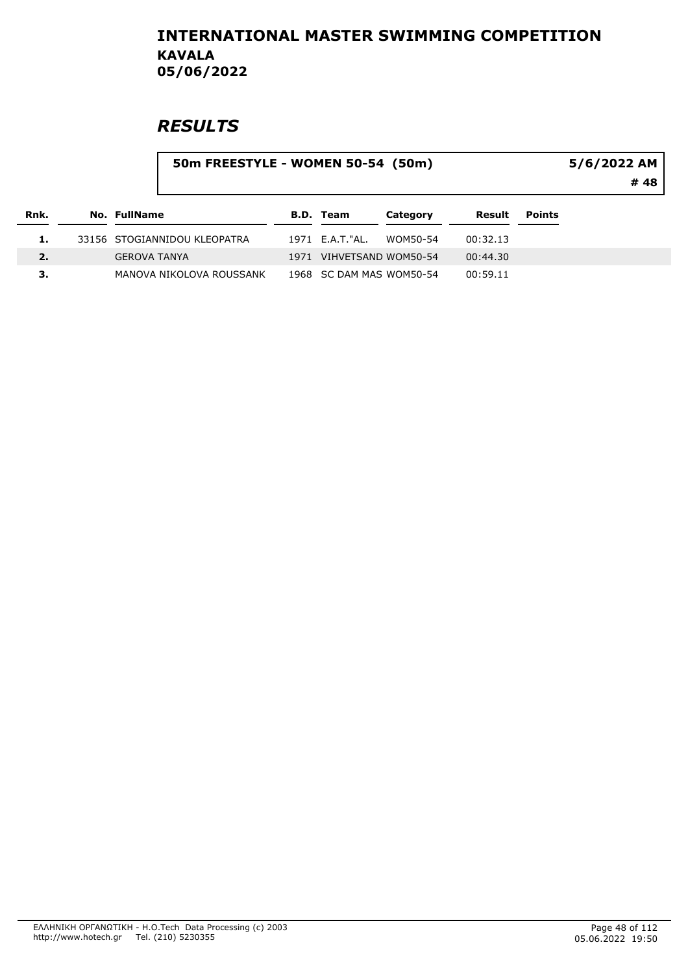|      | 50m FREESTYLE - WOMEN 50-54 (50m) |                              |      |                          |          |          |               | 5/6/2022 AM<br># 48 |
|------|-----------------------------------|------------------------------|------|--------------------------|----------|----------|---------------|---------------------|
| Rnk. | No. FullName                      |                              |      | <b>B.D. Team</b>         | Category | Result   | <b>Points</b> |                     |
| 1.   |                                   | 33156 STOGIANNIDOU KLEOPATRA |      | 1971 E.A.T."AL.          | WOM50-54 | 00:32.13 |               |                     |
| 2.   | <b>GEROVA TANYA</b>               |                              | 1971 | VIHVETSAND WOM50-54      |          | 00:44.30 |               |                     |
| з.   |                                   | MANOVA NIKOLOVA ROUSSANK     |      | 1968 SC DAM MAS WOM50-54 |          | 00:59.11 |               |                     |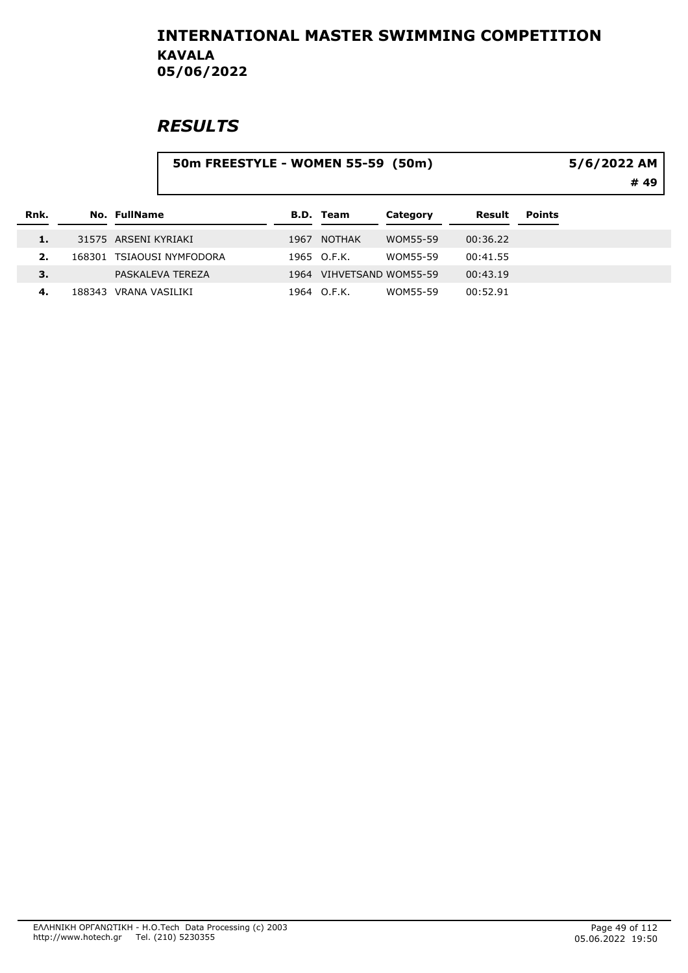|      |        |                      | 50m FREESTYLE - WOMEN 55-59 (50m) |      |                     |                 |          |               | 5/6/2022 AM<br># 49 |
|------|--------|----------------------|-----------------------------------|------|---------------------|-----------------|----------|---------------|---------------------|
| Rnk. |        | <b>No. FullName</b>  |                                   |      | <b>B.D. Team</b>    | Category        | Result   | <b>Points</b> |                     |
| 1.   |        | 31575 ARSENI KYRIAKI |                                   |      | 1967 NOTHAK         | WOM55-59        | 00:36.22 |               |                     |
| 2.   |        |                      | 168301 TSIAOUSI NYMFODORA         |      | 1965 O.F.K.         | <b>WOM55-59</b> | 00:41.55 |               |                     |
| 3.   |        |                      | PASKALEVA TEREZA                  | 1964 | VIHVETSAND WOM55-59 |                 | 00:43.19 |               |                     |
| 4.   | 188343 | VRANA VASILIKI       |                                   |      | 1964 O.F.K.         | WOM55-59        | 00:52.91 |               |                     |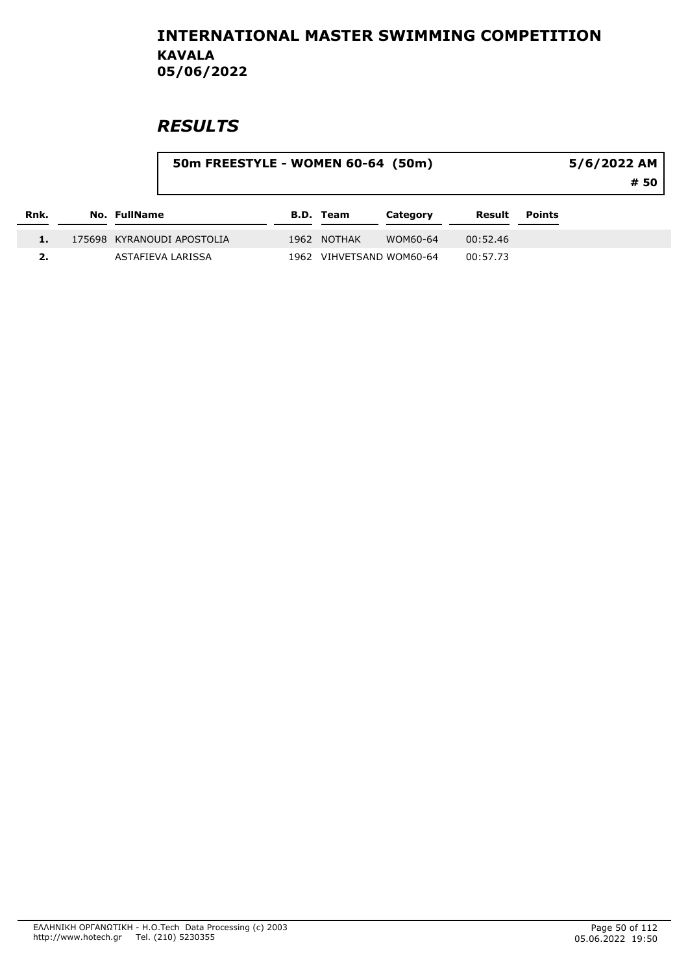|      |                     | 50m FREESTYLE - WOMEN 60-64 (50m) |      |                  |                     |          |               | 5/6/2022 AM<br># 50 |
|------|---------------------|-----------------------------------|------|------------------|---------------------|----------|---------------|---------------------|
| Rnk. | <b>No. FullName</b> |                                   |      | <b>B.D. Team</b> | Category            | Result   | <b>Points</b> |                     |
|      |                     | 175698 KYRANOUDI APOSTOLIA        |      | 1962 NOTHAK      | WOM60-64            | 00:52.46 |               |                     |
| 2.   |                     | ASTAFIEVA LARISSA                 | 1962 |                  | VIHVETSAND WOM60-64 | 00:57.73 |               |                     |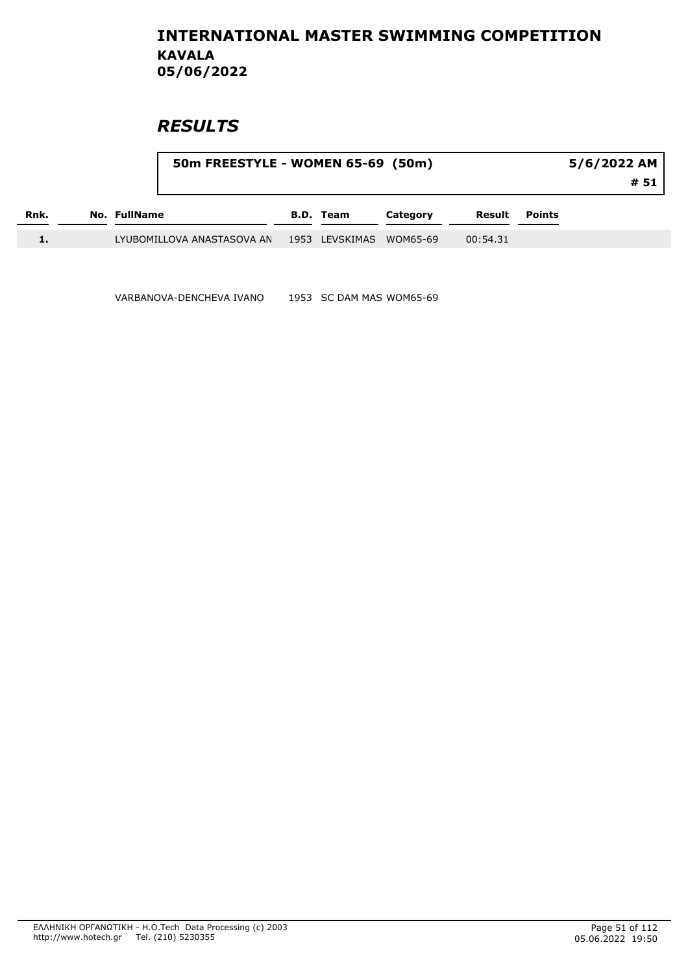## **RESULTS**

|      |                     | 50m FREESTYLE - WOMEN 65-69 (50m) |                  |          |          |        | 5/6/2022 AM<br># 51 |
|------|---------------------|-----------------------------------|------------------|----------|----------|--------|---------------------|
| Rnk. | <b>No. FullName</b> |                                   | <b>B.D. Team</b> | Category | Result   | Points |                     |
|      |                     | LYUBOMILLOVA ANASTASOVA AN        | 1953 LEVSKIMAS   | WOM65-69 | 00:54.31 |        |                     |

VARBANOVA-DENCHEVA IVANO 1953 SC DAM MAS WOM65-69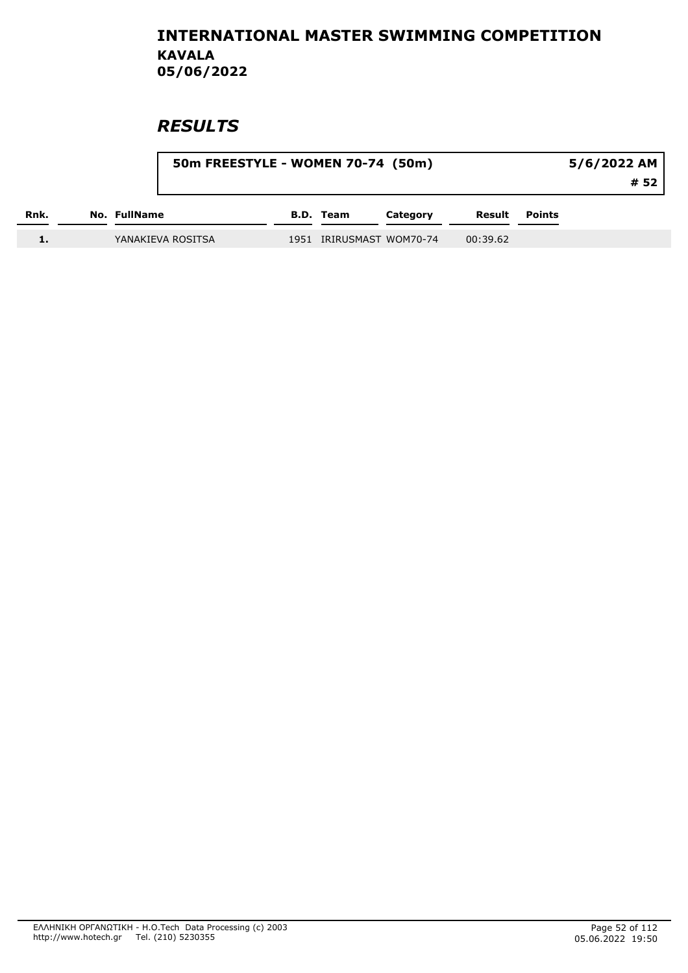|      |                   | 50m FREESTYLE - WOMEN 70-74 (50m) |                          |          |                      | 5/6/2022 AM |
|------|-------------------|-----------------------------------|--------------------------|----------|----------------------|-------------|
|      |                   |                                   |                          |          |                      | # 52        |
| Rnk. | No. FullName      |                                   | <b>B.D.</b> Team         | Category | <b>Result</b> Points |             |
|      | YANAKIEVA ROSITSA |                                   | 1951 IRIRUSMAST WOM70-74 |          | 00:39.62             |             |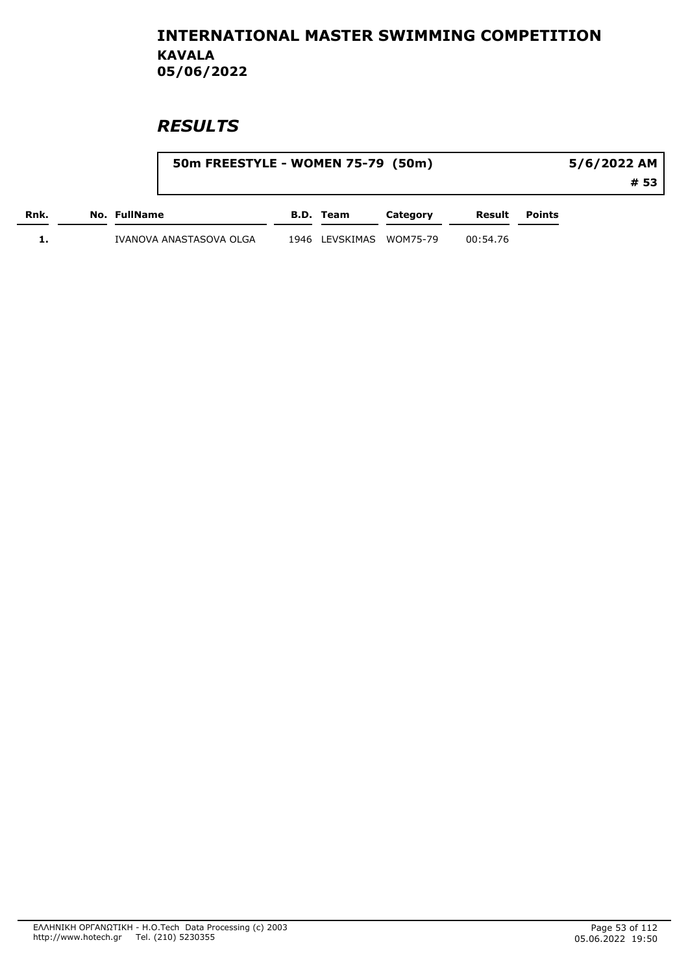|      | 50m FREESTYLE - WOMEN 75-79 (50m) |                         |          |          |        | 5/6/2022 AM |
|------|-----------------------------------|-------------------------|----------|----------|--------|-------------|
|      |                                   |                         |          |          |        | # 53        |
| Rnk. | No. FullName                      | B.D. Team               | Category | Result   | Points |             |
|      | IVANOVA ANASTASOVA OLGA           | 1946 LEVSKIMAS WOM75-79 |          | 00:54.76 |        |             |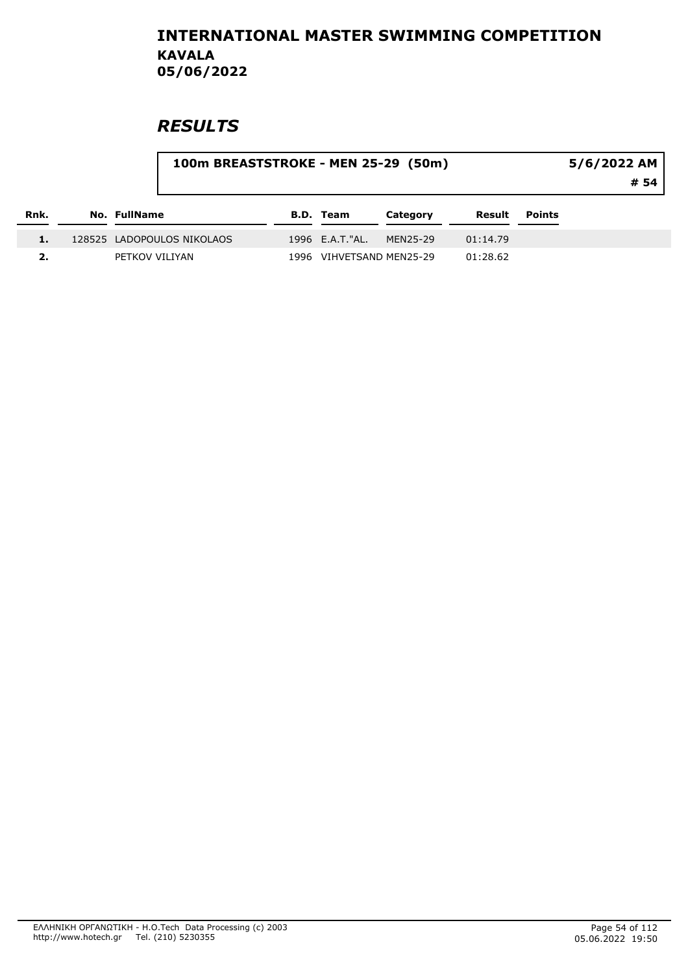|      | 100m BREASTSTROKE - MEN 25-29 (50m) |                  |                          |          |               | 5/6/2022 AM<br># 54 |
|------|-------------------------------------|------------------|--------------------------|----------|---------------|---------------------|
| Rnk. | No. FullName                        | <b>B.D. Team</b> | Category                 | Result   | <b>Points</b> |                     |
|      | 128525 LADOPOULOS NIKOLAOS          | 1996 E.A.T. "AL. | MEN25-29                 | 01:14.79 |               |                     |
|      | PETKOV VILIYAN                      |                  | 1996 VIHVETSAND MEN25-29 | 01:28.62 |               |                     |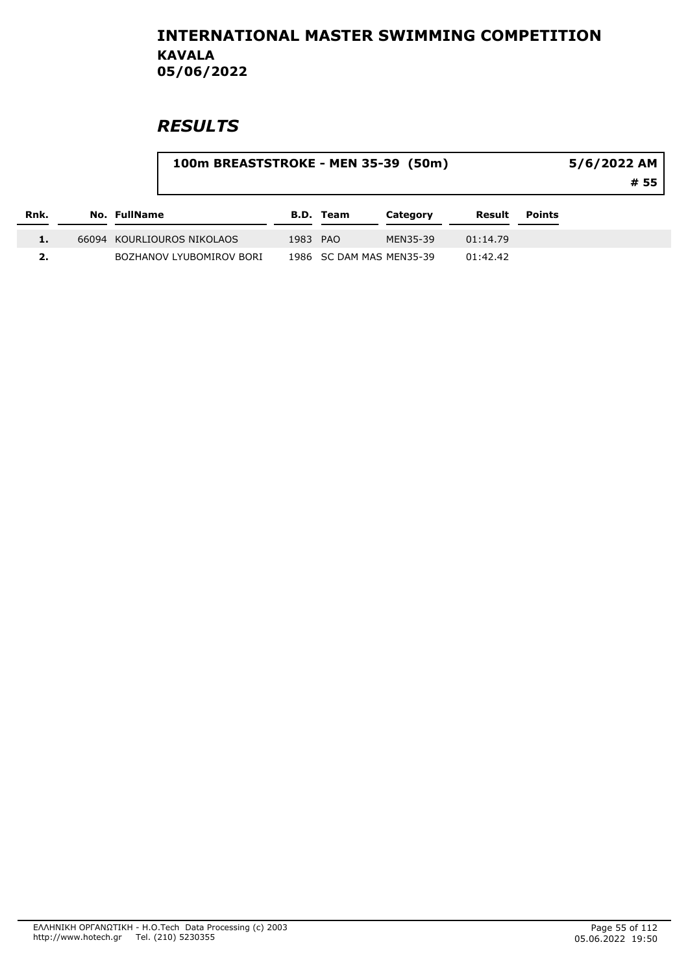|      | 100m BREASTSTROKE - MEN 35-39 (50m) |          |                  |                          |          |               | 5/6/2022 AM<br># 55 |
|------|-------------------------------------|----------|------------------|--------------------------|----------|---------------|---------------------|
| Rnk. | No. FullName                        |          | <b>B.D.</b> Team | Category                 | Result   | <b>Points</b> |                     |
|      | 66094 KOURLIOUROS NIKOLAOS          | 1983 PAO |                  | MEN35-39                 | 01:14.79 |               |                     |
| 2.   | BOZHANOV LYUBOMIROV BORI            |          |                  | 1986 SC DAM MAS MEN35-39 | 01:42.42 |               |                     |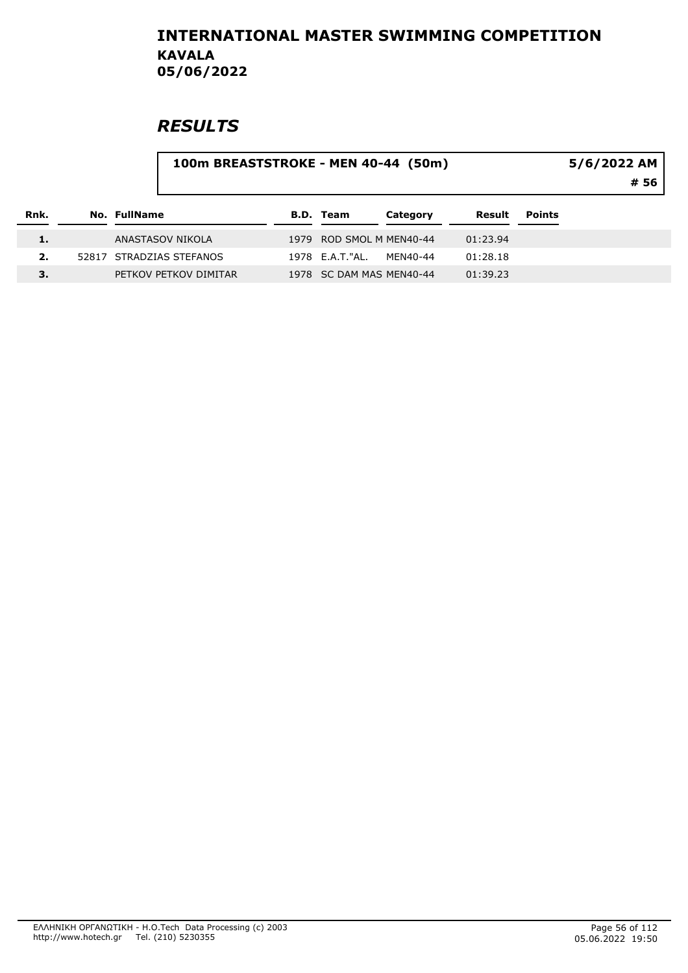# **RESULTS**

#### 100m BREASTSTROKE - MEN 40-44 (50m)

5/6/2022 AM

# 56

| Rnk. | No. FullName             | B.D. Team                | Category | Result   | <b>Points</b> |
|------|--------------------------|--------------------------|----------|----------|---------------|
| 1.   | ANASTASOV NIKOLA         | 1979 ROD SMOL M MEN40-44 |          | 01:23.94 |               |
|      | 52817 STRADZIAS STEFANOS | 1978 E.A.T."AL.          | MFN40-44 | 01:28.18 |               |
|      | PETKOV PETKOV DIMITAR    | 1978 SC DAM MAS MEN40-44 |          | 01:39.23 |               |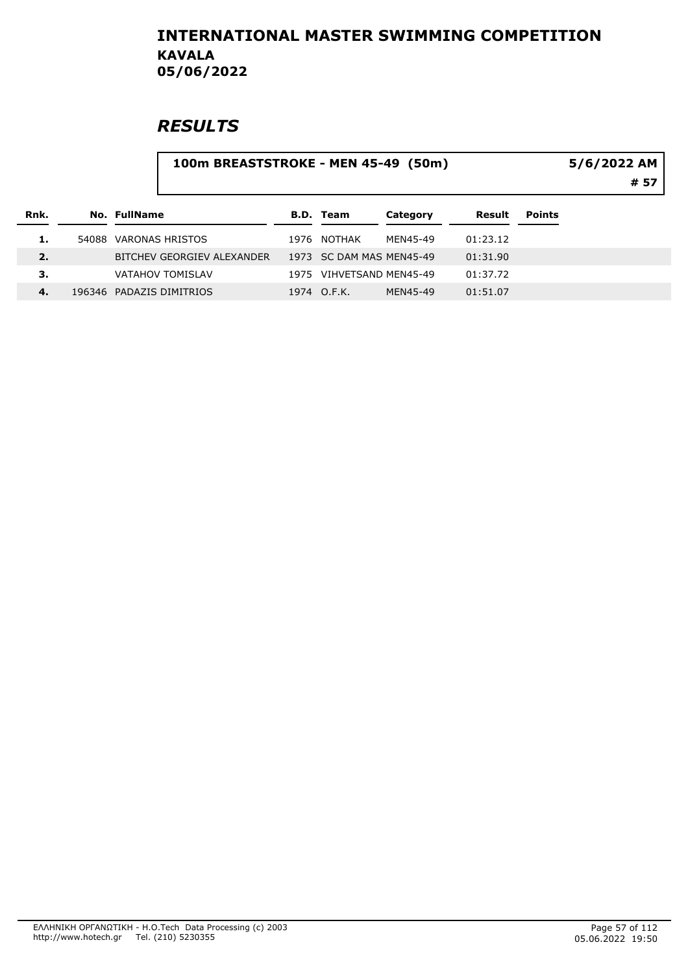# **RESULTS**

#### 100m BREASTSTROKE - MEN 45-49 (50m)

# 57 5/6/2022 AM

| Rnk. |       | No. FullName               | B.D. Team                | Category | Result   | <b>Points</b> |
|------|-------|----------------------------|--------------------------|----------|----------|---------------|
| 1.   | 54088 | VARONAS HRISTOS            | 1976 NOTHAK              | MFN45-49 | 01:23.12 |               |
| 2.   |       | BITCHEV GEORGIEV ALEXANDER | 1973 SC DAM MAS MEN45-49 |          | 01:31.90 |               |
| З.   |       | <b>VATAHOV TOMISLAV</b>    | 1975 VIHVETSAND MEN45-49 |          | 01:37.72 |               |
| 4.   |       | 196346 PADAZIS DIMITRIOS   | 1974 O.F.K.              | MFN45-49 | 01:51.07 |               |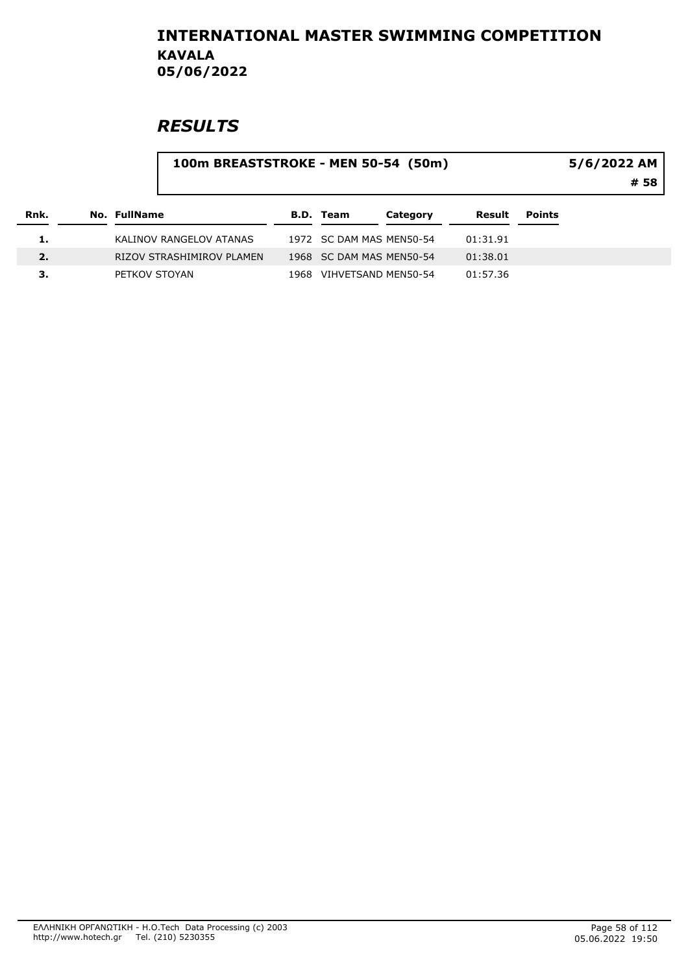# **RESULTS**

#### 100m BREASTSTROKE - MEN 50-54 (50m)

5/6/2022 AM

# 58

| Rnk. | No. FullName              | B.D. Team                | Category | Result   | <b>Points</b> |
|------|---------------------------|--------------------------|----------|----------|---------------|
| ı.   | KALINOV RANGELOV ATANAS   | 1972 SC DAM MAS MEN50-54 |          | 01:31.91 |               |
| 2.   | RIZOV STRASHIMIROV PLAMEN | 1968 SC DAM MAS MEN50-54 |          | 01:38.01 |               |
|      | PETKOV STOYAN             | 1968 VIHVETSAND MEN50-54 |          | 01:57.36 |               |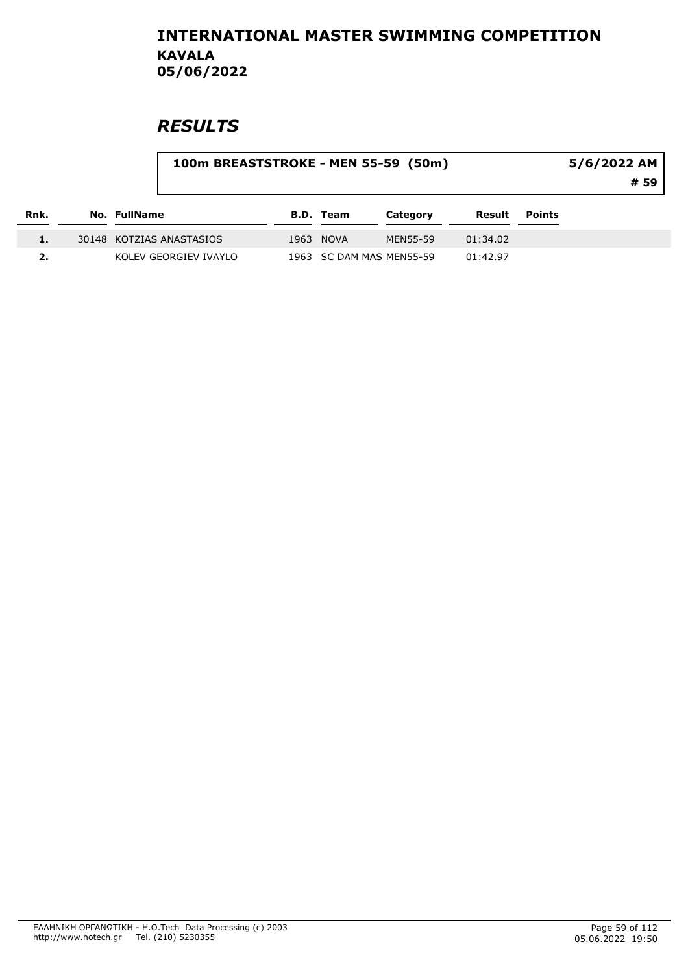|      |                          | 100m BREASTSTROKE - MEN 55-59 (50m) |           |                          |          |        | 5/6/2022 AM<br># 59 |  |
|------|--------------------------|-------------------------------------|-----------|--------------------------|----------|--------|---------------------|--|
| Rnk. | No. FullName             |                                     | B.D. Team | Category                 | Result   | Points |                     |  |
| 1.   | 30148 KOTZIAS ANASTASIOS |                                     | 1963 NOVA | MEN55-59                 | 01:34.02 |        |                     |  |
|      | KOLEV GEORGIEV IVAYLO    |                                     |           | 1963 SC DAM MAS MEN55-59 | 01:42.97 |        |                     |  |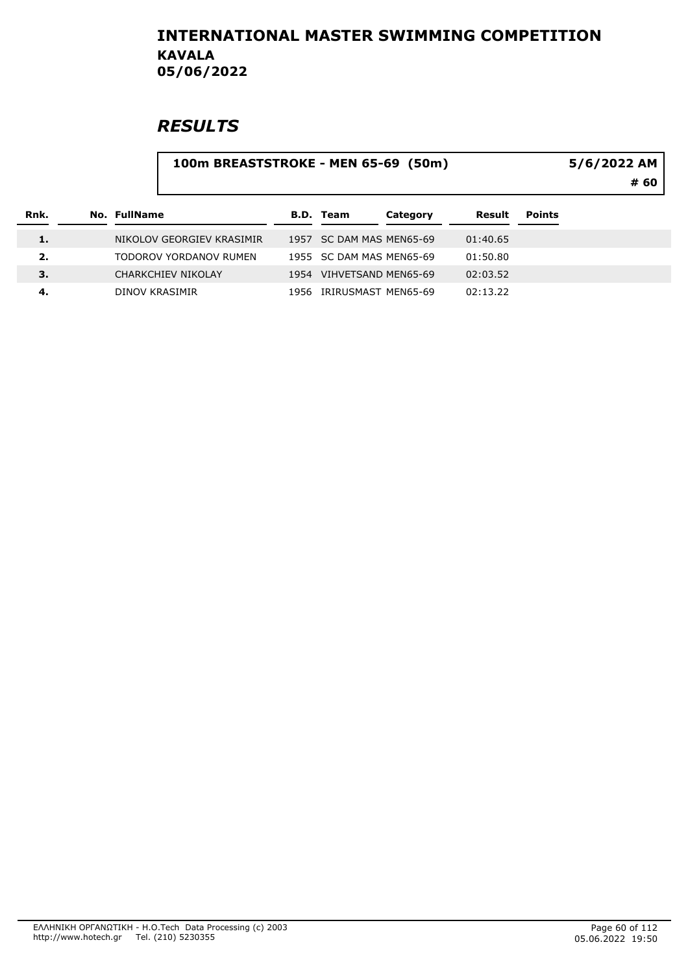# **RESULTS**

#### 100m BREASTSTROKE - MEN 65-69 (50m)

5/6/2022 AM

# 60

| Rnk. | No. FullName              | <b>B.D.</b> Team         | Category | Result   | <b>Points</b> |
|------|---------------------------|--------------------------|----------|----------|---------------|
| 1.   | NIKOLOV GEORGIEV KRASIMIR | 1957 SC DAM MAS MEN65-69 |          | 01:40.65 |               |
| 2.   | TODOROV YORDANOV RUMEN    | 1955 SC DAM MAS MEN65-69 |          | 01:50.80 |               |
| з.   | CHARKCHIEV NIKOLAY        | 1954 VIHVETSAND MEN65-69 |          | 02:03.52 |               |
| -4.  | DINOV KRASIMIR            | 1956 IRIRUSMAST MEN65-69 |          | 02:13.22 |               |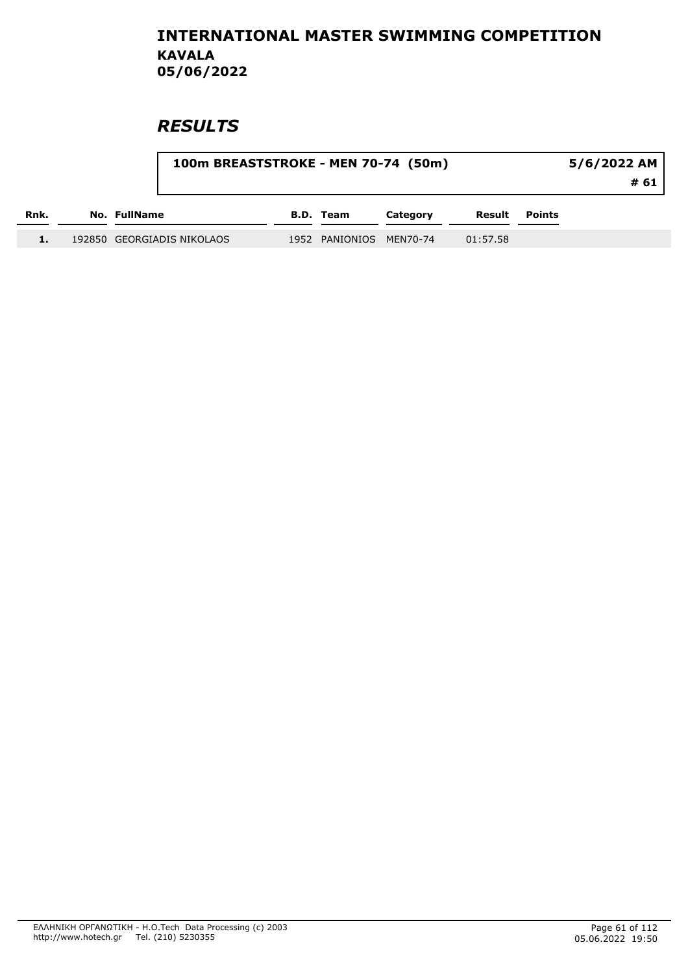|      |                            | 100m BREASTSTROKE - MEN 70-74 (50m) |                         |          |          |               | 5/6/2022 AM<br># 61 |  |  |
|------|----------------------------|-------------------------------------|-------------------------|----------|----------|---------------|---------------------|--|--|
| Rnk. | No. FullName               |                                     | <b>B.D. Team</b>        | Category | Result   | <b>Points</b> |                     |  |  |
|      | 192850 GEORGIADIS NIKOLAOS |                                     | 1952 PANIONIOS MEN70-74 |          | 01:57.58 |               |                     |  |  |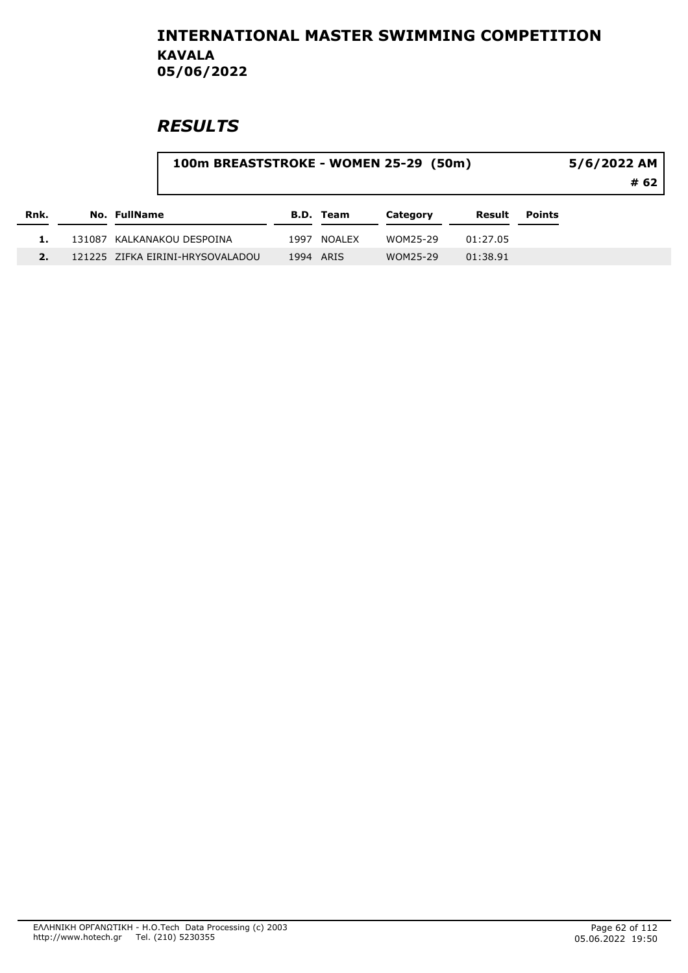## **RESULTS**

2. 121225 ZIFKA EIRINI-HRYSOVALADOU 1994 ARIS WOM25-29 01:38.91

| Rnk. | 100m BREASTSTROKE - WOMEN 25-29 (50m) |      |           |          | 5/6/2022 AM<br># 62 |        |  |
|------|---------------------------------------|------|-----------|----------|---------------------|--------|--|
|      | No. FullName                          |      | B.D. Team | Category | Result              | Points |  |
|      | 131087 KALKANAKOU DESPOINA            | 1997 | NOALEX    | WOM25-29 | 01:27.05            |        |  |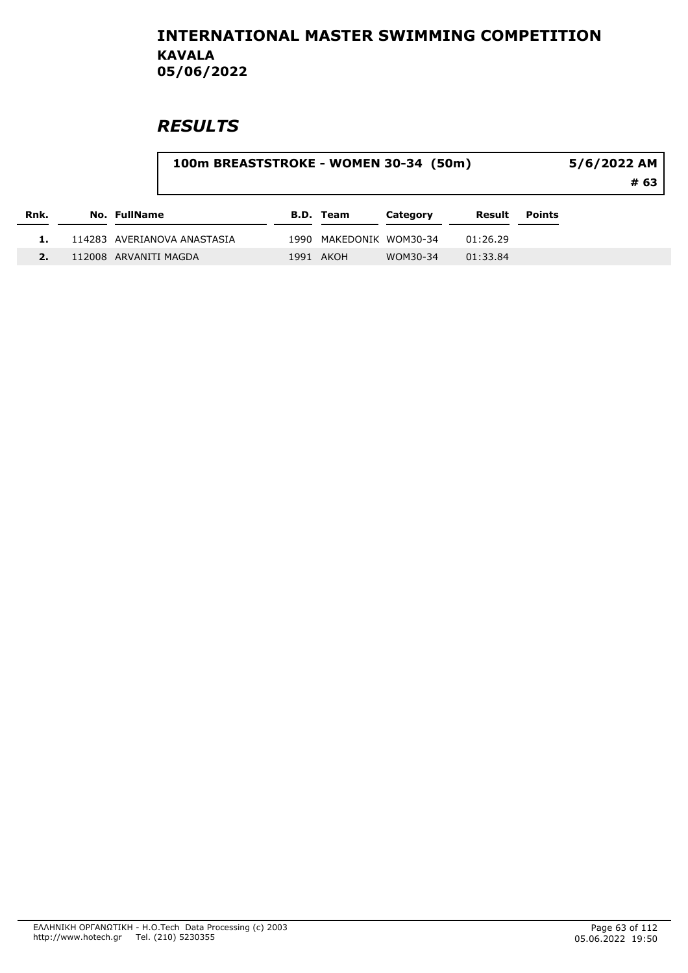## **RESULTS**

#### 100m BREASTSTROKE - WOMEN 30-34 (50m)

# 63 5/6/2022 AM

| Rnk. | No. FullName                | B.D. Team               | Category | Result   | Points |
|------|-----------------------------|-------------------------|----------|----------|--------|
|      | 114283 AVERIANOVA ANASTASIA | 1990 MAKEDONIK WOM30-34 |          | 01:26.29 |        |
|      | 112008 ARVANITI MAGDA       | 1991 AKOH               | WOM30-34 | 01:33.84 |        |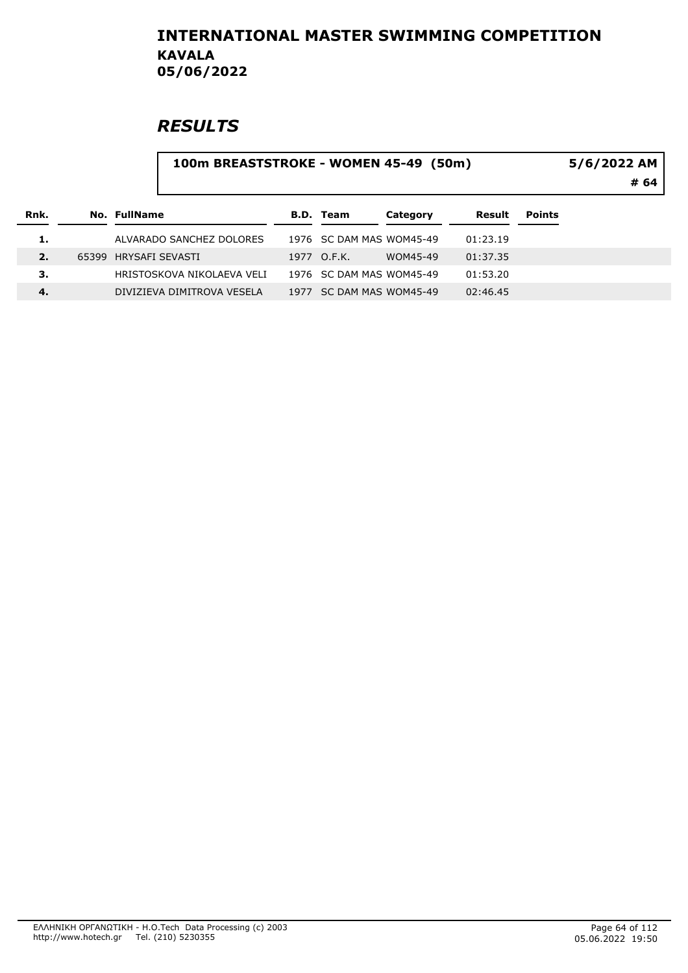# **RESULTS**

#### 100m BREASTSTROKE - WOMEN 45-49 (50m)

5/6/2022 AM

# 64

| Rnk. | No. FullName               | B.D. Team                | Category | Result   | <b>Points</b> |
|------|----------------------------|--------------------------|----------|----------|---------------|
| 1.   | ALVARADO SANCHEZ DOLORES   | 1976 SC DAM MAS WOM45-49 |          | 01:23.19 |               |
| 2.   | 65399 HRYSAFI SEVASTI      | 1977 O.F.K.              | WOM45-49 | 01:37.35 |               |
| 3.   | HRISTOSKOVA NIKOLAEVA VELI | 1976 SC DAM MAS WOM45-49 |          | 01:53.20 |               |
| 4.   | DIVIZIEVA DIMITROVA VESELA | 1977 SC DAM MAS WOM45-49 |          | 02:46.45 |               |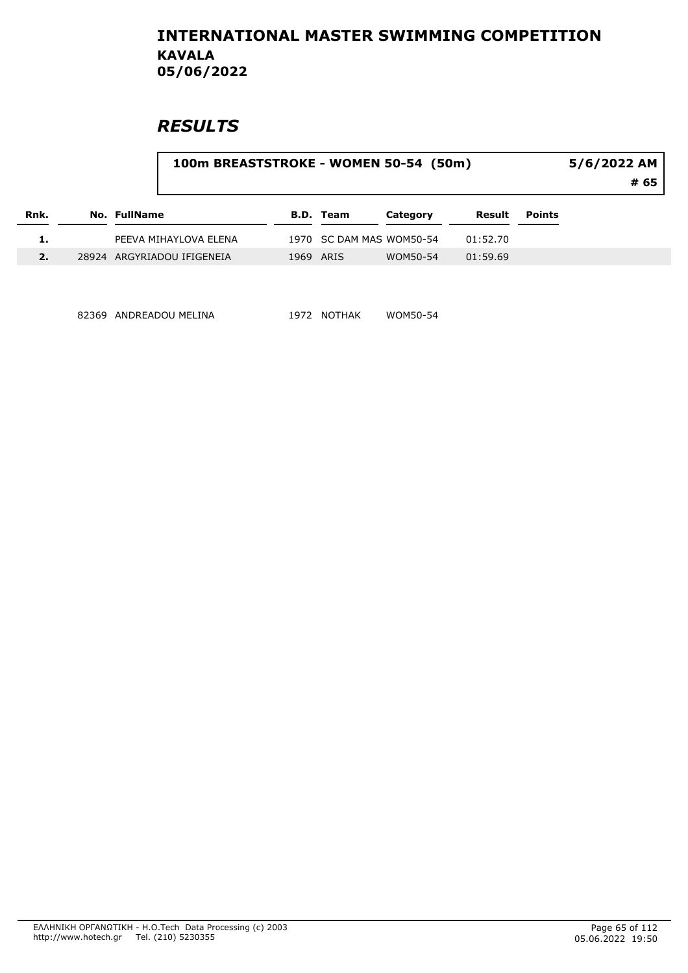## **RESULTS**

| Rnk. |              |                            | 100m BREASTSTROKE - WOMEN 50-54 (50m) |           |                          |          |               |  |  |
|------|--------------|----------------------------|---------------------------------------|-----------|--------------------------|----------|---------------|--|--|
|      | No. FullName |                            |                                       | B.D. Team | Category                 | Result   | <b>Points</b> |  |  |
|      |              | PEEVA MIHAYLOVA ELENA      |                                       |           | 1970 SC DAM MAS WOM50-54 | 01:52.70 |               |  |  |
|      |              | 28924 ARGYRIADOU IFIGENEIA | 1969                                  | ARIS      | WOM50-54                 | 01:59.69 |               |  |  |

82369 ANDREADOU MELINA 1972 NOTHAK WOM50-54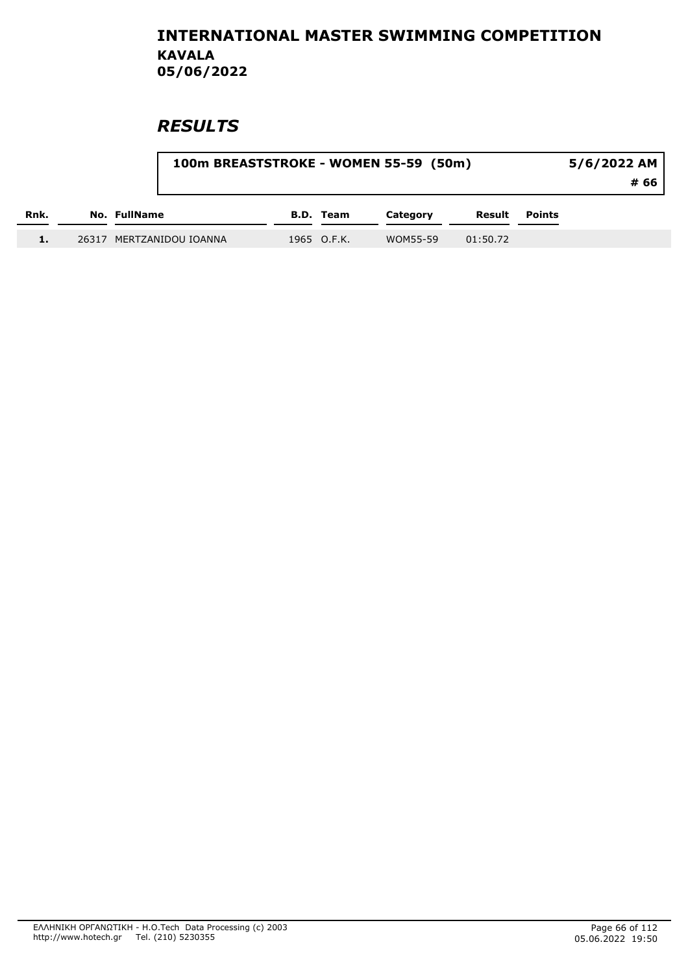|      |                          | 100m BREASTSTROKE - WOMEN 55-59 (50m) |             |          |          |               |  |
|------|--------------------------|---------------------------------------|-------------|----------|----------|---------------|--|
| Rnk. | No. FullName             |                                       | B.D. Team   | Category | Result   | <b>Points</b> |  |
|      | 26317 MERTZANIDOU IOANNA |                                       | 1965 O.F.K. | WOM55-59 | 01:50.72 |               |  |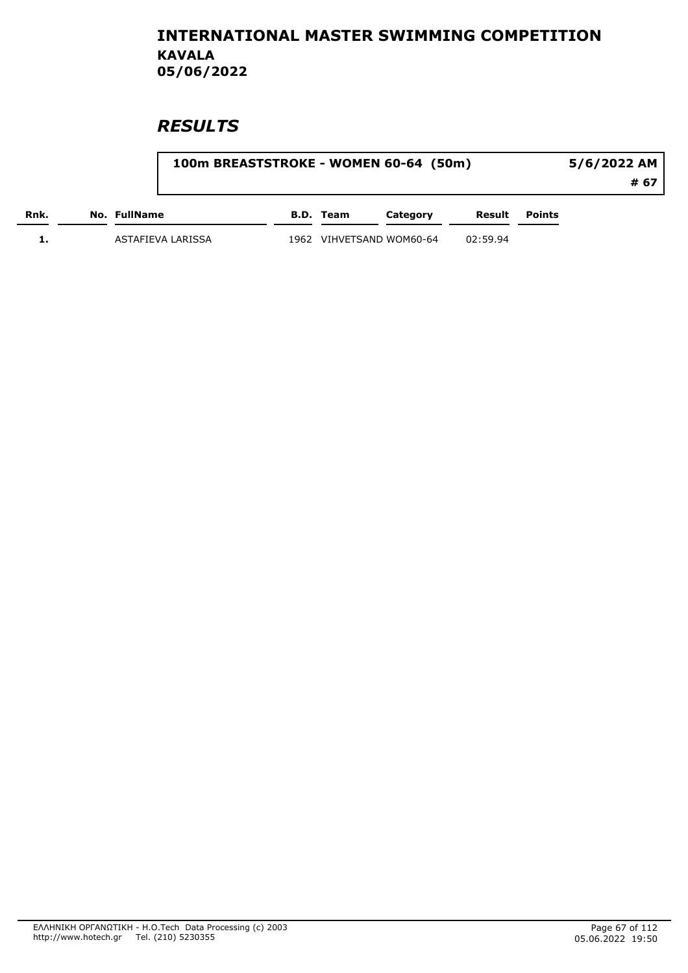|      |                   |      |           | 100m BREASTSTROKE - WOMEN 60-64 (50m) |          |        | 5/6/2022 AM |
|------|-------------------|------|-----------|---------------------------------------|----------|--------|-------------|
|      |                   |      |           |                                       |          |        | # 67        |
| Rnk. | No. FullName      |      | B.D. Team | Category                              | Result   | Points |             |
|      | ASTAFIEVA LARISSA | 1962 |           | VIHVETSAND WOM60-64                   | 02:59.94 |        |             |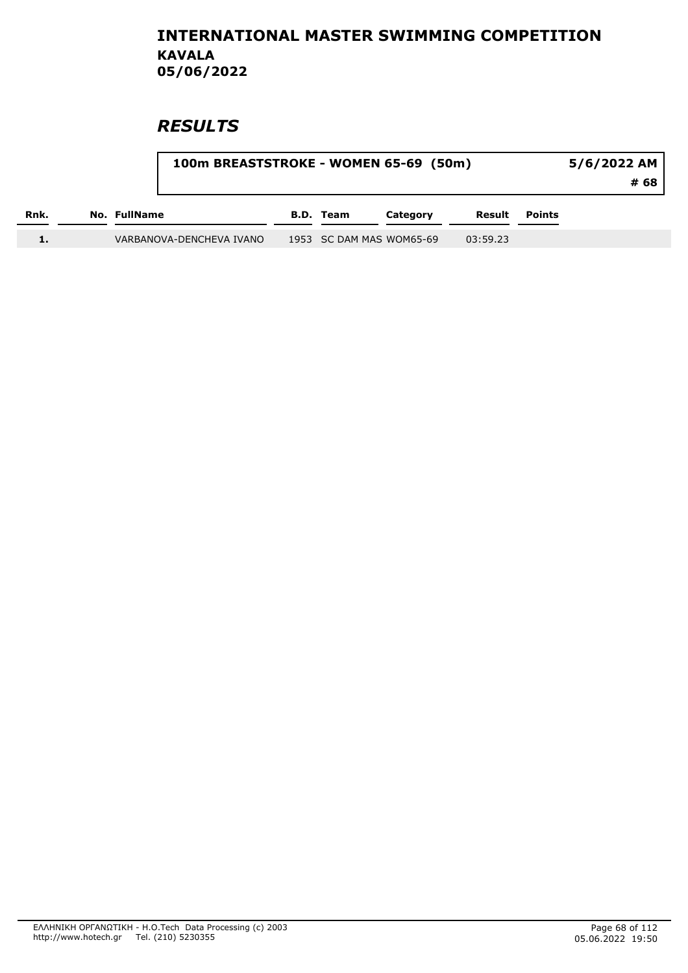|      |              | 100m BREASTSTROKE - WOMEN 65-69 (50m) | 5/6/2022 AM<br># 68 |                          |          |               |  |
|------|--------------|---------------------------------------|---------------------|--------------------------|----------|---------------|--|
| Rnk. | No. FullName |                                       | <b>B.D.</b> Team    | Category                 | Result   | <b>Points</b> |  |
|      |              | VARBANOVA-DENCHEVA IVANO              |                     | 1953 SC DAM MAS WOM65-69 | 03:59.23 |               |  |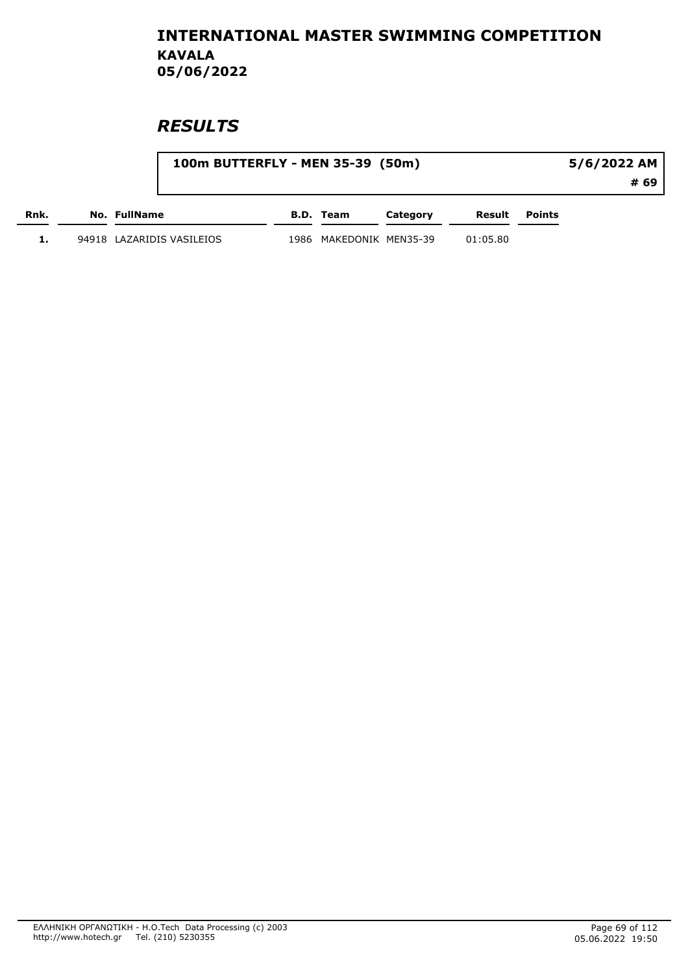|      |                           | 100m BUTTERFLY - MEN 35-39 (50m) |                    |          |          |               |      |
|------|---------------------------|----------------------------------|--------------------|----------|----------|---------------|------|
|      |                           |                                  |                    |          |          |               | # 69 |
| Rnk. | No. FullName              |                                  | B.D. Team          | Category | Result   | <b>Points</b> |      |
|      | 94918 LAZARIDIS VASILEIOS | 1986                             | MAKEDONIK MEN35-39 |          | 01:05.80 |               |      |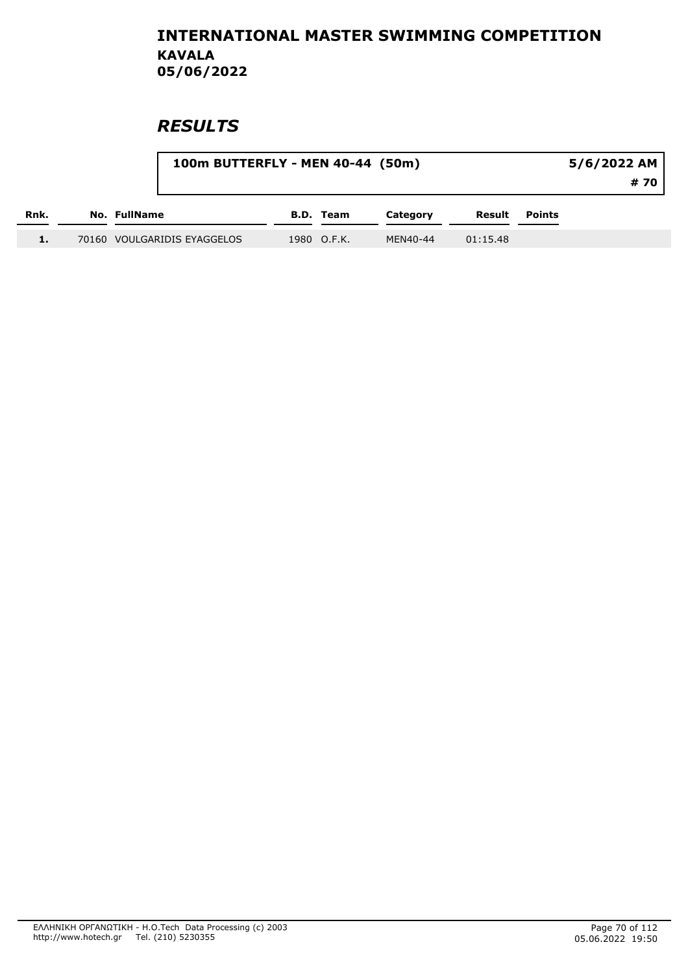|      |                             | 100m BUTTERFLY - MEN 40-44 (50m) |          |          |               |  |
|------|-----------------------------|----------------------------------|----------|----------|---------------|--|
| Rnk. | <b>No. FullName</b>         | <b>B.D.</b> Team                 | Category | Result   | <b>Points</b> |  |
|      | 70160 VOULGARIDIS EYAGGELOS | 1980 O.F.K.                      | MEN40-44 | 01:15.48 |               |  |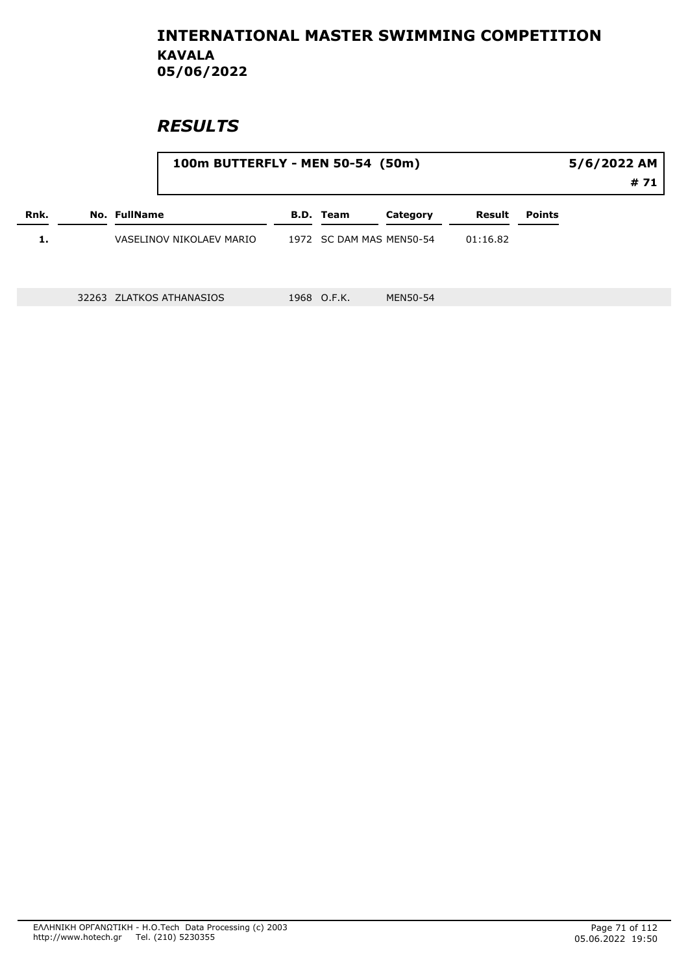|      |                                                                         | 100m BUTTERFLY - MEN 50-54 (50m) | 5/6/2022 AM<br># 71 |             |                          |          |  |  |
|------|-------------------------------------------------------------------------|----------------------------------|---------------------|-------------|--------------------------|----------|--|--|
| Rnk. | No. FullName<br><b>B.D. Team</b><br>Result<br>Category<br><b>Points</b> |                                  |                     |             |                          |          |  |  |
| 1.   |                                                                         | VASELINOV NIKOLAEV MARIO         |                     |             | 1972 SC DAM MAS MEN50-54 | 01:16.82 |  |  |
|      |                                                                         |                                  |                     |             |                          |          |  |  |
|      |                                                                         | 32263 ZLATKOS ATHANASIOS         |                     | 1968 O.F.K. | MEN50-54                 |          |  |  |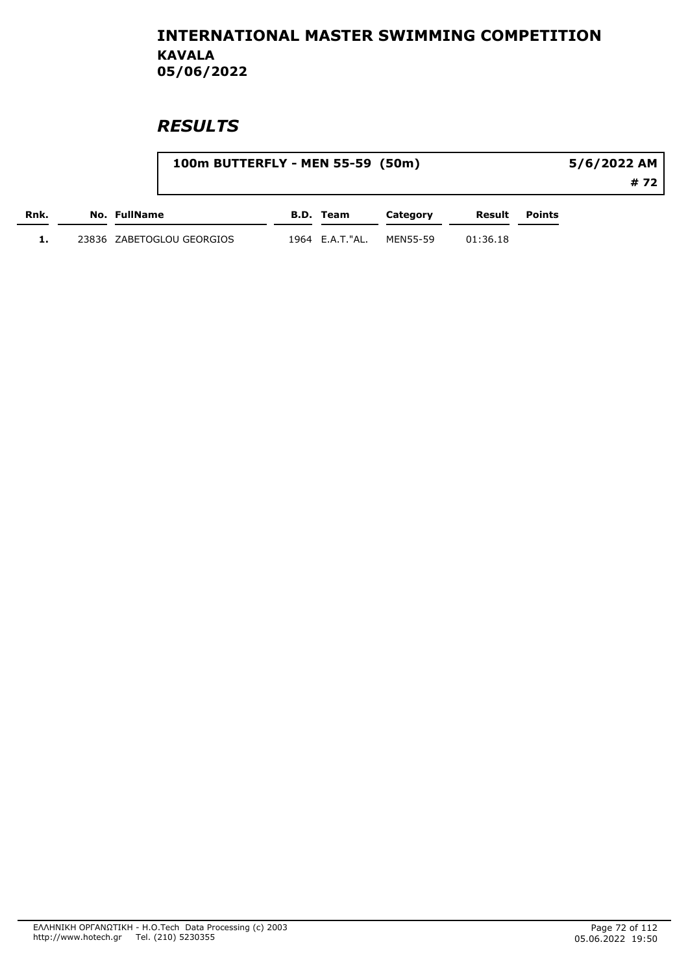|      |                           | 100m BUTTERFLY - MEN 55-59 (50m) |          |          |               | 5/6/2022 AM |  |  |
|------|---------------------------|----------------------------------|----------|----------|---------------|-------------|--|--|
|      |                           |                                  |          |          |               | # 72        |  |  |
| Rnk. | No. FullName              | B.D. Team                        | Category | Result   | <b>Points</b> |             |  |  |
|      | 23836 ZABETOGLOU GEORGIOS | 1964 E.A.T."AL.                  | MEN55-59 | 01:36.18 |               |             |  |  |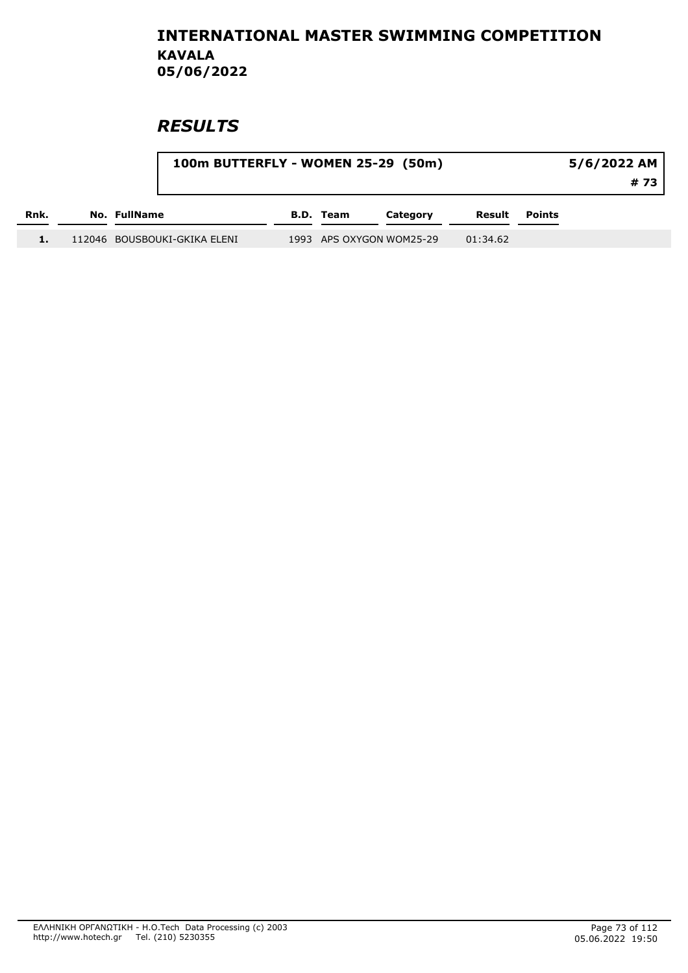| 100m BUTTERFLY - WOMEN 25-29 (50m) |  |                              |  |                  |                          | 5/6/2022 AM<br># 73 |        |  |
|------------------------------------|--|------------------------------|--|------------------|--------------------------|---------------------|--------|--|
| Rnk.                               |  | <b>No. FullName</b>          |  | <b>B.D. Team</b> | Category                 | Result              | Points |  |
|                                    |  | 112046 BOUSBOUKI-GKIKA ELENI |  |                  | 1993 APS OXYGON WOM25-29 | 01:34.62            |        |  |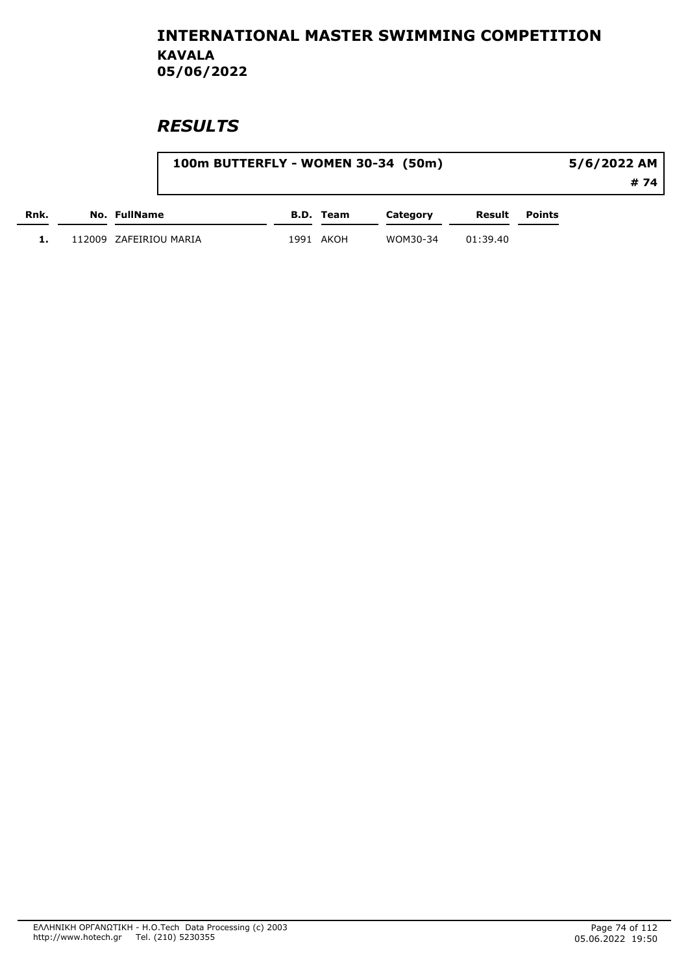|      |                        |           | 100m BUTTERFLY - WOMEN 30-34 (50m) |          |               | 5/6/2022 AM |
|------|------------------------|-----------|------------------------------------|----------|---------------|-------------|
|      |                        |           |                                    |          |               | # 74        |
| Rnk. | No. FullName           | B.D. Team | Category                           | Result   | <b>Points</b> |             |
|      | 112009 ZAFEIRIOU MARIA | 1991 AKOH | WOM30-34                           | 01:39.40 |               |             |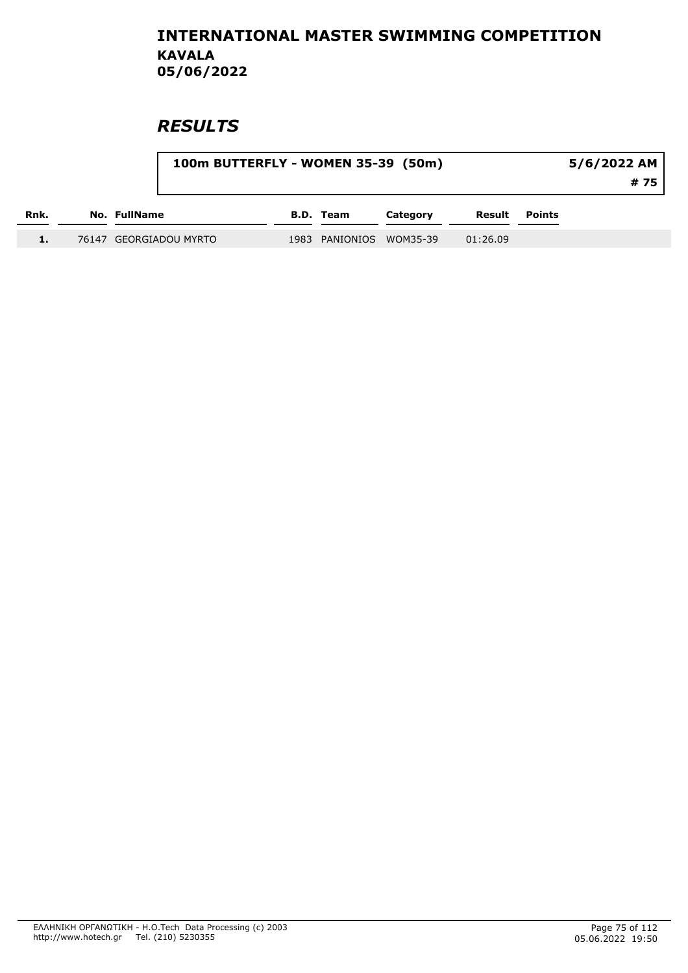|      | 100m BUTTERFLY - WOMEN 35-39 (50m) |                         |          |          |               | 5/6/2022 AM<br># 75 |
|------|------------------------------------|-------------------------|----------|----------|---------------|---------------------|
| Rnk. | No. FullName                       | B.D. Team               | Category | Result   | <b>Points</b> |                     |
|      | 76147 GEORGIADOU MYRTO             | 1983 PANIONIOS WOM35-39 |          | 01:26.09 |               |                     |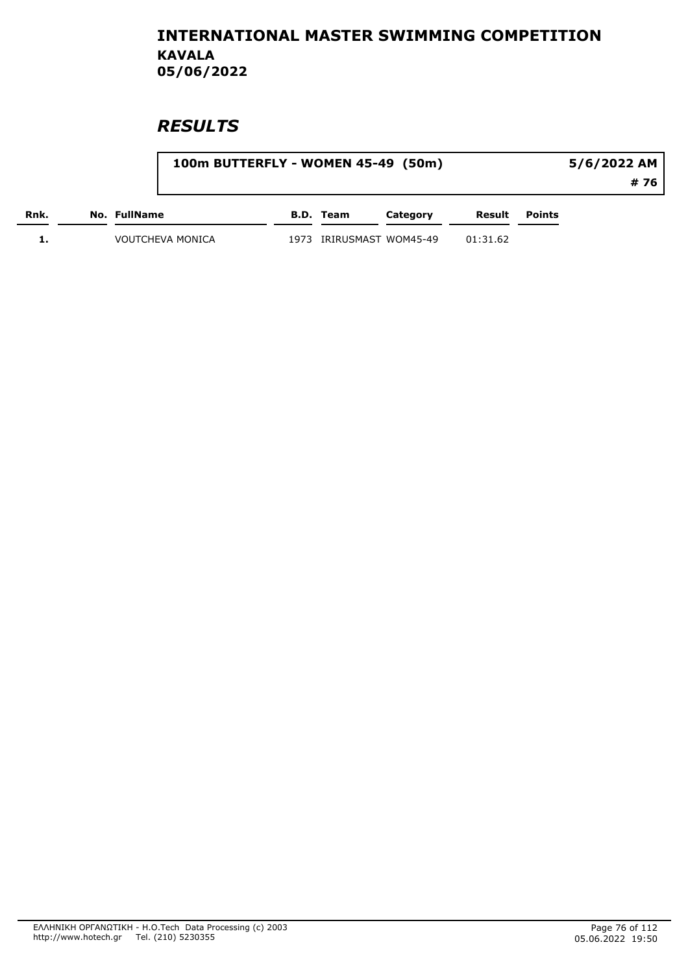|      |                         | 100m BUTTERFLY - WOMEN 45-49 (50m) |      |           |                     |          |               | 5/6/2022 AM |
|------|-------------------------|------------------------------------|------|-----------|---------------------|----------|---------------|-------------|
|      |                         |                                    |      |           |                     |          |               | # 76        |
| Rnk. | <b>No. FullName</b>     |                                    |      | B.D. Team | Category            | Result   | <b>Points</b> |             |
|      | <b>VOUTCHEVA MONICA</b> |                                    | 1973 |           | IRIRUSMAST WOM45-49 | 01:31.62 |               |             |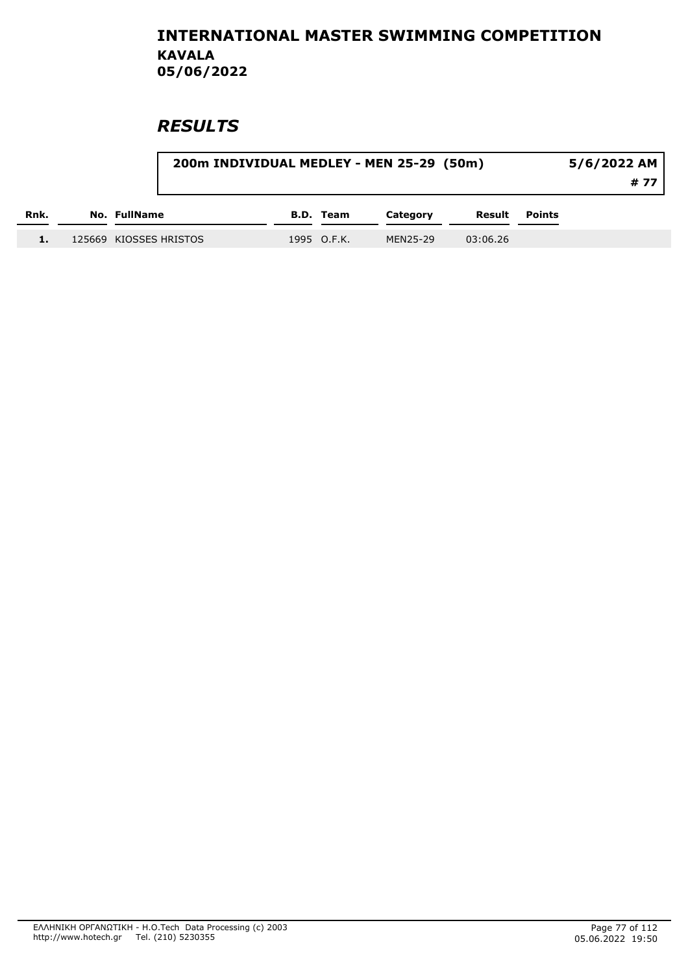|      |                        | 200m INDIVIDUAL MEDLEY - MEN 25-29 (50m)<br>5/6/2022 AM |             |          |          |               |  |  |
|------|------------------------|---------------------------------------------------------|-------------|----------|----------|---------------|--|--|
| Rnk. | <b>No. FullName</b>    |                                                         | B.D. Team   | Category | Result   | <b>Points</b> |  |  |
|      | 125669 KIOSSES HRISTOS |                                                         | 1995 O.F.K. | MEN25-29 | 03:06.26 |               |  |  |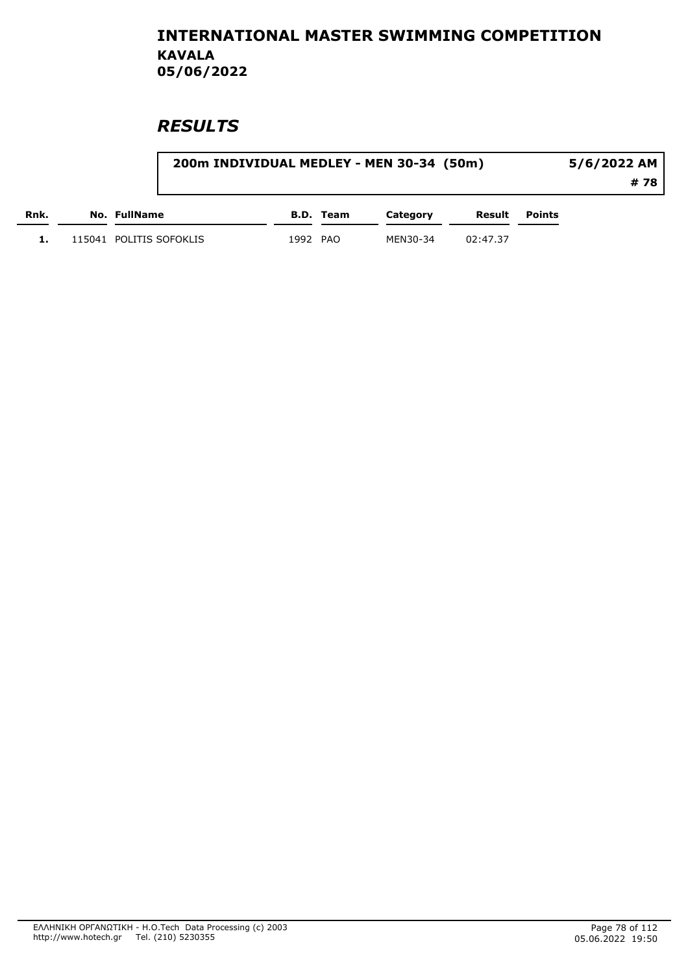|      |                         |          |           | 200m INDIVIDUAL MEDLEY - MEN 30-34 (50m) |          |        | 5/6/2022 AM |
|------|-------------------------|----------|-----------|------------------------------------------|----------|--------|-------------|
|      |                         |          |           |                                          |          |        | # 78        |
| Rnk. | <b>No. FullName</b>     |          | B.D. Team | Category                                 | Result   | Points |             |
|      | 115041 POLITIS SOFOKLIS | 1992 PAO |           | MEN30-34                                 | 02:47.37 |        |             |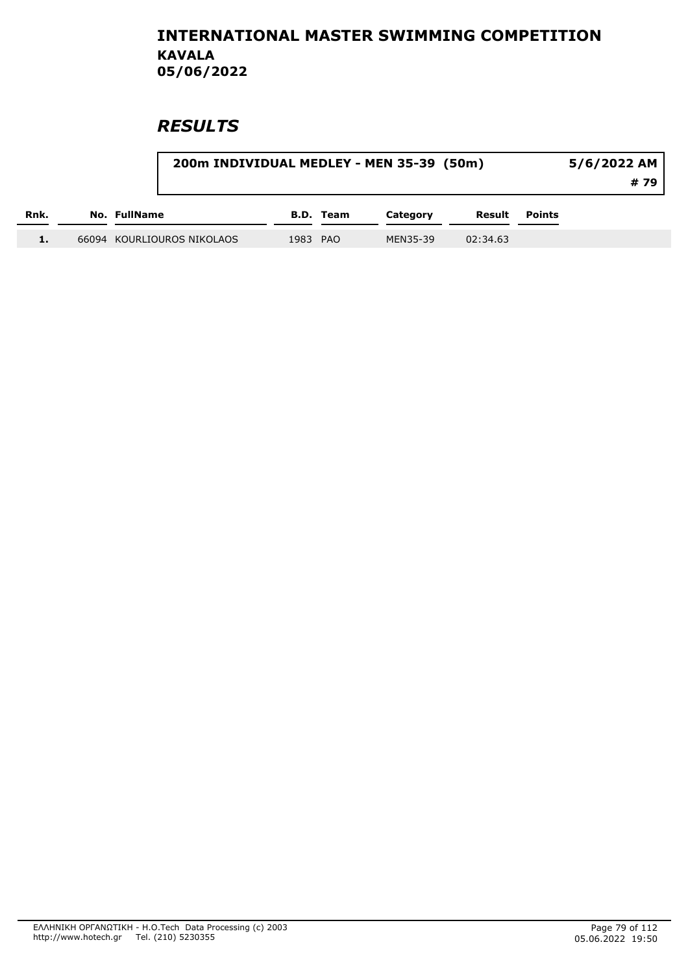|      | 200m INDIVIDUAL MEDLEY - MEN 35-39 (50m) |          |           | 5/6/2022 AM<br># 79 |          |               |  |
|------|------------------------------------------|----------|-----------|---------------------|----------|---------------|--|
| Rnk. | No. FullName                             |          | B.D. Team | Category            | Result   | <b>Points</b> |  |
|      | 66094 KOURLIOUROS NIKOLAOS               | 1983 PAO |           | MEN35-39            | 02:34.63 |               |  |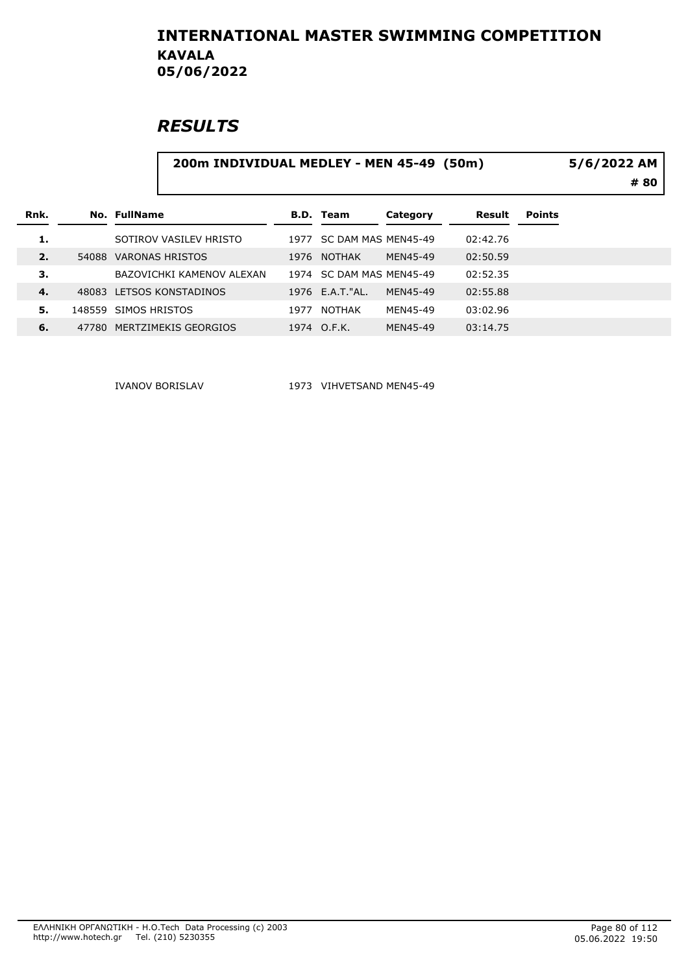### **RESULTS**

#### 200m INDIVIDUAL MEDLEY - MEN 45-49 (50m)

# 80 5/6/2022 AM

|                                                                            | <b>Points</b> |
|----------------------------------------------------------------------------|---------------|
| 1.<br>02:42.76<br>SC DAM MAS MEN45-49<br>SOTIROV VASILEV HRISTO<br>1977    |               |
| 02:50.59<br>MEN45-49<br>2.<br>VARONAS HRISTOS<br>1976 NOTHAK<br>54088      |               |
| 3.<br>02:52.35<br>SC DAM MAS MEN45-49<br>BAZOVICHKI KAMENOV ALEXAN<br>1974 |               |
| 02:55.88<br>1976 E.A.T."AL.<br>4.<br>48083 LETSOS KONSTADINOS<br>MEN45-49  |               |
| MEN45-49<br>03:02.96<br>148559 SIMOS HRISTOS<br>NOTHAK<br>-5.<br>1977      |               |
| 6.<br>47780 MERTZIMEKIS GEORGIOS<br>MEN45-49<br>1974 O.F.K.<br>03:14.75    |               |

IVANOV BORISLAV 1973 VIHVETSAND MEN45-49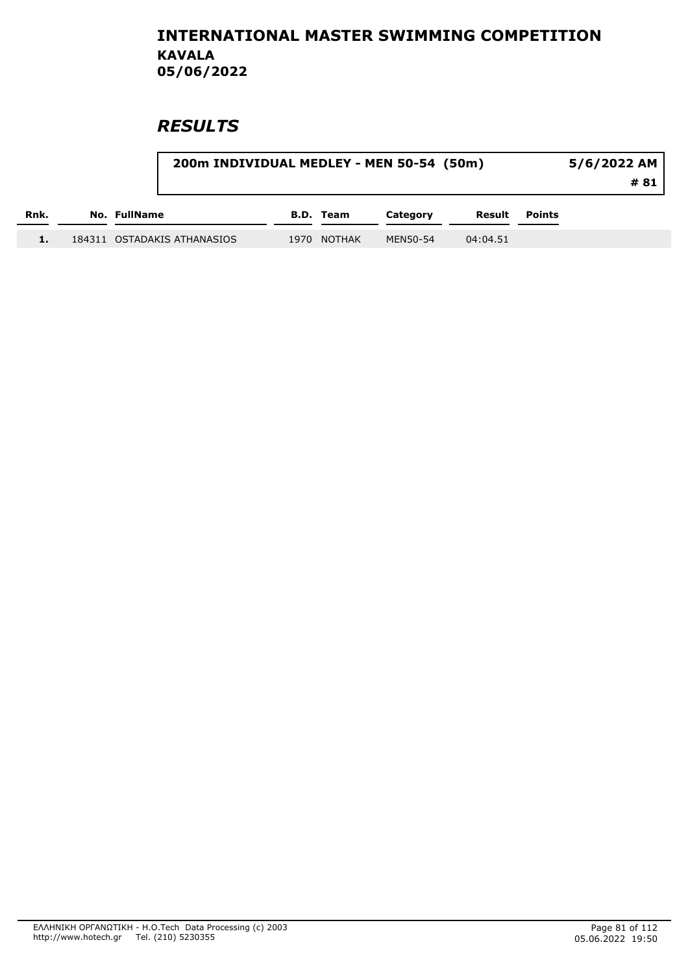|      |                             | 200m INDIVIDUAL MEDLEY - MEN 50-54 (50m)<br>$5/6/2022$ AM |             |          |          |               |  |  |
|------|-----------------------------|-----------------------------------------------------------|-------------|----------|----------|---------------|--|--|
| Rnk. | No. FullName                |                                                           | B.D. Team   | Category | Result   | <b>Points</b> |  |  |
|      | 184311 OSTADAKIS ATHANASIOS |                                                           | 1970 NOTHAK | MEN50-54 | 04:04.51 |               |  |  |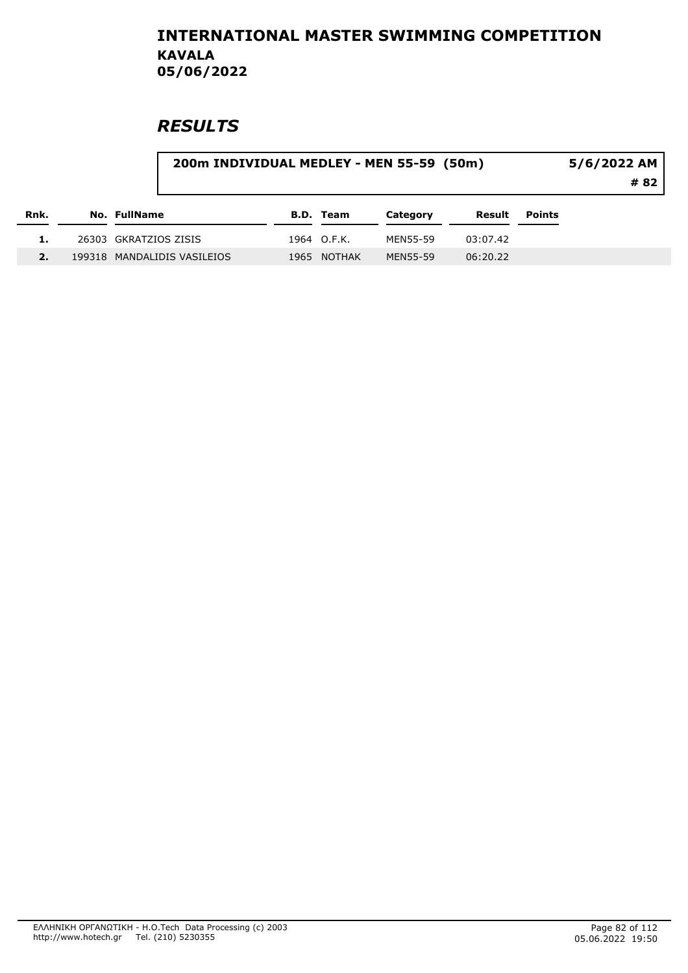|      | 200m INDIVIDUAL MEDLEY - MEN 55-59 (50m) |  |             |          |          |        | 5/6/2022 AM<br># 82 |  |
|------|------------------------------------------|--|-------------|----------|----------|--------|---------------------|--|
| Rnk. | <b>No. FullName</b>                      |  | B.D. Team   | Category | Result   | Points |                     |  |
|      | 26303 GKRATZIOS ZISIS                    |  | 1964 O.F.K. | MEN55-59 | 03:07.42 |        |                     |  |
|      | 199318 MANDALIDIS VASILEIOS              |  | 1965 NOTHAK | MEN55-59 | 06:20.22 |        |                     |  |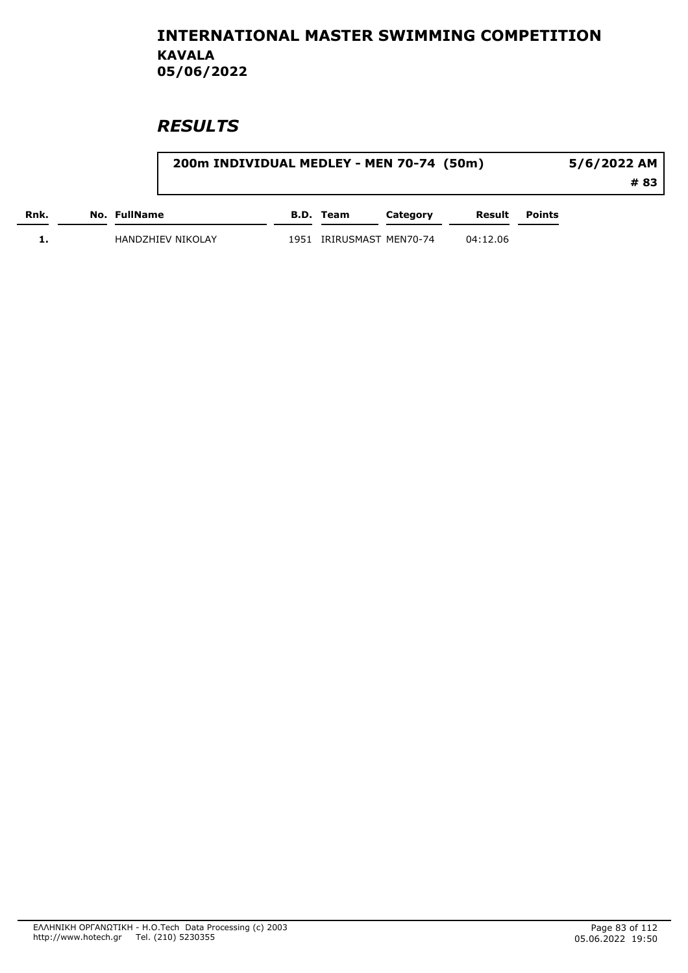|      | 200m INDIVIDUAL MEDLEY - MEN 70-74 (50m) |      |                     |          |          |        | 5/6/2022 AM |
|------|------------------------------------------|------|---------------------|----------|----------|--------|-------------|
|      |                                          |      |                     |          |          |        | # 83        |
| Rnk. | No. FullName                             |      | B.D. Team           | Category | Result   | Points |             |
|      | HANDZHIEV NIKOLAY                        | 1951 | IRIRUSMAST MEN70-74 |          | 04:12.06 |        |             |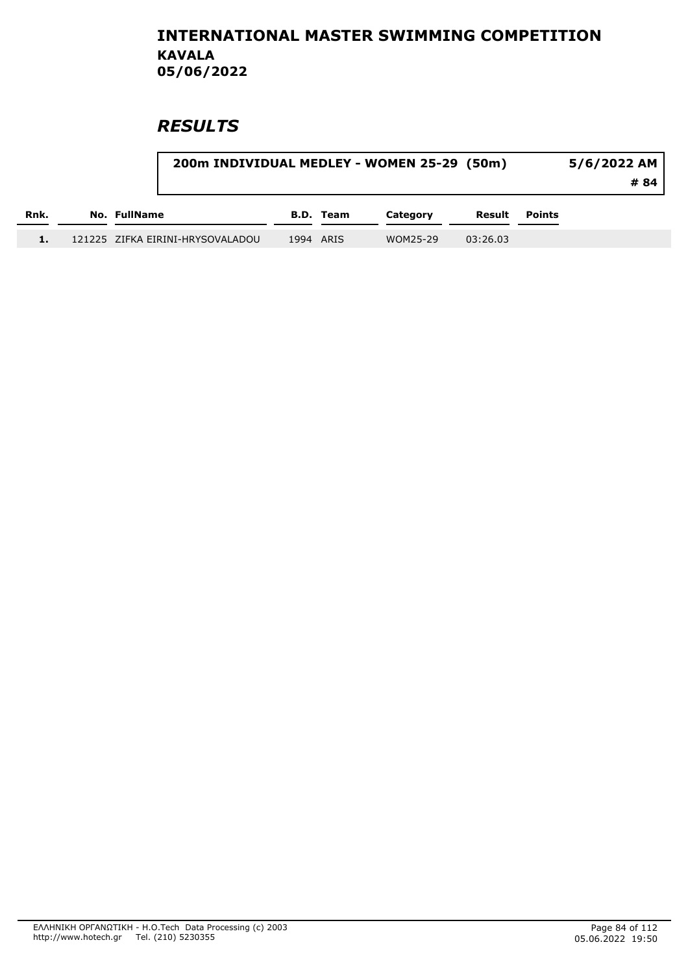|      | 200m INDIVIDUAL MEDLEY - WOMEN 25-29 (50m) |           |          |          |               | 5/6/2022 AM<br># 84 I |
|------|--------------------------------------------|-----------|----------|----------|---------------|-----------------------|
| Rnk. | No. FullName                               | B.D. Team | Category | Result   | <b>Points</b> |                       |
|      | 121225 ZIFKA EIRINI-HRYSOVALADOU           | 1994 ARIS | WOM25-29 | 03:26.03 |               |                       |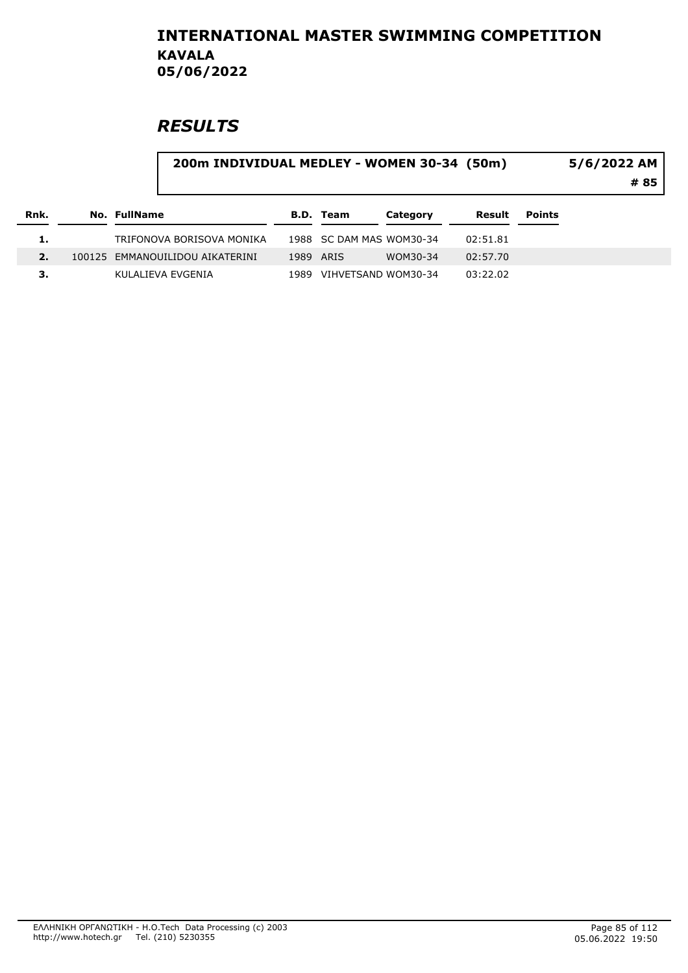# **RESULTS**

#### 200m INDIVIDUAL MEDLEY - WOMEN 30-34 (50m) 5/6/2022 AM

# 85

| Rnk. | No. FullName                    |           | B.D. Team                | Category | Result   | Points |
|------|---------------------------------|-----------|--------------------------|----------|----------|--------|
| 1.   | TRIFONOVA BORISOVA MONIKA       |           | 1988 SC DAM MAS WOM30-34 |          | 02:51.81 |        |
|      | 100125 EMMANOUILIDOU AIKATERINI | 1989 ARIS |                          | WOM30-34 | 02:57.70 |        |
| З.   | KULALIEVA EVGENIA               | 1989.     | VIHVETSAND WOM30-34      |          | 03:22.02 |        |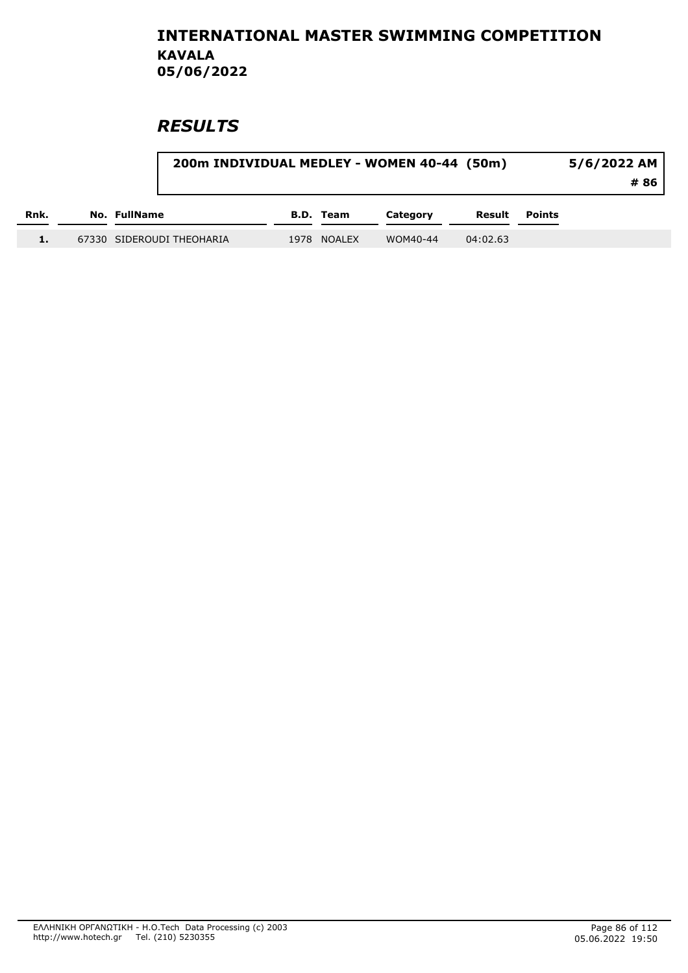|      | 200m INDIVIDUAL MEDLEY - WOMEN 40-44 (50m) |             |          |          |               | 5/6/2022 AM<br># 86 |
|------|--------------------------------------------|-------------|----------|----------|---------------|---------------------|
| Rnk. | No. FullName                               | B.D. Team   | Category | Result   | <b>Points</b> |                     |
|      | 67330 SIDEROUDI THEOHARIA                  | 1978 NOALEX | WOM40-44 | 04:02.63 |               |                     |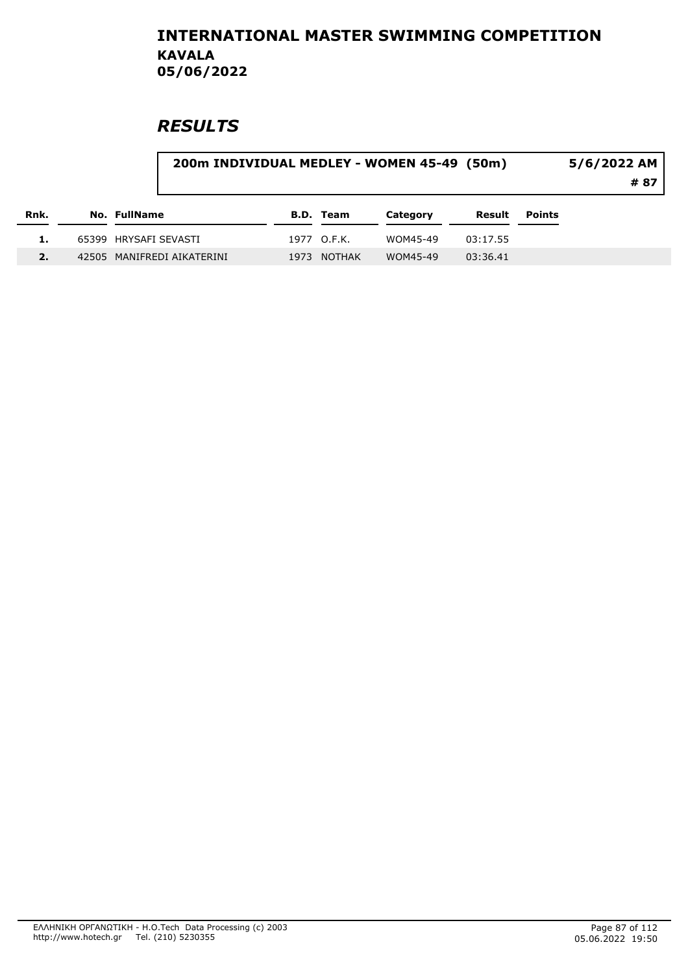| Rnk. | 200m INDIVIDUAL MEDLEY - WOMEN 45-49 (50m) |      |             |          |          |        | 5/6/2022 AM<br># 87 |
|------|--------------------------------------------|------|-------------|----------|----------|--------|---------------------|
|      | No. FullName                               |      | B.D. Team   | Category | Result   | Points |                     |
|      | 65399 HRYSAFI SEVASTI                      |      | 1977 O.F.K. | WOM45-49 | 03:17.55 |        |                     |
|      | 42505 MANIFREDI AIKATERINI                 | 1973 | NOTHAK      | WOM45-49 | 03:36.41 |        |                     |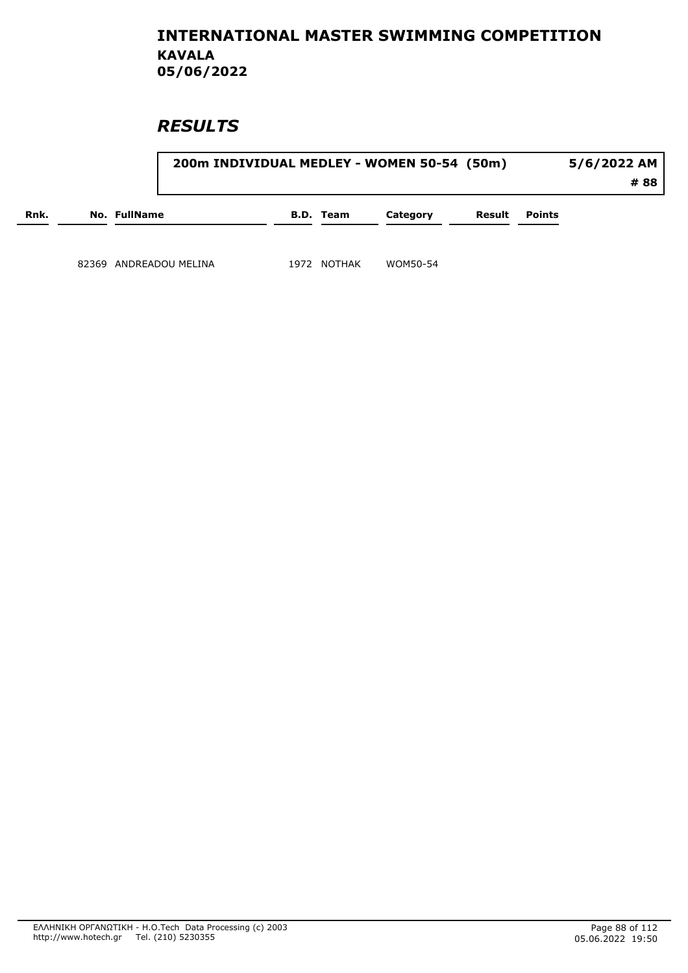|      |       |                     |                  |      |           | 200m INDIVIDUAL MEDLEY - WOMEN 50-54 (50m) |        | 5/6/2022 AM<br># 88 |  |
|------|-------|---------------------|------------------|------|-----------|--------------------------------------------|--------|---------------------|--|
| Rnk. |       | <b>No. FullName</b> |                  |      | B.D. Team | Category                                   | Result | <b>Points</b>       |  |
|      | 82369 |                     | ANDREADOU MELINA | 1972 | NOTHAK    | WOM50-54                                   |        |                     |  |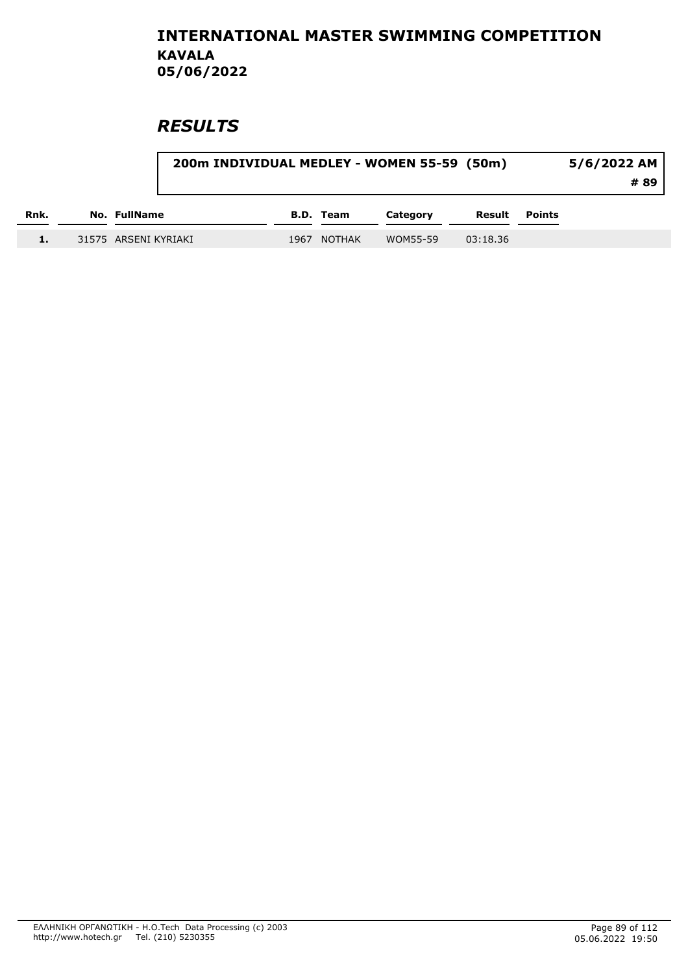|      |                      |      |               | 200m INDIVIDUAL MEDLEY - WOMEN 55-59 (50m) |          |        | 5/6/2022 AM |
|------|----------------------|------|---------------|--------------------------------------------|----------|--------|-------------|
|      |                      |      |               |                                            |          |        | # 89        |
| Rnk. | No. FullName         |      | B.D. Team     | Category                                   | Result   | Points |             |
|      | 31575 ARSENI KYRIAKI | 1967 | <b>NOTHAK</b> | WOM55-59                                   | 03:18.36 |        |             |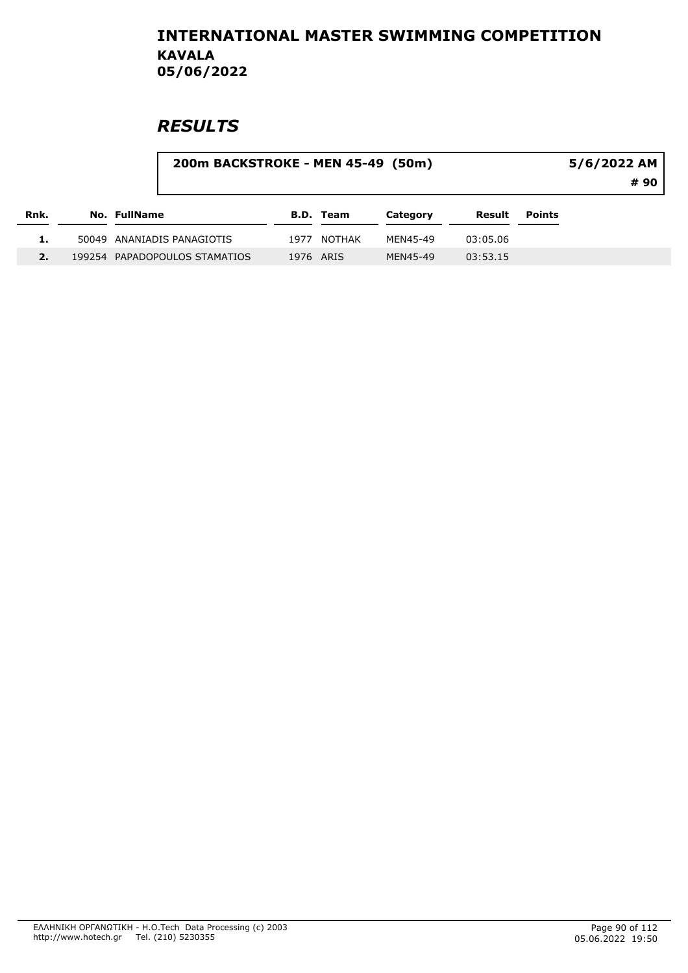|      |              | 5/6/2022 AM                   |           |                  |          |          |               |      |
|------|--------------|-------------------------------|-----------|------------------|----------|----------|---------------|------|
|      |              |                               |           |                  |          |          |               | # 90 |
| Rnk. | No. FullName |                               |           | <b>B.D. Team</b> | Category | Result   | <b>Points</b> |      |
|      |              | 50049 ANANIADIS PANAGIOTIS    | 1977      | <b>NOTHAK</b>    | MEN45-49 | 03:05.06 |               |      |
|      |              | 199254 PAPADOPOULOS STAMATIOS | 1976 ARIS |                  | MEN45-49 | 03:53.15 |               |      |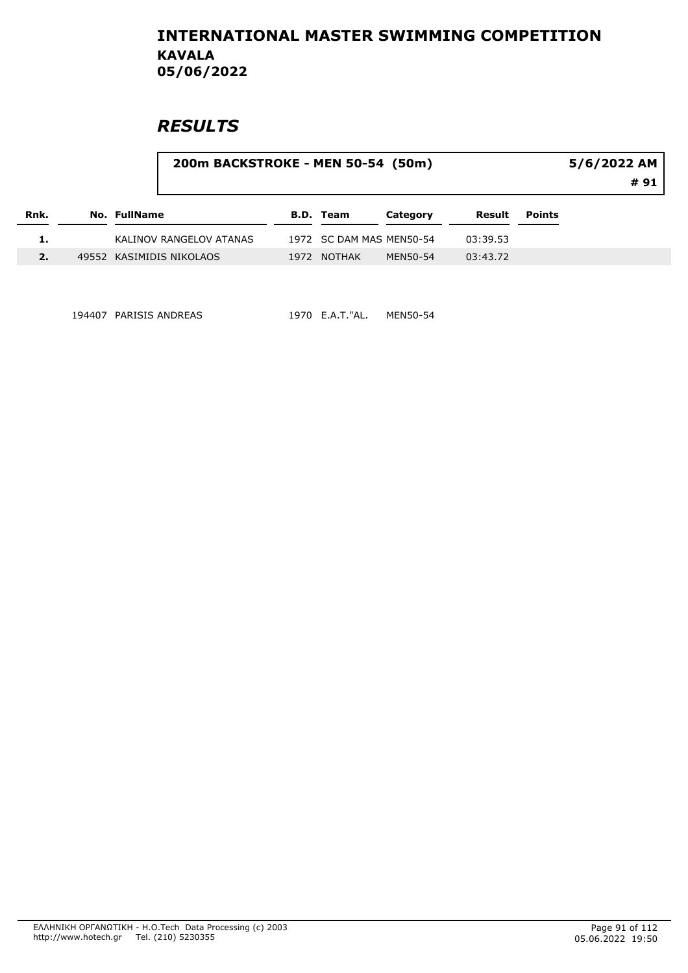### **RESULTS**

|      |                     |                          | 200m BACKSTROKE - MEN 50-54 (50m) |                          |          |          |               | 5/6/2022 AM<br># 91 |
|------|---------------------|--------------------------|-----------------------------------|--------------------------|----------|----------|---------------|---------------------|
| Rnk. | <b>No. FullName</b> |                          |                                   | <b>B.D. Team</b>         | Category | Result   | <b>Points</b> |                     |
|      |                     | KALINOV RANGELOV ATANAS  |                                   | 1972 SC DAM MAS MEN50-54 |          | 03:39.53 |               |                     |
| 2.   |                     | 49552 KASIMIDIS NIKOLAOS |                                   | 1972 NOTHAK              | MEN50-54 | 03:43.72 |               |                     |

194407 PARISIS ANDREAS 1970 E.A.T."AL. MEN50-54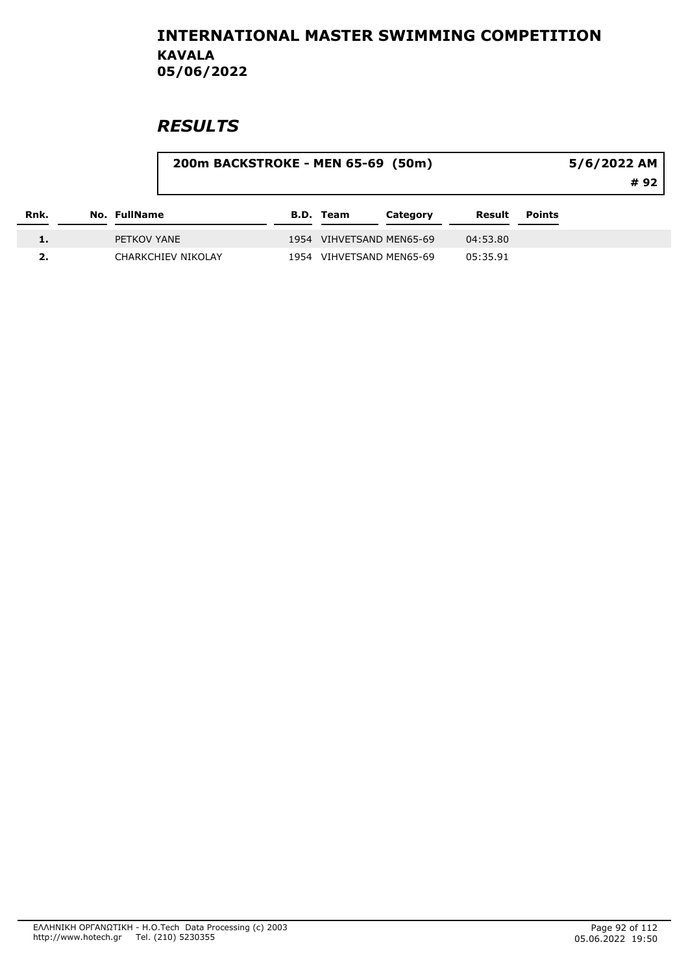|      |              | 200m BACKSTROKE - MEN 65-69 (50m) |                  | 5/6/2022 AM<br># 92      |          |               |  |
|------|--------------|-----------------------------------|------------------|--------------------------|----------|---------------|--|
| Rnk. | No. FullName |                                   | <b>B.D.</b> Team | Category                 | Result   | <b>Points</b> |  |
|      | PETKOV YANE  |                                   |                  | 1954 VIHVETSAND MEN65-69 | 04:53.80 |               |  |
|      |              | <b>CHARKCHIEV NIKOLAY</b>         |                  | 1954 VIHVETSAND MEN65-69 | 05:35.91 |               |  |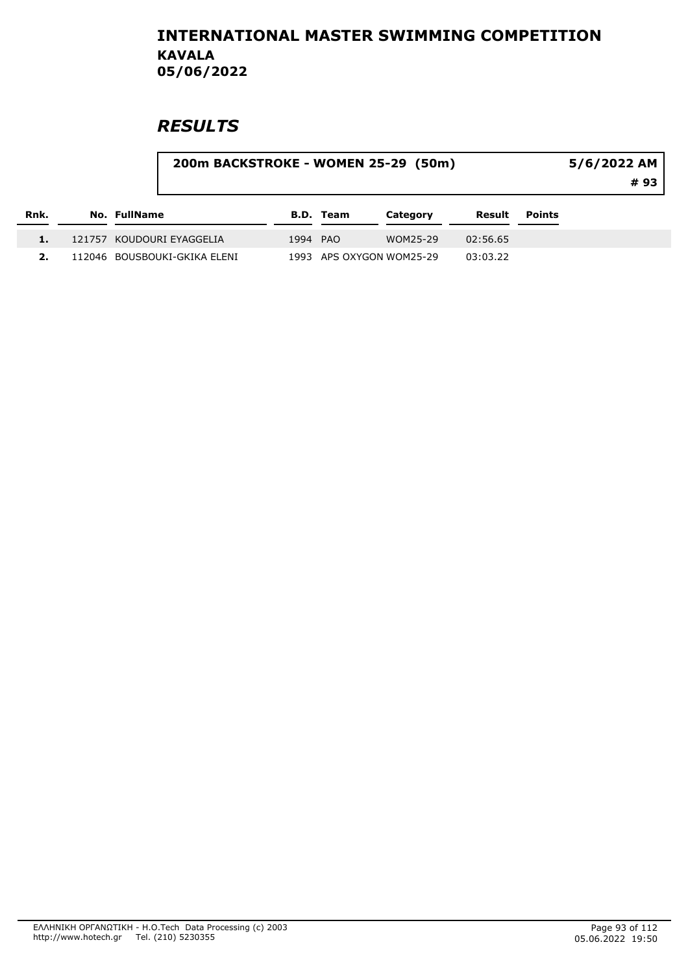| Rnk. |                              | 200m BACKSTROKE - WOMEN 25-29 (50m)<br>5/6/2022 AM |           |                          |          |        |  |  |
|------|------------------------------|----------------------------------------------------|-----------|--------------------------|----------|--------|--|--|
|      | No. FullName                 |                                                    | B.D. Team | Category                 | Result   | Points |  |  |
|      | 121757 KOUDOURI EYAGGELIA    | 1994 PAO                                           |           | WOM25-29                 | 02:56.65 |        |  |  |
|      | 112046 BOUSBOUKI-GKIKA ELENI |                                                    |           | 1993 APS OXYGON WOM25-29 | 03:03.22 |        |  |  |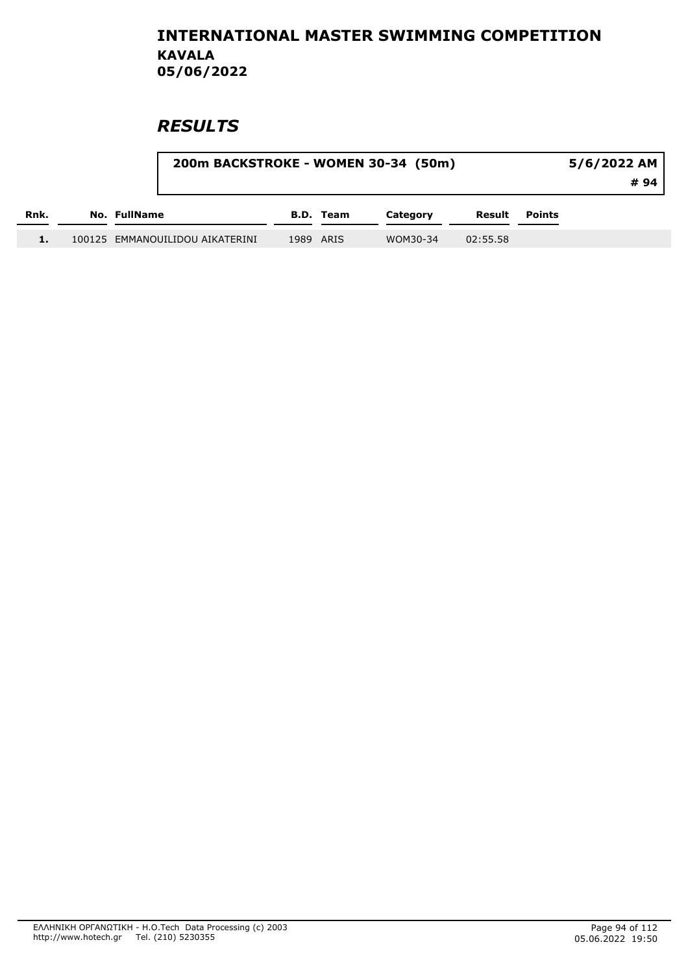|      |                                 |           | 200m BACKSTROKE - WOMEN 30-34 (50m) |          |               | 5/6/2022 AM<br>#94 I |
|------|---------------------------------|-----------|-------------------------------------|----------|---------------|----------------------|
| Rnk. | No. FullName                    | B.D. Team | Category                            | Result   | <b>Points</b> |                      |
|      | 100125 EMMANOUILIDOU AIKATERINI | 1989 ARIS | WOM30-34                            | 02:55.58 |               |                      |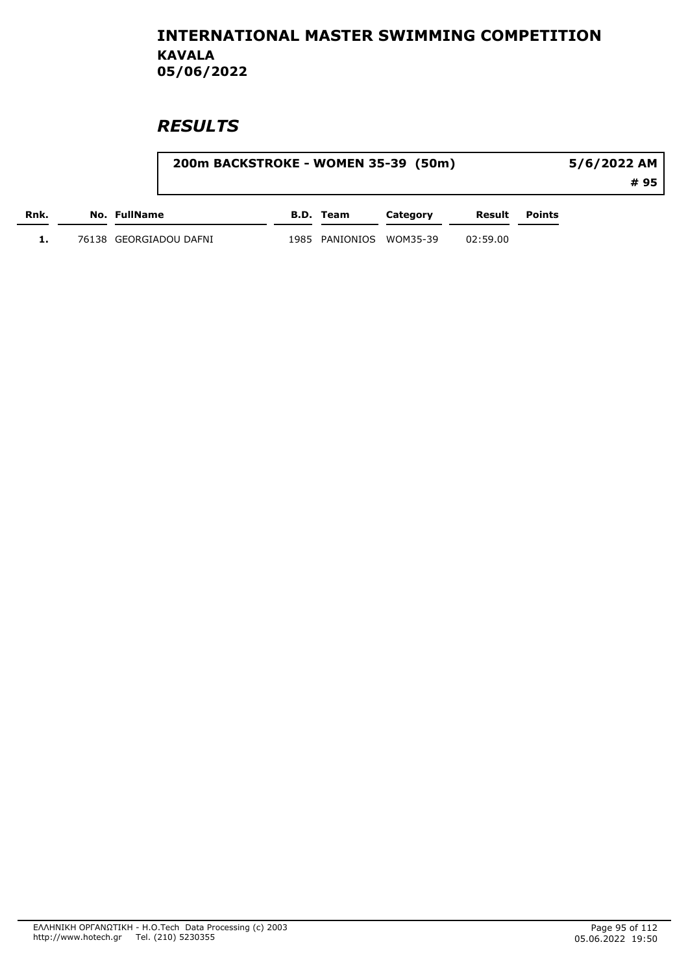|      | 200m BACKSTROKE - WOMEN 35-39 (50m) |                         |          |          |                      | 5/6/2022 AM |  |
|------|-------------------------------------|-------------------------|----------|----------|----------------------|-------------|--|
|      |                                     |                         |          |          |                      | # 95        |  |
| Rnk. | No. FullName                        | B.D. Team               | Category |          | <b>Result Points</b> |             |  |
|      | 76138 GEORGIADOU DAFNI              | 1985 PANIONIOS WOM35-39 |          | 02:59.00 |                      |             |  |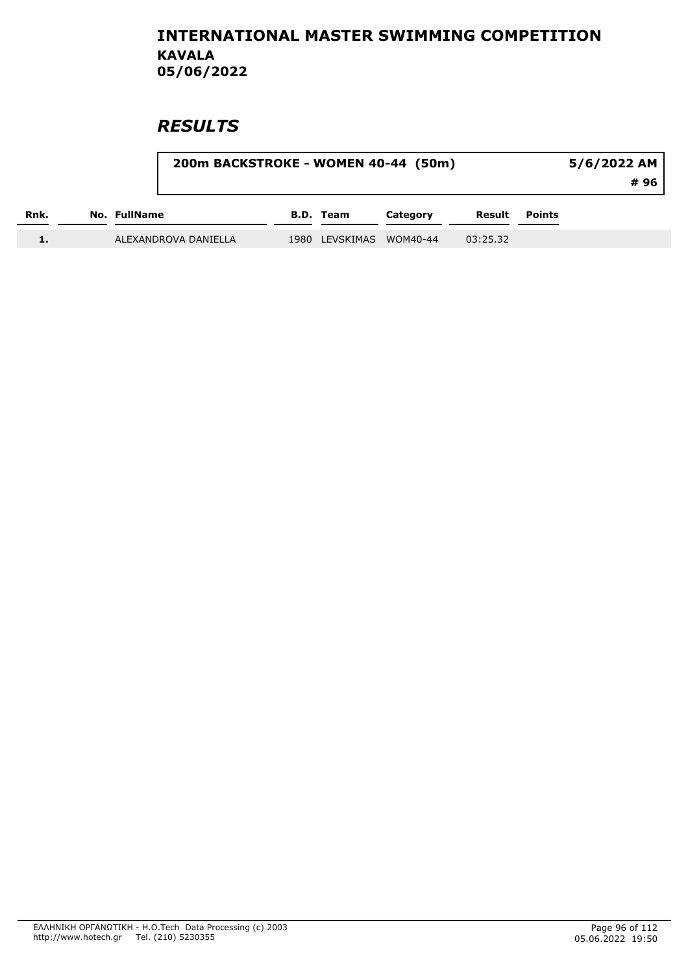|      |              | 200m BACKSTROKE - WOMEN 40-44 (50m) |                | 5/6/2022 AM<br># 96 |          |        |  |
|------|--------------|-------------------------------------|----------------|---------------------|----------|--------|--|
| Rnk. | No. FullName |                                     | B.D. Team      | Category            | Result   | Points |  |
|      |              | ALEXANDROVA DANIELLA                | 1980 LEVSKIMAS | WOM40-44            | 03:25.32 |        |  |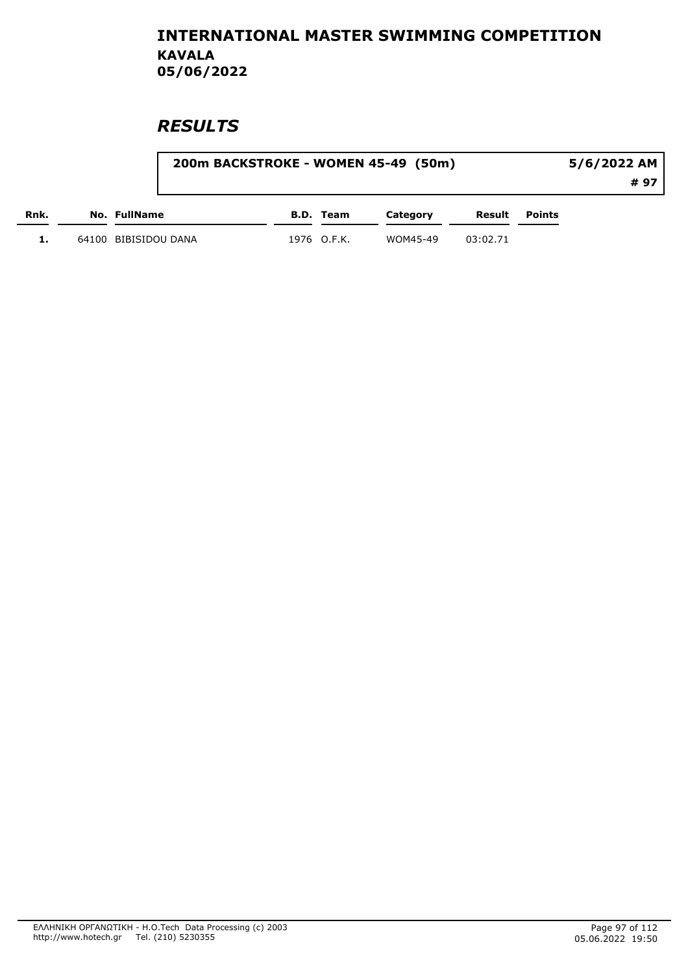|      |                      | 200m BACKSTROKE - WOMEN 45-49 (50m) |          |          |                      | 5/6/2022 AM |  |
|------|----------------------|-------------------------------------|----------|----------|----------------------|-------------|--|
|      |                      |                                     |          |          |                      | # 97        |  |
| Rnk. | No. FullName         | B.D. Team                           | Category |          | <b>Result</b> Points |             |  |
|      | 64100 BIBISIDOU DANA | 1976 O.F.K.                         | WOM45-49 | 03:02.71 |                      |             |  |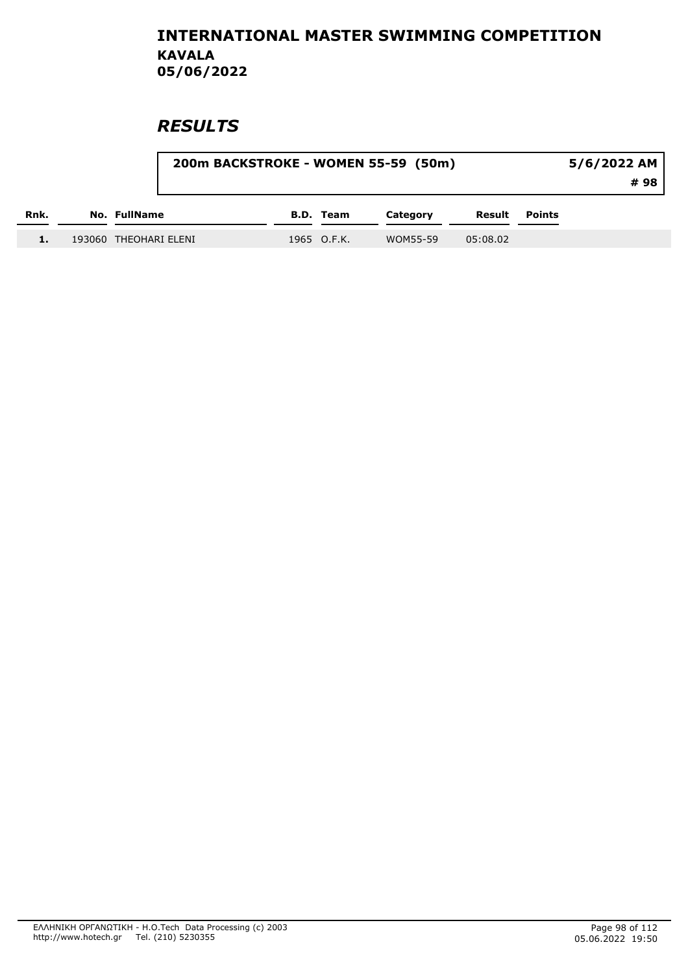|      |                       | 200m BACKSTROKE - WOMEN 55-59 (50m) |             |          |          |               |  |
|------|-----------------------|-------------------------------------|-------------|----------|----------|---------------|--|
| Rnk. | No. FullName          |                                     | B.D. Team   | Category | Result   | <b>Points</b> |  |
|      | 193060 THEOHARI ELENI |                                     | 1965 O.F.K. | WOM55-59 | 05:08.02 |               |  |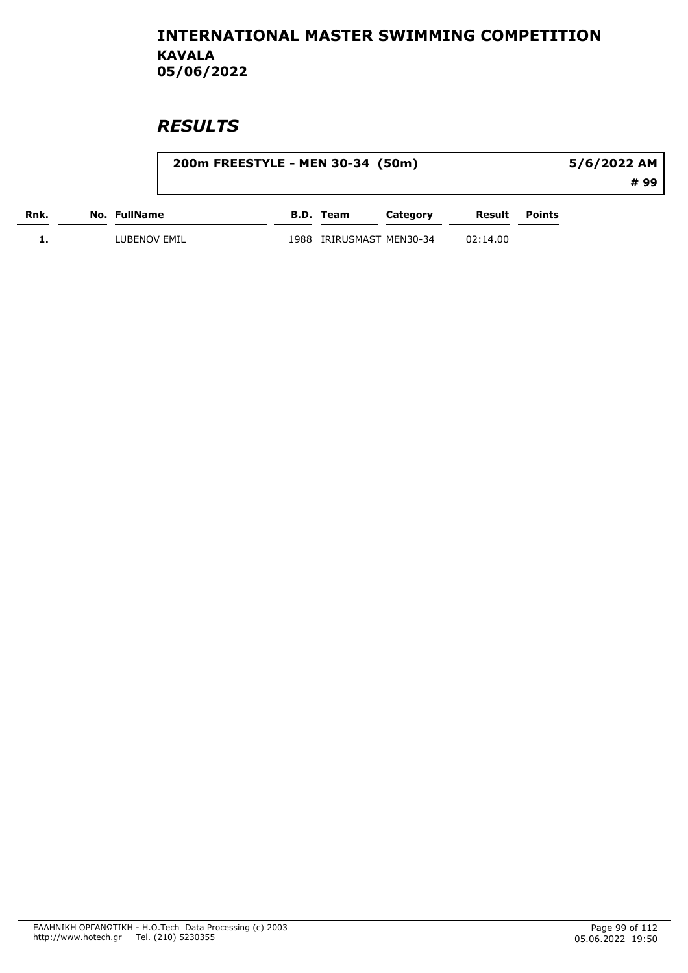|      |              |      | 200m FREESTYLE - MEN 30-34 (50m) |          |          | 5/6/2022 AM |      |  |
|------|--------------|------|----------------------------------|----------|----------|-------------|------|--|
|      |              |      |                                  |          |          |             | # 99 |  |
| Rnk. | No. FullName |      | B.D. Team                        | Category | Result   | Points      |      |  |
|      | LUBENOV EMIL | 1988 | IRIRUSMAST MEN30-34              |          | 02:14.00 |             |      |  |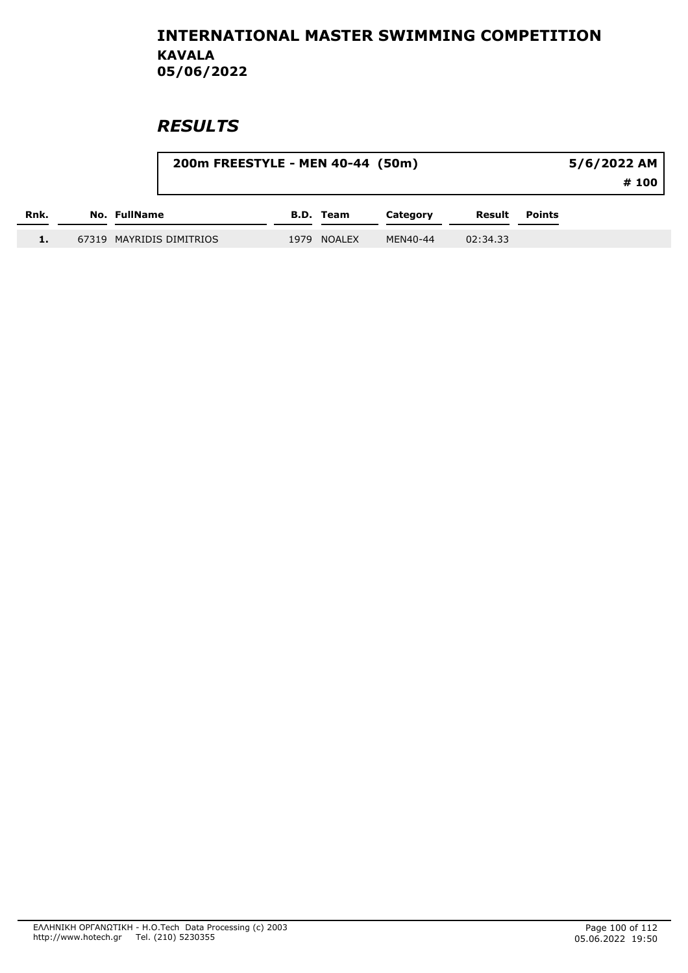|      |                          | 200m FREESTYLE - MEN 40-44 (50m) |           |          |          |               | 5/6/2022 AM<br># 100 |  |
|------|--------------------------|----------------------------------|-----------|----------|----------|---------------|----------------------|--|
| Rnk. | No. FullName             |                                  | B.D. Team | Category | Result   | <b>Points</b> |                      |  |
| 1.   | 67319 MAYRIDIS DIMITRIOS | 1979                             | NOALEX    | MEN40-44 | 02:34.33 |               |                      |  |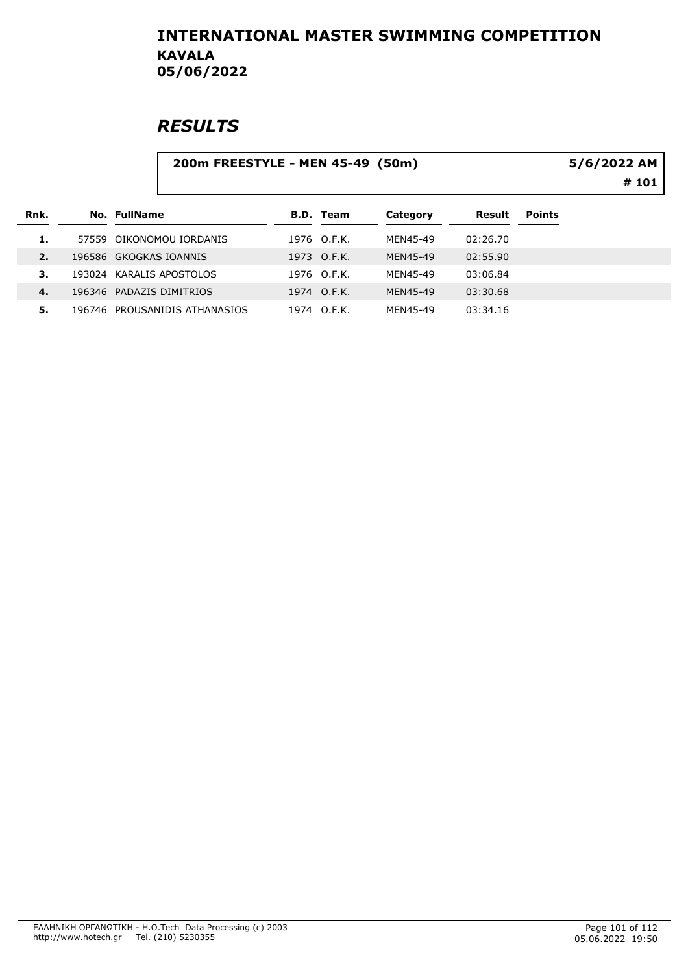|      | 200m FREESTYLE - MEN 45-49 (50m) |                  |          | 5/6/2022 AM<br># 101 |               |  |
|------|----------------------------------|------------------|----------|----------------------|---------------|--|
|      |                                  |                  |          |                      |               |  |
| Rnk. | No. FullName                     | <b>B.D. Team</b> | Category | Result               | <b>Points</b> |  |
| 1.   | 57559 OIKONOMOU IORDANIS         | 1976 O.F.K.      | MEN45-49 | 02:26.70             |               |  |
| 2.   | 196586 GKOGKAS IOANNIS           | 1973 O.F.K.      | MEN45-49 | 02:55.90             |               |  |
| 3.   | 193024 KARALIS APOSTOLOS         | 1976 O.F.K.      | MEN45-49 | 03:06.84             |               |  |
| 4.   | 196346 PADAZIS DIMITRIOS         | 1974 O.F.K.      | MEN45-49 | 03:30.68             |               |  |
| 5.   | 196746 PROUSANIDIS ATHANASIOS    | 1974 O.F.K.      | MEN45-49 | 03:34.16             |               |  |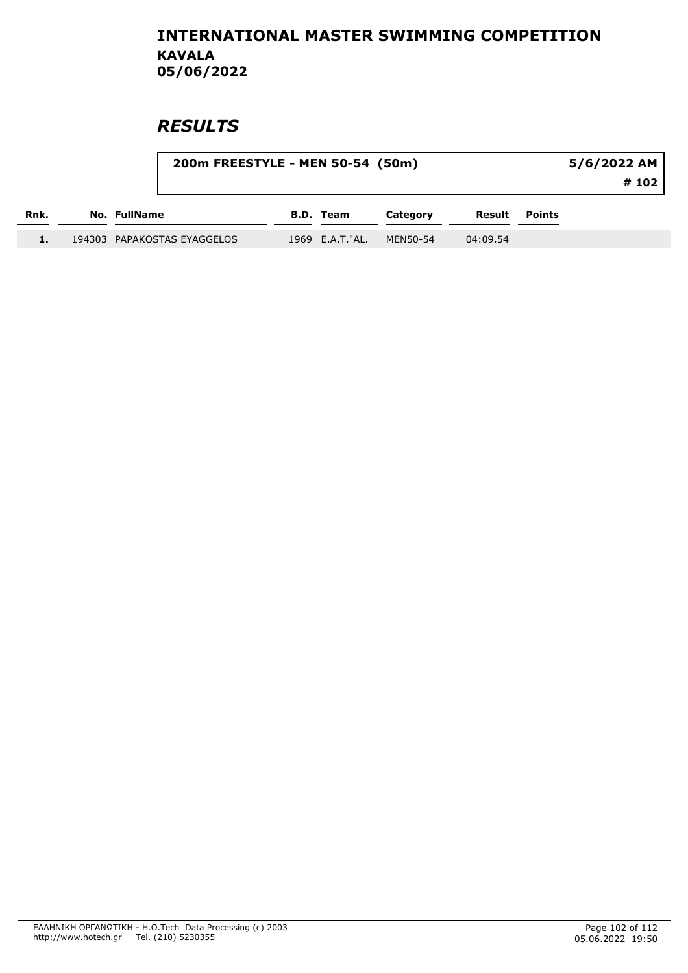|      |                             | 200m FREESTYLE - MEN 50-54 (50m) |                  |          |          |        | 5/6/2022 AM<br># 102 |
|------|-----------------------------|----------------------------------|------------------|----------|----------|--------|----------------------|
| Rnk. | No. FullName                |                                  | <b>B.D. Team</b> | Category | Result   | Points |                      |
|      | 194303 PAPAKOSTAS EYAGGELOS |                                  | 1969 E.A.T."AL.  | MEN50-54 | 04:09.54 |        |                      |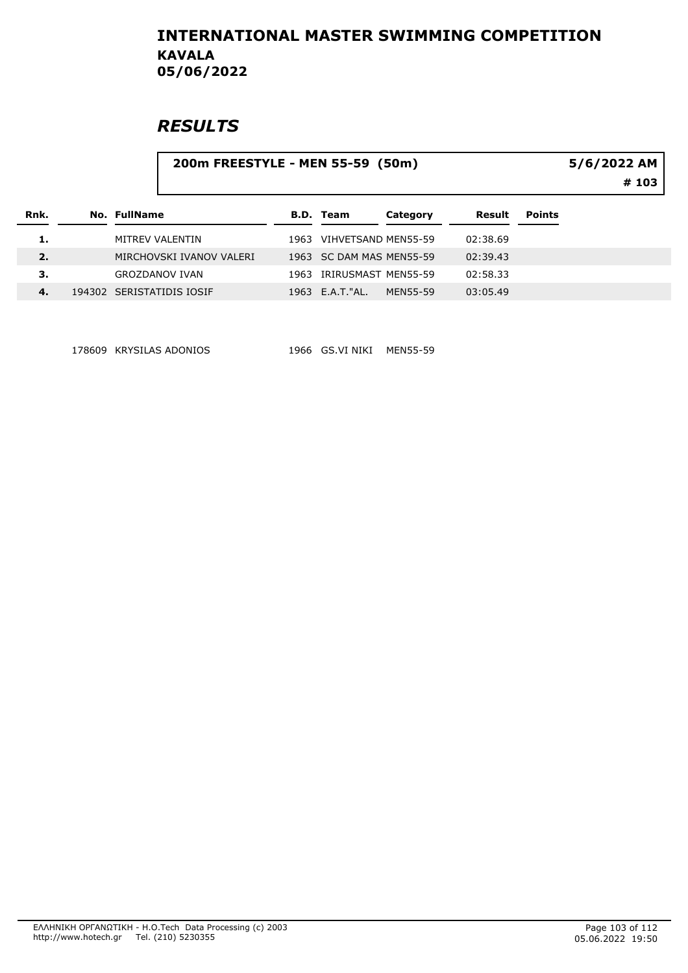### **RESULTS**

#### 200m FREESTYLE - MEN 55-59 (50m)

5/6/2022 AM

# 103

| Rnk. | No. FullName              |      | B.D. Team                | Category | Result   | <b>Points</b> |
|------|---------------------------|------|--------------------------|----------|----------|---------------|
| 1.   | MITREV VALENTIN           | 1963 | VIHVETSAND MEN55-59      |          | 02:38.69 |               |
| 2.   | MIRCHOVSKI IVANOV VALERI  |      | 1963 SC DAM MAS MEN55-59 |          | 02:39.43 |               |
| 3.   | GROZDANOV IVAN            | 1963 | IRIRUSMAST MEN55-59      |          | 02:58.33 |               |
| 4.   | 194302 SERISTATIDIS IOSIF |      | 1963 E.A.T. "AL.         | MFN55-59 | 03:05.49 |               |

178609 KRYSILAS ADONIOS 1966 GS.VI NIKI MEN55-59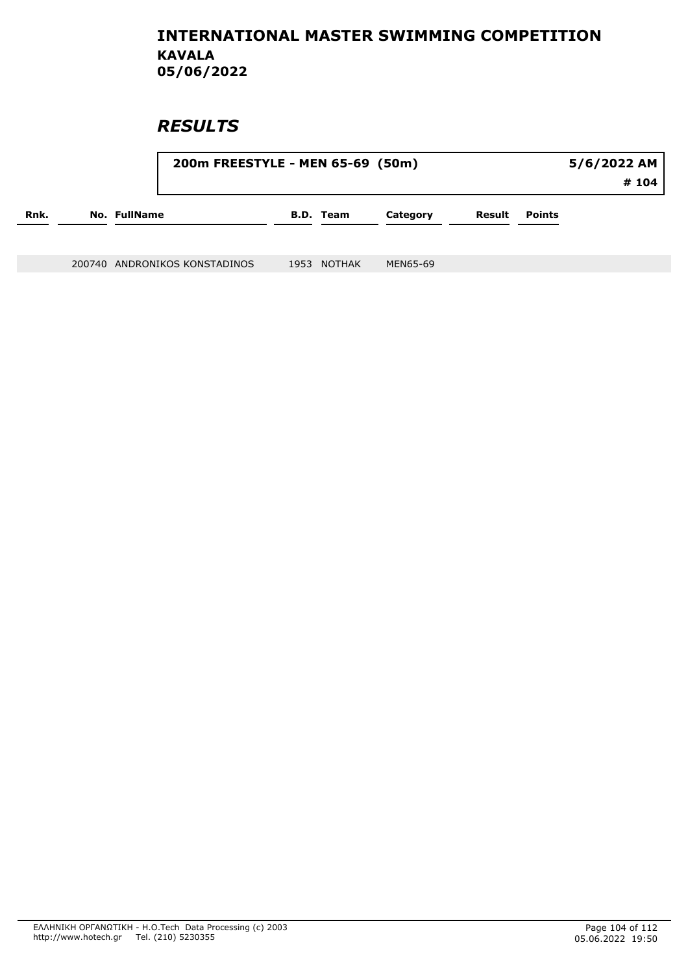### **RESULTS**

|      |                     | 200m FREESTYLE - MEN 65-69 (50m) |  |                  |          |        |        | 5/6/2022 AM<br># 104 |
|------|---------------------|----------------------------------|--|------------------|----------|--------|--------|----------------------|
| Rnk. | <b>No. FullName</b> |                                  |  | <b>B.D. Team</b> | Category | Result | Points |                      |
|      |                     |                                  |  |                  |          |        |        |                      |

200740 ANDRONIKOS KONSTADINOS 1953 NOTHAK MEN65-69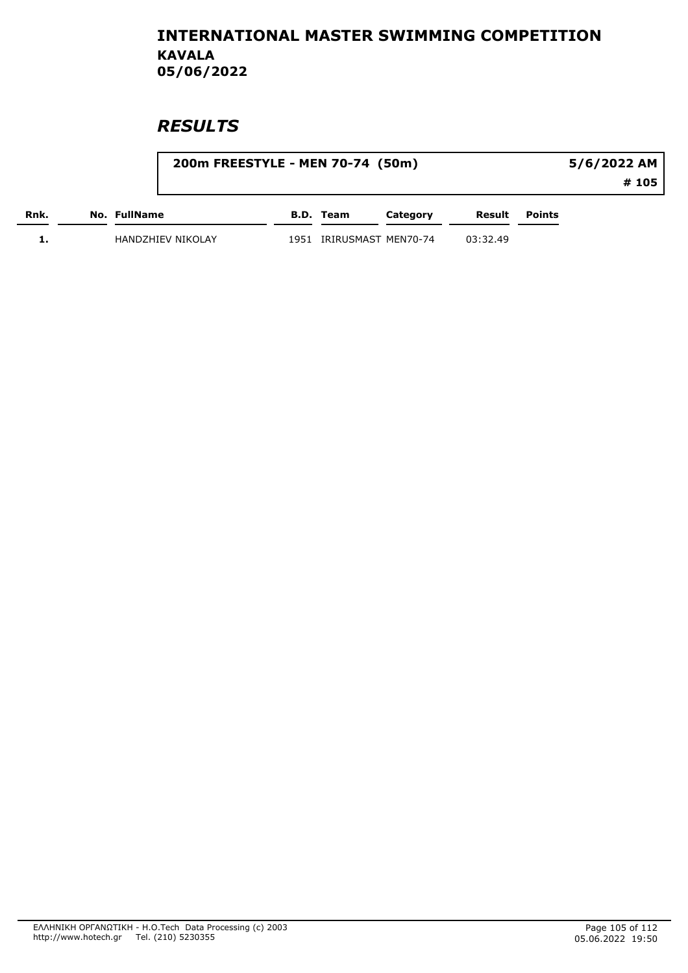|      |                   | 200m FREESTYLE - MEN 70-74 (50m) |           |                     |          |               | 5/6/2022 AM |
|------|-------------------|----------------------------------|-----------|---------------------|----------|---------------|-------------|
|      |                   |                                  |           |                     |          |               | # 105       |
| Rnk. | No. FullName      |                                  | B.D. Team | Category            | Result   | <b>Points</b> |             |
|      | HANDZHIEV NIKOLAY | 1951                             |           | IRIRUSMAST MEN70-74 | 03:32.49 |               |             |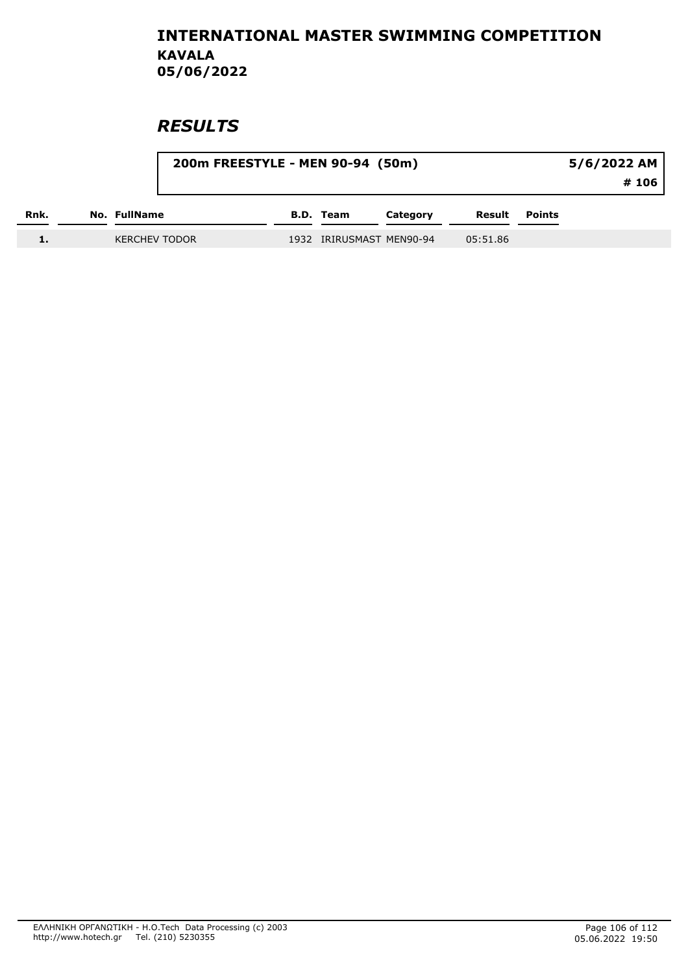|      |                      | 200m FREESTYLE - MEN 90-94 (50m) |           |                          |          |        | 5/6/2022 AM |
|------|----------------------|----------------------------------|-----------|--------------------------|----------|--------|-------------|
|      |                      |                                  |           |                          |          |        | #106        |
| Rnk. | No. FullName         |                                  | B.D. Team | Category                 | Result   | Points |             |
|      | <b>KERCHEV TODOR</b> |                                  |           | 1932 IRIRUSMAST MEN90-94 | 05:51.86 |        |             |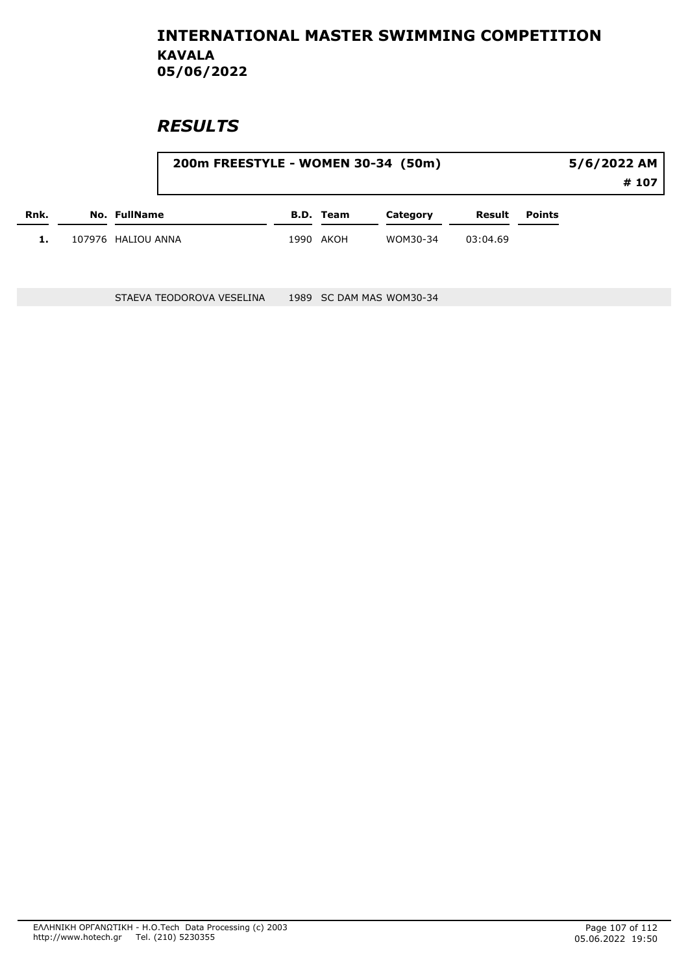### **RESULTS**

|      |                     | 200m FREESTYLE - WOMEN 30-34 (50m) |           | 5/6/2022 AM |          |               |  |  |
|------|---------------------|------------------------------------|-----------|-------------|----------|---------------|--|--|
|      |                     |                                    |           |             |          |               |  |  |
| Rnk. | <b>No. FullName</b> |                                    | B.D. Team | Category    | Result   | <b>Points</b> |  |  |
| 1.   | 107976 HALIOU ANNA  |                                    | 1990 AKOH | WOM30-34    | 03:04.69 |               |  |  |

STAEVA TEODOROVA VESELINA 1989 SC DAM MAS WOM30-34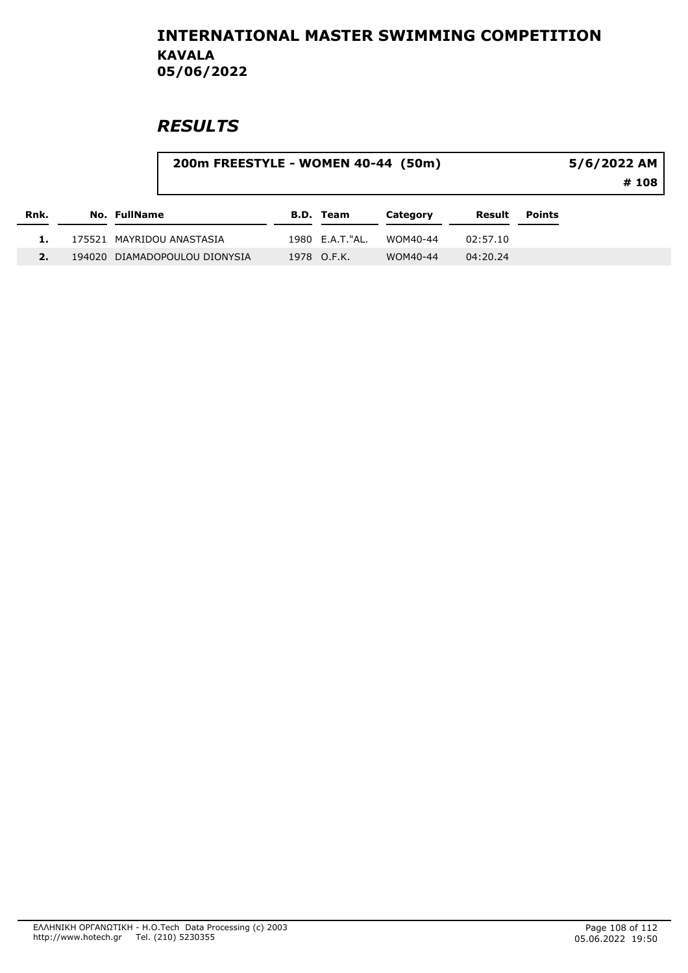|      |                               | 200m FREESTYLE - WOMEN 40-44 (50m) |                 |          |          |               | 5/6/2022 AM<br># 108 |
|------|-------------------------------|------------------------------------|-----------------|----------|----------|---------------|----------------------|
| Rnk. | No. FullName                  |                                    | B.D. Team       | Category | Result   | <b>Points</b> |                      |
|      | 175521 MAYRIDOU ANASTASIA     |                                    | 1980 E.A.T."AL. | WOM40-44 | 02:57.10 |               |                      |
|      | 194020 DIAMADOPOULOU DIONYSIA |                                    | 1978 O.F.K.     | WOM40-44 | 04:20.24 |               |                      |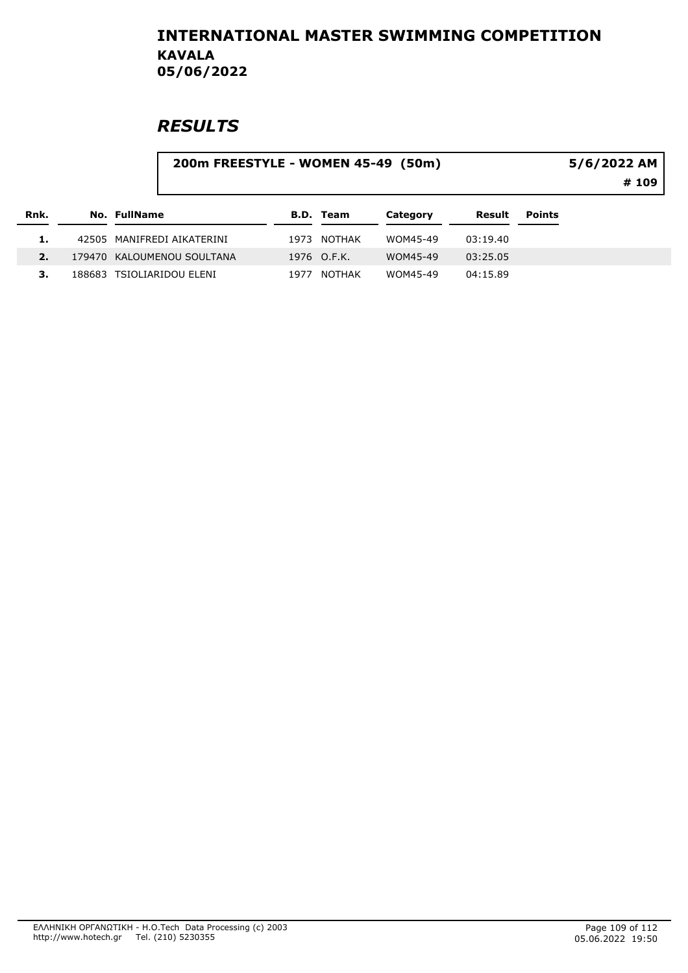|      |                            | 200m FREESTYLE - WOMEN 45-49 (50m) |                  |          |          |               | 5/6/2022 AM<br># 109 |  |  |
|------|----------------------------|------------------------------------|------------------|----------|----------|---------------|----------------------|--|--|
|      |                            |                                    |                  |          |          |               |                      |  |  |
| Rnk. | No. FullName               |                                    | <b>B.D.</b> Team | Category | Result   | <b>Points</b> |                      |  |  |
|      | 42505 MANIFREDI AIKATERINI | 1973                               | NOTHAK           | WOM45-49 | 03:19.40 |               |                      |  |  |
| 2.   | 179470 KALOUMENOU SOULTANA |                                    | 1976 O.F.K.      | WOM45-49 | 03:25.05 |               |                      |  |  |
| З.   | 188683 TSIOLIARIDOU ELENI  | 1977                               | <b>NOTHAK</b>    | WOM45-49 | 04:15.89 |               |                      |  |  |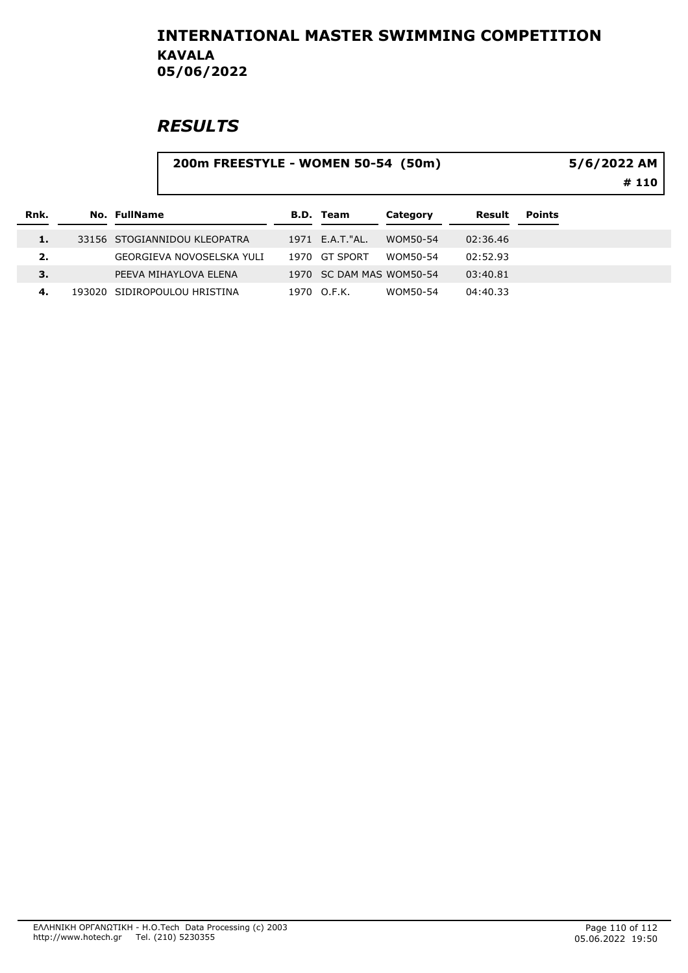# **RESULTS**

#### 200m FREESTYLE - WOMEN 50-54 (50m) # 110 5/6/2022 AM

| Rnk. | No. FullName                 | <b>B.D. Team</b>         | Category | Result   | <b>Points</b> |
|------|------------------------------|--------------------------|----------|----------|---------------|
|      | 33156 STOGIANNIDOU KLEOPATRA | 1971 E.A.T."AL.          | WOM50-54 | 02:36.46 |               |
| 2.   | GEORGIEVA NOVOSELSKA YULI    | 1970 GT SPORT            | WOM50-54 | 02:52.93 |               |
| 3.   | PEEVA MIHAYLOVA ELENA        | 1970 SC DAM MAS WOM50-54 |          | 03:40.81 |               |
| 4.   | 193020 SIDIROPOULOU HRISTINA | 1970 O.F.K.              | WOM50-54 | 04:40.33 |               |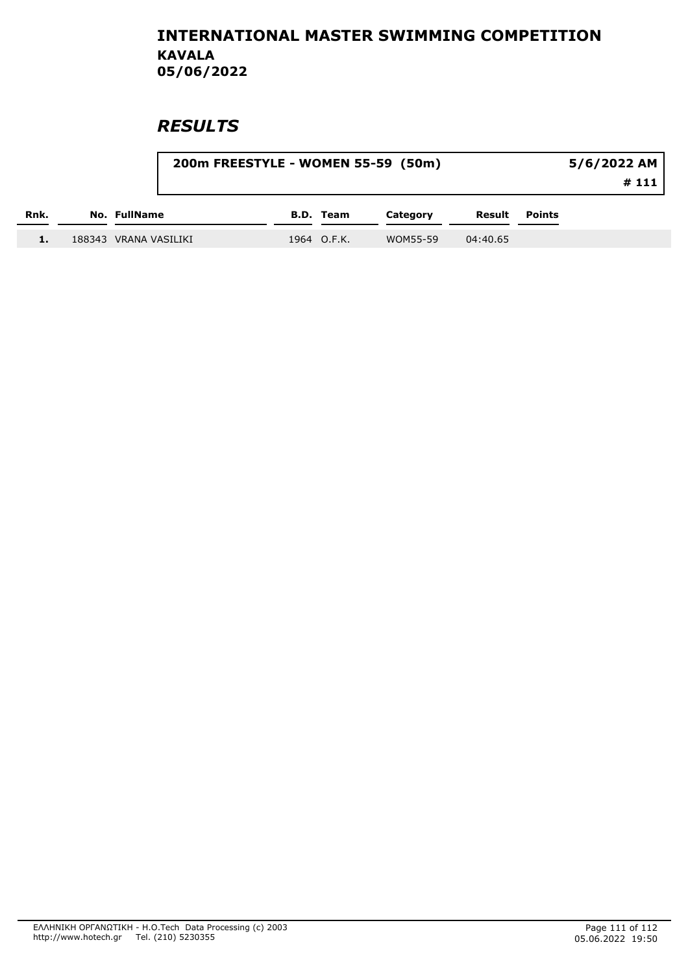|      | 200m FREESTYLE - WOMEN 55-59 (50m) |             |          | 5/6/2022 AM<br>#111 |        |  |
|------|------------------------------------|-------------|----------|---------------------|--------|--|
| Rnk. | No. FullName                       | B.D. Team   | Category | Result              | Points |  |
|      | 188343 VRANA VASILIKI              | 1964 O.F.K. | WOM55-59 | 04:40.65            |        |  |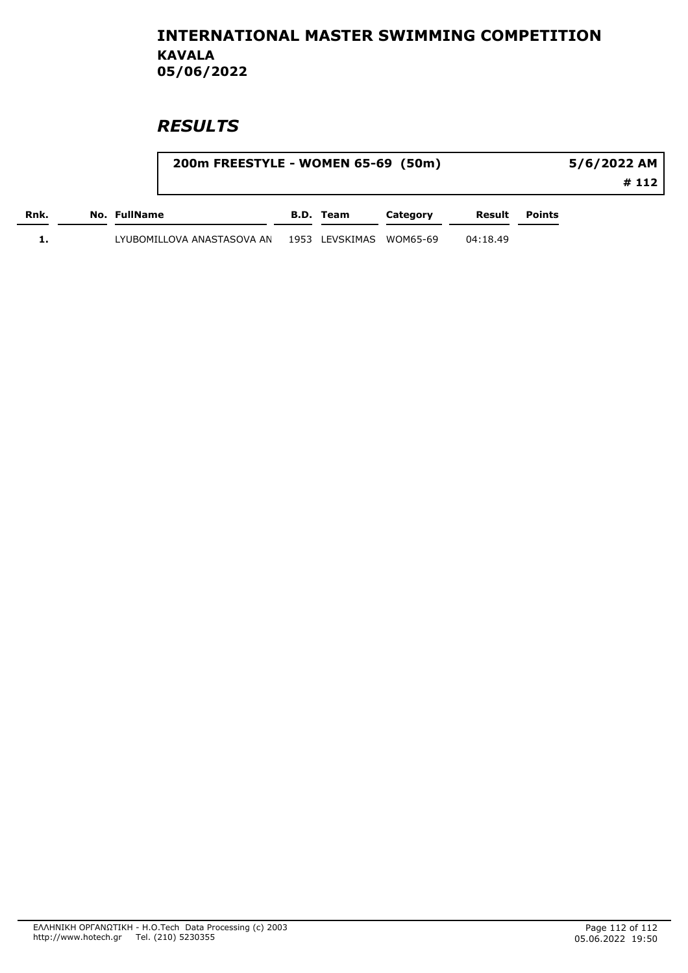|      |                            | 200m FREESTYLE - WOMEN 65-69 (50m) |                         |          |          |                      | 5/6/2022 AM |  |
|------|----------------------------|------------------------------------|-------------------------|----------|----------|----------------------|-------------|--|
|      |                            |                                    |                         |          |          |                      | # 112       |  |
| Rnk. | No. FullName               |                                    | B.D. Team               | Category |          | <b>Result Points</b> |             |  |
|      | LYUBOMILLOVA ANASTASOVA AN |                                    | 1953 LEVSKIMAS WOM65-69 |          | 04:18.49 |                      |             |  |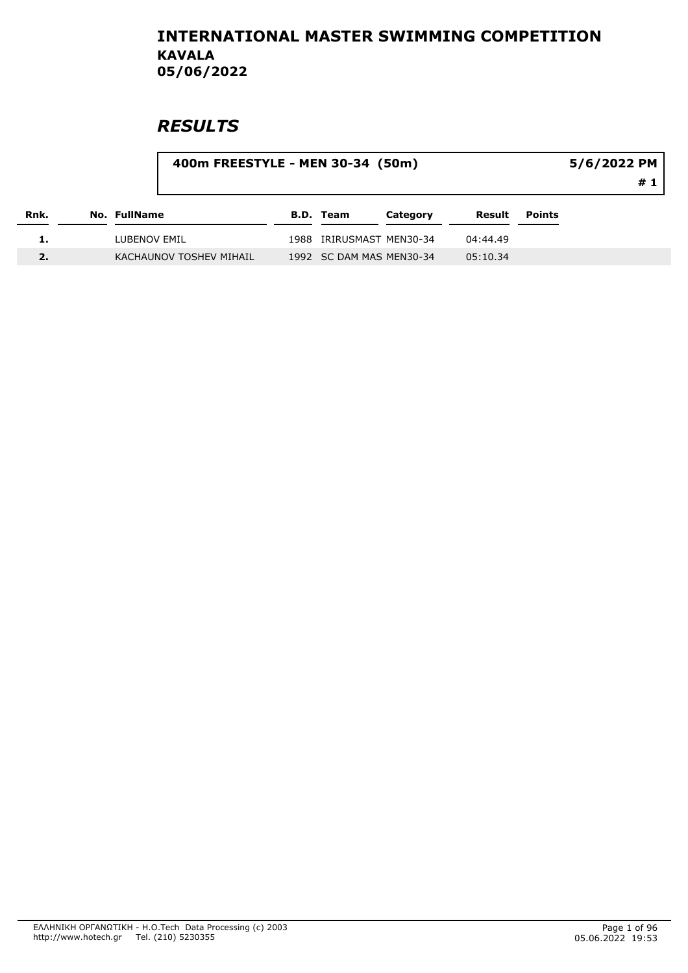|      |              | 400m FREESTYLE - MEN 30-34 (50m) |                  |                          |          |        | 5/6/2022 PM |
|------|--------------|----------------------------------|------------------|--------------------------|----------|--------|-------------|
|      |              |                                  |                  |                          |          |        | # 1         |
| Rnk. | No. FullName |                                  | <b>B.D. Team</b> | Category                 | Result   | Points |             |
|      | LUBENOV EMIL |                                  |                  | 1988 IRIRUSMAST MEN30-34 | 04:44.49 |        |             |
|      |              | KACHAUNOV TOSHEV MIHAIL          |                  | 1992 SC DAM MAS MEN30-34 | 05:10.34 |        |             |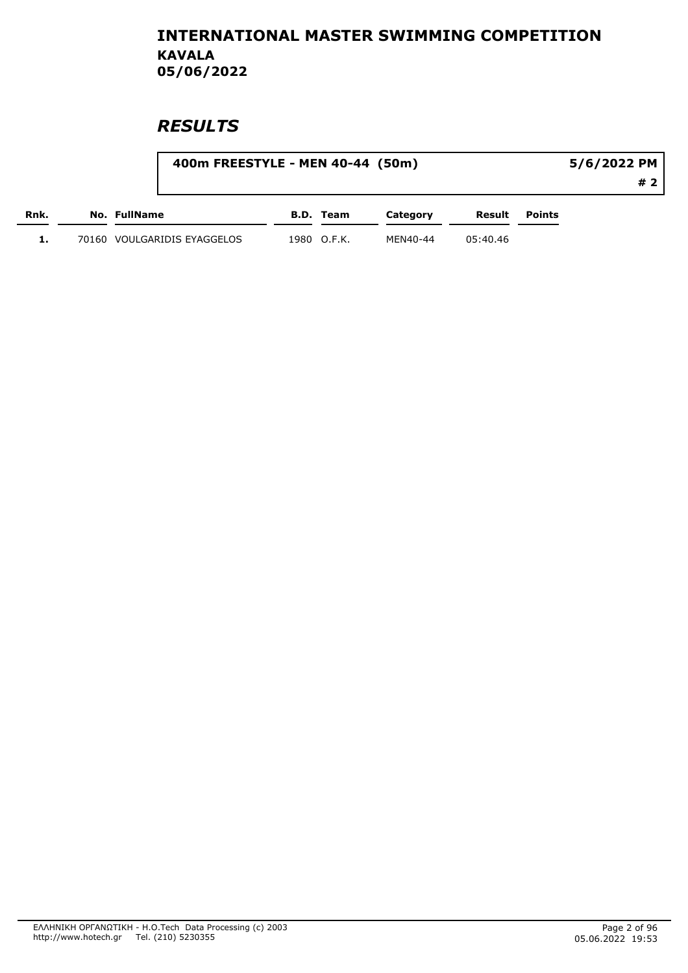|      |              |                             | 400m FREESTYLE - MEN 40-44 (50m) |             |          |          |  | 5/6/2022 PM |  |  |
|------|--------------|-----------------------------|----------------------------------|-------------|----------|----------|--|-------------|--|--|
|      |              |                             |                                  |             |          |          |  | #2          |  |  |
| Rnk. | No. FullName |                             | B.D. Team                        | Category    | Result   | Points   |  |             |  |  |
|      |              | 70160 VOULGARIDIS EYAGGELOS |                                  | 1980 O.F.K. | MEN40-44 | 05:40.46 |  |             |  |  |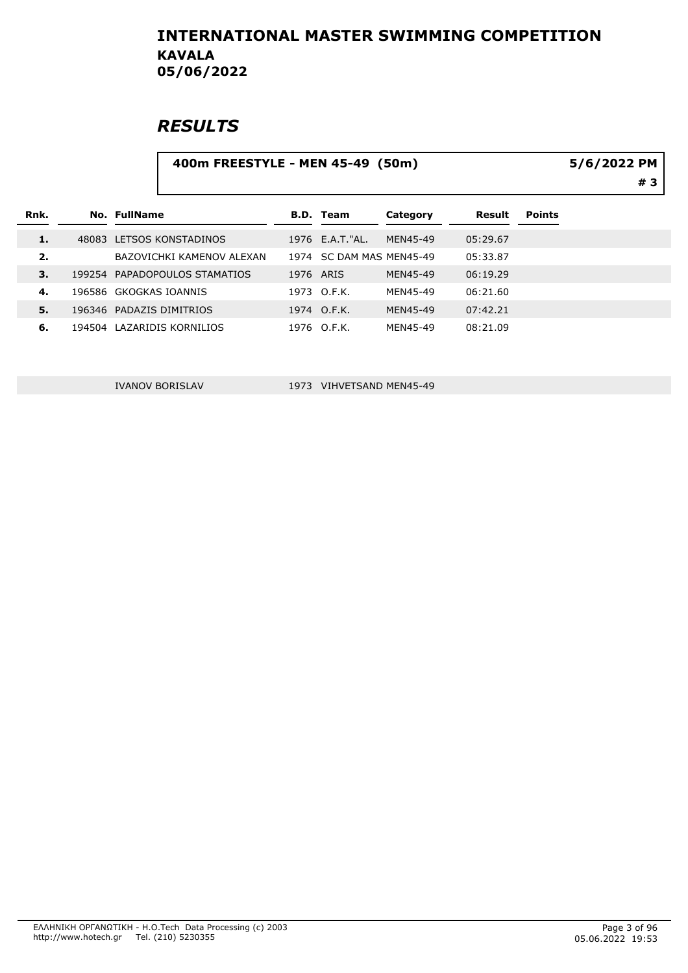### **RESULTS**

#### 400m FREESTYLE - MEN 45-49 (50m) 5/6/2022 PM

| Rnk. |        | No. FullName |                           |           | <b>B.D.</b> Team         | Category | Result   | <b>Points</b> |
|------|--------|--------------|---------------------------|-----------|--------------------------|----------|----------|---------------|
| 1.   |        |              | 48083 LETSOS KONSTADINOS  |           | 1976 E.A.T."AL.          | MEN45-49 | 05:29.67 |               |
| 2.   |        |              | BAZOVICHKI KAMENOV ALEXAN |           | 1974 SC DAM MAS MEN45-49 |          | 05:33.87 |               |
| 3.   | 199254 |              | PAPADOPOULOS STAMATIOS    | 1976 ARIS |                          | MEN45-49 | 06:19.29 |               |
| 4.   |        |              | 196586 GKOGKAS IOANNIS    |           | 1973 O.F.K.              | MEN45-49 | 06:21.60 |               |
| 5.   |        |              | 196346 PADAZIS DIMITRIOS  |           | 1974 O.F.K.              | MEN45-49 | 07:42.21 |               |
| 6.   | 194504 |              | LAZARIDIS KORNILIOS       |           | 1976 O.F.K.              | MEN45-49 | 08:21.09 |               |

IVANOV BORISLAV 1973 VIHVETSAND MEN45-49

# 3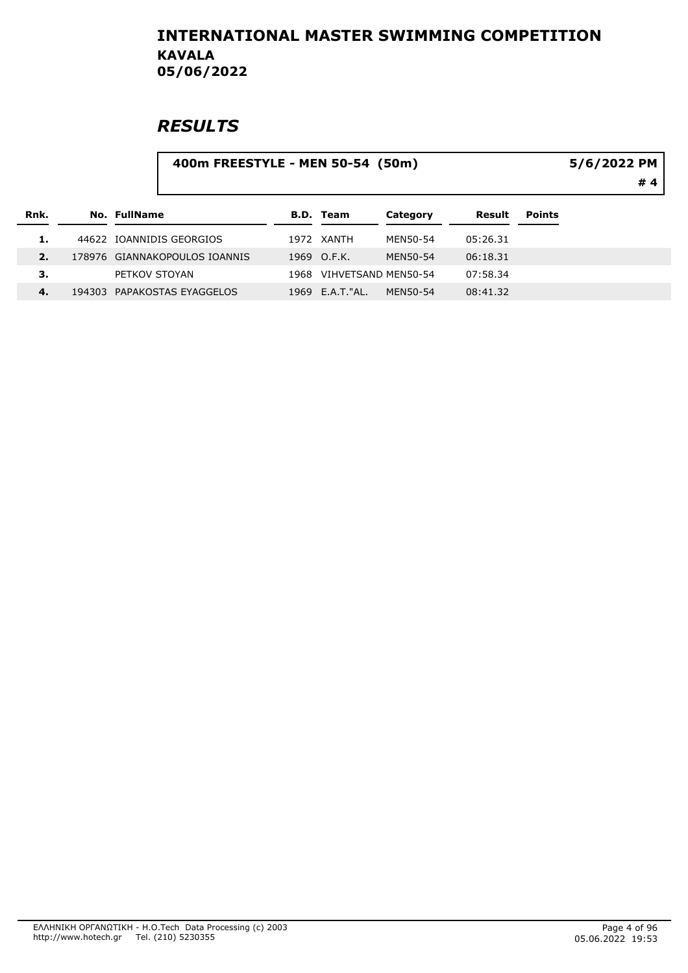|      |  |               | 5/6/2022 PM<br>#4             |      |                     |          |          |               |  |
|------|--|---------------|-------------------------------|------|---------------------|----------|----------|---------------|--|
| Rnk. |  | No. FullName  |                               |      | <b>B.D. Team</b>    | Category | Result   | <b>Points</b> |  |
| 1.   |  |               | 44622 IOANNIDIS GEORGIOS      |      | 1972 XANTH          | MEN50-54 | 05:26.31 |               |  |
| 2.   |  |               | 178976 GIANNAKOPOULOS IOANNIS |      | 1969 O.F.K.         | MEN50-54 | 06:18.31 |               |  |
| з.   |  | PETKOV STOYAN |                               | 1968 | VIHVETSAND MEN50-54 |          | 07:58.34 |               |  |
| 4.   |  |               | 194303 PAPAKOSTAS EYAGGELOS   |      | 1969 E.A.T. "AL.    | MEN50-54 | 08:41.32 |               |  |
|      |  |               |                               |      |                     |          |          |               |  |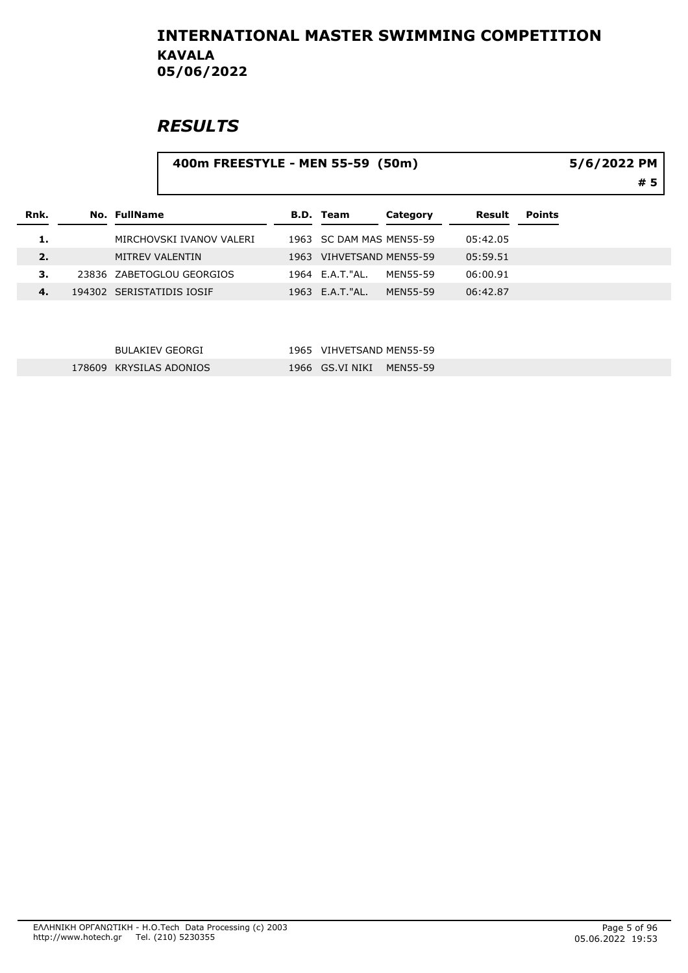### **RESULTS**

| 400m FREESTYLE - MEN 55-59 (50m) | 5/6/2022 |
|----------------------------------|----------|
|                                  |          |
|                                  |          |

| Rnk.  | No. FullName              | B.D. Team                | Category | Result   | Points |
|-------|---------------------------|--------------------------|----------|----------|--------|
| 1.    | MIRCHOVSKI IVANOV VALERI  | 1963 SC DAM MAS MEN55-59 |          | 05:42.05 |        |
| 2.    | MITREV VALENTIN           | 1963 VIHVETSAND MEN55-59 |          | 05:59.51 |        |
| З.    | 23836 ZABETOGLOU GEORGIOS | 1964 E.A.T."AL.          | MFN55-59 | 06:00.91 |        |
| $-4.$ | 194302 SERISTATIDIS IOSIF | 1963 E.A.T. "AL.         | MFN55-59 | 06:42.87 |        |

| BULAKIEV GEORGI         | 1965 VIHVETSAND MEN55-59 |  |
|-------------------------|--------------------------|--|
| 178609 KRYSILAS ADONIOS | 1966 GS.VI NIKI MEN55-59 |  |

# 5 PM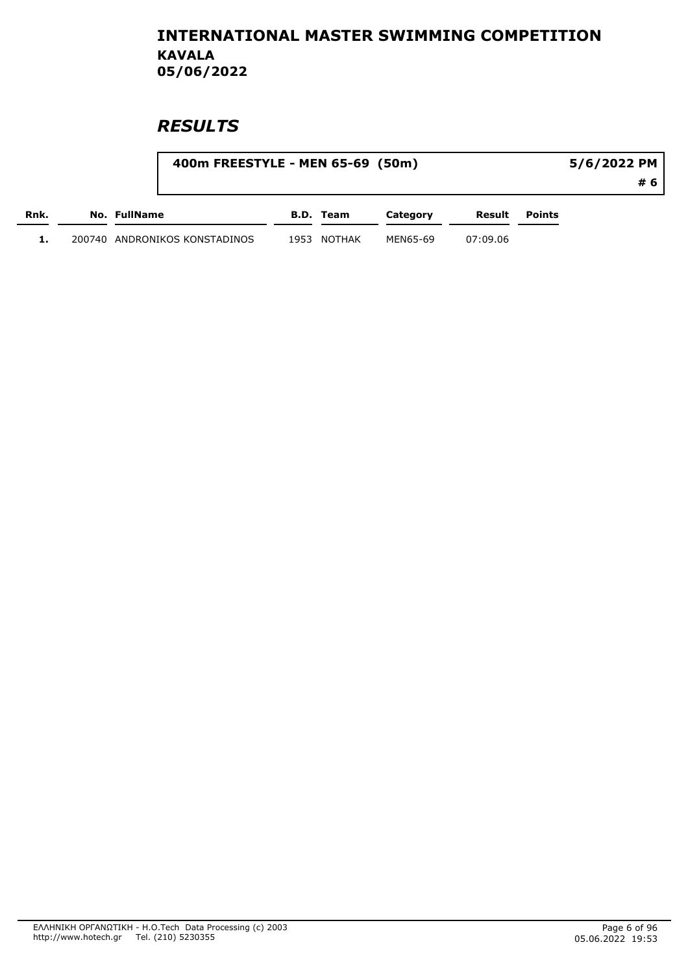|      |                               | 400m FREESTYLE - MEN 65-69 (50m) |           |          |          |        | 5/6/2022 PM |  |  |
|------|-------------------------------|----------------------------------|-----------|----------|----------|--------|-------------|--|--|
|      |                               |                                  |           |          |          |        | #6          |  |  |
| Rnk. | No. FullName                  |                                  | B.D. Team | Category | Result   | Points |             |  |  |
|      | 200740 ANDRONIKOS KONSTADINOS | 1953                             | NOTHAK    | MEN65-69 | 07:09.06 |        |             |  |  |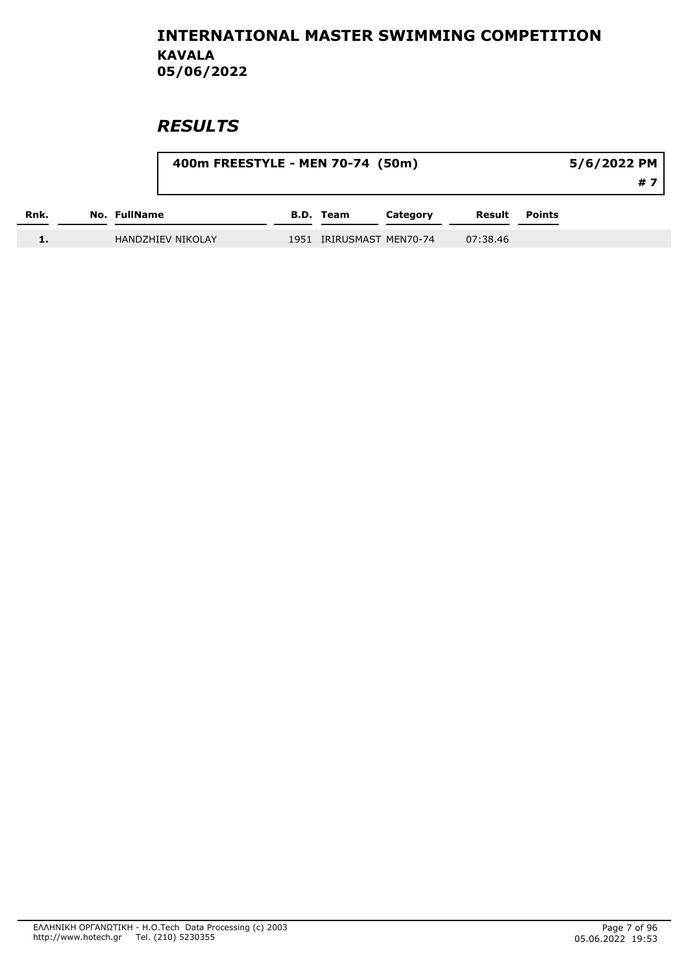|      |                          | 400m FREESTYLE - MEN 70-74 (50m) |                          |          |          |               | 5/6/2022 PM |     |
|------|--------------------------|----------------------------------|--------------------------|----------|----------|---------------|-------------|-----|
|      |                          |                                  |                          |          |          |               |             | # 7 |
| Rnk. | No. FullName             |                                  | B.D. Team                | Category | Result   | <b>Points</b> |             |     |
|      | <b>HANDZHIEV NIKOLAY</b> |                                  | 1951 IRIRUSMAST MEN70-74 |          | 07:38.46 |               |             |     |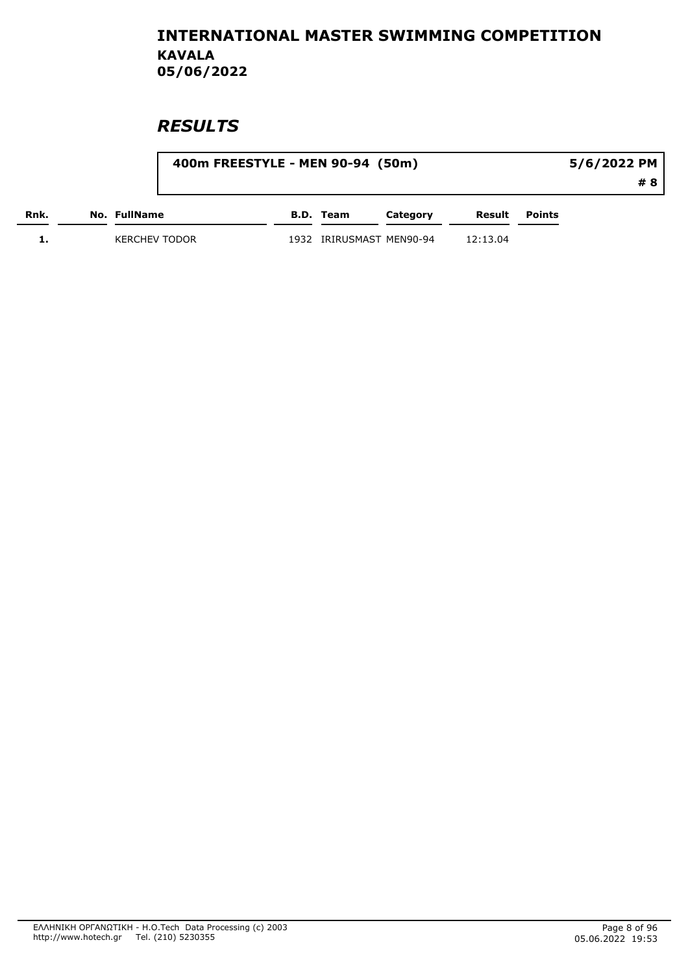|      |                      | 400m FREESTYLE - MEN 90-94 (50m) |           |                     |          |        | 5/6/2022 PM |    |
|------|----------------------|----------------------------------|-----------|---------------------|----------|--------|-------------|----|
|      |                      |                                  |           |                     |          |        |             | #8 |
| Rnk. | No. FullName         |                                  | B.D. Team | Category            | Result   | Points |             |    |
|      | <b>KERCHEV TODOR</b> | 1932                             |           | IRIRUSMAST MEN90-94 | 12:13.04 |        |             |    |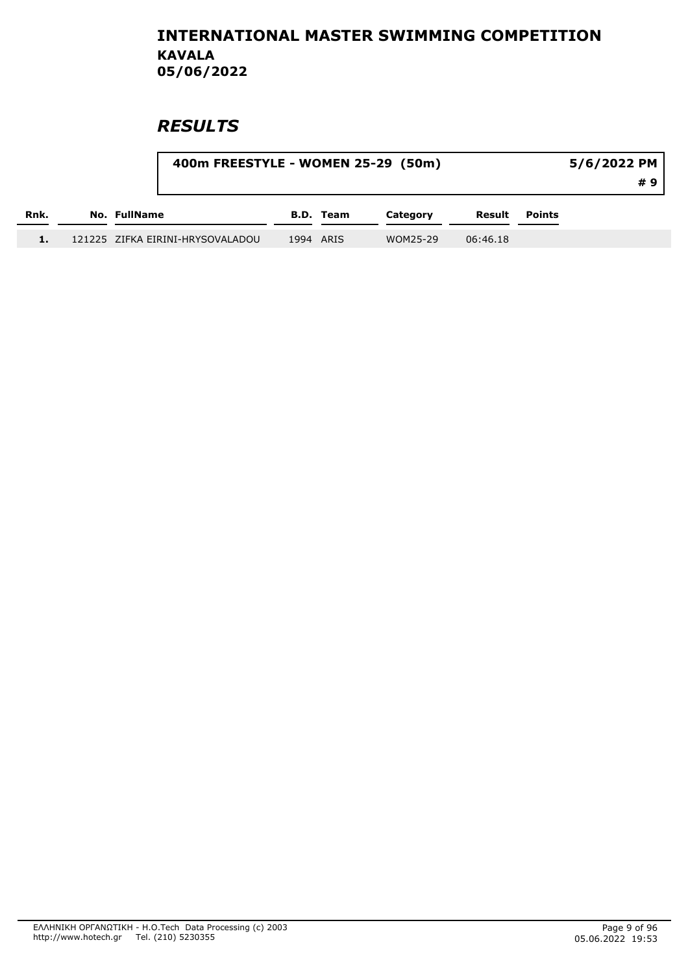|      | 400m FREESTYLE - WOMEN 25-29 (50m) |           |           |          |          |               | 5/6/2022 PM | #9 |
|------|------------------------------------|-----------|-----------|----------|----------|---------------|-------------|----|
| Rnk. | No. FullName                       |           | B.D. Team | Category | Result   | <b>Points</b> |             |    |
|      | 121225 ZIFKA EIRINI-HRYSOVALADOU   | 1994 ARIS |           | WOM25-29 | 06:46.18 |               |             |    |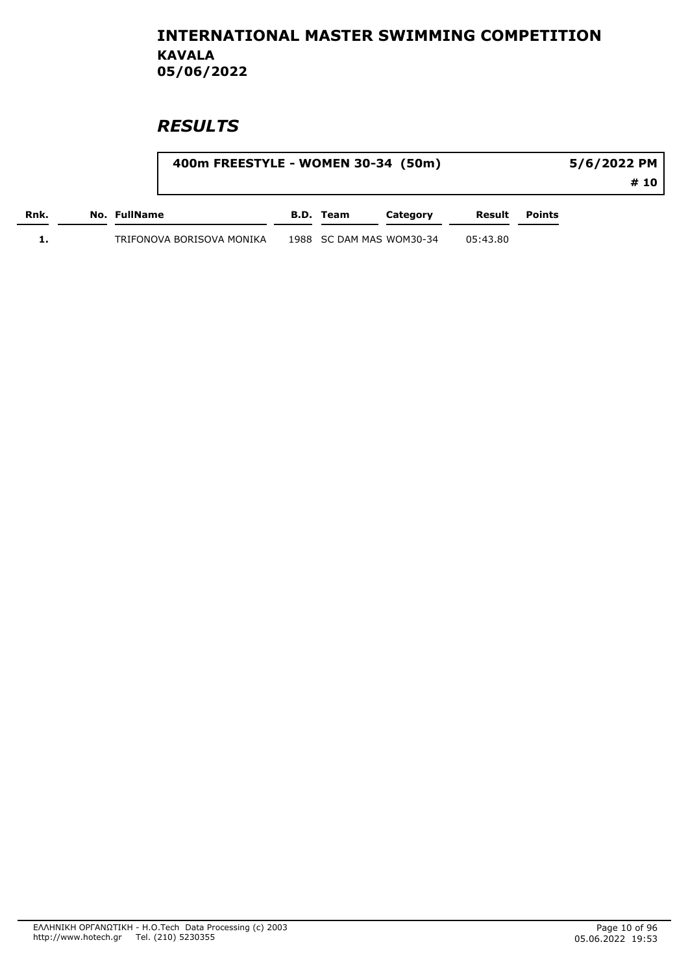|      | 400m FREESTYLE - WOMEN 30-34 (50m) |           |                          |          |        | 5/6/2022 PM |
|------|------------------------------------|-----------|--------------------------|----------|--------|-------------|
|      |                                    |           |                          |          |        | # 10        |
| Rnk. | No. FullName                       | B.D. Team | Category                 | Result   | Points |             |
|      | TRIFONOVA BORISOVA MONIKA          |           | 1988 SC DAM MAS WOM30-34 | 05:43.80 |        |             |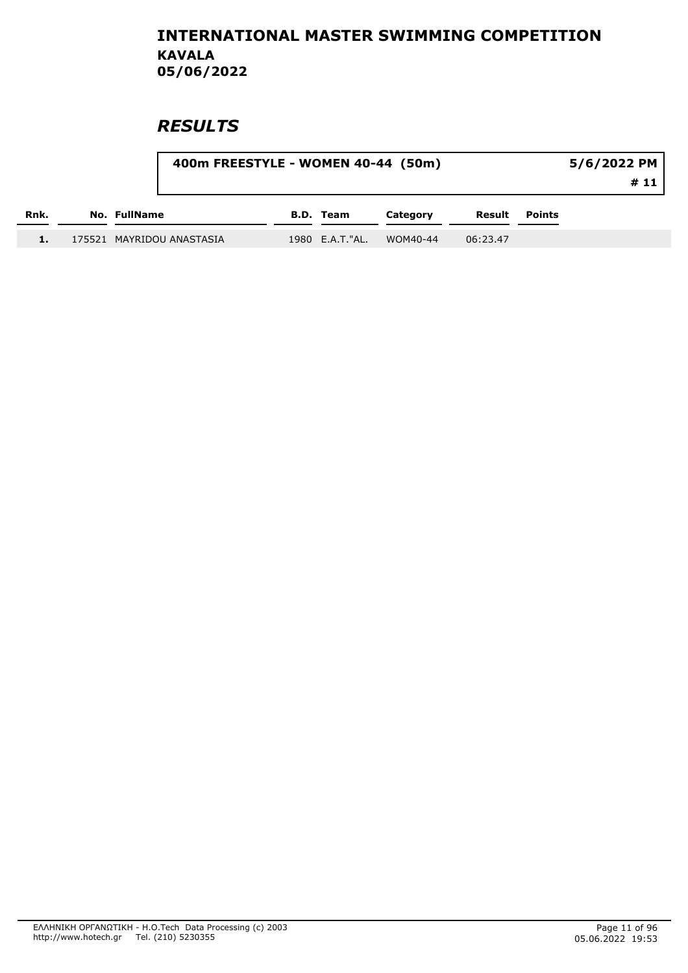|      | 400m FREESTYLE - WOMEN 40-44 (50m) |                  |          |          |               | 5/6/2022 PM<br>#11 |
|------|------------------------------------|------------------|----------|----------|---------------|--------------------|
| Rnk. | No. FullName                       | <b>B.D. Team</b> | Category | Result   | <b>Points</b> |                    |
|      | 175521 MAYRIDOU ANASTASIA          | 1980 E.A.T."AL.  | WOM40-44 | 06:23.47 |               |                    |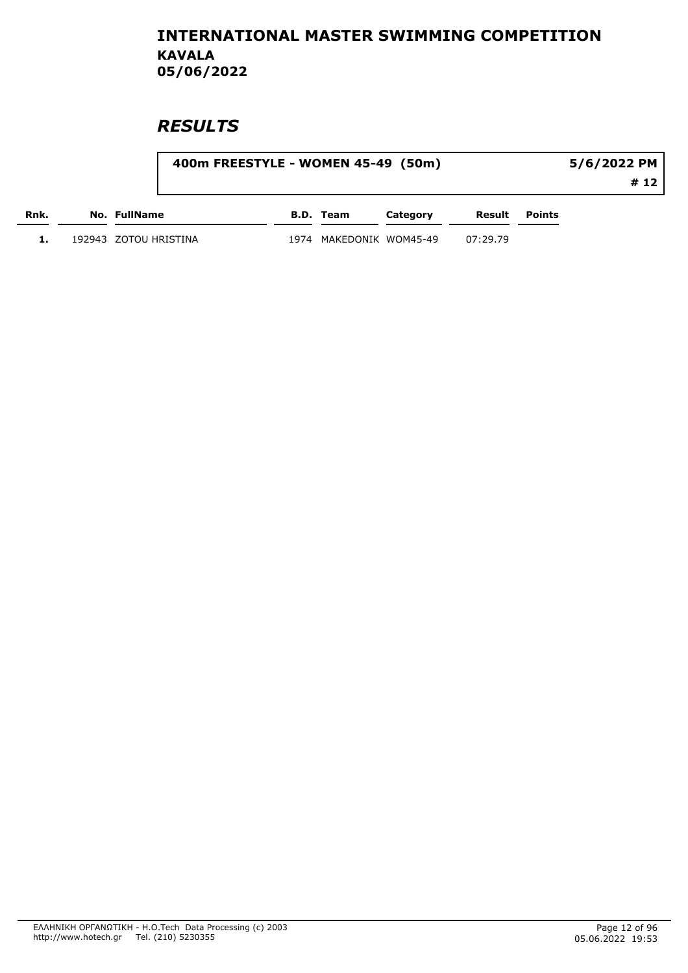|      | 400m FREESTYLE - WOMEN 45-49 (50m) |      |                    |          |          |               | 5/6/2022 PM |
|------|------------------------------------|------|--------------------|----------|----------|---------------|-------------|
|      |                                    |      |                    |          |          |               | # 12        |
| Rnk. | No. FullName                       |      | B.D. Team          | Category | Result   | <b>Points</b> |             |
|      | 192943 ZOTOU HRISTINA              | 1974 | MAKEDONIK WOM45-49 |          | 07:29.79 |               |             |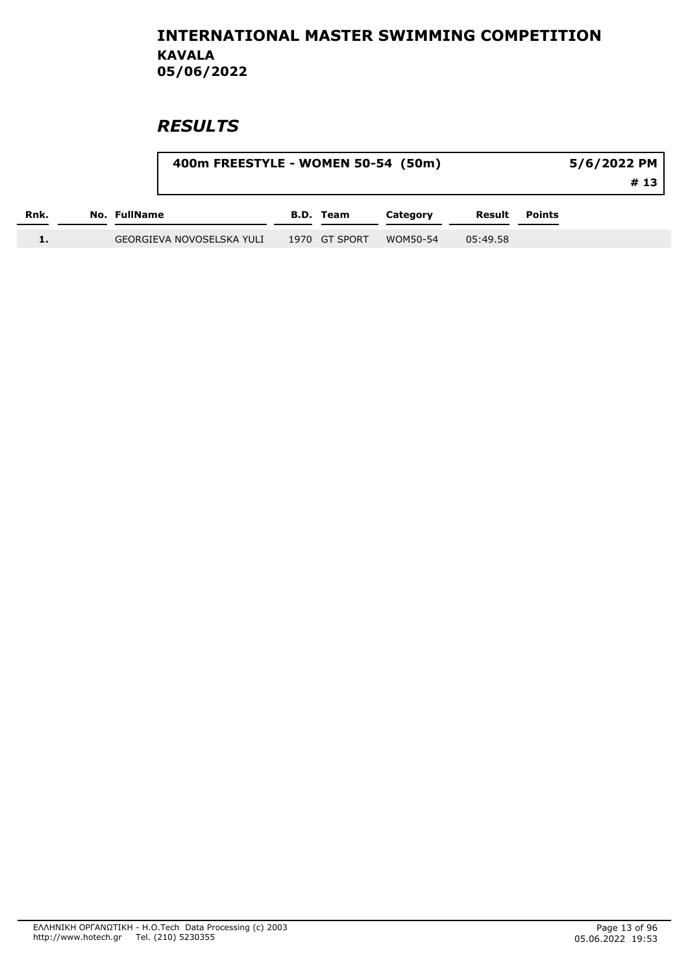|      |              | 400m FREESTYLE - WOMEN 50-54 (50m) |               |          |          |               | 5/6/2022 PM<br>#13 |
|------|--------------|------------------------------------|---------------|----------|----------|---------------|--------------------|
| Rnk. | No. FullName |                                    | B.D. Team     | Category | Result   | <b>Points</b> |                    |
|      |              | GEORGIEVA NOVOSELSKA YULI          | 1970 GT SPORT | WOM50-54 | 05:49.58 |               |                    |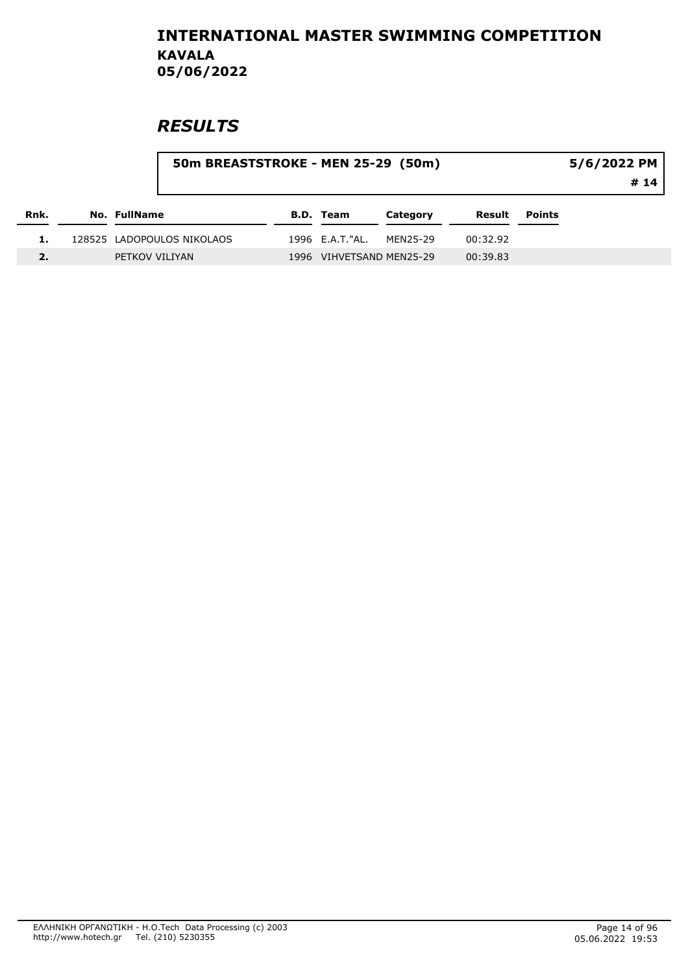|      |                            | 50m BREASTSTROKE - MEN 25-29 (50m) |                  |                          |          |               |  |
|------|----------------------------|------------------------------------|------------------|--------------------------|----------|---------------|--|
| Rnk. | No. FullName               |                                    | <b>B.D. Team</b> | Category                 | Result   | <b>Points</b> |  |
|      | 128525 LADOPOULOS NIKOLAOS |                                    | 1996 E.A.T."AL.  | MEN25-29                 | 00:32.92 |               |  |
| 2.   | PETKOV VILIYAN             |                                    |                  | 1996 VIHVETSAND MEN25-29 | 00:39.83 |               |  |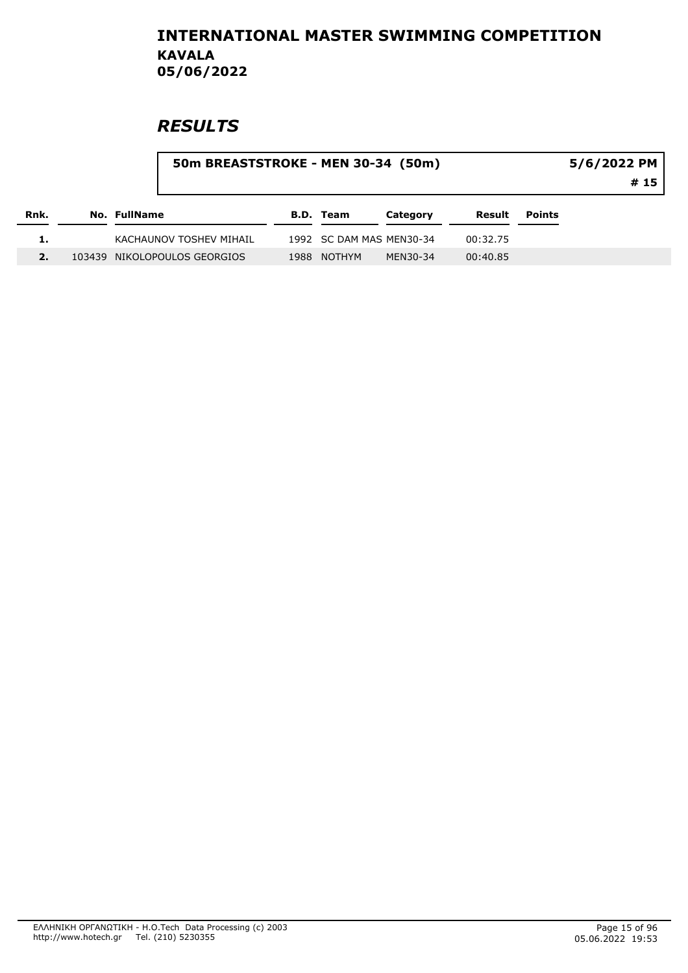|      |              | 50m BREASTSTROKE - MEN 30-34 (50m) |      |                  |                          |          |        | 5/6/2022 PM<br># 15 |
|------|--------------|------------------------------------|------|------------------|--------------------------|----------|--------|---------------------|
| Rnk. | No. FullName |                                    |      | <b>B.D. Team</b> | Category                 | Result   | Points |                     |
|      |              | KACHAUNOV TOSHEV MIHAIL            |      |                  | 1992 SC DAM MAS MEN30-34 | 00:32.75 |        |                     |
|      |              | 103439 NIKOLOPOULOS GEORGIOS       | 1988 | <b>NOTHYM</b>    | MEN30-34                 | 00:40.85 |        |                     |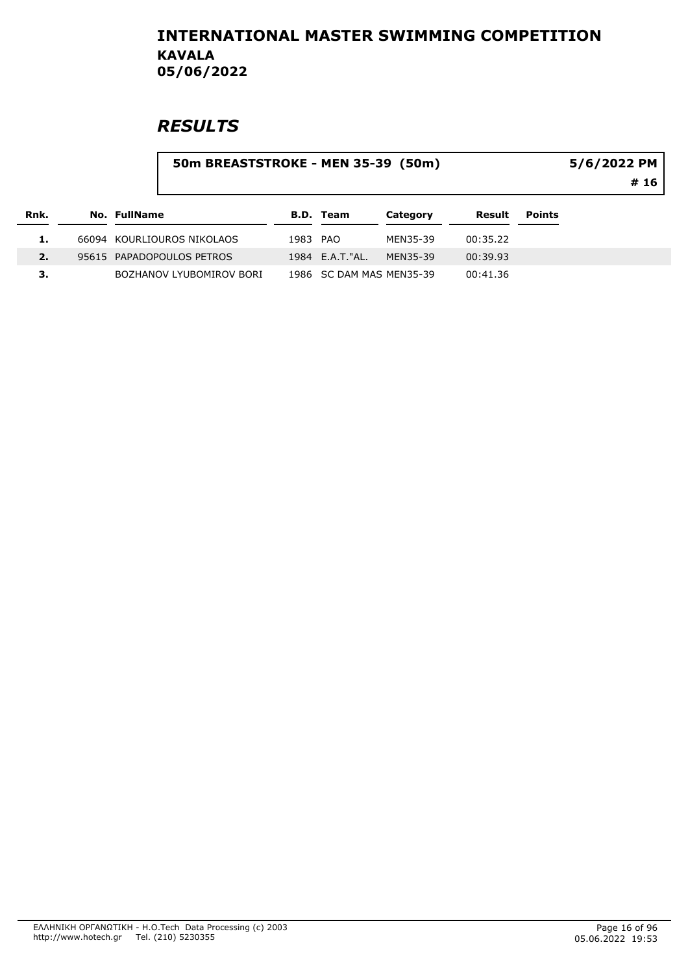|      |              | 50m BREASTSTROKE - MEN 35-39 (50m) |          |                          |          |          |               | 5/6/2022 PM<br># 16 |
|------|--------------|------------------------------------|----------|--------------------------|----------|----------|---------------|---------------------|
| Rnk. | No. FullName |                                    |          | <b>B.D. Team</b>         | Category | Result   | <b>Points</b> |                     |
|      |              | 66094 KOURLIOUROS NIKOLAOS         | 1983 PAO |                          | MEN35-39 | 00:35.22 |               |                     |
| 2.   |              | 95615 PAPADOPOULOS PETROS          |          | 1984 E.A.T."AL.          | MEN35-39 | 00:39.93 |               |                     |
| З.   |              | BOZHANOV LYUBOMIROV BORI           |          | 1986 SC DAM MAS MEN35-39 |          | 00:41.36 |               |                     |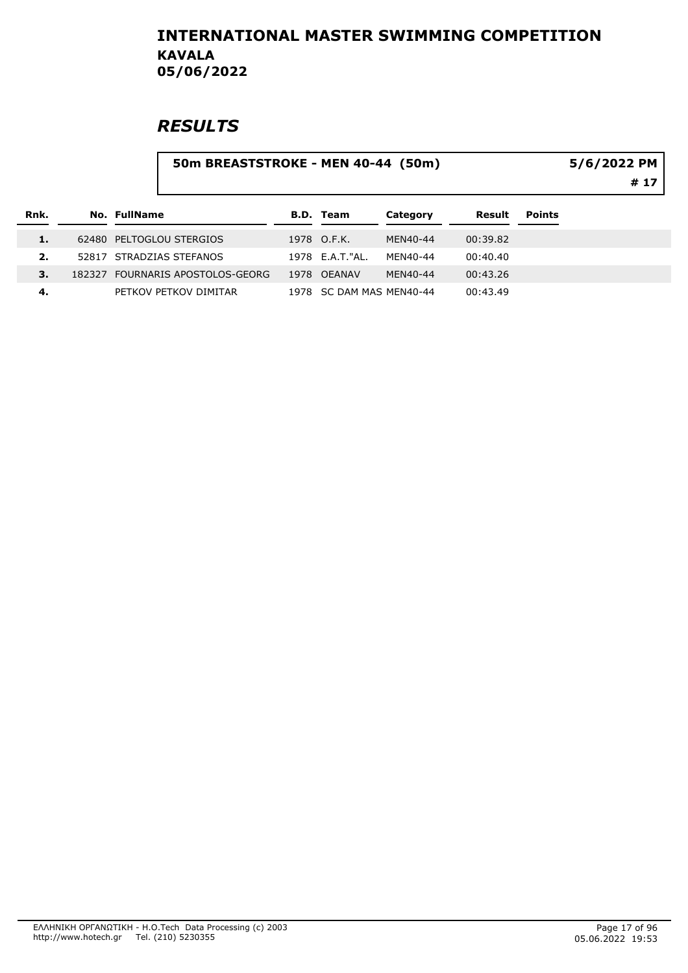|      |        | 50m BREASTSTROKE - MEN 40-44 (50m) |                  |                          |          |               | 5/6/2022 PM<br># 17 |
|------|--------|------------------------------------|------------------|--------------------------|----------|---------------|---------------------|
| Rnk. |        | No. FullName                       | <b>B.D. Team</b> | Category                 | Result   | <b>Points</b> |                     |
| 1.   |        | 62480 PELTOGLOU STERGIOS           | 1978 O.F.K.      | MEN40-44                 | 00:39.82 |               |                     |
| 2.   |        | 52817 STRADZIAS STEFANOS           | 1978 E.A.T."AL.  | MFN40-44                 | 00:40.40 |               |                     |
| 3.   | 182327 | FOURNARIS APOSTOLOS-GEORG          | 1978 OEANAV      | MEN40-44                 | 00:43.26 |               |                     |
| 4.   |        | PETKOV PETKOV DIMITAR              |                  | 1978 SC DAM MAS MEN40-44 | 00:43.49 |               |                     |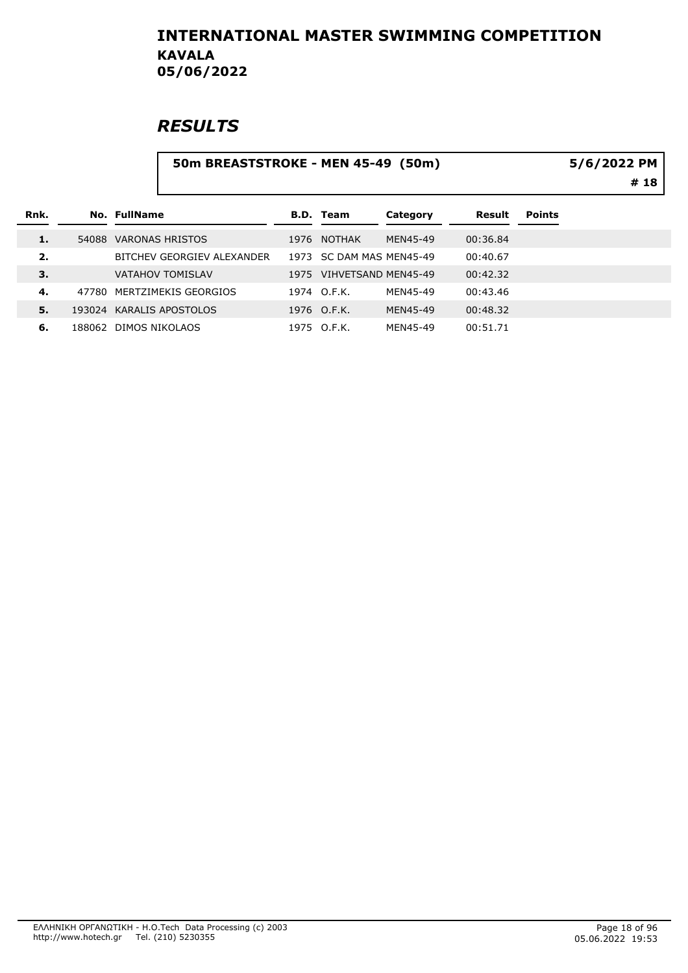# **RESULTS**

#### 50m BREASTSTROKE - MEN 45-49 (50m)

5/6/2022 PM

# 18

| Rnk. |       | No. FullName               |      | <b>B.D.</b> Team    | Category | Result   | <b>Points</b> |
|------|-------|----------------------------|------|---------------------|----------|----------|---------------|
| 1.   | 54088 | VARONAS HRISTOS            |      | 1976 NOTHAK         | MEN45-49 | 00:36.84 |               |
| 2.   |       | BITCHEV GEORGIEV ALEXANDER | 1973 | SC DAM MAS MEN45-49 |          | 00:40.67 |               |
| 3.   |       | <b>VATAHOV TOMISLAV</b>    | 1975 | VIHVETSAND MEN45-49 |          | 00:42.32 |               |
| 4.   |       | 47780 MERTZIMEKIS GEORGIOS |      | 1974 O.F.K.         | MEN45-49 | 00:43.46 |               |
| 5.   |       | 193024 KARALIS APOSTOLOS   |      | 1976 O.F.K.         | MEN45-49 | 00:48.32 |               |
| 6.   |       | 188062 DIMOS NIKOLAOS      |      | 1975 O.F.K.         | MEN45-49 | 00:51.71 |               |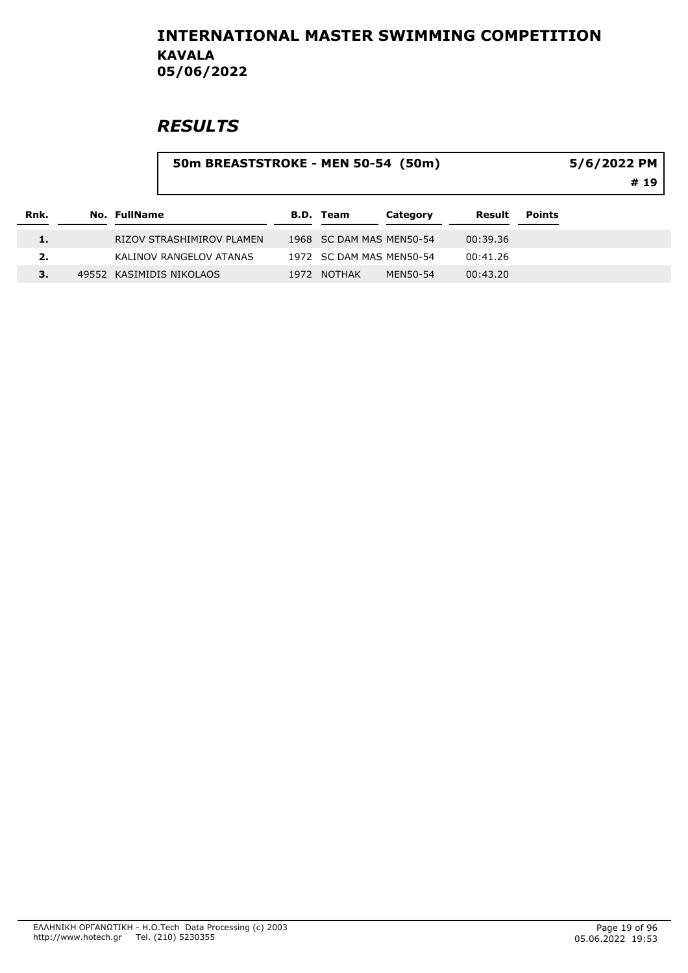|      |              | 50m BREASTSTROKE - MEN 50-54 (50m) |                          |          |          |               | 5/6/2022 PM<br># 19 |  |  |
|------|--------------|------------------------------------|--------------------------|----------|----------|---------------|---------------------|--|--|
| Rnk. | No. FullName |                                    | <b>B.D. Team</b>         | Category | Result   | <b>Points</b> |                     |  |  |
| 1.   |              | RIZOV STRASHIMIROV PLAMEN          | 1968 SC DAM MAS MEN50-54 |          | 00:39.36 |               |                     |  |  |
| 2.   |              | KALINOV RANGELOV ATANAS            | 1972 SC DAM MAS MEN50-54 |          | 00:41.26 |               |                     |  |  |
| 3.   |              | 49552 KASIMIDIS NIKOLAOS           | 1972 NOTHAK              | MEN50-54 | 00:43.20 |               |                     |  |  |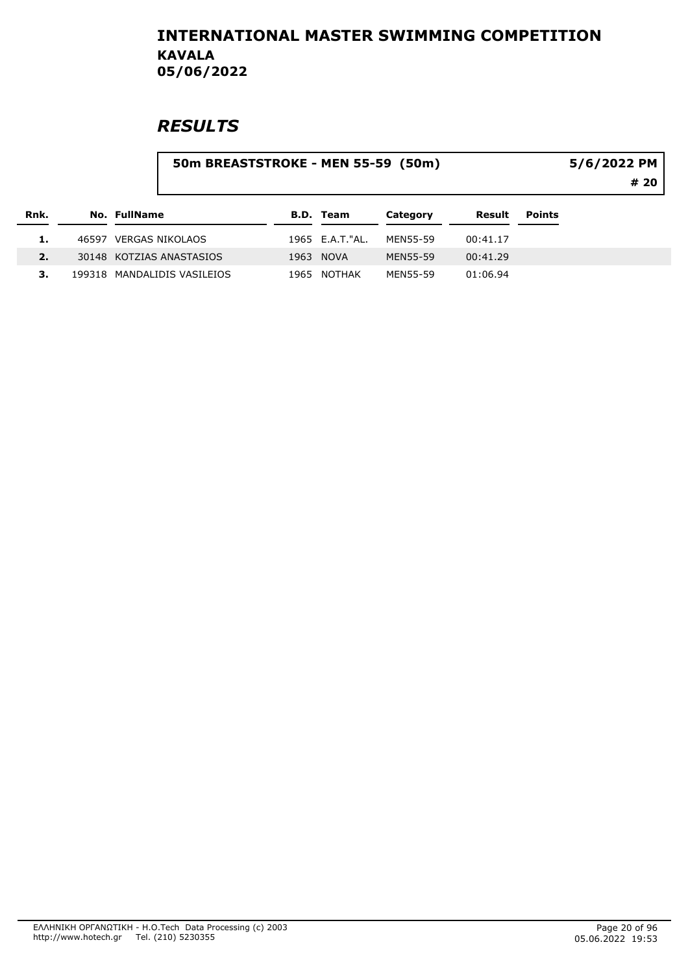|      |              | 50m BREASTSTROKE - MEN 55-59 (50m) |      |                  |          | 5/6/2022 PM |               |      |  |
|------|--------------|------------------------------------|------|------------------|----------|-------------|---------------|------|--|
|      |              |                                    |      |                  |          |             |               | # 20 |  |
| Rnk. | No. FullName |                                    |      | <b>B.D. Team</b> | Category | Result      | <b>Points</b> |      |  |
|      |              | 46597 VERGAS NIKOLAOS              |      | 1965 E.A.T. "AL. | MEN55-59 | 00:41.17    |               |      |  |
| 2.   |              | 30148 KOTZIAS ANASTASIOS           |      | 1963 NOVA        | MEN55-59 | 00:41.29    |               |      |  |
|      |              | 199318 MANDALIDIS VASILEIOS        | 1965 | NOTHAK           | MEN55-59 | 01:06.94    |               |      |  |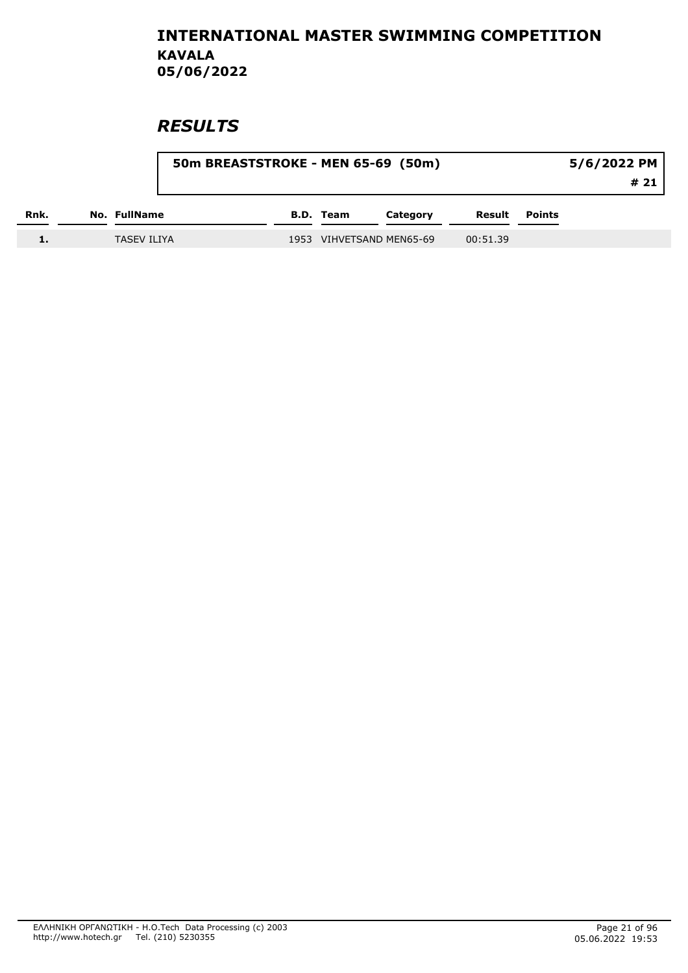|      |              |                    | 50m BREASTSTROKE - MEN 65-69 (50m) |                  |                     |          |               | 5/6/2022 PM |
|------|--------------|--------------------|------------------------------------|------------------|---------------------|----------|---------------|-------------|
|      |              |                    |                                    |                  |                     |          |               | # 21        |
| Rnk. | No. FullName |                    |                                    | <b>B.D.</b> Team | Category            | Result   | <b>Points</b> |             |
| ∸-   |              | <b>TASEV ILIYA</b> | 1953                               |                  | VIHVETSAND MEN65-69 | 00:51.39 |               |             |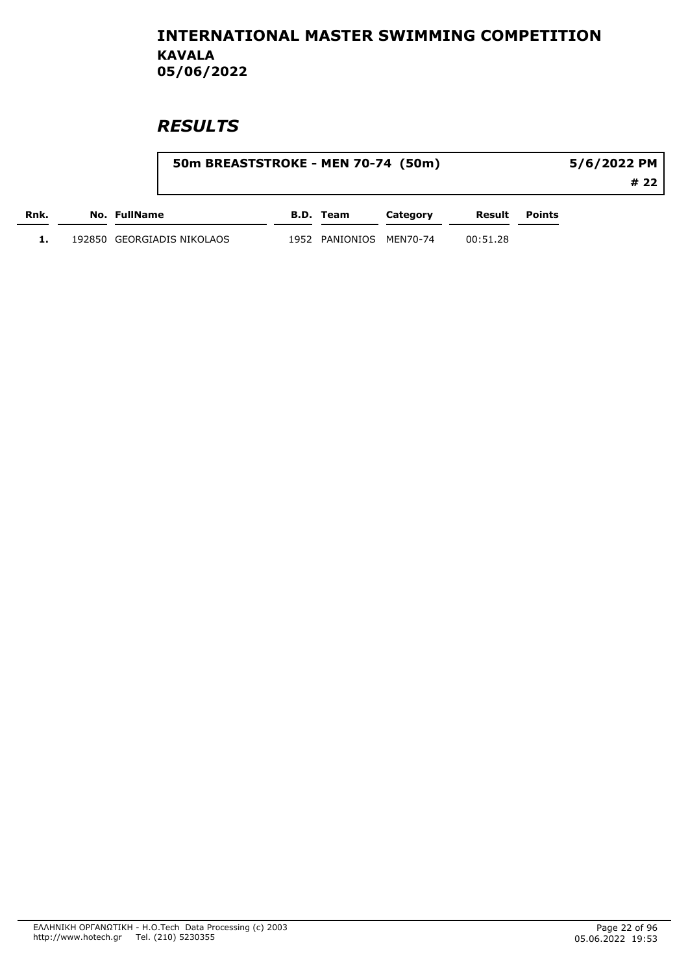|      | 50m BREASTSTROKE - MEN 70-74 (50m) |      |                    |          |          |               | 5/6/2022 PM |
|------|------------------------------------|------|--------------------|----------|----------|---------------|-------------|
|      |                                    |      |                    |          |          |               | # 22        |
| Rnk. | No. FullName                       |      | B.D. Team          | Category | Result   | <b>Points</b> |             |
|      | 192850 GEORGIADIS NIKOLAOS         | 1952 | PANIONIOS MEN70-74 |          | 00:51.28 |               |             |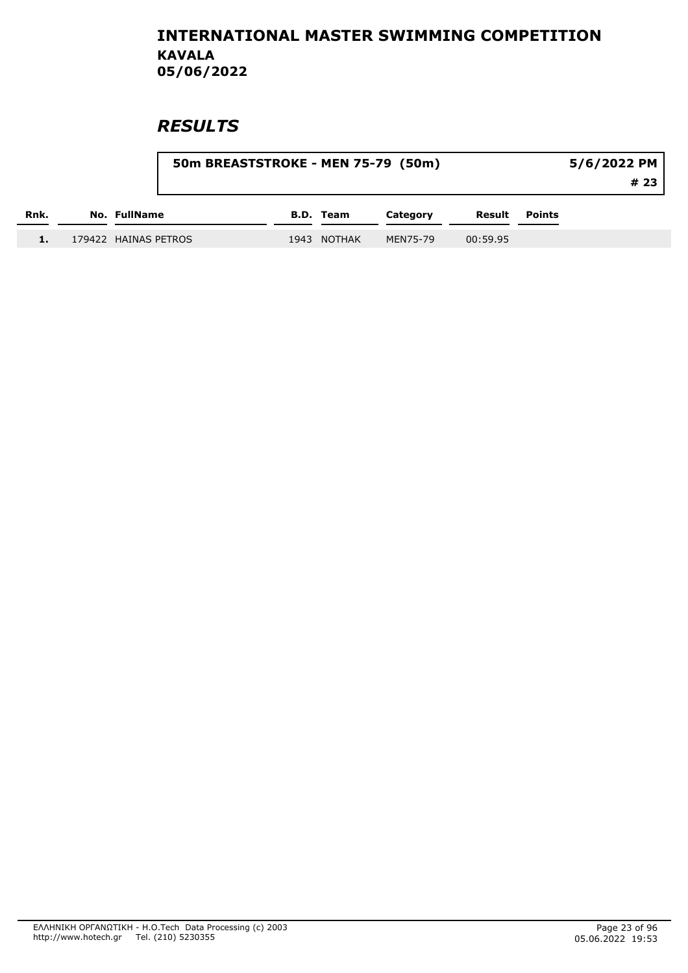|      |                      | 50m BREASTSTROKE - MEN 75-79 (50m) |                  |          |          |        | 5/6/2022 PM |
|------|----------------------|------------------------------------|------------------|----------|----------|--------|-------------|
|      |                      |                                    |                  |          |          |        | # 23        |
| Rnk. | No. FullName         |                                    | <b>B.D.</b> Team | Category | Result   | Points |             |
|      | 179422 HAINAS PETROS | 1943                               | <b>NOTHAK</b>    | MEN75-79 | 00:59.95 |        |             |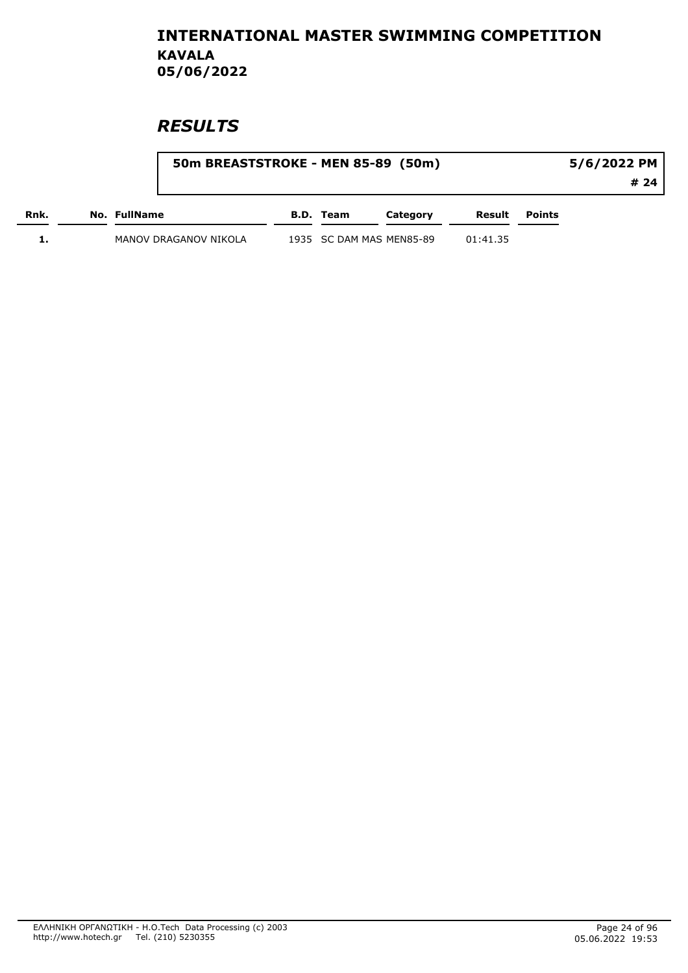|      | 50m BREASTSTROKE - MEN 85-89 (50m) |           |                          |          | 5/6/2022 PM          |      |  |
|------|------------------------------------|-----------|--------------------------|----------|----------------------|------|--|
|      |                                    |           |                          |          |                      | # 24 |  |
| Rnk. | No. FullName                       | B.D. Team | Category                 |          | <b>Result</b> Points |      |  |
|      | MANOV DRAGANOV NIKOLA              |           | 1935 SC DAM MAS MEN85-89 | 01:41.35 |                      |      |  |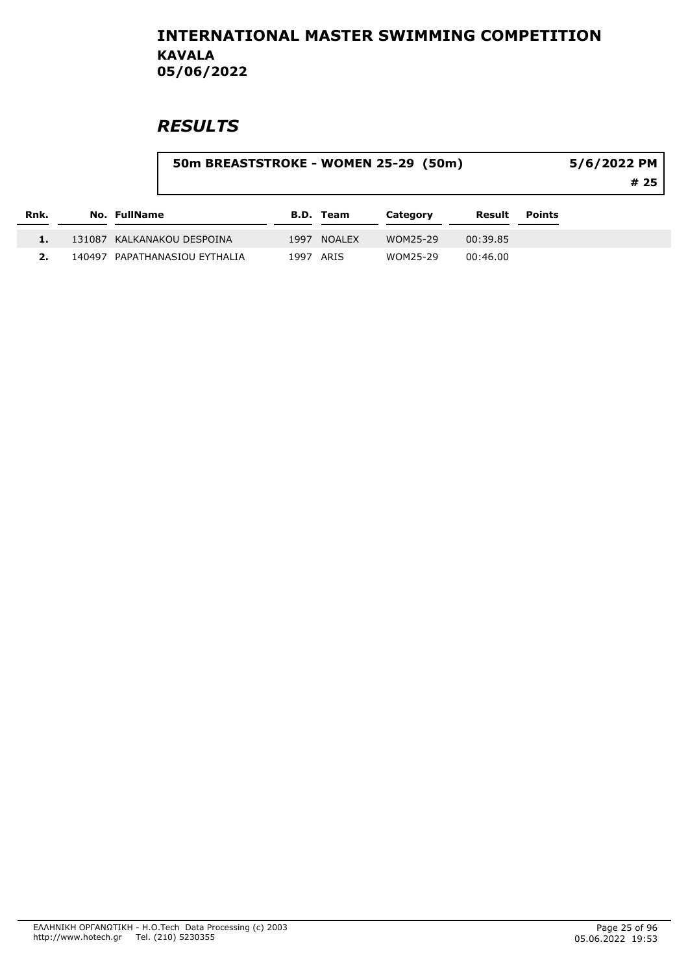| Rnk. |                               | 50m BREASTSTROKE - WOMEN 25-29 (50m)<br>5/6/2022 PM |             |          |          |        |  |
|------|-------------------------------|-----------------------------------------------------|-------------|----------|----------|--------|--|
|      | No. FullName                  |                                                     | B.D. Team   | Category | Result   | Points |  |
|      | 131087 KALKANAKOU DESPOINA    |                                                     | 1997 NOALEX | WOM25-29 | 00:39.85 |        |  |
|      | 140497 PAPATHANASIOU EYTHALIA |                                                     | 1997 ARIS   | WOM25-29 | 00:46.00 |        |  |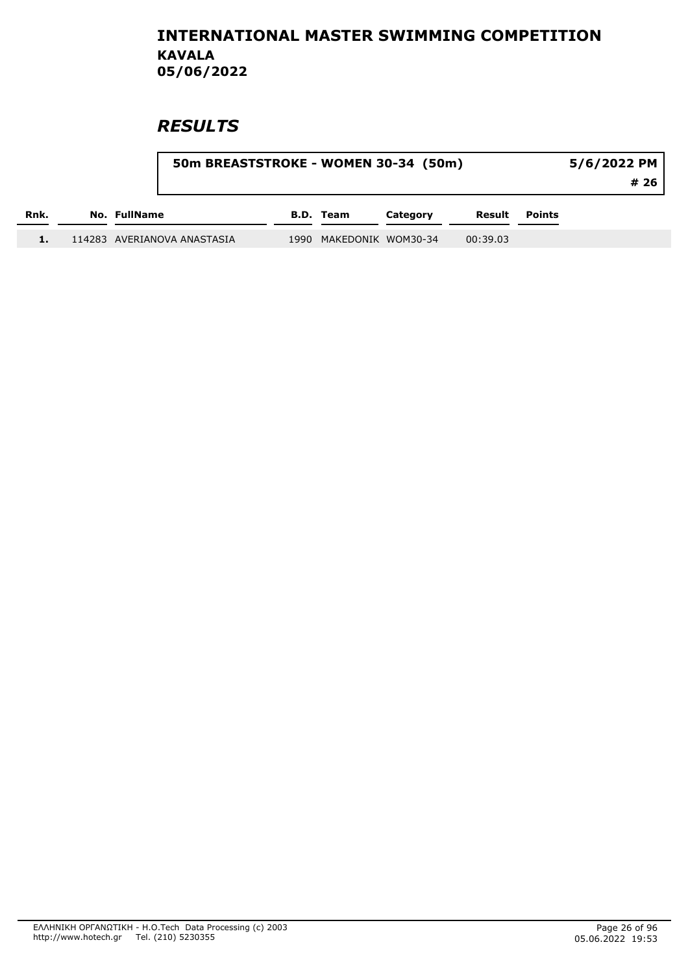|      | 50m BREASTSTROKE - WOMEN 30-34 (50m) |      |                    | 5/6/2022 PM<br># 26 |          |               |  |
|------|--------------------------------------|------|--------------------|---------------------|----------|---------------|--|
| Rnk. | No. FullName                         |      | <b>B.D. Team</b>   | Category            | Result   | <b>Points</b> |  |
|      | 114283 AVERIANOVA ANASTASIA          | 1990 | MAKEDONIK WOM30-34 |                     | 00:39.03 |               |  |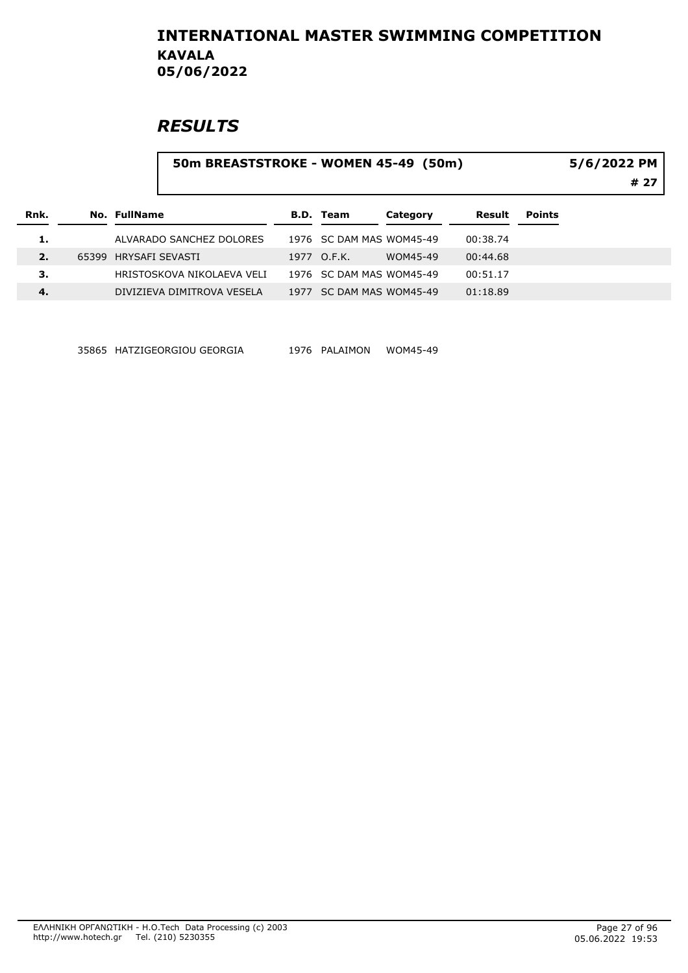### **RESULTS**

#### 50m BREASTSTROKE - WOMEN 45-49 (50m)

5/6/2022 PM

# 27

| Rnk.         | No. FullName               |      | B.D. Team                | Category | Result   | <b>Points</b> |
|--------------|----------------------------|------|--------------------------|----------|----------|---------------|
| 1.           | ALVARADO SANCHEZ DOLORES   |      | 1976 SC DAM MAS WOM45-49 |          | 00:38.74 |               |
| $\mathbf{2}$ | 65399 HRYSAFI SEVASTI      |      | 1977 O.F.K.              | WOM45-49 | 00:44.68 |               |
| з.           | HRISTOSKOVA NIKOLAEVA VELI |      | 1976 SC DAM MAS WOM45-49 |          | 00:51.17 |               |
| 4.           | DIVIZIEVA DIMITROVA VESELA | 1977 | SC DAM MAS WOM45-49      |          | 01:18.89 |               |

35865 HATZIGEORGIOU GEORGIA 1976 PALAIMON WOM45-49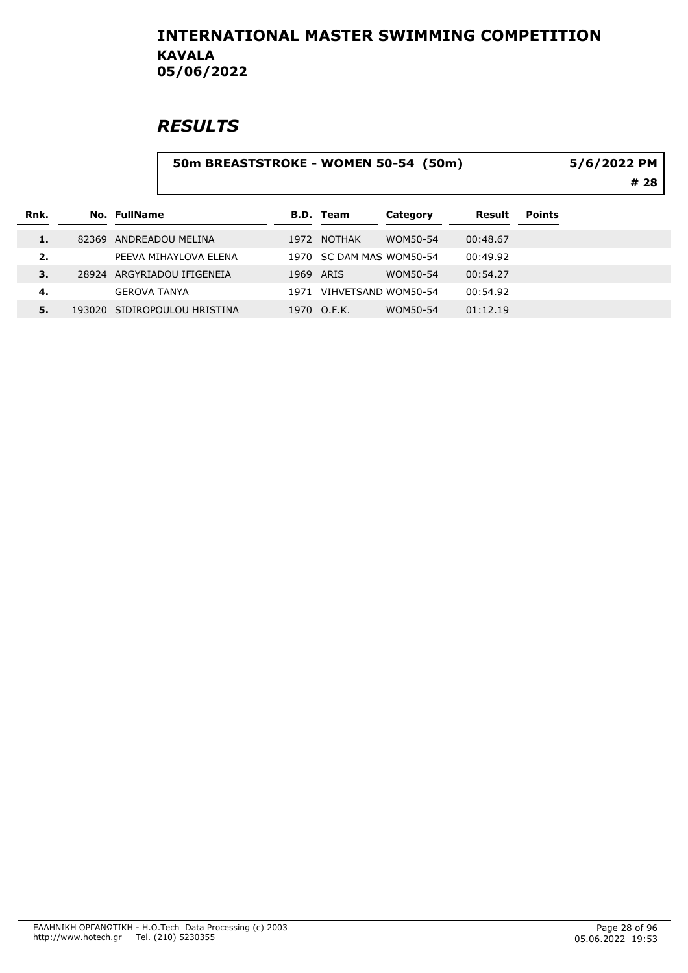# **RESULTS**

#### 50m BREASTSTROKE - WOMEN 50-54 (50m)

5/6/2022 PM

# 28

| Rnk. | No. FullName                 |      | <b>B.D.</b> Team         | Category | Result   | <b>Points</b> |
|------|------------------------------|------|--------------------------|----------|----------|---------------|
| 1.   | 82369 ANDREADOU MELINA       | 1972 | NOTHAK                   | WOM50-54 | 00:48.67 |               |
| 2.   | PEEVA MIHAYLOVA ELENA        |      | 1970 SC DAM MAS WOM50-54 |          | 00:49.92 |               |
| 3.   | 28924 ARGYRIADOU IFIGENEIA   | 1969 | ARIS                     | WOM50-54 | 00:54.27 |               |
| 4.   | <b>GEROVA TANYA</b>          | 1971 | VIHVETSAND WOM50-54      |          | 00:54.92 |               |
| 5.   | 193020 SIDIROPOULOU HRISTINA |      | 1970 O.F.K.              | WOM50-54 | 01:12.19 |               |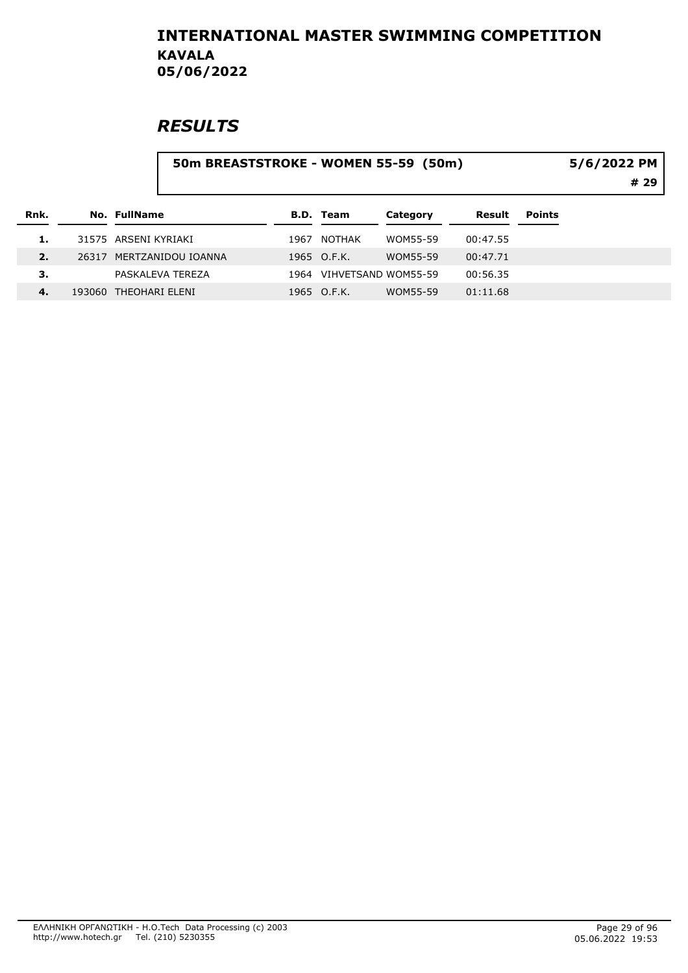# **RESULTS**

#### 50m BREASTSTROKE - WOMEN 55-59 (50m)

# 29 5/6/2022 PM

| Rnk.  | No. FullName             | B.D. Team                | Category | Result   | <b>Points</b> |
|-------|--------------------------|--------------------------|----------|----------|---------------|
|       | 31575 ARSENI KYRIAKI     | 1967 NOTHAK              | WOM55-59 | 00:47.55 |               |
| 2.    | 26317 MERTZANIDOU IOANNA | 1965 O.F.K.              | WOM55-59 | 00:47.71 |               |
| з.    | PASKALEVA TEREZA         | 1964 VIHVETSAND WOM55-59 |          | 00:56.35 |               |
| $-4.$ | 193060 THEOHARI ELENI    | 1965 O.F.K.              | WOM55-59 | 01:11.68 |               |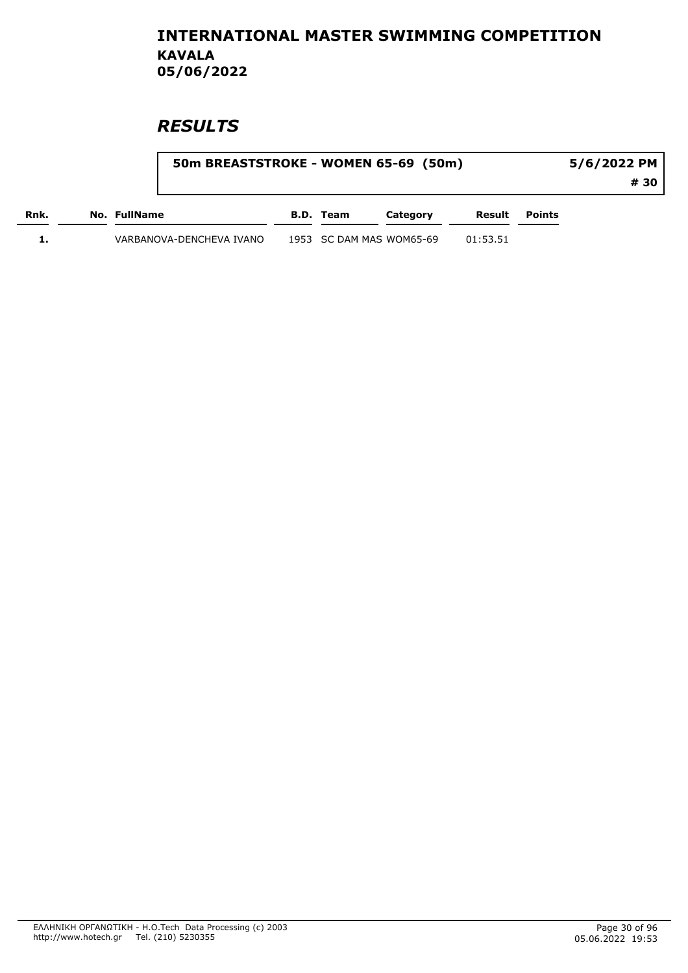|      | 50m BREASTSTROKE - WOMEN 65-69 (50m) |           |                          |          | 5/6/2022 PM   |      |  |
|------|--------------------------------------|-----------|--------------------------|----------|---------------|------|--|
|      |                                      |           |                          |          |               | # 30 |  |
| Rnk. | No. FullName                         | B.D. Team | Category                 | Result   | <b>Points</b> |      |  |
|      | VARBANOVA-DENCHEVA IVANO             |           | 1953 SC DAM MAS WOM65-69 | 01:53.51 |               |      |  |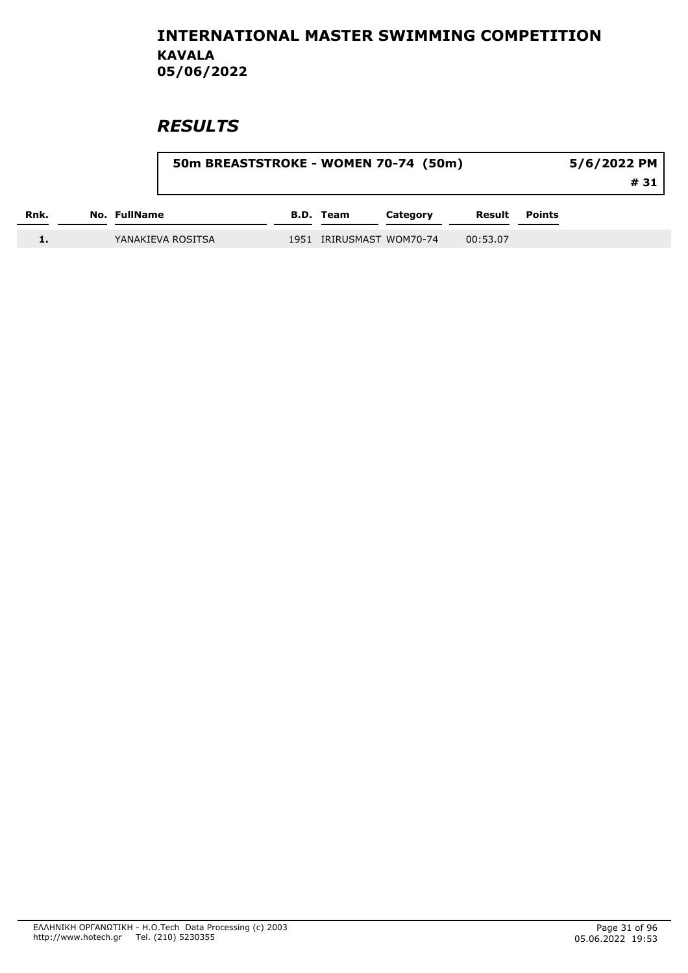|      |                   | 50m BREASTSTROKE - WOMEN 70-74 (50m) |  |                          |          |          | 5/6/2022 PM<br># 31 |  |  |
|------|-------------------|--------------------------------------|--|--------------------------|----------|----------|---------------------|--|--|
| Rnk. | No. FullName      |                                      |  | <b>B.D. Team</b>         | Category | Result   | <b>Points</b>       |  |  |
|      | YANAKIEVA ROSITSA |                                      |  | 1951 IRIRUSMAST WOM70-74 |          | 00:53.07 |                     |  |  |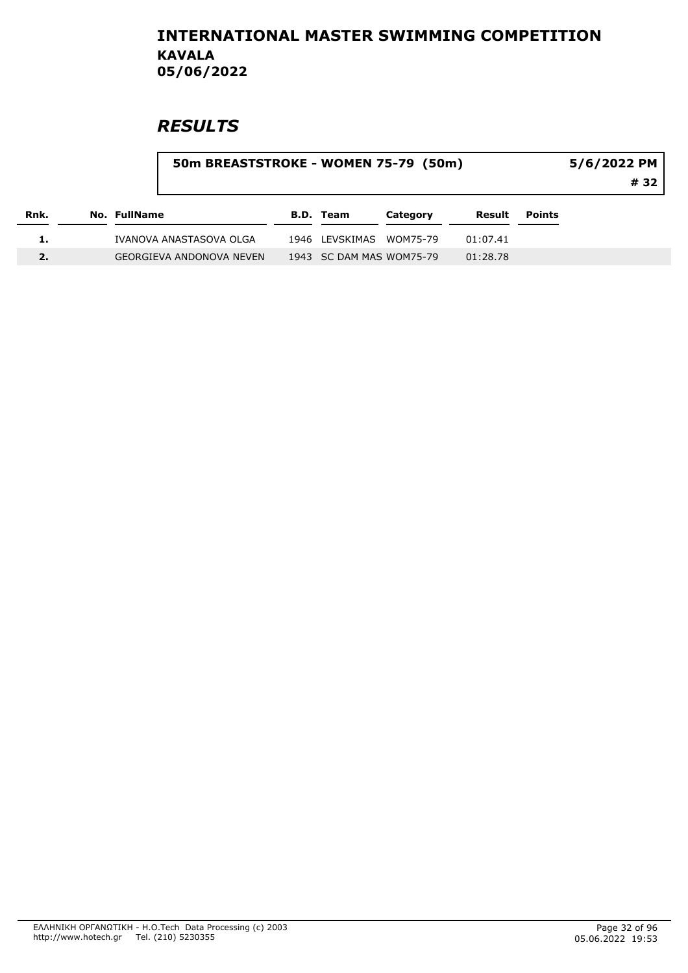| Rnk. |              | 50m BREASTSTROKE - WOMEN 75-79 (50m) |  |                          |          |          | 5/6/2022 PM<br># 32 |  |
|------|--------------|--------------------------------------|--|--------------------------|----------|----------|---------------------|--|
|      | No. FullName |                                      |  | B.D. Team                | Category | Result   | Points              |  |
|      |              | IVANOVA ANASTASOVA OLGA              |  | 1946 LEVSKIMAS           | WOM75-79 | 01:07.41 |                     |  |
| 2.   |              | GEORGIEVA ANDONOVA NEVEN             |  | 1943 SC DAM MAS WOM75-79 |          | 01:28.78 |                     |  |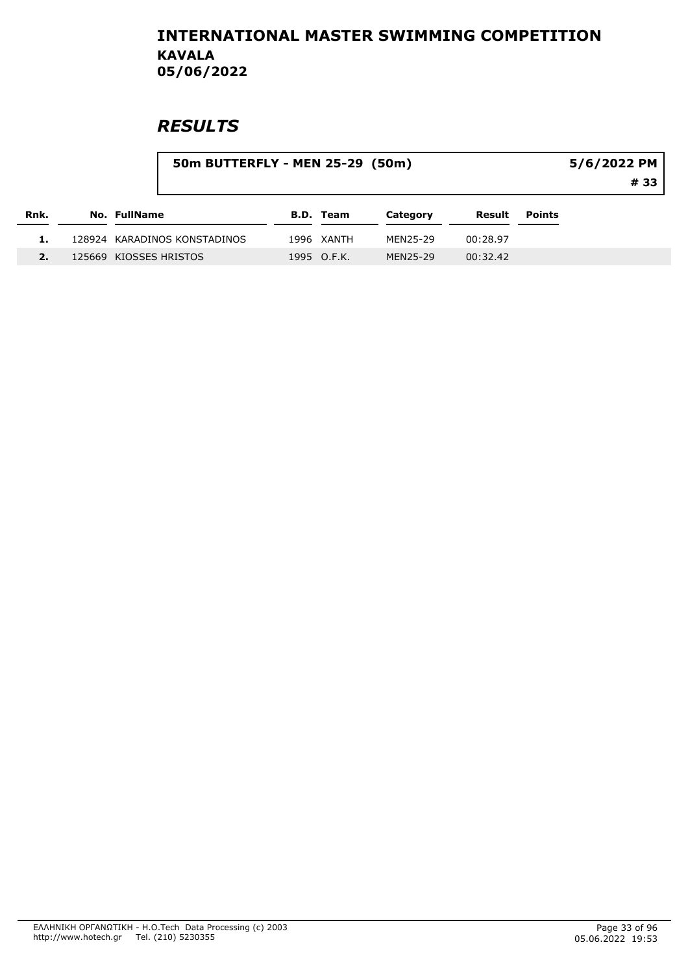|      | 50m BUTTERFLY - MEN 25-29 (50m) |                  |          |          |               | 5/6/2022 PM |
|------|---------------------------------|------------------|----------|----------|---------------|-------------|
|      |                                 |                  |          |          |               | # 33        |
| Rnk. | <b>No. FullName</b>             | <b>B.D. Team</b> | Category | Result   | <b>Points</b> |             |
|      | 128924 KARADINOS KONSTADINOS    | 1996 XANTH       | MEN25-29 | 00:28.97 |               |             |
|      | 125669 KIOSSES HRISTOS          | 1995 O.F.K.      | MEN25-29 | 00:32.42 |               |             |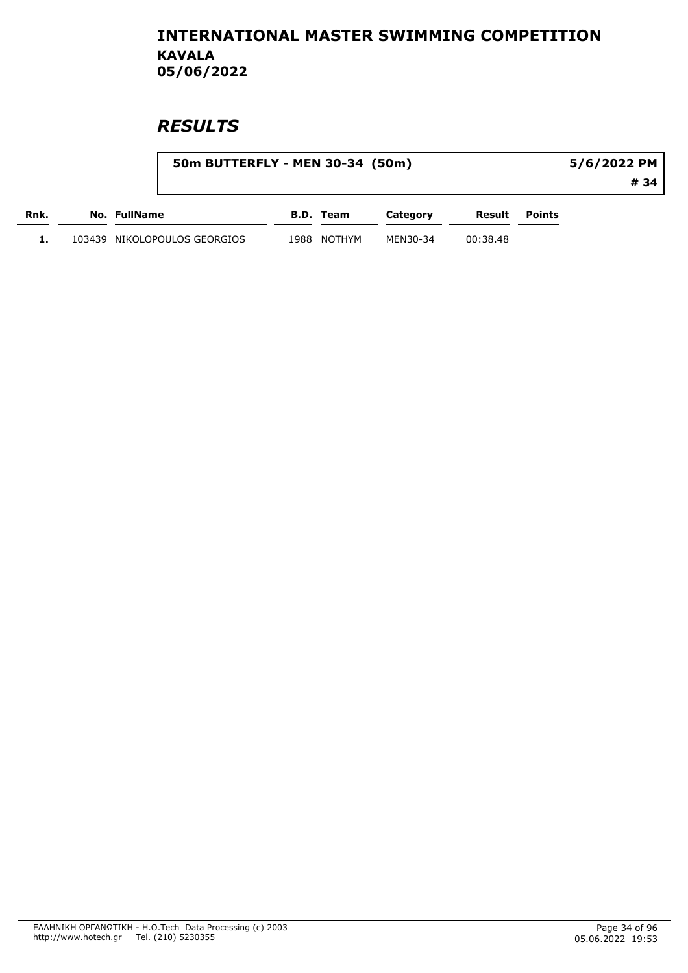|      | 50m BUTTERFLY - MEN 30-34 (50m) |      |           |          |          |               | 5/6/2022 PM |
|------|---------------------------------|------|-----------|----------|----------|---------------|-------------|
|      |                                 |      |           |          |          |               | # 34        |
| Rnk. | No. FullName                    |      | B.D. Team | Category | Result   | <b>Points</b> |             |
|      | 103439 NIKOLOPOULOS GEORGIOS    | 1988 | NOTHYM    | MEN30-34 | 00:38.48 |               |             |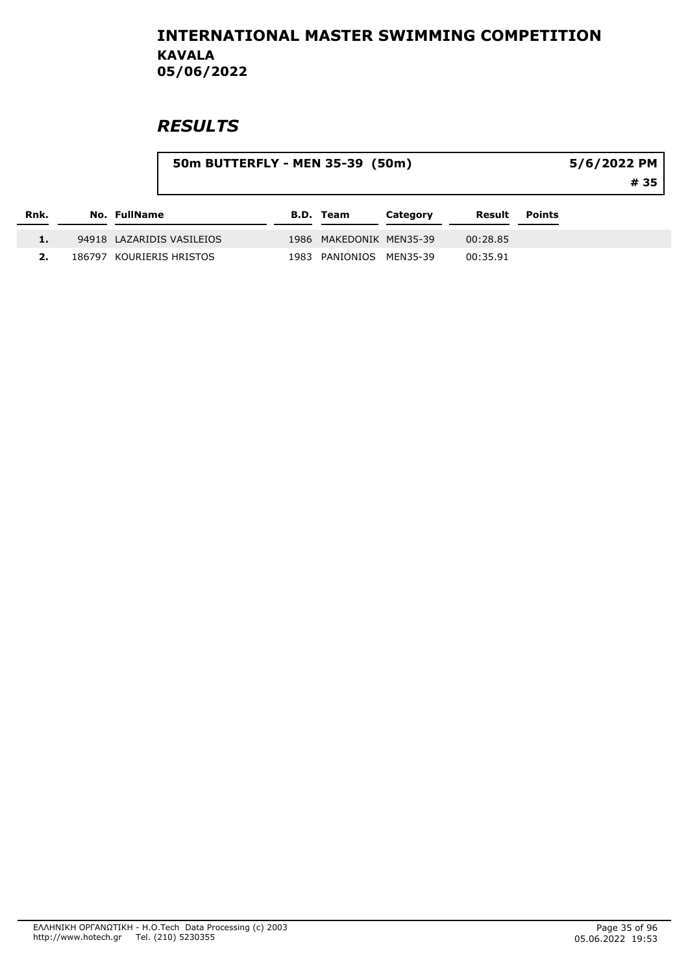|      |        |                           | 50m BUTTERFLY - MEN 35-39 (50m) |      |                         |          |          |               | 5/6/2022 PM<br># 35 |
|------|--------|---------------------------|---------------------------------|------|-------------------------|----------|----------|---------------|---------------------|
| Rnk. |        | No. FullName              |                                 |      | <b>B.D. Team</b>        | Category | Result   | <b>Points</b> |                     |
|      |        | 94918 LAZARIDIS VASILEIOS |                                 |      | 1986 MAKEDONIK MEN35-39 |          | 00:28.85 |               |                     |
|      | 186797 | KOURIERIS HRISTOS         |                                 | 1983 | PANIONIOS               | MEN35-39 | 00:35.91 |               |                     |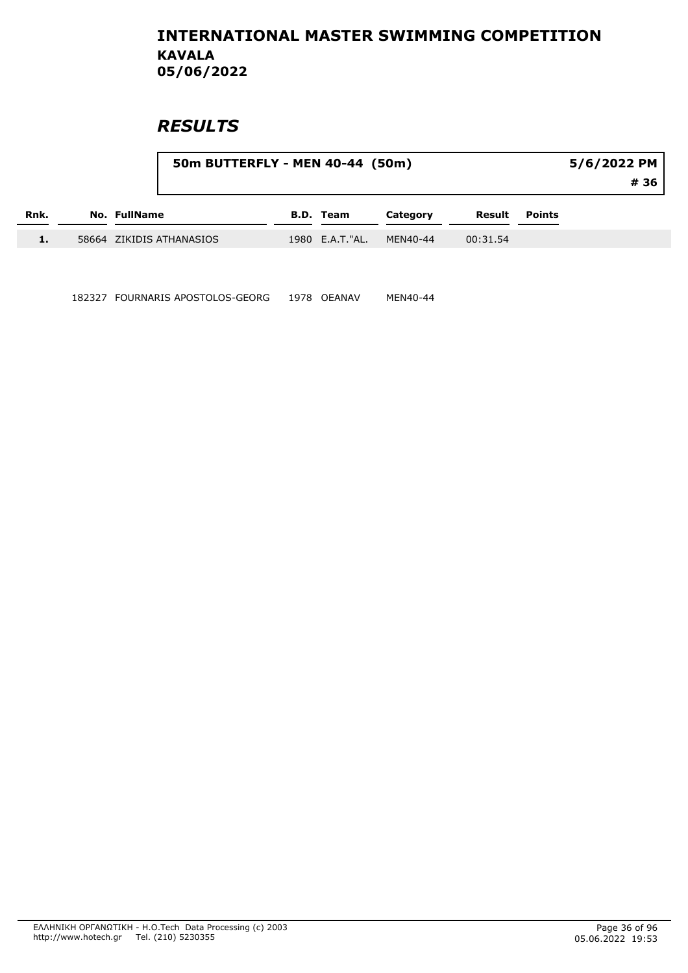# **RESULTS**

|      |                     | 50m BUTTERFLY - MEN 40-44 (50m) |                  |          |          |        | 5/6/2022 PM |
|------|---------------------|---------------------------------|------------------|----------|----------|--------|-------------|
|      |                     |                                 |                  |          |          |        | # 36        |
| Rnk. | <b>No. FullName</b> |                                 | <b>B.D. Team</b> | Category | Result   | Points |             |
| 1.   |                     | 58664 ZIKIDIS ATHANASIOS        | 1980 E.A.T."AL.  | MEN40-44 | 00:31.54 |        |             |

182327 FOURNARIS APOSTOLOS-GEORG 1978 OEANAV MEN40-44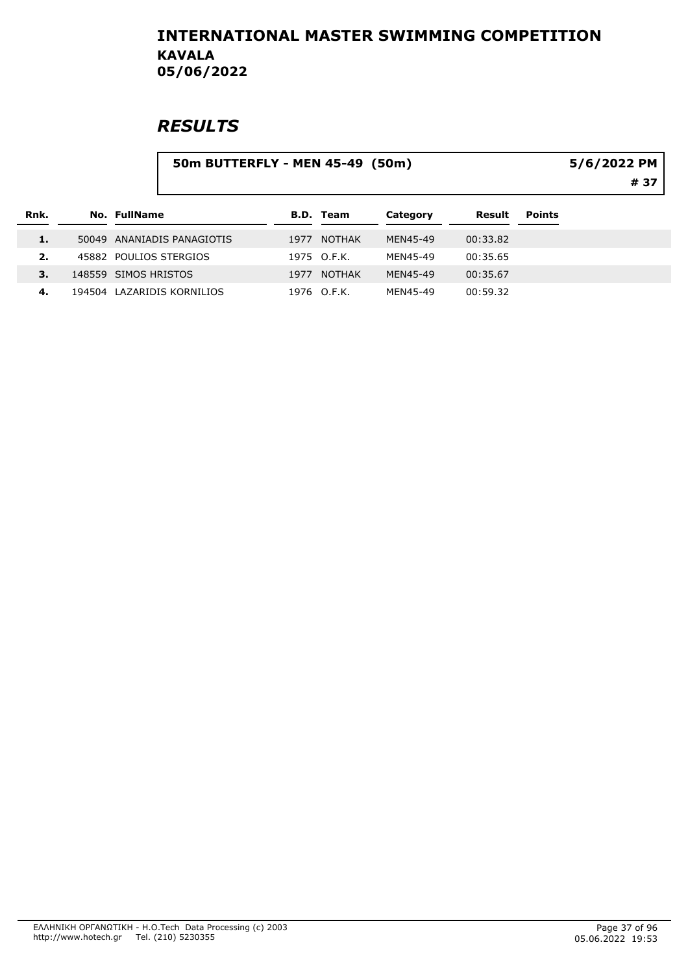|      |       |                      | 50m BUTTERFLY - MEN 45-49 (50m) |      |                  |          |          |               | 5/6/2022 PM<br># 37 |
|------|-------|----------------------|---------------------------------|------|------------------|----------|----------|---------------|---------------------|
| Rnk. |       | No. FullName         |                                 |      | <b>B.D. Team</b> | Category | Result   | <b>Points</b> |                     |
| 1.   | 50049 |                      | ANANIADIS PANAGIOTIS            | 1977 | <b>NOTHAK</b>    | MEN45-49 | 00:33.82 |               |                     |
| 2.   |       |                      | 45882 POULIOS STERGIOS          |      | 1975 O.F.K.      | MEN45-49 | 00:35.65 |               |                     |
| 3.   |       | 148559 SIMOS HRISTOS |                                 | 1977 | <b>NOTHAK</b>    | MEN45-49 | 00:35.67 |               |                     |
| 4.   |       |                      | 194504 LAZARIDIS KORNILIOS      |      | 1976 O.F.K.      | MEN45-49 | 00:59.32 |               |                     |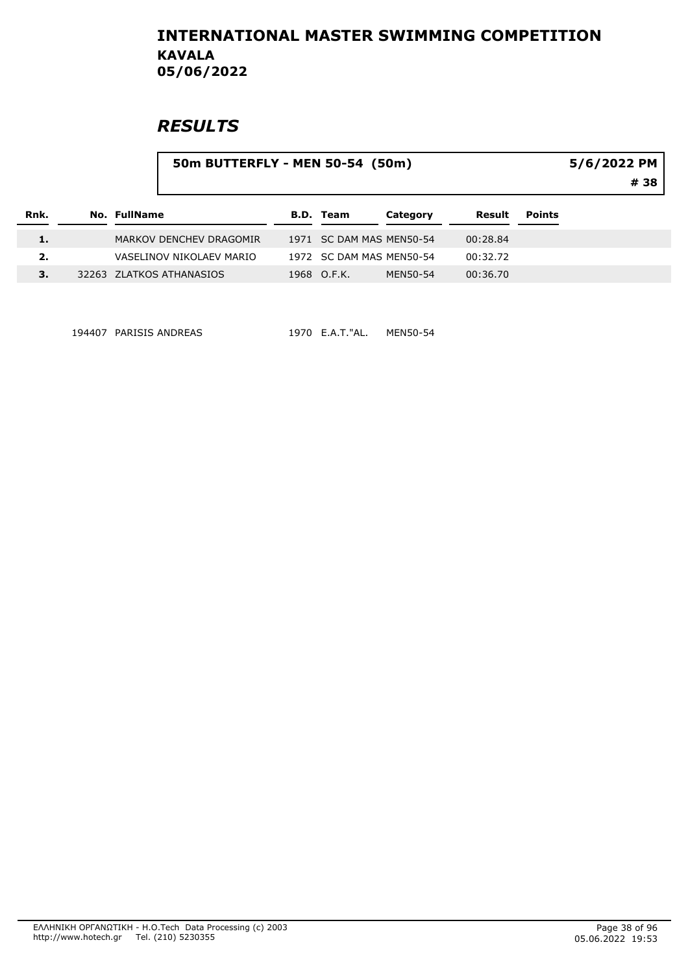# **RESULTS**

|  |                                                                                                 |                                 |                                                                                         |               | 5/6/2022 PM<br># 38 |
|--|-------------------------------------------------------------------------------------------------|---------------------------------|-----------------------------------------------------------------------------------------|---------------|---------------------|
|  |                                                                                                 | Category                        | Result                                                                                  | <b>Points</b> |                     |
|  |                                                                                                 |                                 | 00:28.84                                                                                |               |                     |
|  |                                                                                                 |                                 | 00:32.72                                                                                |               |                     |
|  |                                                                                                 | MEN50-54                        | 00:36.70                                                                                |               |                     |
|  | No. FullName<br>MARKOV DENCHEV DRAGOMIR<br>VASELINOV NIKOLAEV MARIO<br>32263 ZLATKOS ATHANASIOS | <b>B.D. Team</b><br>1968 O.F.K. | 50m BUTTERFLY - MEN 50-54 (50m)<br>1971 SC DAM MAS MEN50-54<br>1972 SC DAM MAS MEN50-54 |               |                     |

194407 PARISIS ANDREAS 1970 E.A.T."AL. MEN50-54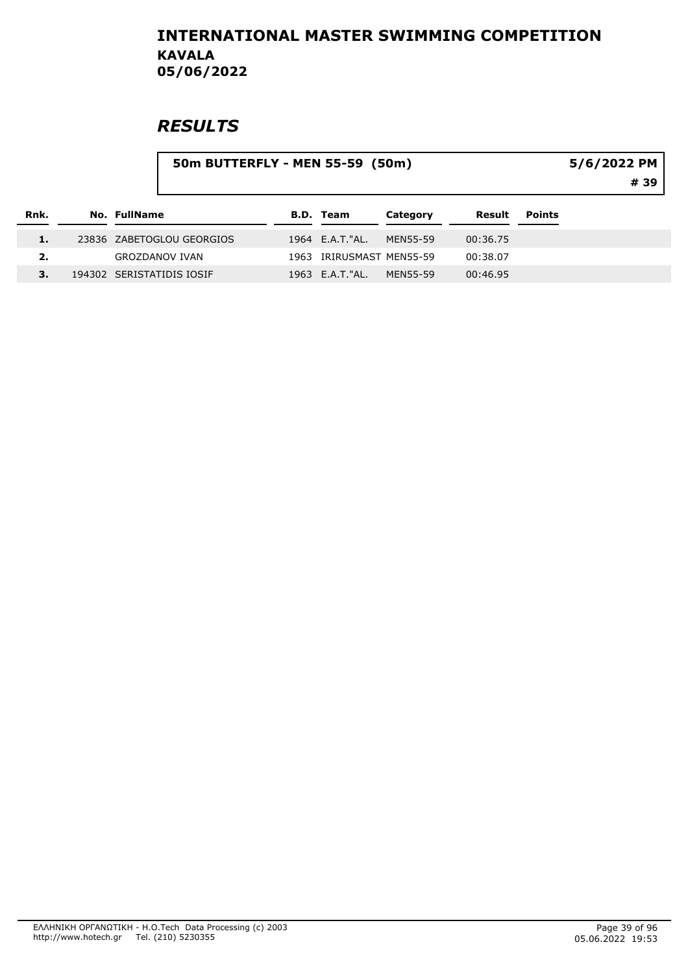|      |              | 50m BUTTERFLY - MEN 55-59 (50m) |                          |          |          |               | 5/6/2022 PM |
|------|--------------|---------------------------------|--------------------------|----------|----------|---------------|-------------|
|      |              |                                 |                          |          |          |               | # 39        |
| Rnk. | No. FullName |                                 | <b>B.D. Team</b>         | Category | Result   | <b>Points</b> |             |
|      |              | 23836 ZABETOGLOU GEORGIOS       | 1964 E.A.T."AL.          | MEN55-59 | 00:36.75 |               |             |
| 2.   |              | <b>GROZDANOV IVAN</b>           | 1963 IRIRUSMAST MEN55-59 |          | 00:38.07 |               |             |
|      |              | 194302 SERISTATIDIS IOSIF       | 1963 E.A.T."AL.          | MEN55-59 | 00:46.95 |               |             |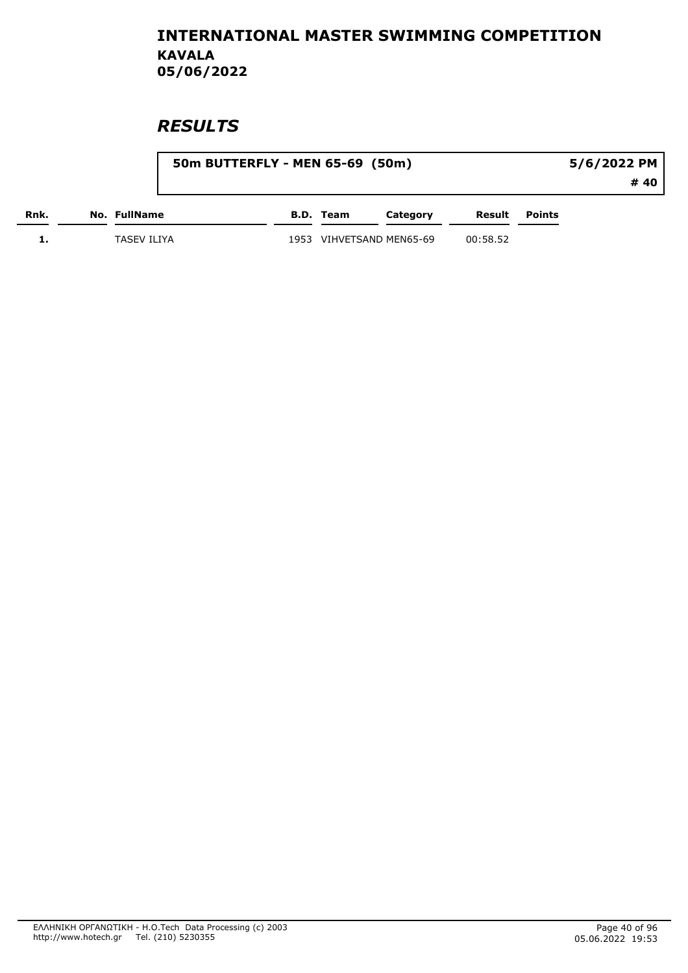|      |                    | 50m BUTTERFLY - MEN 65-69 (50m) |                     |          |          |               | 5/6/2022 PM |
|------|--------------------|---------------------------------|---------------------|----------|----------|---------------|-------------|
|      |                    |                                 |                     |          |          |               | # 40        |
| Rnk. | No. FullName       |                                 | B.D. Team           | Category | Result   | <b>Points</b> |             |
| . .  | <b>TASEV ILIYA</b> | 1953                            | VIHVETSAND MEN65-69 |          | 00:58.52 |               |             |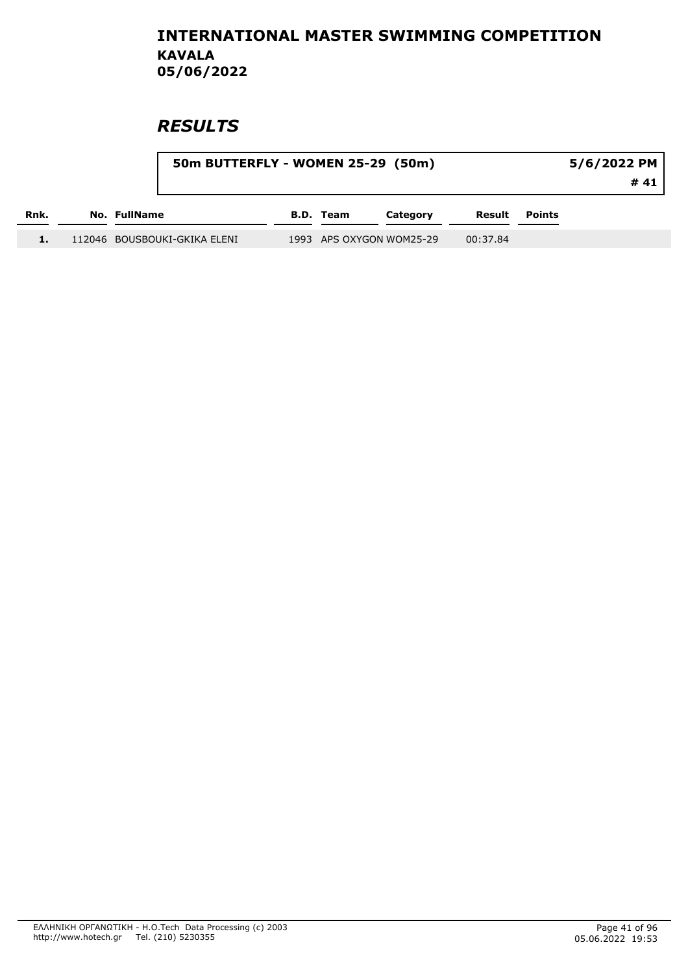|      | 50m BUTTERFLY - WOMEN 25-29 (50m) |           |                          |          |               | $5/6/2022$ PM |
|------|-----------------------------------|-----------|--------------------------|----------|---------------|---------------|
|      |                                   |           |                          |          |               | #41           |
| Rnk. | No. FullName                      | B.D. Team | Category                 | Result   | <b>Points</b> |               |
|      | 112046 BOUSBOUKI-GKIKA ELENI      |           | 1993 APS OXYGON WOM25-29 | 00:37.84 |               |               |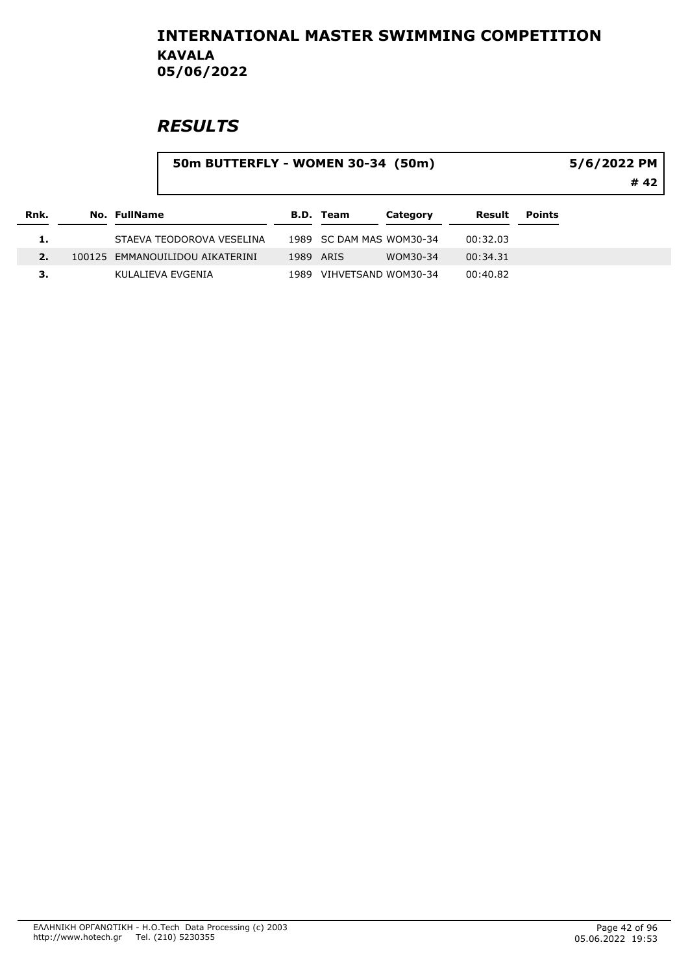|      |              | 50m BUTTERFLY - WOMEN 30-34 (50m) |      |                          |          |          |               | 5/6/2022 PM |
|------|--------------|-----------------------------------|------|--------------------------|----------|----------|---------------|-------------|
|      |              |                                   |      |                          |          |          |               | # 42        |
| Rnk. | No. FullName |                                   |      | <b>B.D. Team</b>         | Category | Result   | <b>Points</b> |             |
|      |              | STAEVA TEODOROVA VESELINA         |      | 1989 SC DAM MAS WOM30-34 |          | 00:32.03 |               |             |
| 2.   |              | 100125 EMMANOUILIDOU AIKATERINI   |      | 1989 ARIS                | WOM30-34 | 00:34.31 |               |             |
| З.   |              | KULALIEVA EVGENIA                 | 1989 | VIHVETSAND WOM30-34      |          | 00:40.82 |               |             |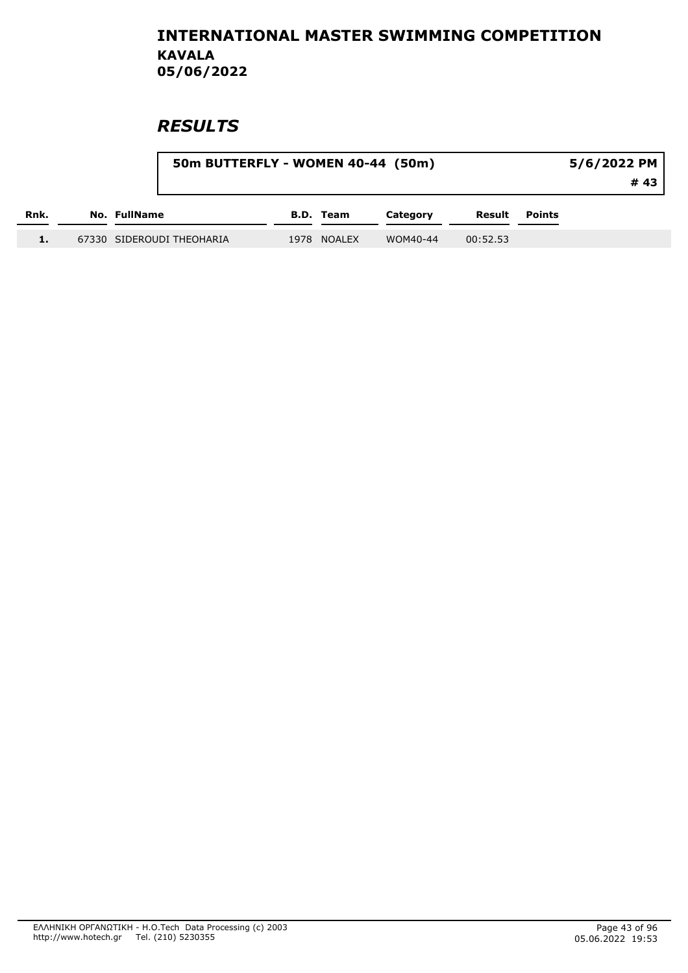|      | 50m BUTTERFLY - WOMEN 40-44 (50m) |             |          |          |        | 5/6/2022 PM |
|------|-----------------------------------|-------------|----------|----------|--------|-------------|
|      |                                   |             |          |          |        | # 43        |
| Rnk. | No. FullName                      | B.D. Team   | Category | Result   | Points |             |
| 1.   | 67330 SIDEROUDI THEOHARIA         | 1978 NOALEX | WOM40-44 | 00:52.53 |        |             |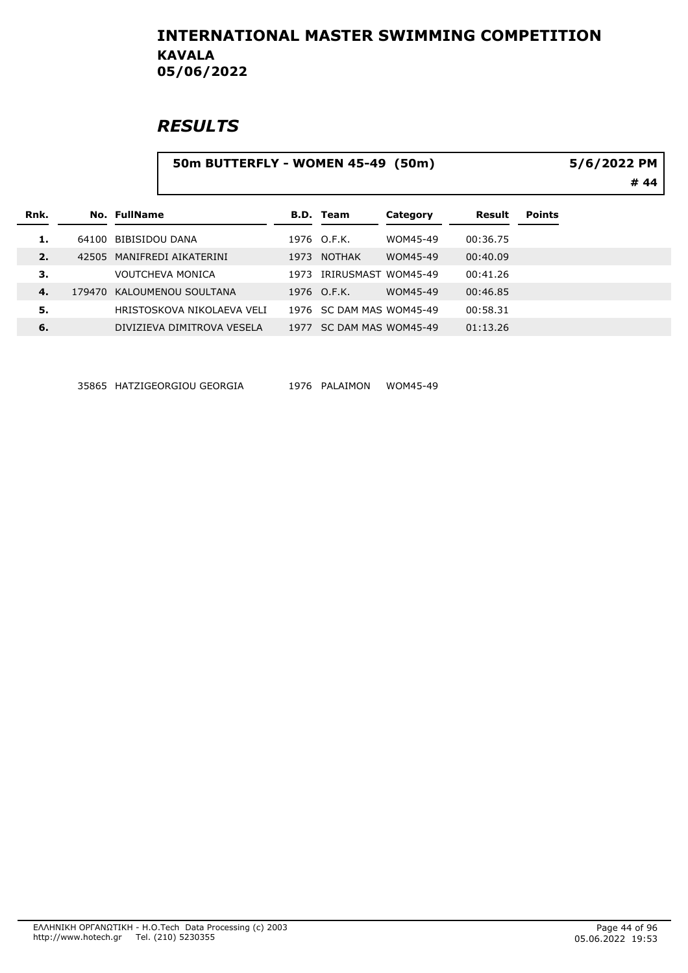# **RESULTS**

#### 50m BUTTERFLY - WOMEN 45-49 (50m)

5/6/2022 PM

# 44

| Rnk. |       | No. FullName               |      | <b>B.D.</b> Team         | Category | Result   | <b>Points</b> |
|------|-------|----------------------------|------|--------------------------|----------|----------|---------------|
|      |       | 64100 BIBISIDOU DANA       |      | 1976 O.F.K.              | WOM45-49 | 00:36.75 |               |
| 2.   | 42505 | MANIFREDI AIKATERINI       | 1973 | NOTHAK                   | WOM45-49 | 00:40.09 |               |
| З.   |       | VOUTCHEVA MONICA           | 1973 | IRIRUSMAST WOM45-49      |          | 00:41.26 |               |
| 4.   |       | 179470 KALOUMENOU SOULTANA |      | 1976 O.F.K.              | WOM45-49 | 00:46.85 |               |
| 5.   |       | HRISTOSKOVA NIKOLAFVA VELI |      | 1976 SC DAM MAS WOM45-49 |          | 00:58.31 |               |
| 6.   |       | DIVIZIEVA DIMITROVA VESELA | 1977 | SC DAM MAS WOM45-49      |          | 01:13.26 |               |

35865 HATZIGEORGIOU GEORGIA 1976 PALAIMON WOM45-49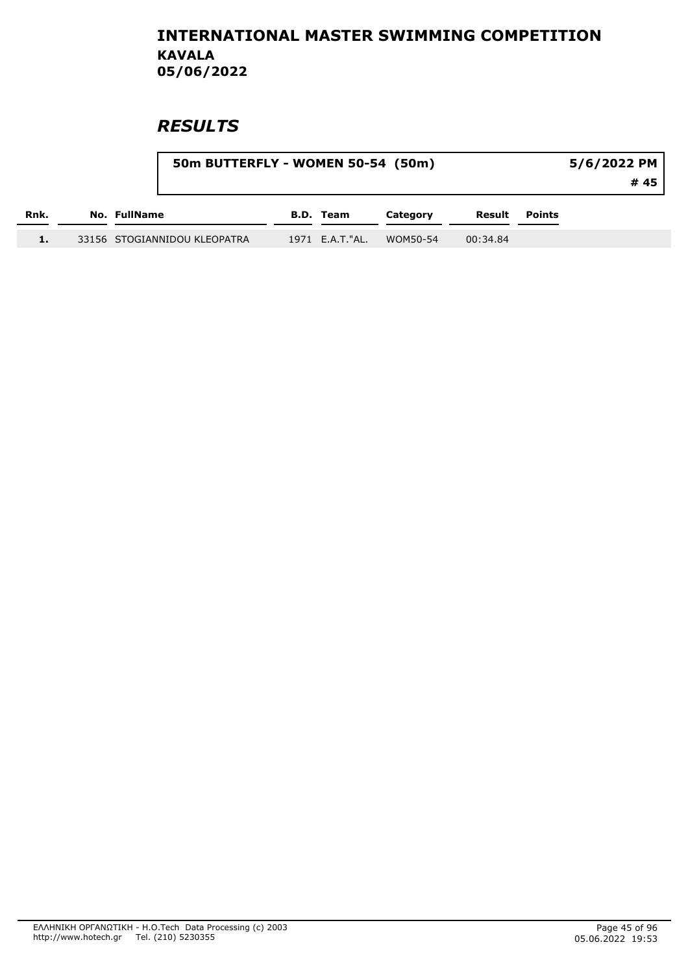|      | 50m BUTTERFLY - WOMEN 50-54 (50m) |  | 5/6/2022 PM      |          |          |        |      |
|------|-----------------------------------|--|------------------|----------|----------|--------|------|
|      |                                   |  |                  |          |          |        | # 45 |
| Rnk. | No. FullName                      |  | <b>B.D. Team</b> | Category | Result   | Points |      |
| 1.   | 33156 STOGIANNIDOU KLEOPATRA      |  | 1971 E.A.T."AL.  | WOM50-54 | 00:34.84 |        |      |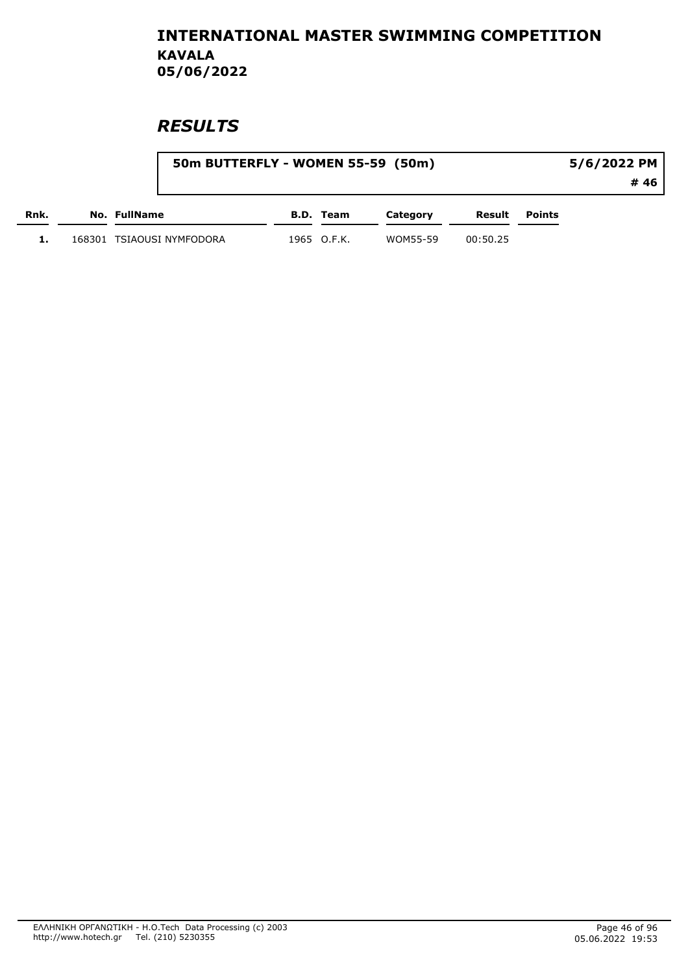|      |        |              |                    | 50m BUTTERFLY - WOMEN 55-59 (50m) |             |          |          | 5/6/2022 PM |      |  |  |
|------|--------|--------------|--------------------|-----------------------------------|-------------|----------|----------|-------------|------|--|--|
|      |        |              |                    |                                   |             |          |          |             | # 46 |  |  |
| Rnk. |        | No. FullName |                    |                                   | B.D. Team   | Category | Result   | Points      |      |  |  |
|      | 168301 |              | TSIAOUSI NYMFODORA |                                   | 1965 O.F.K. | WOM55-59 | 00:50.25 |             |      |  |  |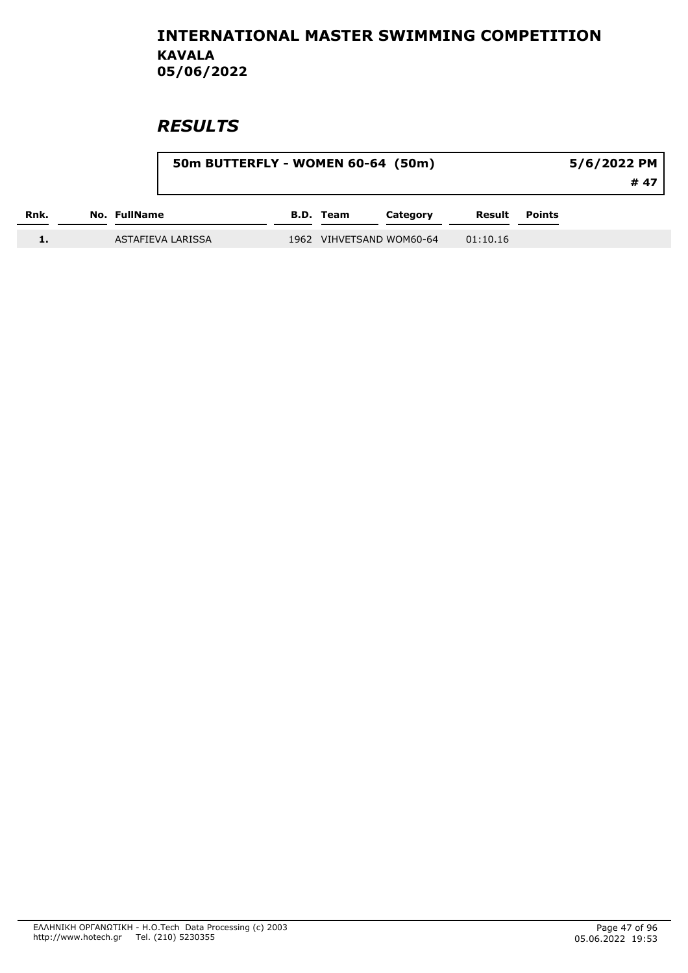|      |              | 50m BUTTERFLY - WOMEN 60-64 (50m) |                  |                          |          | 5/6/2022 PM          |      |  |
|------|--------------|-----------------------------------|------------------|--------------------------|----------|----------------------|------|--|
|      |              |                                   |                  |                          |          |                      | # 47 |  |
| Rnk. | No. FullName |                                   | <b>B.D.</b> Team | Category                 |          | <b>Result</b> Points |      |  |
|      |              | ASTAFIEVA LARISSA                 |                  | 1962 VIHVETSAND WOM60-64 | 01:10.16 |                      |      |  |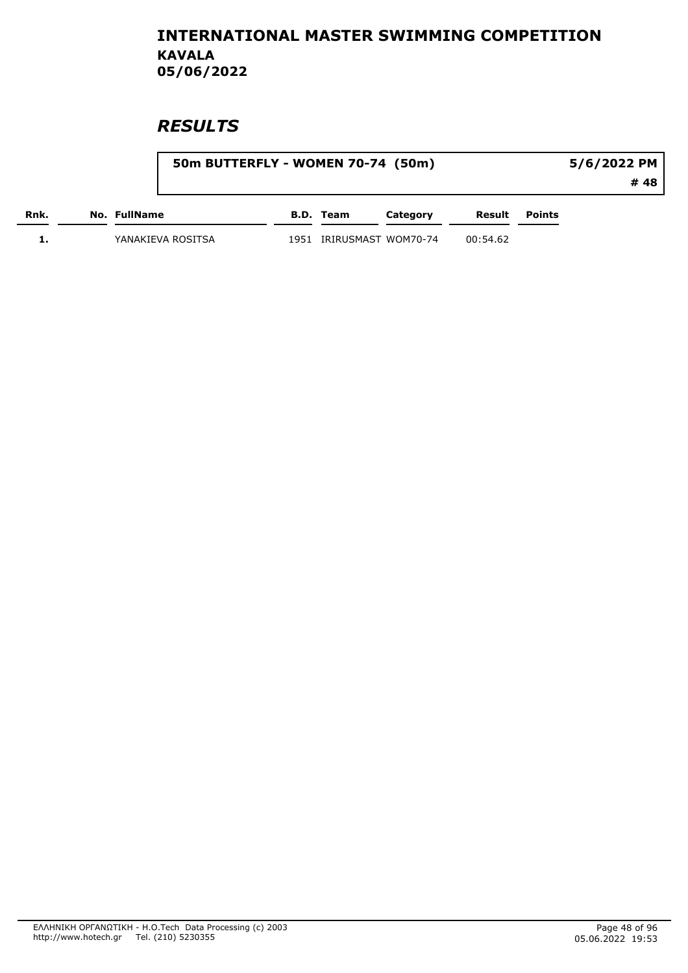|      |                   | 50m BUTTERFLY - WOMEN 70-74 (50m) |                          |          |          | 5/6/2022 PM   |      |  |
|------|-------------------|-----------------------------------|--------------------------|----------|----------|---------------|------|--|
|      |                   |                                   |                          |          |          |               | # 48 |  |
| Rnk. | No. FullName      |                                   | B.D. Team                | Category | Result   | <b>Points</b> |      |  |
|      | YANAKIEVA ROSITSA |                                   | 1951 IRIRUSMAST WOM70-74 |          | 00:54.62 |               |      |  |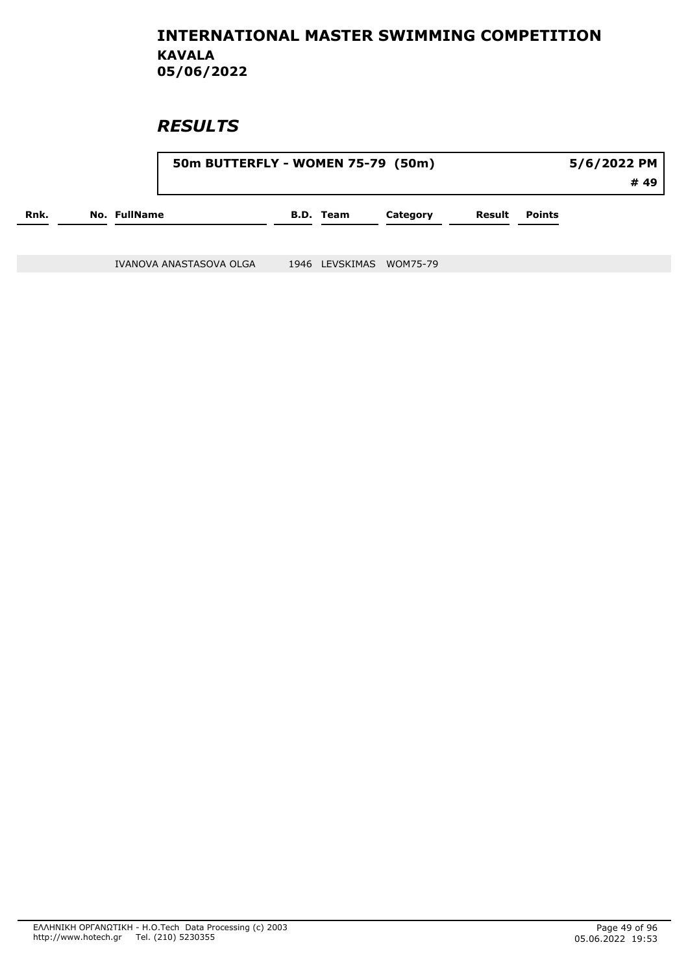### **RESULTS**

|      |                     | 50m BUTTERFLY - WOMEN 75-79 (50m) | 5/6/2022 PM |          |  |                      |      |
|------|---------------------|-----------------------------------|-------------|----------|--|----------------------|------|
|      |                     |                                   |             |          |  |                      | # 49 |
| Rnk. | <b>No. FullName</b> |                                   | B.D. Team   | Category |  | <b>Result</b> Points |      |
|      |                     |                                   |             |          |  |                      |      |

IVANOVA ANASTASOVA OLGA 1946 LEVSKIMAS WOM75-79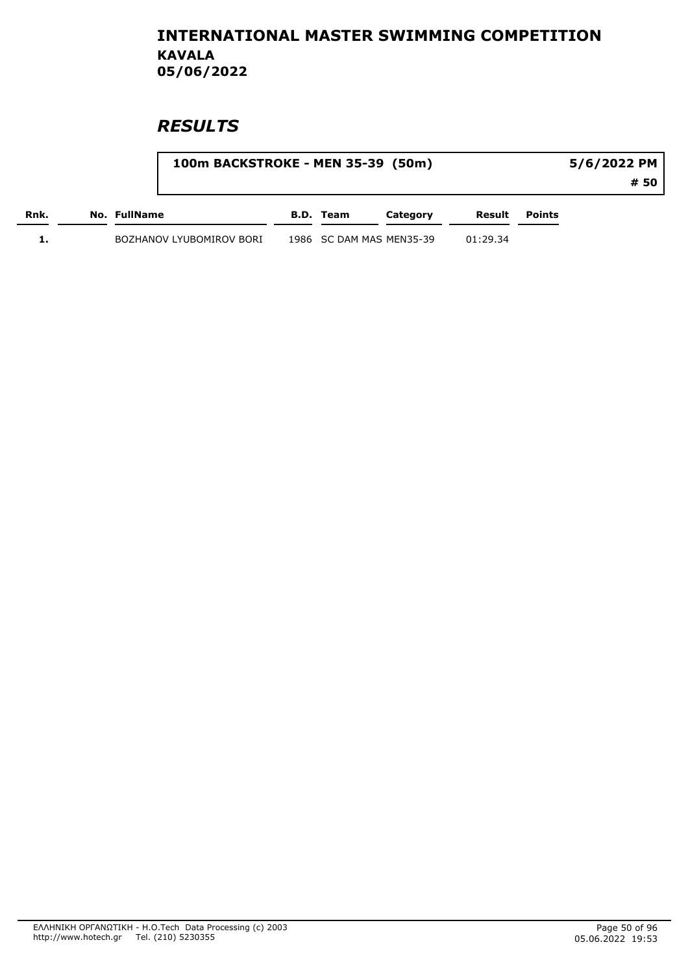|      | 100m BACKSTROKE - MEN 35-39 (50m) |                          |          |          | 5/6/2022 PM |      |  |
|------|-----------------------------------|--------------------------|----------|----------|-------------|------|--|
|      |                                   |                          |          |          |             | # 50 |  |
| Rnk. | No. FullName                      | B.D. Team                | Category | Result   | Points      |      |  |
|      | BOZHANOV LYUBOMIROV BORI          | 1986 SC DAM MAS MEN35-39 |          | 01:29.34 |             |      |  |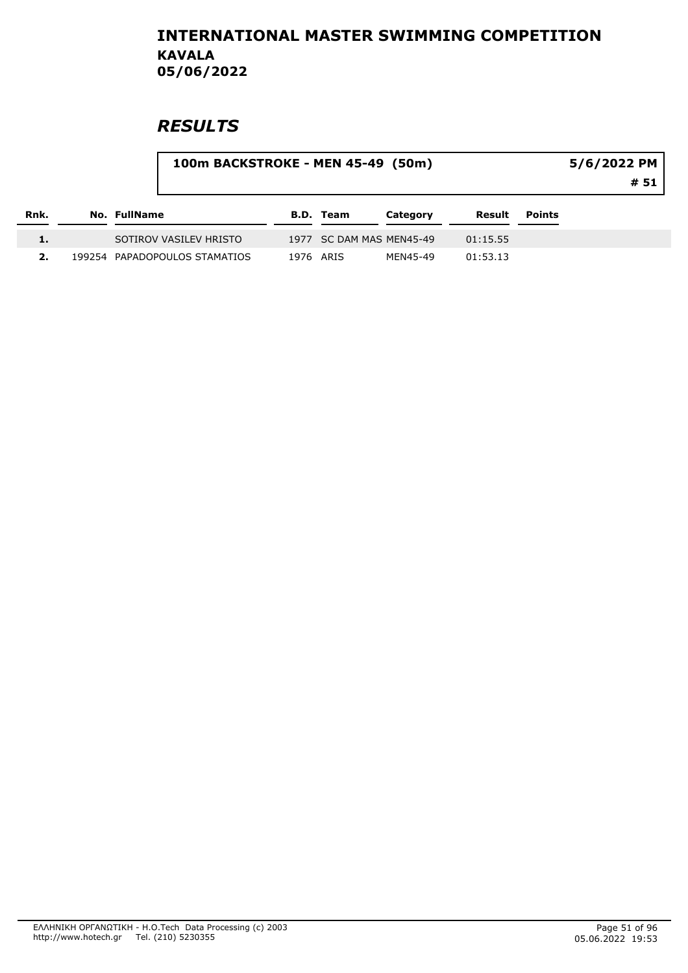|      | 100m BACKSTROKE - MEN 45-49 (50m) |                               |           |                  |                          |          |               | 5/6/2022 PM<br># 51 |  |  |
|------|-----------------------------------|-------------------------------|-----------|------------------|--------------------------|----------|---------------|---------------------|--|--|
| Rnk. | No. FullName                      |                               |           | <b>B.D. Team</b> | Category                 | Result   | <b>Points</b> |                     |  |  |
|      |                                   | SOTIROV VASILEV HRISTO        |           |                  | 1977 SC DAM MAS MEN45-49 | 01:15.55 |               |                     |  |  |
|      |                                   | 199254 PAPADOPOULOS STAMATIOS | 1976 ARIS |                  | MEN45-49                 | 01:53.13 |               |                     |  |  |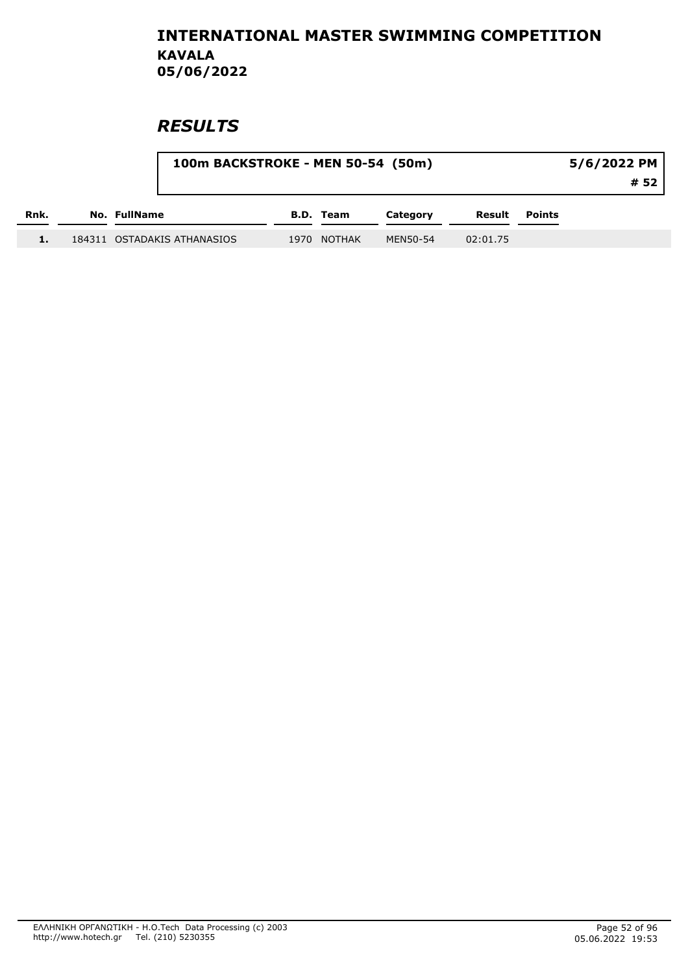|      | 100m BACKSTROKE - MEN 50-54 (50m) |                  |          |          |        | 5/6/2022 PM<br># 52 |
|------|-----------------------------------|------------------|----------|----------|--------|---------------------|
| Rnk. | No. FullName                      | <b>B.D.</b> Team | Category | Result   | Points |                     |
|      |                                   |                  |          |          |        |                     |
|      | 184311 OSTADAKIS ATHANASIOS       | 1970 NOTHAK      | MEN50-54 | 02:01.75 |        |                     |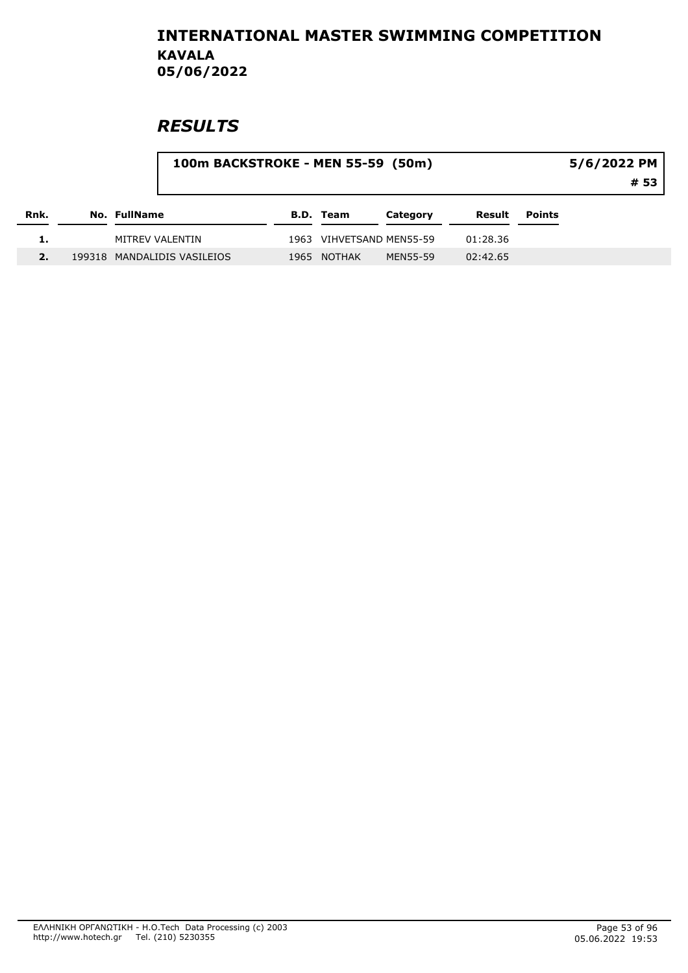|      |                 |                             | 100m BACKSTROKE - MEN 55-59 (50m) |                  |                          |          |               | 5/6/2022 PM<br># 53 |  |  |
|------|-----------------|-----------------------------|-----------------------------------|------------------|--------------------------|----------|---------------|---------------------|--|--|
| Rnk. | No. FullName    |                             |                                   | <b>B.D.</b> Team | Category                 | Result   | <b>Points</b> |                     |  |  |
|      | MITREV VALENTIN |                             |                                   |                  | 1963 VIHVETSAND MEN55-59 | 01:28.36 |               |                     |  |  |
|      |                 | 199318 MANDALIDIS VASILEIOS | 1965                              | NOTHAK           | MEN55-59                 | 02:42.65 |               |                     |  |  |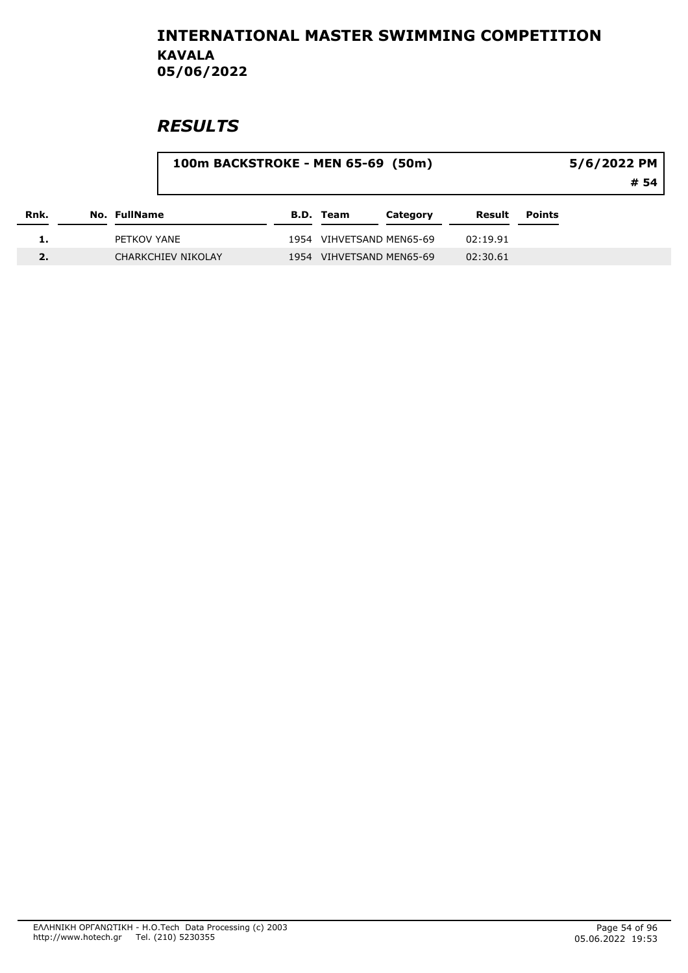|      |              | 100m BACKSTROKE - MEN 65-69 (50m) |      |                  |                          |          |        | 5/6/2022 PM<br># 54 |
|------|--------------|-----------------------------------|------|------------------|--------------------------|----------|--------|---------------------|
| Rnk. | No. FullName |                                   |      | <b>B.D. Team</b> | Category                 | Result   | Points |                     |
|      | PETKOV YANE  |                                   |      |                  | 1954 VIHVETSAND MEN65-69 | 02:19.91 |        |                     |
|      |              | <b>CHARKCHIEV NIKOLAY</b>         | 1954 |                  | VIHVETSAND MEN65-69      | 02:30.61 |        |                     |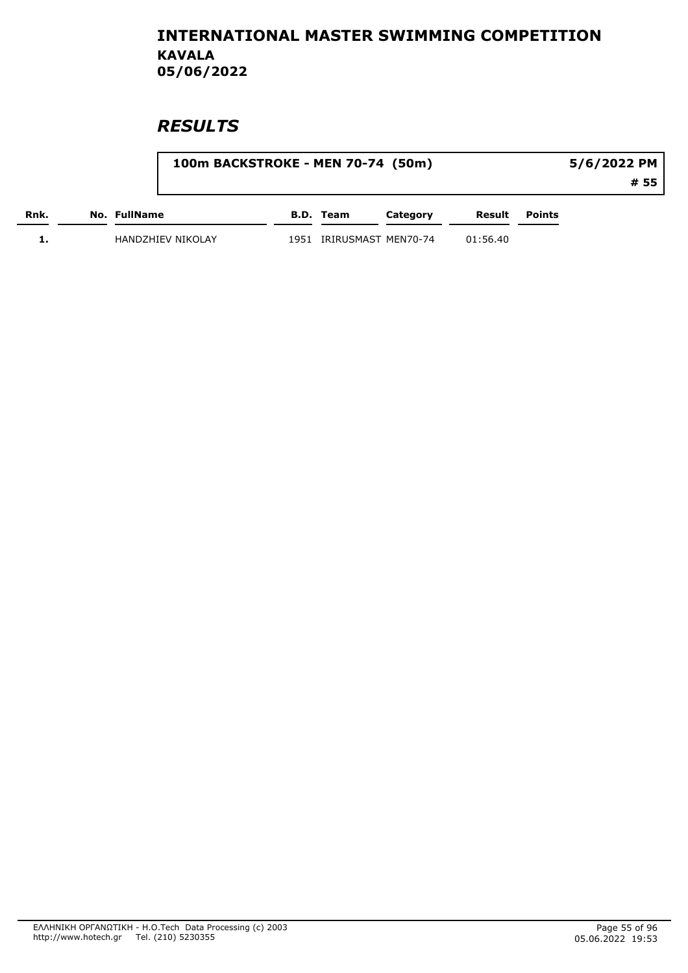|      | 100m BACKSTROKE - MEN 70-74 (50m) |      |                     |          |          | 5/6/2022 PM |      |  |
|------|-----------------------------------|------|---------------------|----------|----------|-------------|------|--|
|      |                                   |      |                     |          |          |             | # 55 |  |
| Rnk. | No. FullName                      |      | B.D. Team           | Category | Result   | Points      |      |  |
|      | HANDZHIEV NIKOLAY                 | 1951 | IRIRUSMAST MEN70-74 |          | 01:56.40 |             |      |  |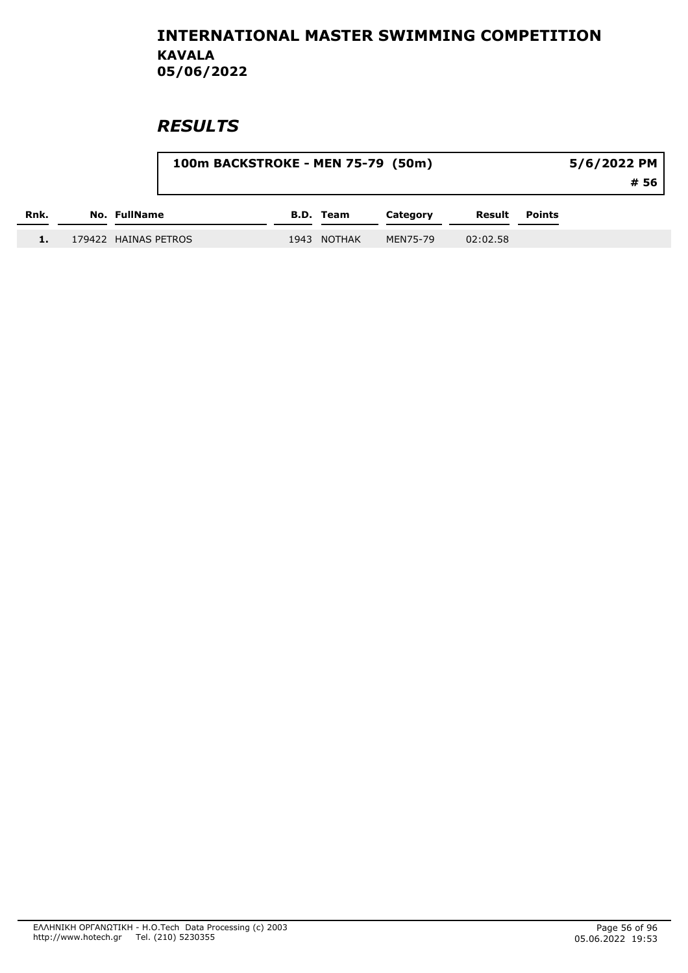|      |                      | 100m BACKSTROKE - MEN 75-79 (50m) |                  |          |          |               | 5/6/2022 PM |
|------|----------------------|-----------------------------------|------------------|----------|----------|---------------|-------------|
|      |                      |                                   |                  |          |          |               | # 56        |
| Rnk. | No. FullName         |                                   | <b>B.D.</b> Team | Category | Result   | <b>Points</b> |             |
| 1.   | 179422 HAINAS PETROS |                                   | 1943 NOTHAK      | MEN75-79 | 02:02.58 |               |             |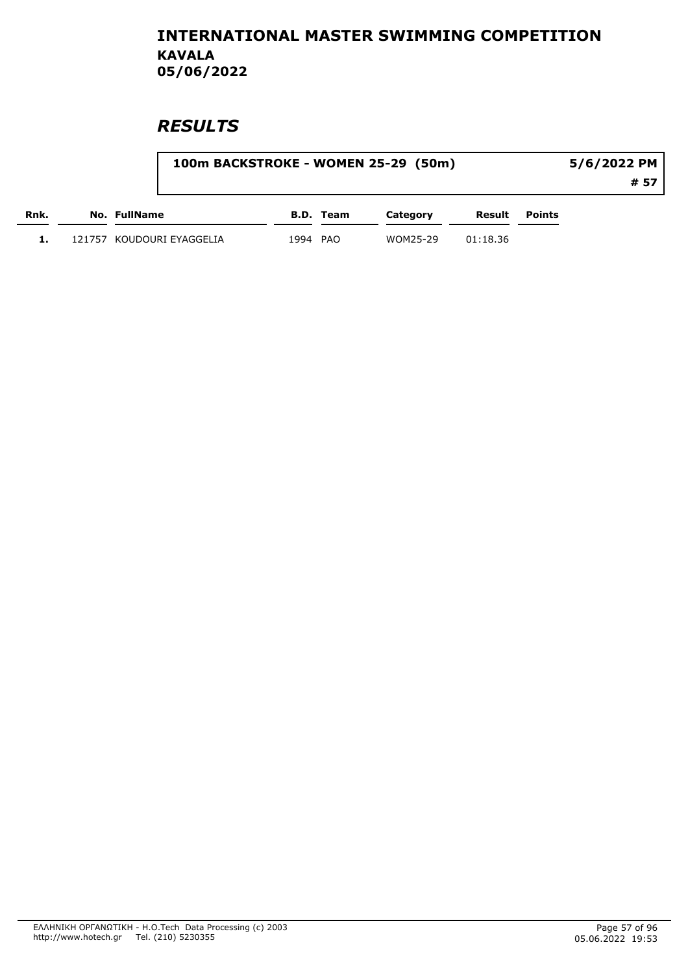|      |                           | 100m BACKSTROKE - WOMEN 25-29 (50m) |           |          |          |                      |      |  |
|------|---------------------------|-------------------------------------|-----------|----------|----------|----------------------|------|--|
|      |                           |                                     |           |          |          |                      | # 57 |  |
| Rnk. | No. FullName              |                                     | B.D. Team | Category |          | <b>Result</b> Points |      |  |
|      | 121757 KOUDOURI EYAGGELIA | 1994 PAO                            |           | WOM25-29 | 01:18.36 |                      |      |  |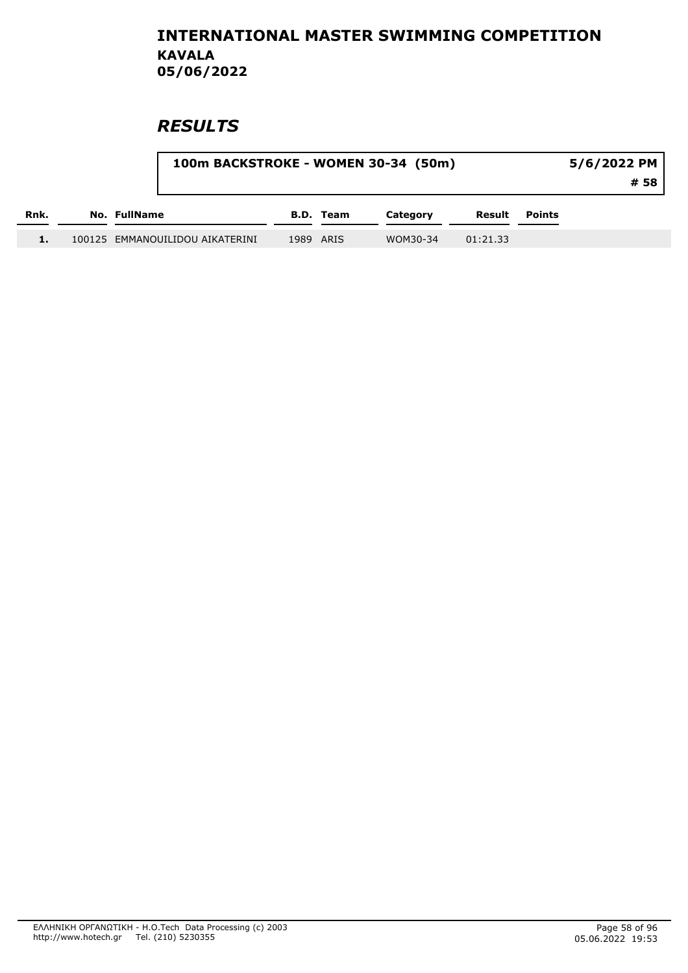|      |                                 | 100m BACKSTROKE - WOMEN 30-34 (50m) |           |          |          |               |  |  |  |
|------|---------------------------------|-------------------------------------|-----------|----------|----------|---------------|--|--|--|
| Rnk. | No. FullName                    |                                     | B.D. Team | Category | Result   | <b>Points</b> |  |  |  |
|      | 100125 EMMANOUILIDOU AIKATERINI |                                     | 1989 ARIS | WOM30-34 | 01:21.33 |               |  |  |  |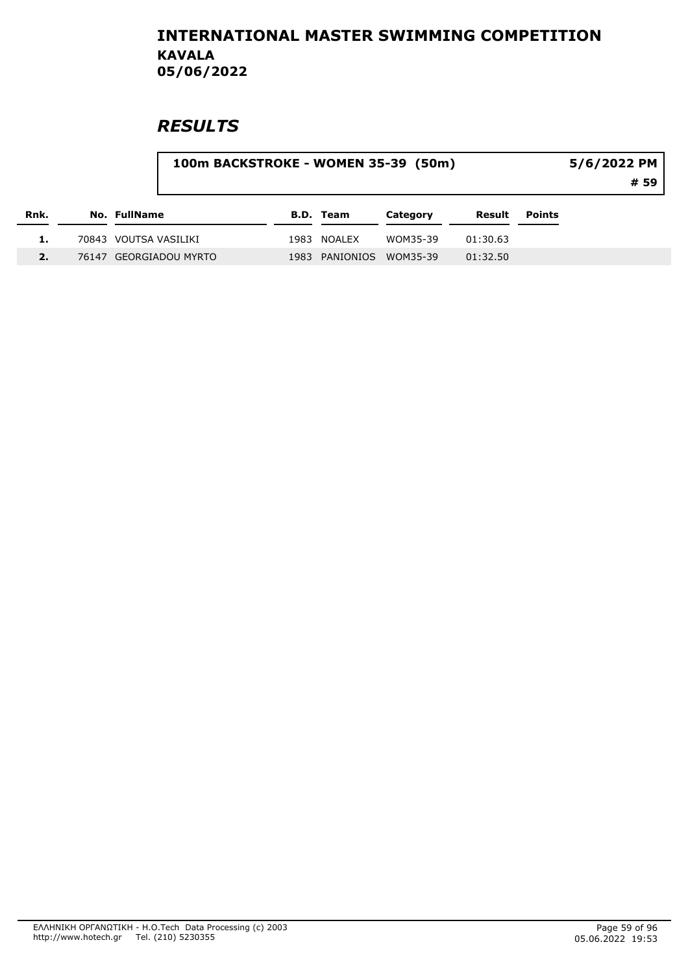| 5/6/2022 PM | 100m BACKSTROKE - WOMEN 35-39 (50m) |
|-------------|-------------------------------------|
| # 59        |                                     |
|             |                                     |

| Rnk. | No. FullName           | B.D. Team               | Category | Result   | <b>Points</b> |
|------|------------------------|-------------------------|----------|----------|---------------|
|      | 70843 VOUTSA VASILIKI  | 1983 NOALEX             | WOM35-39 | 01:30.63 |               |
|      | 76147 GEORGIADOU MYRTO | 1983 PANIONIOS WOM35-39 |          | 01:32.50 |               |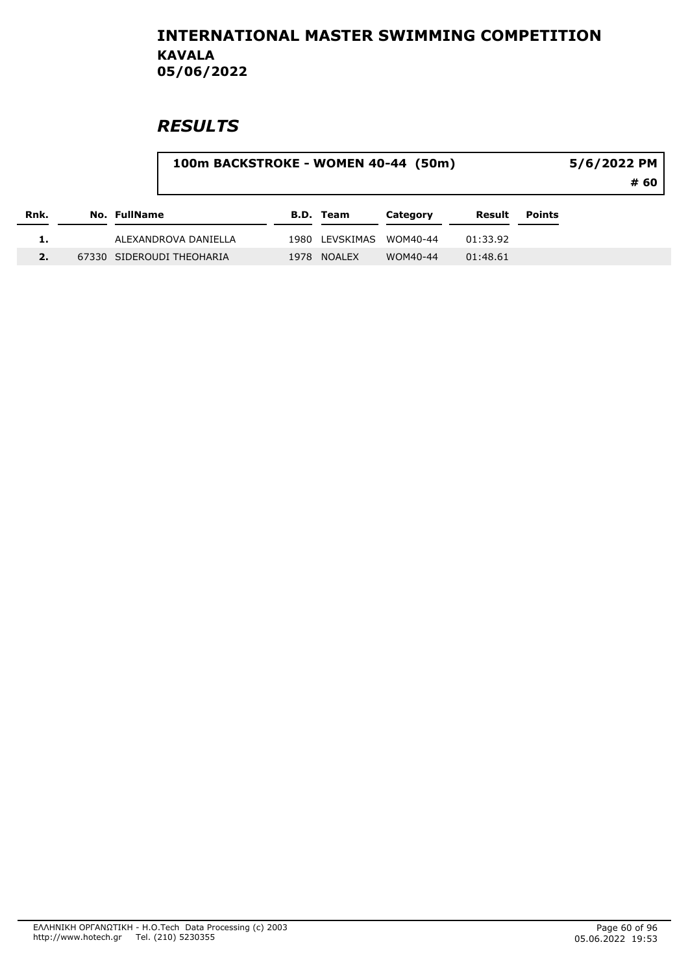| 5/6/2022 PM | 100m BACKSTROKE - WOMEN 40-44 (50m) |
|-------------|-------------------------------------|
| # 60        |                                     |
|             |                                     |

| Rnk. | No. FullName              | B.D. Team               | Category | Result   | Points |
|------|---------------------------|-------------------------|----------|----------|--------|
|      | ALEXANDROVA DANIELLA      | 1980 LEVSKIMAS WOM40-44 |          | 01:33.92 |        |
|      | 67330 SIDEROUDI THEOHARIA | 1978 NOALEX             | WOM40-44 | 01:48.61 |        |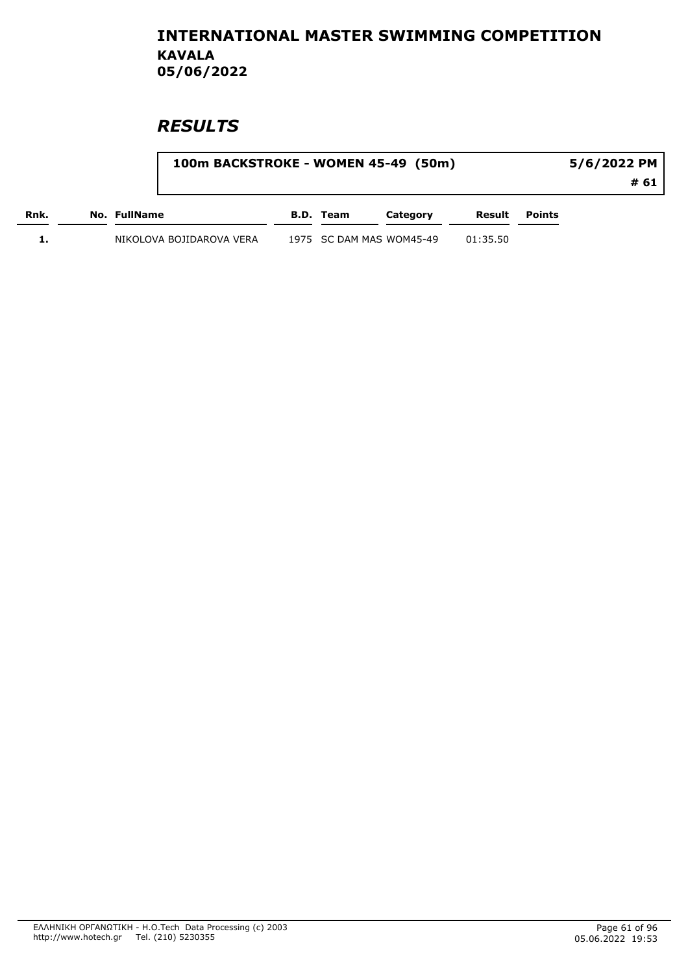|      | 100m BACKSTROKE - WOMEN 45-49 (50m) |           |                          |          |        | 5/6/2022 PM<br># 61 |
|------|-------------------------------------|-----------|--------------------------|----------|--------|---------------------|
| Rnk. | No. FullName                        | B.D. Team | Category                 | Result   | Points |                     |
|      | NIKOLOVA BOJIDAROVA VERA            |           | 1975 SC DAM MAS WOM45-49 | 01:35.50 |        |                     |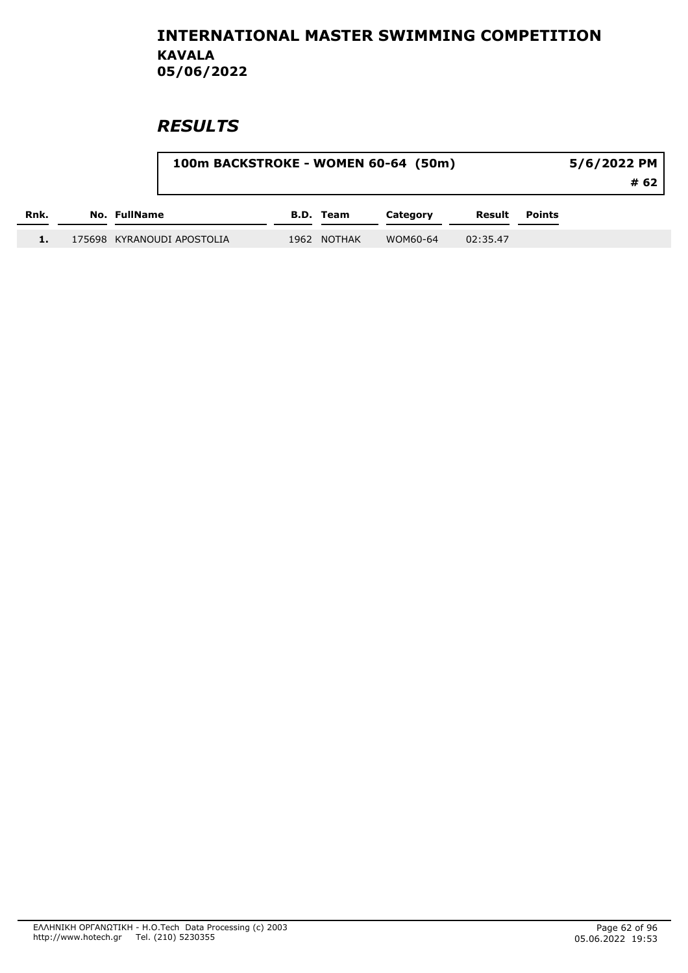|      |                            | 100m BACKSTROKE - WOMEN 60-64 (50m) |                  |          |          |               |  |
|------|----------------------------|-------------------------------------|------------------|----------|----------|---------------|--|
| Rnk. | No. FullName               |                                     | <b>B.D.</b> Team | Category | Result   | <b>Points</b> |  |
|      | 175698 KYRANOUDI APOSTOLIA |                                     | 1962 NOTHAK      | WOM60-64 | 02:35.47 |               |  |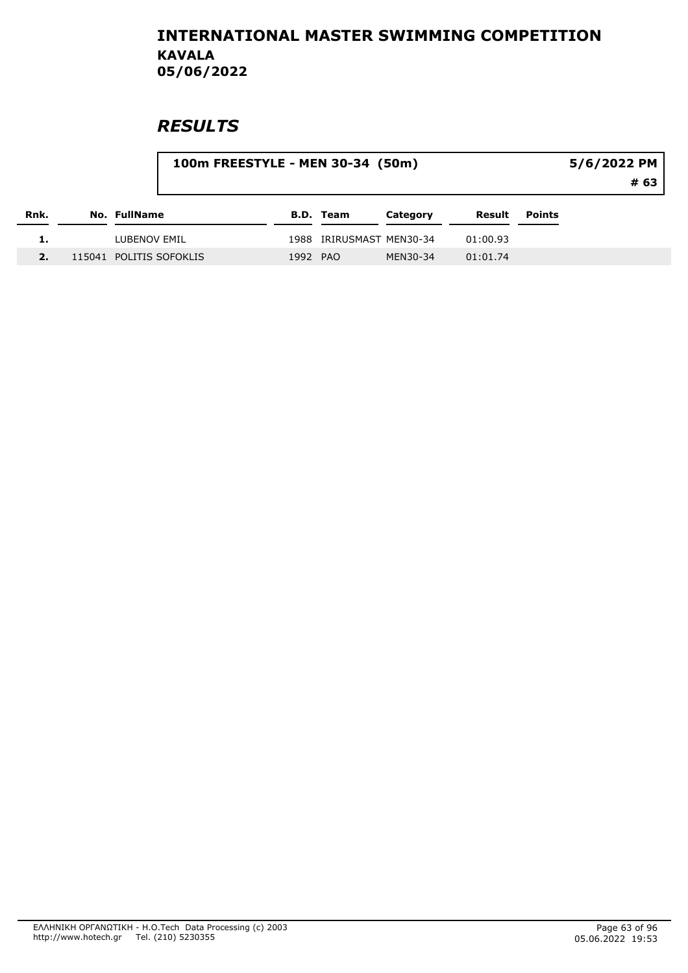|      |                     |                         | 100m FREESTYLE - MEN 30-34 (50m) |                          |          |          | 5/6/2022 PM |      |  |
|------|---------------------|-------------------------|----------------------------------|--------------------------|----------|----------|-------------|------|--|
|      |                     |                         |                                  |                          |          |          |             | # 63 |  |
| Rnk. | <b>No. FullName</b> |                         |                                  | <b>B.D. Team</b>         | Category | Result   | Points      |      |  |
|      | LUBENOV EMIL        |                         |                                  | 1988 IRIRUSMAST MEN30-34 |          | 01:00.93 |             |      |  |
|      |                     | 115041 POLITIS SOFOKLIS | 1992 PAO                         |                          | MEN30-34 | 01:01.74 |             |      |  |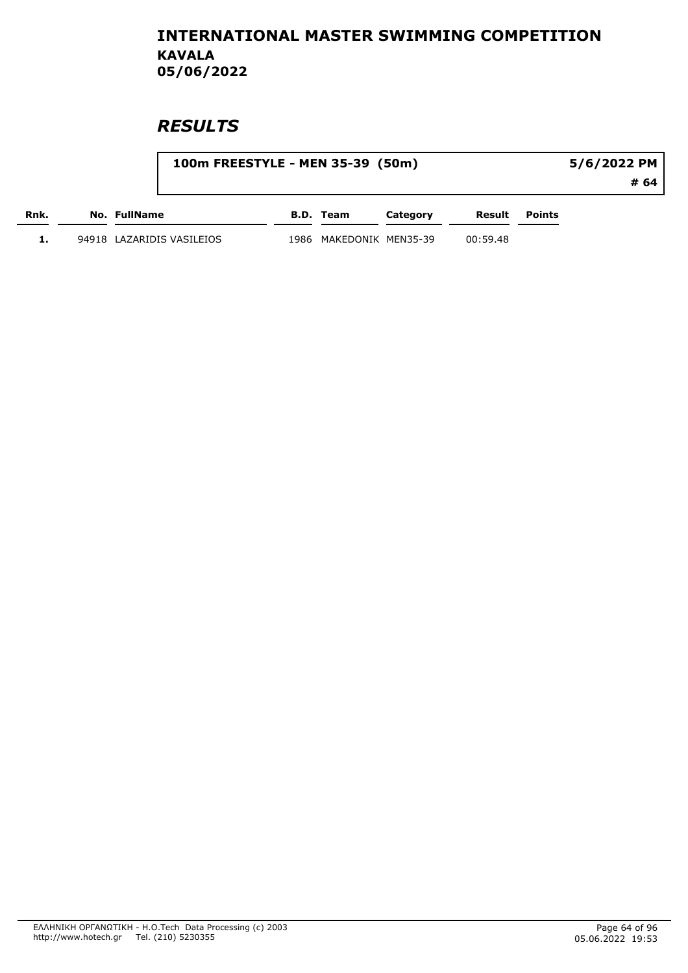|      | 100m FREESTYLE - MEN 35-39 (50m) |                         |          |          |               | 5/6/2022 PM |
|------|----------------------------------|-------------------------|----------|----------|---------------|-------------|
|      |                                  |                         |          |          |               | # 64        |
| Rnk. | No. FullName                     | B.D. Team               | Category | Result   | <b>Points</b> |             |
|      | 94918 LAZARIDIS VASILEIOS        | 1986 MAKEDONIK MEN35-39 |          | 00:59.48 |               |             |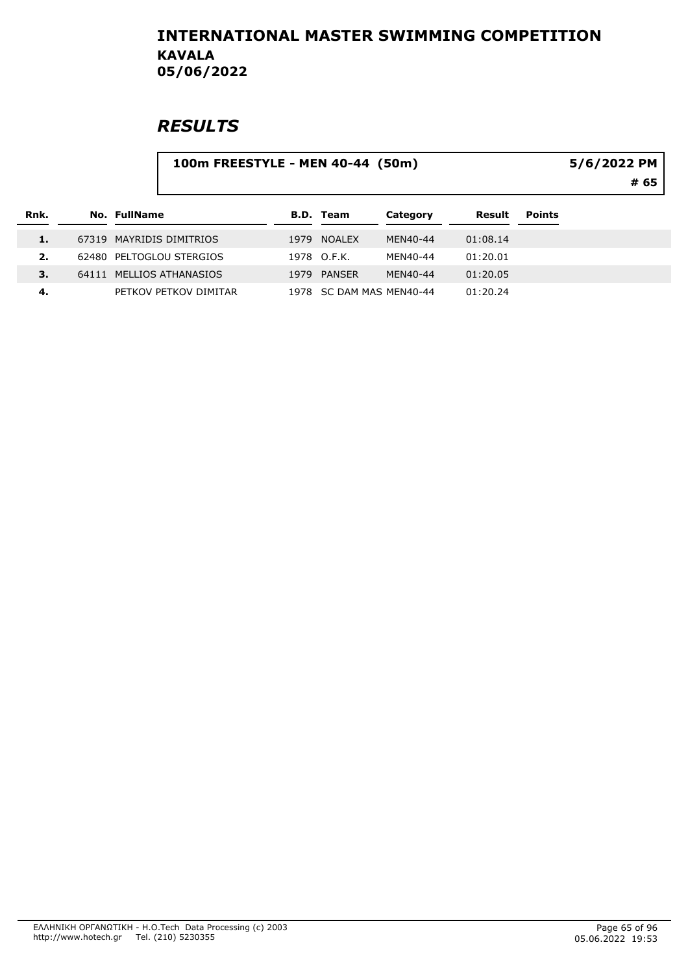|                | 100m FREESTYLE - MEN 40-44 (50m) |                          |                       |  |                  |                          |          |               | 5/6/2022 PM<br># 65 |
|----------------|----------------------------------|--------------------------|-----------------------|--|------------------|--------------------------|----------|---------------|---------------------|
| Rnk.           |                                  | <b>No. FullName</b>      |                       |  | <b>B.D. Team</b> | Category                 | Result   | <b>Points</b> |                     |
| 1.             |                                  | 67319 MAYRIDIS DIMITRIOS |                       |  | 1979 NOALEX      | MEN40-44                 | 01:08.14 |               |                     |
| $\mathbf{2}$ . |                                  | 62480 PELTOGLOU STERGIOS |                       |  | 1978 O.F.K.      | MEN40-44                 | 01:20.01 |               |                     |
| 3.             |                                  | 64111 MELLIOS ATHANASIOS |                       |  | 1979 PANSER      | MEN40-44                 | 01:20.05 |               |                     |
| 4.             |                                  |                          | PETKOV PETKOV DIMITAR |  |                  | 1978 SC DAM MAS MEN40-44 | 01:20.24 |               |                     |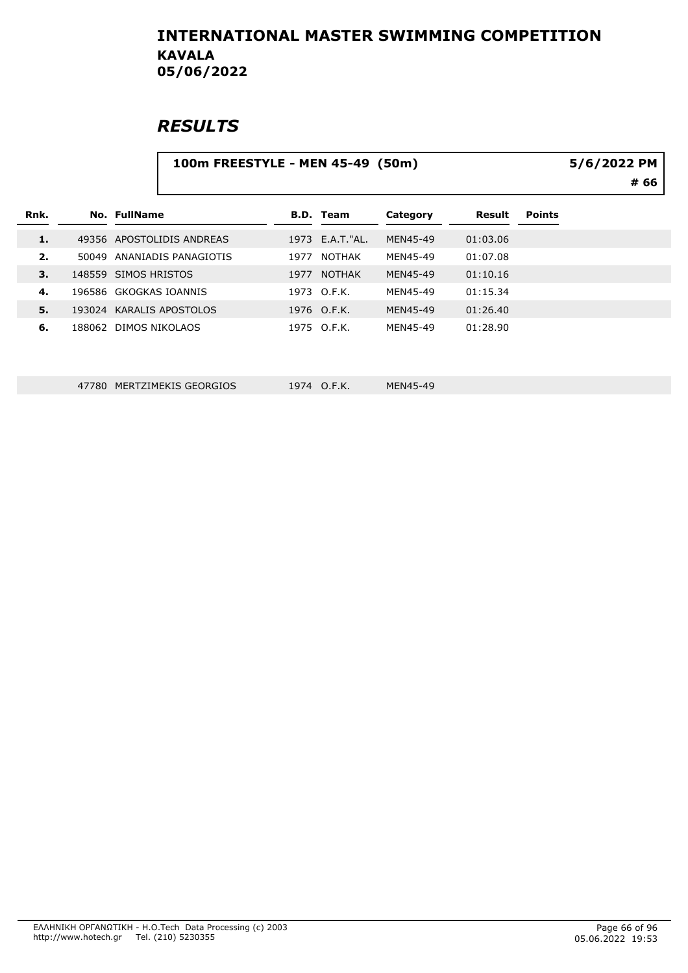### **RESULTS**

|      |        |                            | 5/6/2022 PM |                  |          |          |               |      |
|------|--------|----------------------------|-------------|------------------|----------|----------|---------------|------|
|      |        |                            |             |                  |          |          |               | # 66 |
| Rnk. |        | No. FullName               |             | <b>B.D. Team</b> | Category | Result   | <b>Points</b> |      |
| 1.   |        | 49356 APOSTOLIDIS ANDREAS  |             | 1973 E.A.T."AL.  | MEN45-49 | 01:03.06 |               |      |
| 2.   |        | 50049 ANANIADIS PANAGIOTIS | 1977        | <b>NOTHAK</b>    | MEN45-49 | 01:07.08 |               |      |
| 3.   |        | 148559 SIMOS HRISTOS       | 1977        | <b>NOTHAK</b>    | MEN45-49 | 01:10.16 |               |      |
| 4.   |        | 196586 GKOGKAS IOANNIS     |             | 1973 O.F.K.      | MEN45-49 | 01:15.34 |               |      |
| 5.   | 193024 | <b>KARALIS APOSTOLOS</b>   |             | 1976 O.F.K.      | MEN45-49 | 01:26.40 |               |      |
| 6.   |        | 188062 DIMOS NIKOLAOS      |             | 1975 O.F.K.      | MEN45-49 | 01:28.90 |               |      |
|      |        |                            |             |                  |          |          |               |      |
|      |        |                            |             |                  |          |          |               |      |

47780 MERTZIMEKIS GEORGIOS 1974 O.F.K. MEN45-49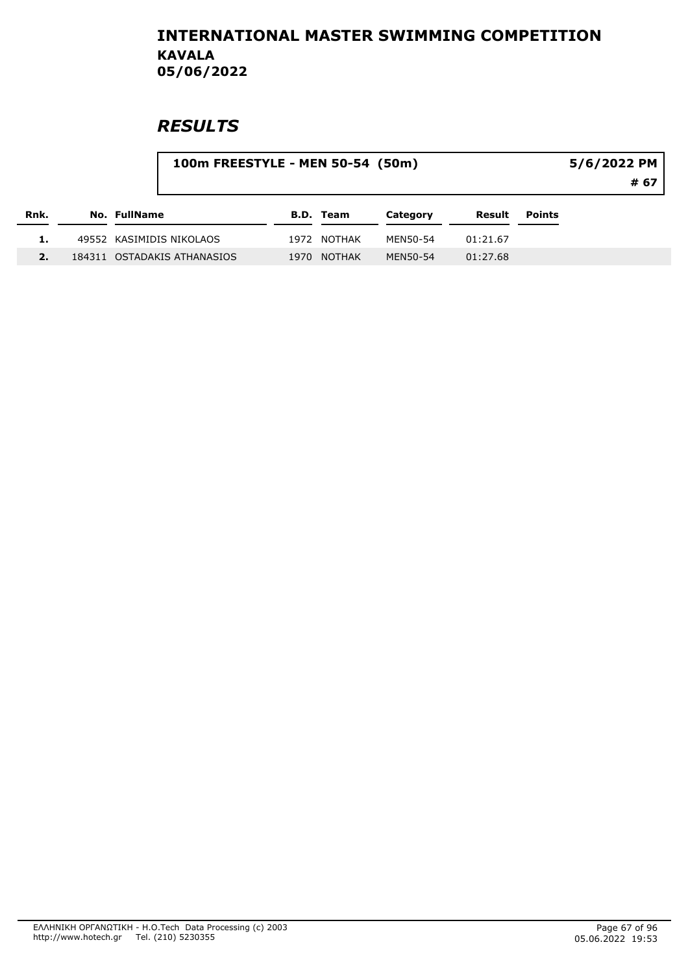|      | 100m FREESTYLE - MEN 50-54 (50m) |                             |  |                  |          |          |               | 5/6/2022 PM<br># 67 |  |  |
|------|----------------------------------|-----------------------------|--|------------------|----------|----------|---------------|---------------------|--|--|
| Rnk. |                                  | <b>No. FullName</b>         |  | <b>B.D. Team</b> | Category | Result   | <b>Points</b> |                     |  |  |
|      |                                  | 49552 KASIMIDIS NIKOLAOS    |  | 1972 NOTHAK      | MEN50-54 | 01:21.67 |               |                     |  |  |
|      |                                  | 184311 OSTADAKIS ATHANASIOS |  | 1970 NOTHAK      | MEN50-54 | 01:27.68 |               |                     |  |  |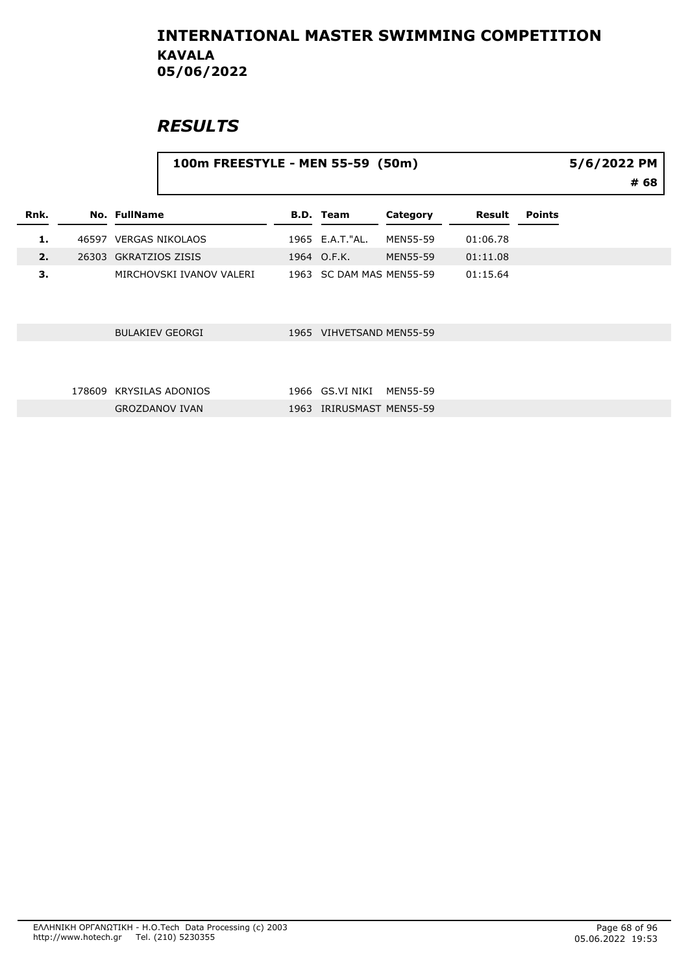|      |        | 100m FREESTYLE - MEN 55-59 (50m) | 5/6/2022 PM<br># 68 |                          |                 |          |               |  |
|------|--------|----------------------------------|---------------------|--------------------------|-----------------|----------|---------------|--|
| Rnk. |        | <b>No. FullName</b>              |                     | <b>B.D. Team</b>         | Category        | Result   | <b>Points</b> |  |
| 1.   |        | 46597 VERGAS NIKOLAOS            |                     | 1965 E.A.T."AL.          | <b>MEN55-59</b> | 01:06.78 |               |  |
| 2.   |        | 26303 GKRATZIOS ZISIS            |                     | 1964 O.F.K.              | <b>MEN55-59</b> | 01:11.08 |               |  |
| 3.   |        | MIRCHOVSKI IVANOV VALERI         |                     | 1963 SC DAM MAS MEN55-59 |                 | 01:15.64 |               |  |
|      |        | <b>BULAKIEV GEORGI</b>           |                     | 1965 VIHVETSAND MEN55-59 |                 |          |               |  |
|      | 178609 | <b>KRYSILAS ADONIOS</b>          |                     | 1966 GS.VI NIKI          | <b>MEN55-59</b> |          |               |  |
|      |        | <b>GROZDANOV IVAN</b>            |                     | IRIRUSMAST MEN55-59      |                 |          |               |  |
|      |        |                                  | 1963                |                          |                 |          |               |  |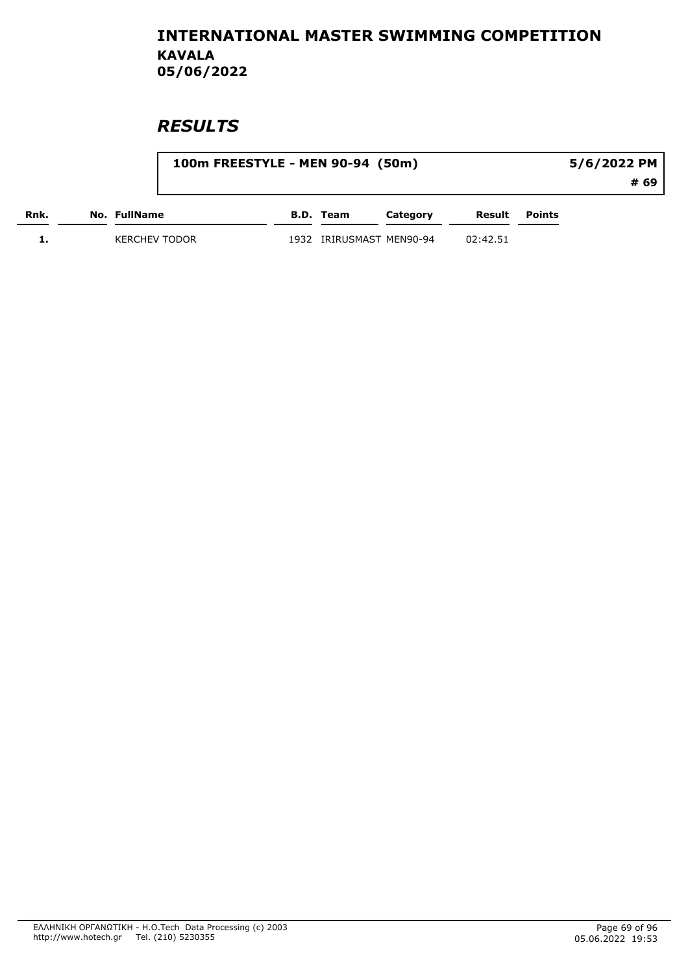|      |                      | 100m FREESTYLE - MEN 90-94 (50m) |           |                     | 5/6/2022 PM |               |      |
|------|----------------------|----------------------------------|-----------|---------------------|-------------|---------------|------|
|      |                      |                                  |           |                     |             |               | # 69 |
| Rnk. | No. FullName         |                                  | B.D. Team | Category            | Result      | <b>Points</b> |      |
|      | <b>KERCHEV TODOR</b> | 1932                             |           | IRIRUSMAST MEN90-94 | 02:42.51    |               |      |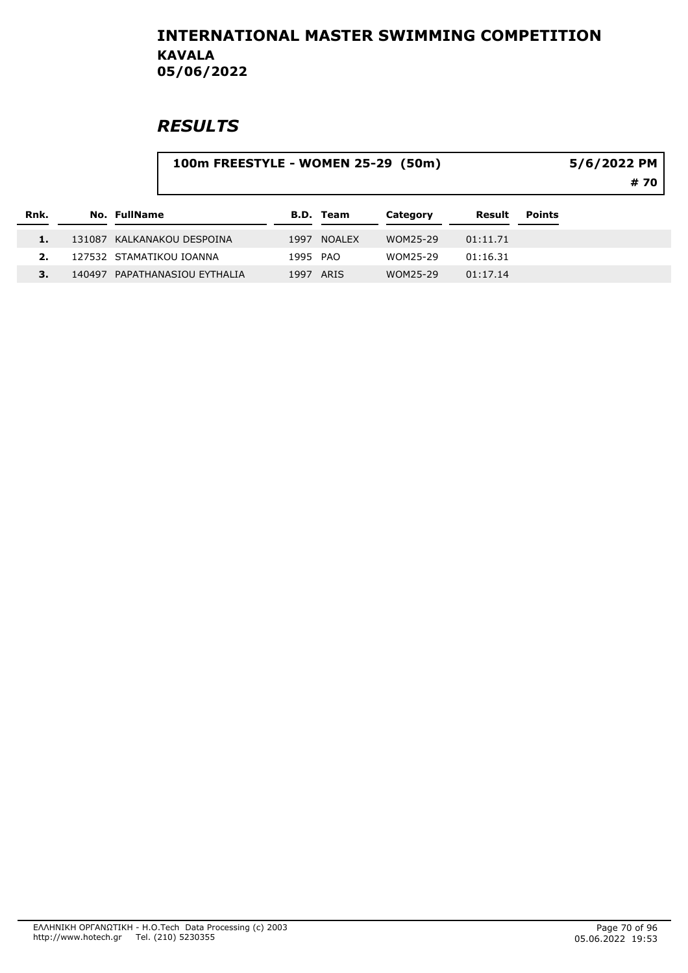|      |                               | 100m FREESTYLE - WOMEN 25-29 (50m)<br>5/6/2022 PM |                  |          |          |               |  |  |  |
|------|-------------------------------|---------------------------------------------------|------------------|----------|----------|---------------|--|--|--|
| Rnk. | No. FullName                  |                                                   | <b>B.D.</b> Team | Category | Result   | <b>Points</b> |  |  |  |
|      | 131087 KALKANAKOU DESPOINA    |                                                   | 1997 NOALEX      | WOM25-29 | 01:11.71 |               |  |  |  |
| 2.   | 127532 STAMATIKOU IOANNA      | 1995 PAO                                          |                  | WOM25-29 | 01:16.31 |               |  |  |  |
|      | 140497 PAPATHANASIOU EYTHALIA | 1997                                              | ARIS             | WOM25-29 | 01:17.14 |               |  |  |  |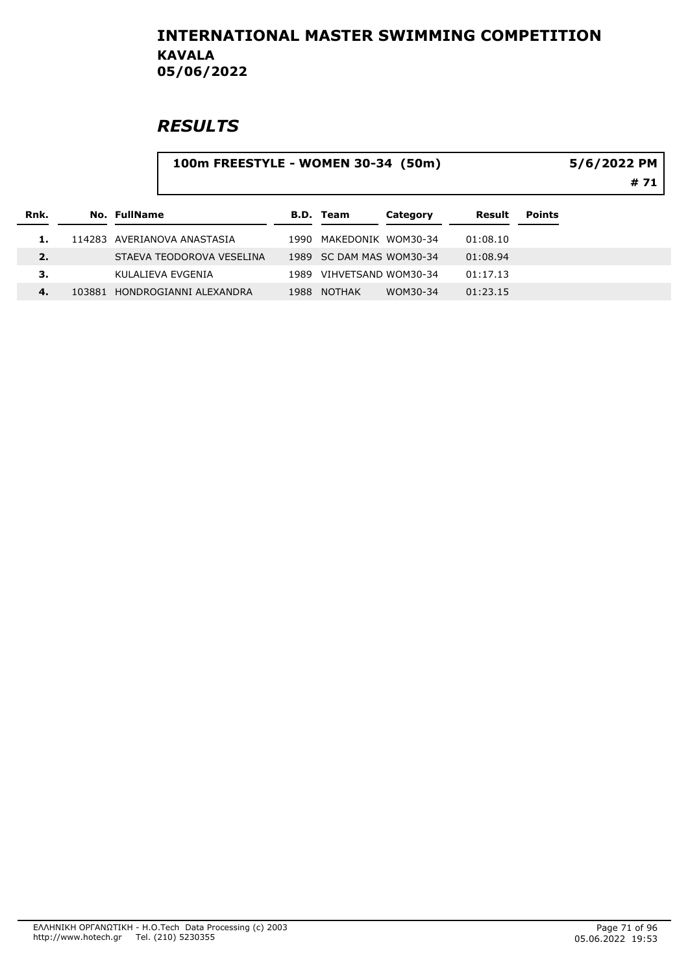# **RESULTS**

#### 100m FREESTYLE - WOMEN 30-34 (50m)

5/6/2022 PM

# 71

| Rnk. | No. FullName                  |      | B.D. Team                | Category | Result   | <b>Points</b> |
|------|-------------------------------|------|--------------------------|----------|----------|---------------|
|      | 114283 AVERIANOVA ANASTASIA   | 1990 | MAKFDONIK WOM30-34       |          | 01:08.10 |               |
| 2.   | STAEVA TEODOROVA VESELINA     |      | 1989 SC DAM MAS WOM30-34 |          | 01:08.94 |               |
| З.   | KULALIEVA EVGENIA             | 1989 | VIHVETSAND WOM30-34      |          | 01:17.13 |               |
| 4.   | 103881 HONDROGIANNI ALEXANDRA | 1988 | <b>NOTHAK</b>            | WOM30-34 | 01:23.15 |               |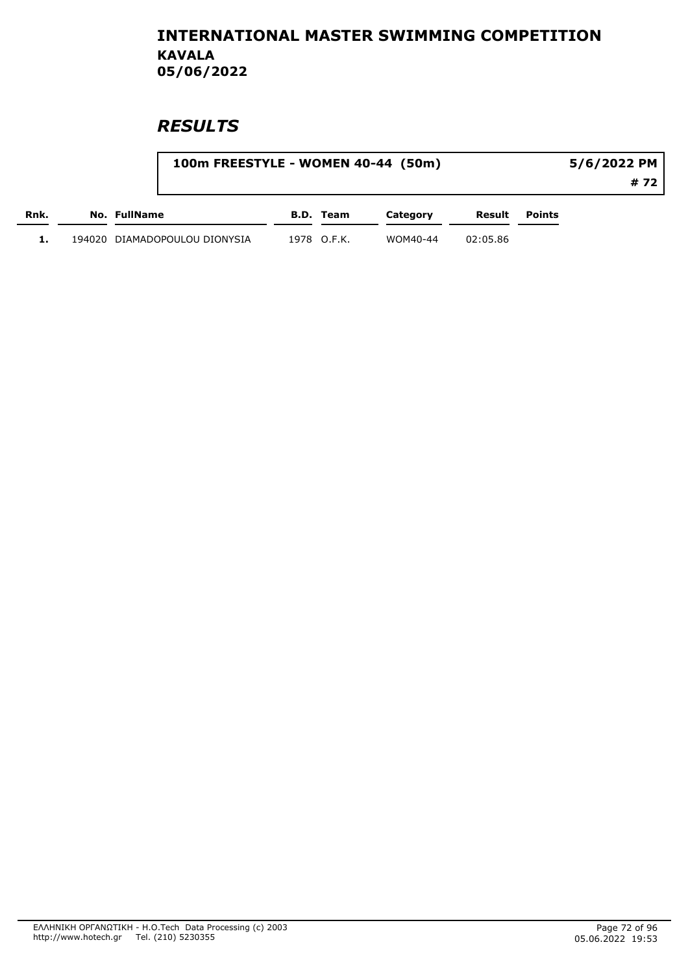|      | 100m FREESTYLE - WOMEN 40-44 (50m) |             |          |          |        | 5/6/2022 PM |
|------|------------------------------------|-------------|----------|----------|--------|-------------|
|      |                                    |             |          |          |        | # 72        |
| Rnk. | No. FullName                       | B.D. Team   | Category | Result   | Points |             |
|      | 194020 DIAMADOPOULOU DIONYSIA      | 1978 O.F.K. | WOM40-44 | 02:05.86 |        |             |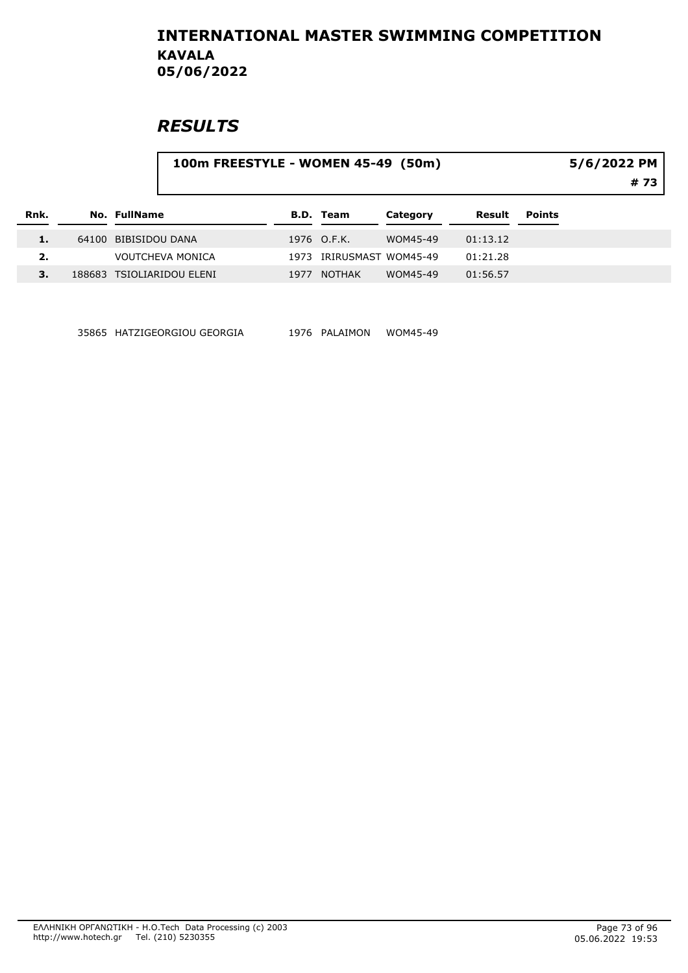## **RESULTS**

#### 100m FREESTYLE - WOMEN 45-49 (50m)

5/6/2022 PM

# 73

| Rnk. | No. FullName              |      | B.D. Team                | Category | Result   | <b>Points</b> |
|------|---------------------------|------|--------------------------|----------|----------|---------------|
| 1.   | 64100 BIBISIDOU DANA      |      | 1976 O.F.K.              | WOM45-49 | 01:13.12 |               |
| 2.   | <b>VOUTCHEVA MONICA</b>   |      | 1973 IRIRUSMAST WOM45-49 |          | 01:21.28 |               |
|      | 188683 TSIOLIARIDOU ELENI | 1977 | NOTHAK                   | WOM45-49 | 01:56.57 |               |

35865 HATZIGEORGIOU GEORGIA 1976 PALAIMON WOM45-49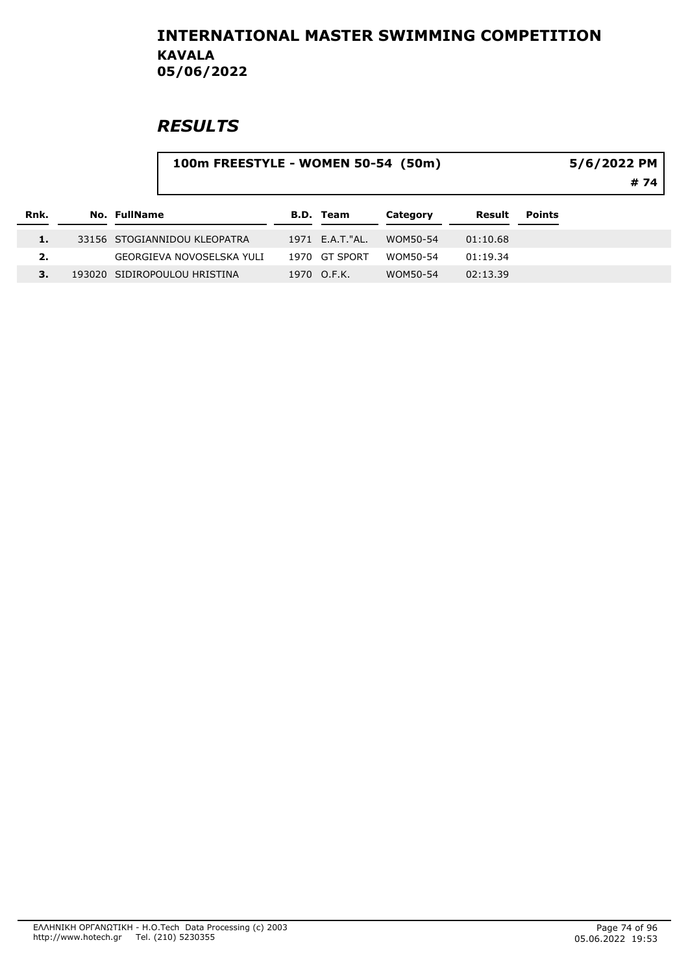|      |              |                              | 100m FREESTYLE - WOMEN 50-54 (50m) |                  |          |          |               |  |  |
|------|--------------|------------------------------|------------------------------------|------------------|----------|----------|---------------|--|--|
| Rnk. | No. FullName |                              |                                    | <b>B.D. Team</b> | Category | Result   | <b>Points</b> |  |  |
| 1.   |              | 33156 STOGIANNIDOU KLEOPATRA |                                    | 1971 E.A.T. "AL. | WOM50-54 | 01:10.68 |               |  |  |
| 2.   |              | GEORGIEVA NOVOSELSKA YULI    |                                    | 1970 GT SPORT    | WOM50-54 | 01:19.34 |               |  |  |
|      |              | 193020 SIDIROPOULOU HRISTINA |                                    | 1970 O.F.K.      | WOM50-54 | 02:13.39 |               |  |  |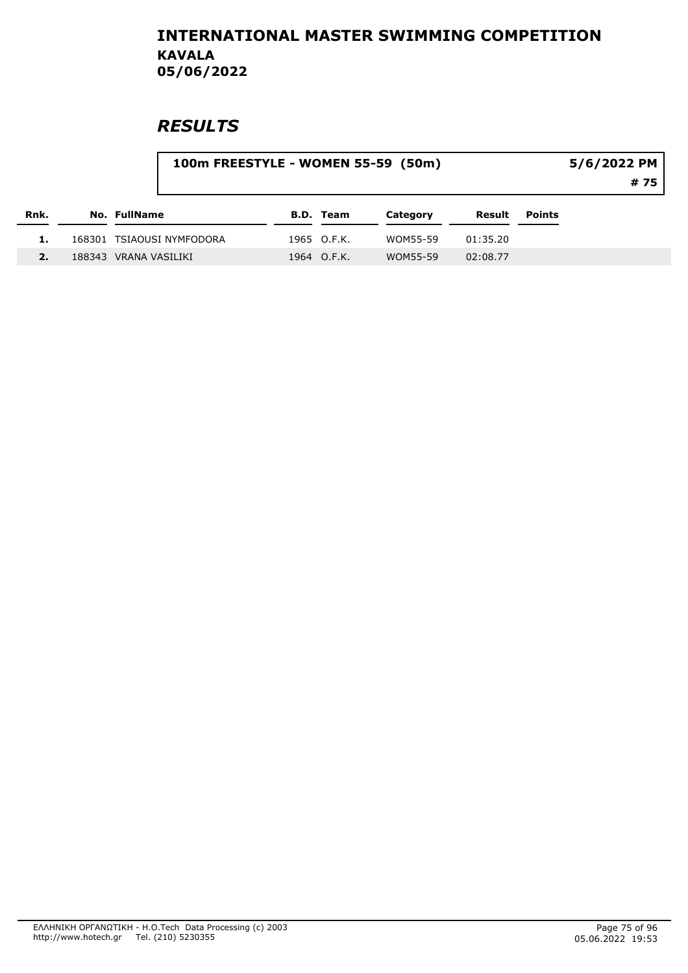|      |                           | 100m FREESTYLE - WOMEN 55-59 (50m) |             |          |          |               |  |
|------|---------------------------|------------------------------------|-------------|----------|----------|---------------|--|
| Rnk. | No. FullName              |                                    | B.D. Team   | Category | Result   | <b>Points</b> |  |
|      | 168301 TSIAOUSI NYMFODORA |                                    | 1965 O.F.K. | WOM55-59 | 01:35.20 |               |  |
|      | 188343 VRANA VASILIKI     |                                    | 1964 O.F.K. | WOM55-59 | 02:08.77 |               |  |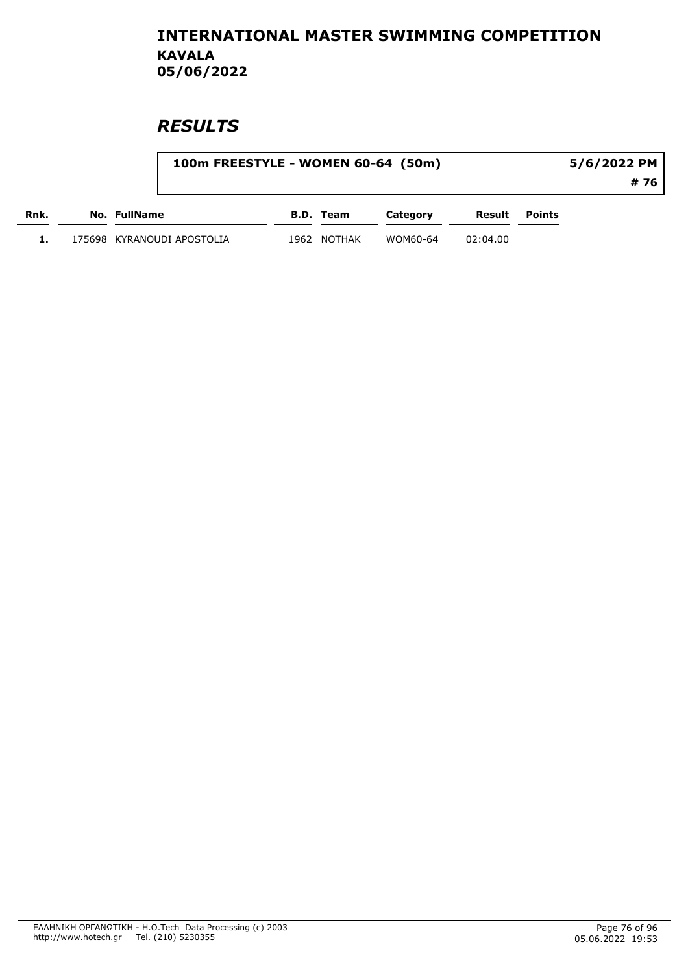|      | 100m FREESTYLE - WOMEN 60-64 (50m) |      |           |          | 5/6/2022 PM |        |      |
|------|------------------------------------|------|-----------|----------|-------------|--------|------|
|      |                                    |      |           |          |             |        | # 76 |
| Rnk. | No. FullName                       |      | B.D. Team | Category | Result      | Points |      |
|      | 175698 KYRANOUDI APOSTOLIA         | 1962 | NOTHAK    | WOM60-64 | 02:04.00    |        |      |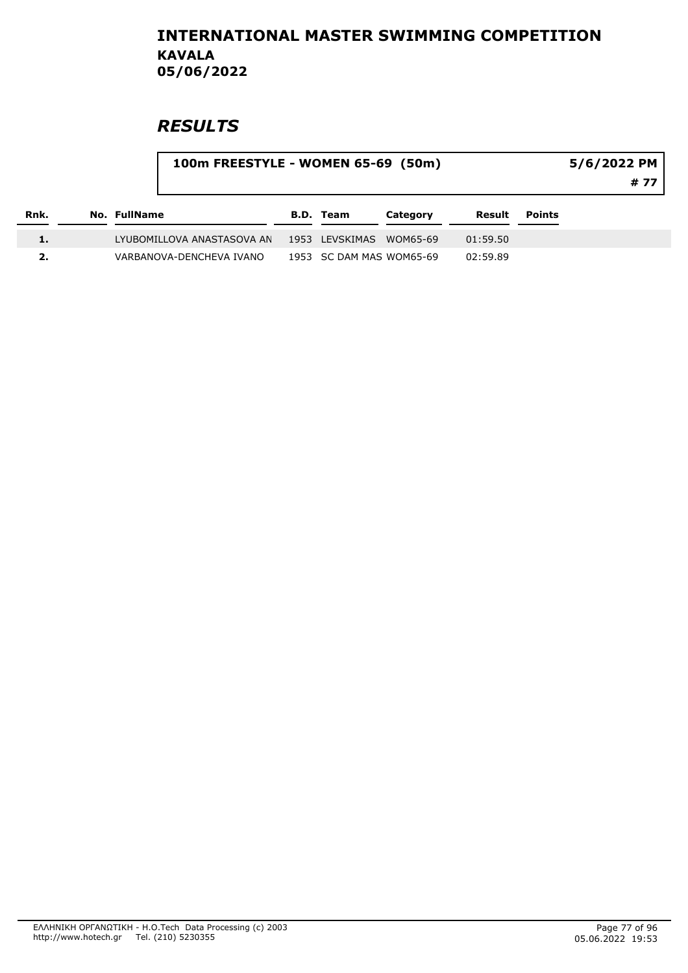| Rnk. |              |                            | 100m FREESTYLE - WOMEN 65-69 (50m) |                          |          |          |               | 5/6/2022 PM<br># 77 |
|------|--------------|----------------------------|------------------------------------|--------------------------|----------|----------|---------------|---------------------|
|      | No. FullName |                            |                                    | B.D. Team                | Category | Result   | <b>Points</b> |                     |
| 1.   |              | LYUBOMILLOVA ANASTASOVA AN |                                    | 1953 LEVSKIMAS WOM65-69  |          | 01:59.50 |               |                     |
|      |              | VARBANOVA-DENCHEVA IVANO   |                                    | 1953 SC DAM MAS WOM65-69 |          | 02:59.89 |               |                     |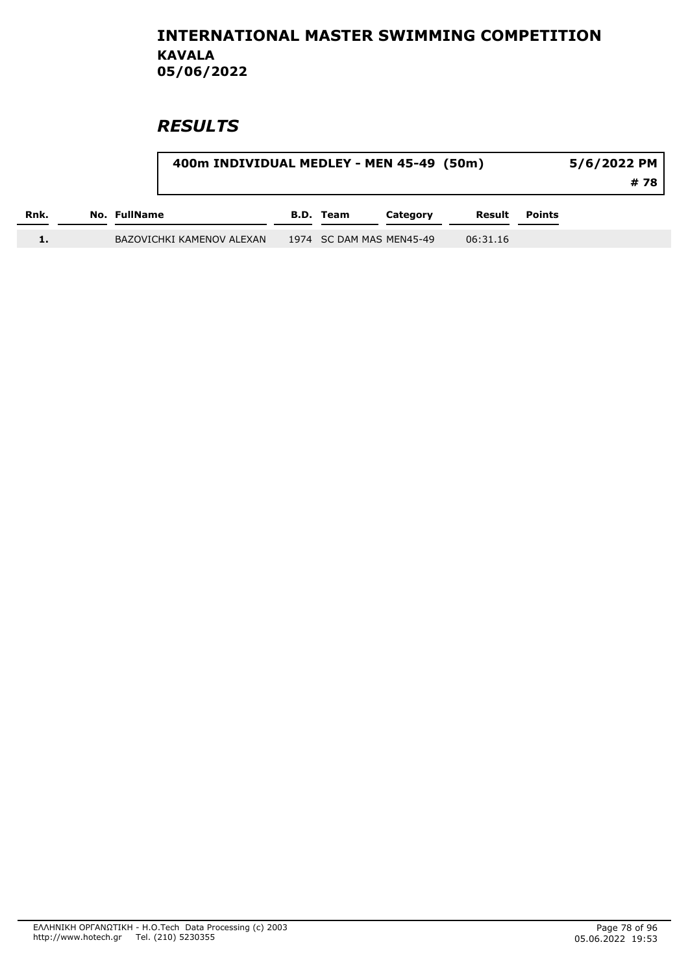|      |              | 400m INDIVIDUAL MEDLEY - MEN 45-49 (50m) |           |                          | $5/6/2022$ PM<br># 78 I |               |  |
|------|--------------|------------------------------------------|-----------|--------------------------|-------------------------|---------------|--|
| Rnk. | No. FullName |                                          | B.D. Team | Category                 | Result                  | <b>Points</b> |  |
|      |              | BAZOVICHKI KAMENOV ALEXAN                |           | 1974 SC DAM MAS MEN45-49 | 06:31.16                |               |  |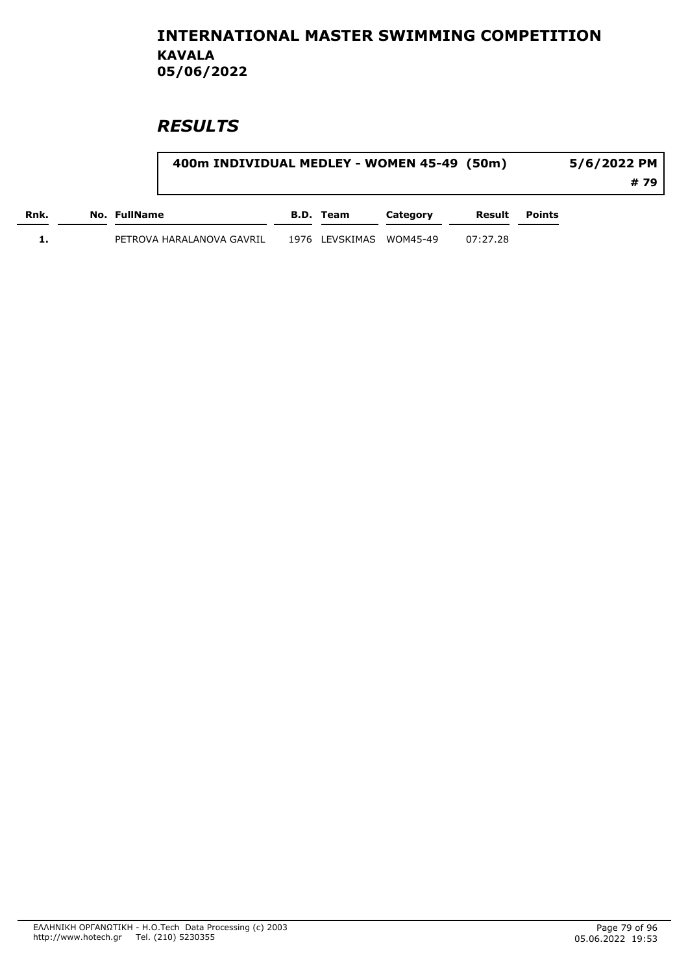|      |                           | 400m INDIVIDUAL MEDLEY - WOMEN 45-49 (50m) |                         |          |          |        |      |  |
|------|---------------------------|--------------------------------------------|-------------------------|----------|----------|--------|------|--|
|      |                           |                                            |                         |          |          |        | # 79 |  |
| Rnk. | No. FullName              |                                            | B.D. Team               | Category | Result   | Points |      |  |
|      | PETROVA HARALANOVA GAVRIL |                                            | 1976 LEVSKIMAS WOM45-49 |          | 07:27.28 |        |      |  |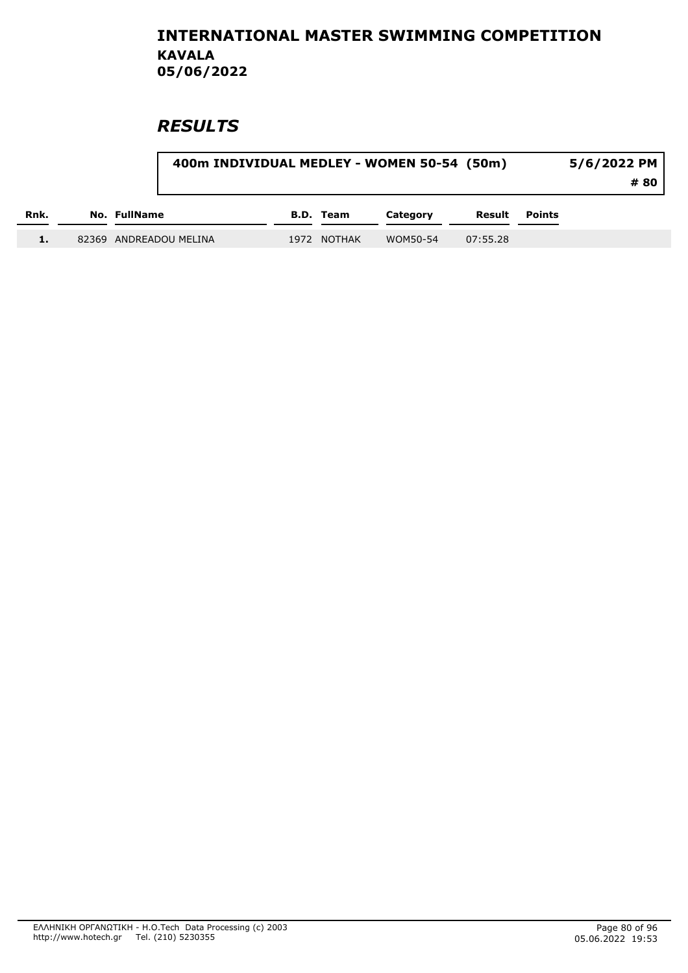|      |                        | 400m INDIVIDUAL MEDLEY - WOMEN 50-54 (50m) |             |          |          |               |  |  |
|------|------------------------|--------------------------------------------|-------------|----------|----------|---------------|--|--|
| Rnk. | No. FullName           |                                            | B.D. Team   | Category | Result   | <b>Points</b> |  |  |
|      | 82369 ANDREADOU MELINA |                                            | 1972 NOTHAK | WOM50-54 | 07:55.28 |               |  |  |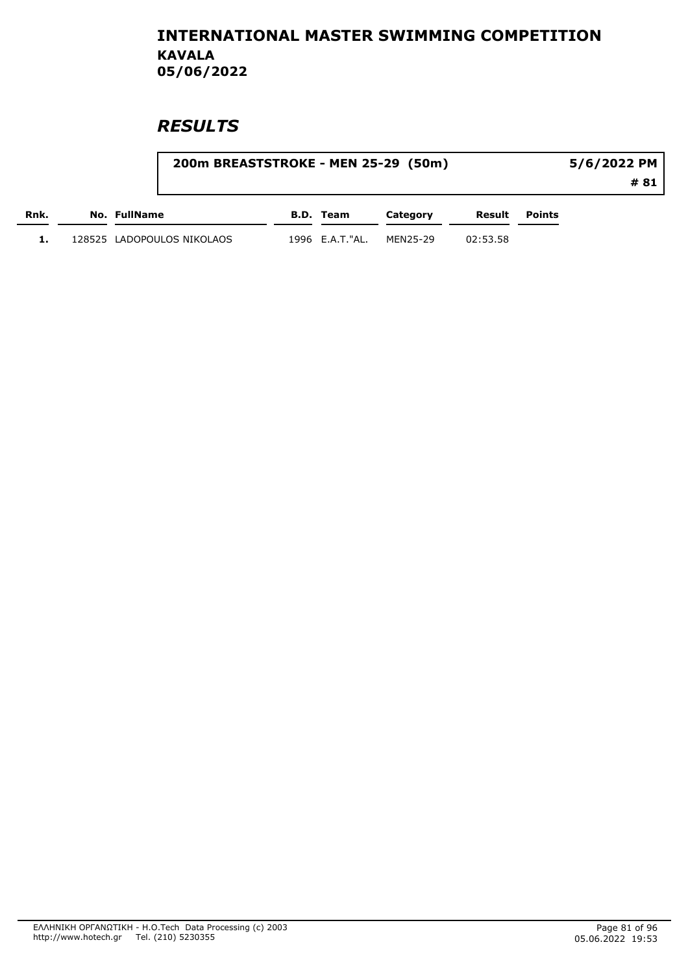|      | 200m BREASTSTROKE - MEN 25-29 (50m) |                 |          |          |        | 5/6/2022 PM |
|------|-------------------------------------|-----------------|----------|----------|--------|-------------|
|      |                                     |                 |          |          |        | # 81        |
| Rnk. | No. FullName                        | B.D. Team       | Category | Result   | Points |             |
|      | 128525 LADOPOULOS NIKOLAOS          | 1996 E.A.T."AL. | MEN25-29 | 02:53.58 |        |             |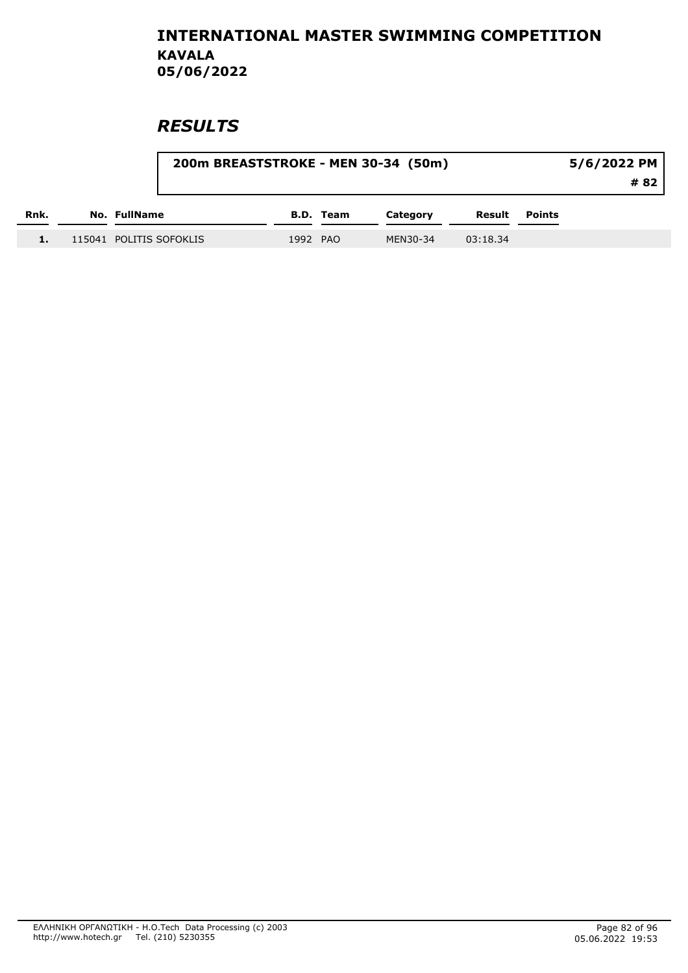|      |                         |          |           | 200m BREASTSTROKE - MEN 30-34 (50m) |          |        | $5/6/2022$ PM |
|------|-------------------------|----------|-----------|-------------------------------------|----------|--------|---------------|
|      |                         |          |           |                                     |          |        | # 82          |
| Rnk. | No. FullName            |          | B.D. Team | Category                            | Result   | Points |               |
|      | 115041 POLITIS SOFOKLIS | 1992 PAO |           | MEN30-34                            | 03:18.34 |        |               |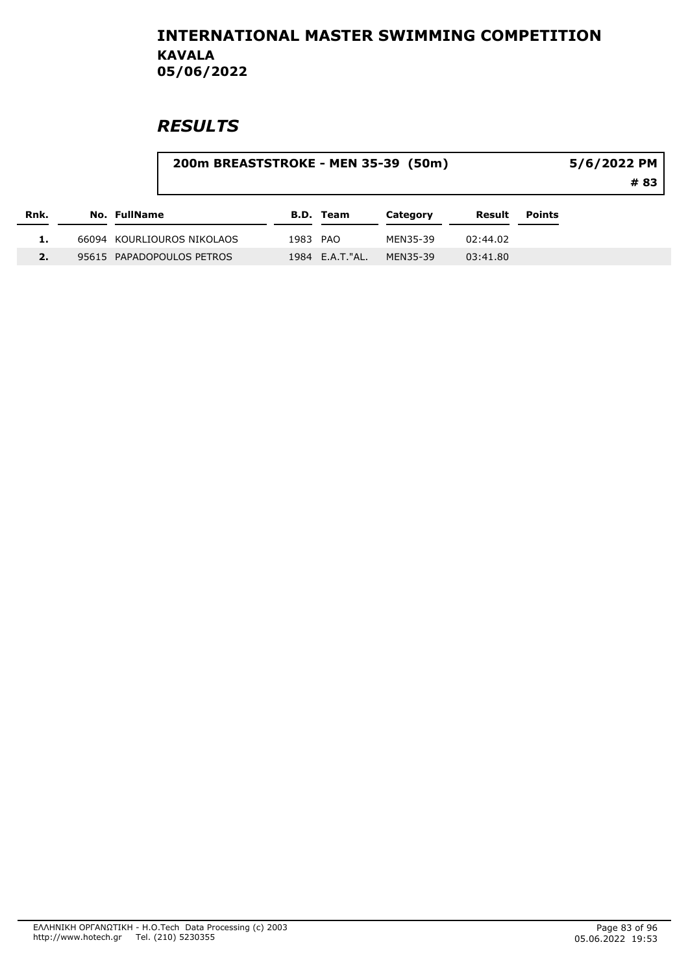|      | 200m BREASTSTROKE - MEN 35-39 (50m) |          |                  |          |          |        | 5/6/2022 PM<br># 83 |
|------|-------------------------------------|----------|------------------|----------|----------|--------|---------------------|
| Rnk. | No. FullName                        |          | B.D. Team        | Category | Result   | Points |                     |
|      | 66094 KOURLIOUROS NIKOLAOS          | 1983 PAO |                  | MEN35-39 | 02:44.02 |        |                     |
|      | 95615 PAPADOPOULOS PETROS           |          | 1984 E.A.T. "AL. | MEN35-39 | 03:41.80 |        |                     |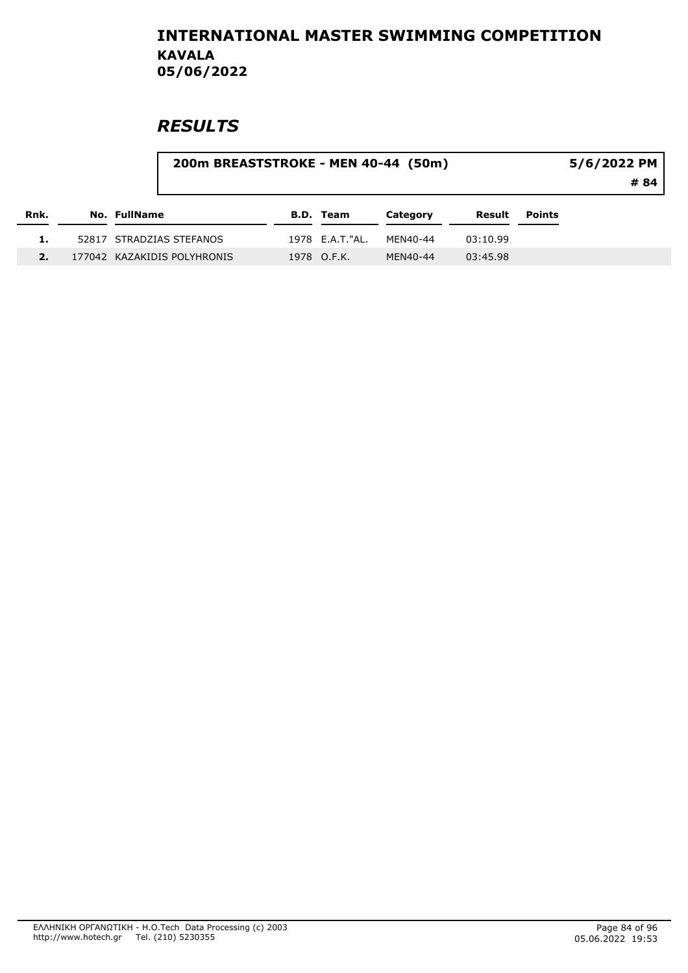|      | 200m BREASTSTROKE - MEN 40-44 (50m) |                 |          |          |        | 5/6/2022 PM<br>#84 |
|------|-------------------------------------|-----------------|----------|----------|--------|--------------------|
| Rnk. | <b>No. FullName</b>                 | B.D. Team       | Category | Result   | Points |                    |
|      | 52817 STRADZIAS STEFANOS            | 1978 E.A.T."AL. | MEN40-44 | 03:10.99 |        |                    |
|      | 177042 KAZAKIDIS POLYHRONIS         | 1978 O.F.K.     | MEN40-44 | 03:45.98 |        |                    |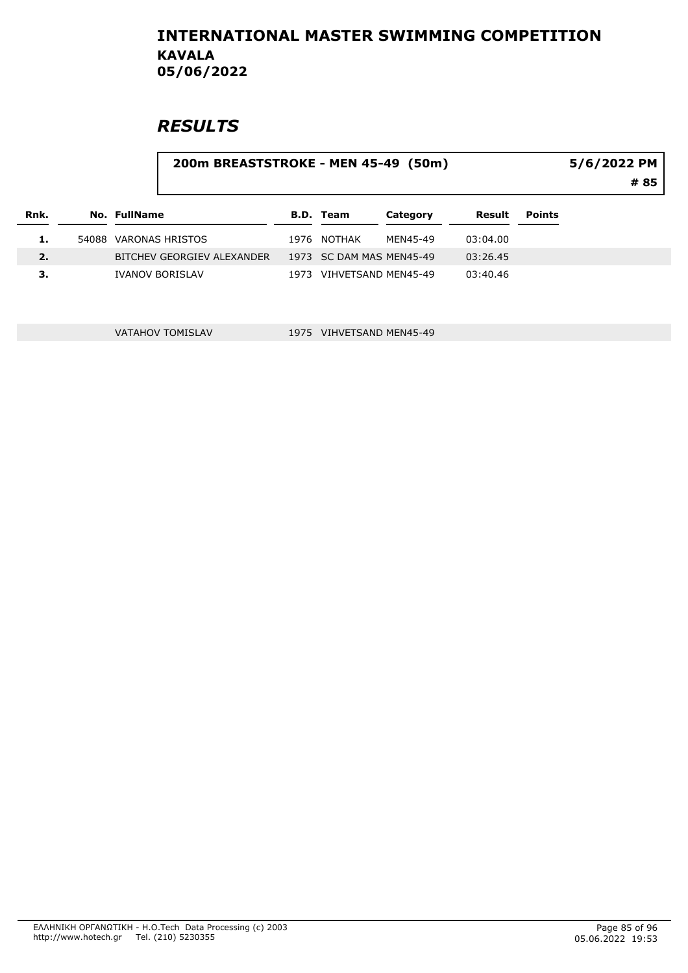## **RESULTS**

#### 200m BREASTSTROKE - MEN 45-49 (50m)

5/6/2022 PM

# 85

| Rnk. | No. FullName               | B.D. Team                | Category | Result   | Points |
|------|----------------------------|--------------------------|----------|----------|--------|
| ı.   | 54088 VARONAS HRISTOS      | 1976 NOTHAK              | MEN45-49 | 03:04.00 |        |
| 2.   | BITCHEV GEORGIEV ALEXANDER | 1973 SC DAM MAS MEN45-49 |          | 03:26.45 |        |
| з.   | <b>IVANOV BORISLAV</b>     | 1973 VIHVETSAND MEN45-49 |          | 03:40.46 |        |

VATAHOV TOMISLAV 1975 VIHVETSAND MEN45-49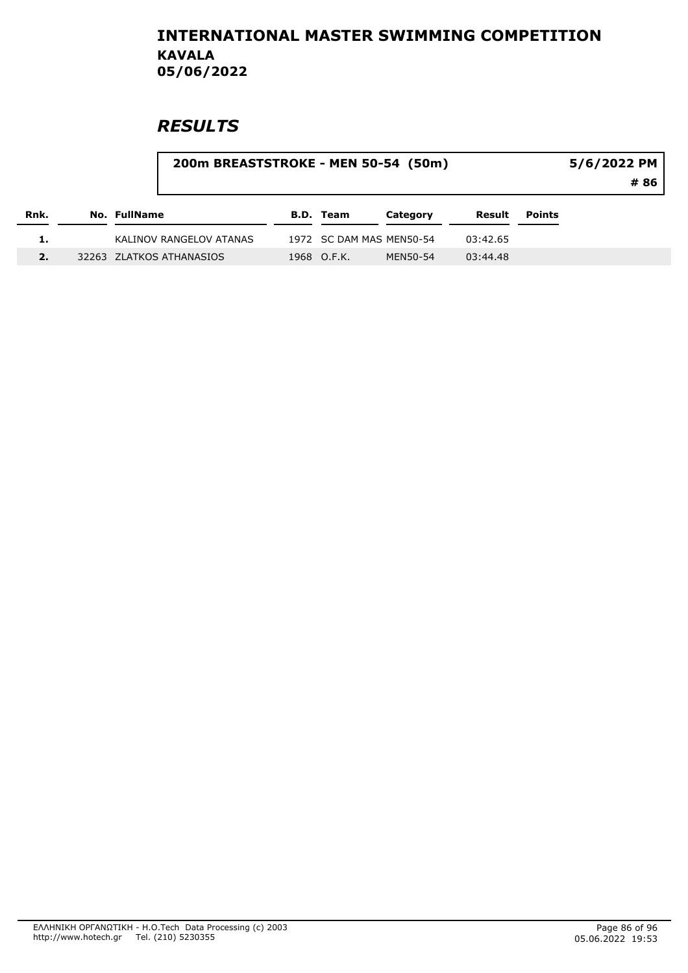|      | 200m BREASTSTROKE - MEN 50-54 (50m) |                          |          |          |        | 5/6/2022 PM<br># 86 |
|------|-------------------------------------|--------------------------|----------|----------|--------|---------------------|
| Rnk. | No. FullName                        | <b>B.D. Team</b>         | Category | Result   | Points |                     |
|      | KALINOV RANGELOV ATANAS             | 1972 SC DAM MAS MEN50-54 |          | 03:42.65 |        |                     |
|      | 32263 ZLATKOS ATHANASIOS            | 1968 O.F.K.              | MEN50-54 | 03:44.48 |        |                     |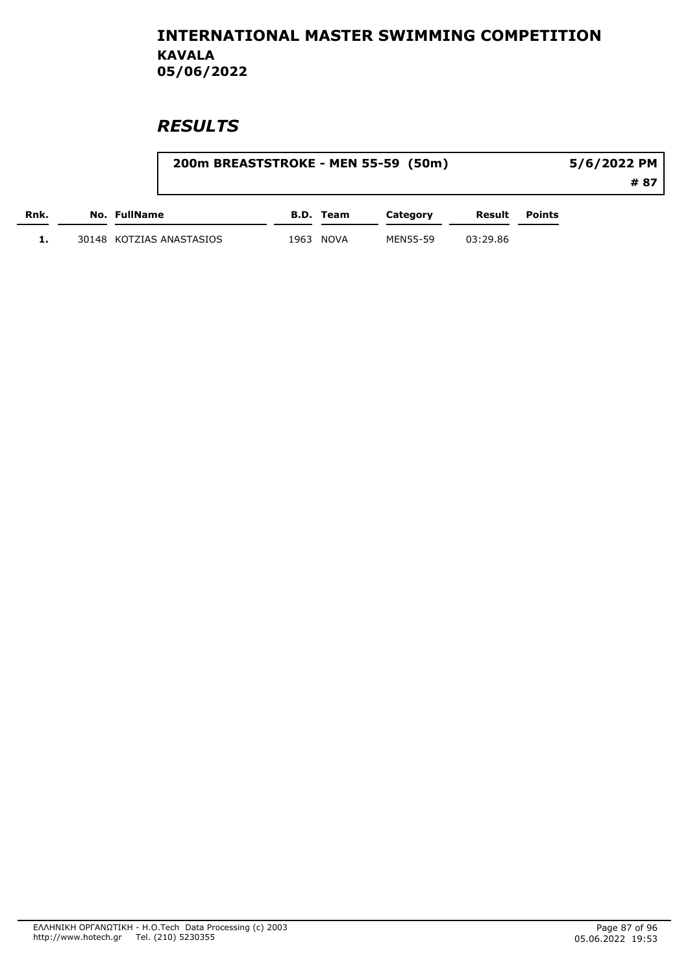|      | 200m BREASTSTROKE - MEN 55-59 (50m) |      |                  |          |          |               | 5/6/2022 PM |
|------|-------------------------------------|------|------------------|----------|----------|---------------|-------------|
|      |                                     |      |                  |          |          |               | # 87        |
| Rnk. | No. FullName                        |      | <b>B.D.</b> Team | Category | Result   | <b>Points</b> |             |
|      | 30148 KOTZIAS ANASTASIOS            | 1963 | NOVA             | MEN55-59 | 03:29.86 |               |             |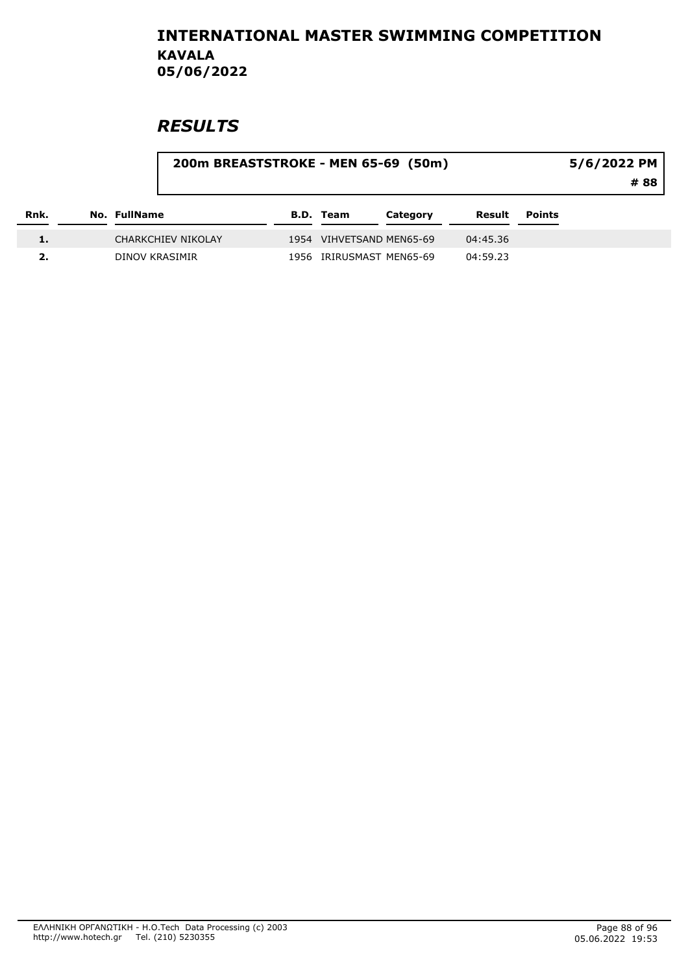|      | 200m BREASTSTROKE - MEN 65-69 (50m) |                  |                          |          |        | 5/6/2022 PM<br>#88 |
|------|-------------------------------------|------------------|--------------------------|----------|--------|--------------------|
| Rnk. | No. FullName                        | <b>B.D. Team</b> | Category                 | Result   | Points |                    |
|      | CHARKCHIEV NIKOLAY                  |                  | 1954 VIHVETSAND MEN65-69 | 04:45.36 |        |                    |
|      | DINOV KRASIMIR                      |                  | 1956 IRIRUSMAST MEN65-69 | 04:59.23 |        |                    |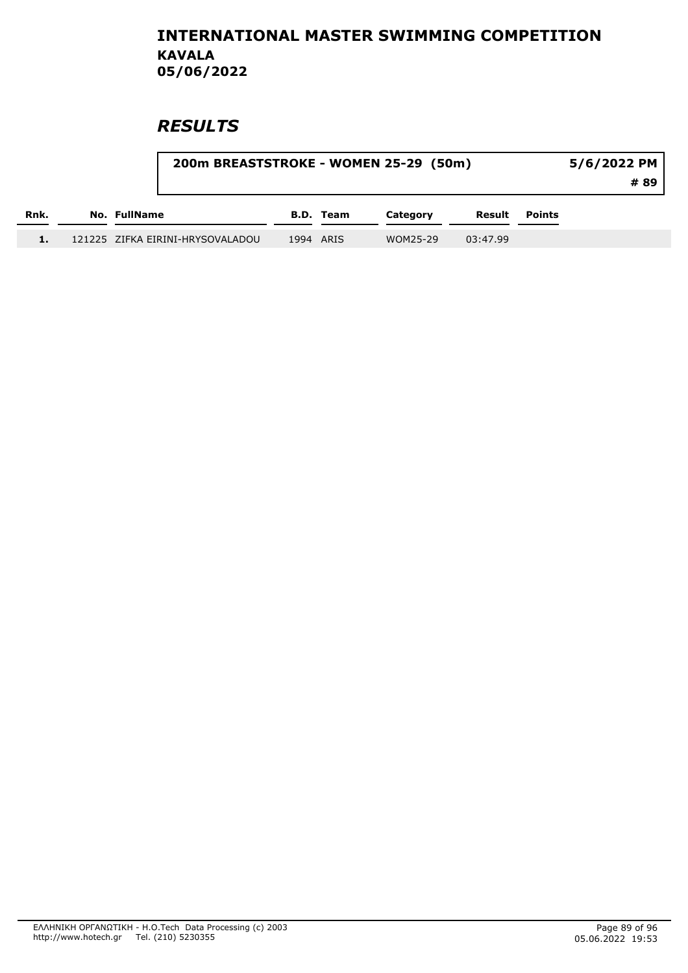|      | 200m BREASTSTROKE - WOMEN 25-29 (50m) |           |          |          |               | 5/6/2022 PM<br># 89 |
|------|---------------------------------------|-----------|----------|----------|---------------|---------------------|
| Rnk. | No. FullName                          | B.D. Team | Category | Result   | <b>Points</b> |                     |
|      | 121225 ZIFKA EIRINI-HRYSOVALADOU      | 1994 ARIS | WOM25-29 | 03:47.99 |               |                     |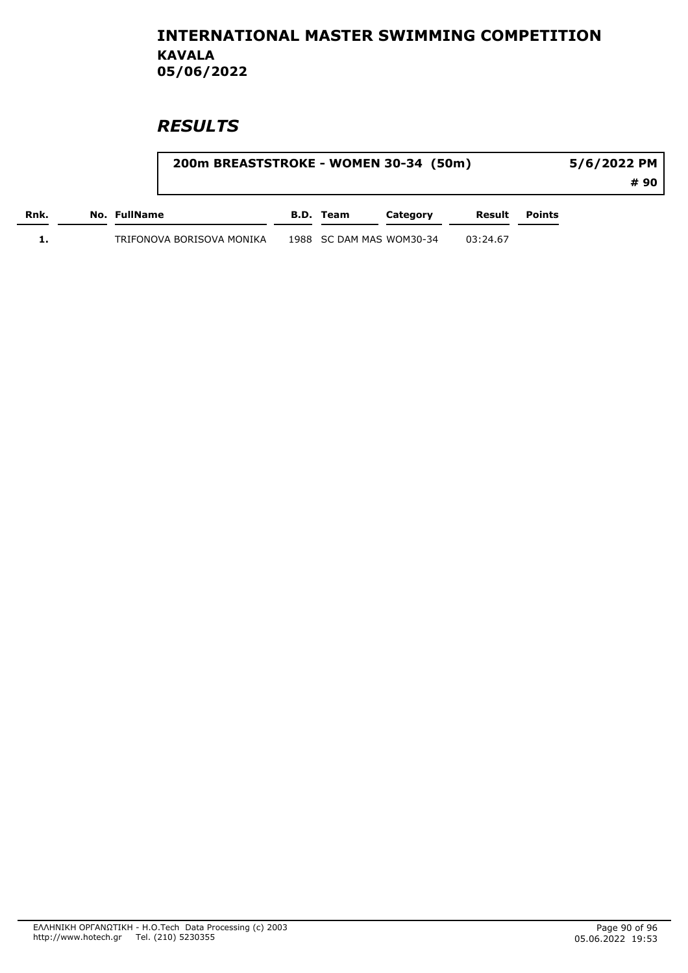|      | 200m BREASTSTROKE - WOMEN 30-34 (50m) |                          |          |          |        | 5/6/2022 PM |
|------|---------------------------------------|--------------------------|----------|----------|--------|-------------|
|      |                                       |                          |          |          |        | # 90        |
| Rnk. | No. FullName                          | B.D. Team                | Category | Result   | Points |             |
|      | TRIFONOVA BORISOVA MONIKA             | 1988 SC DAM MAS WOM30-34 |          | 03:24.67 |        |             |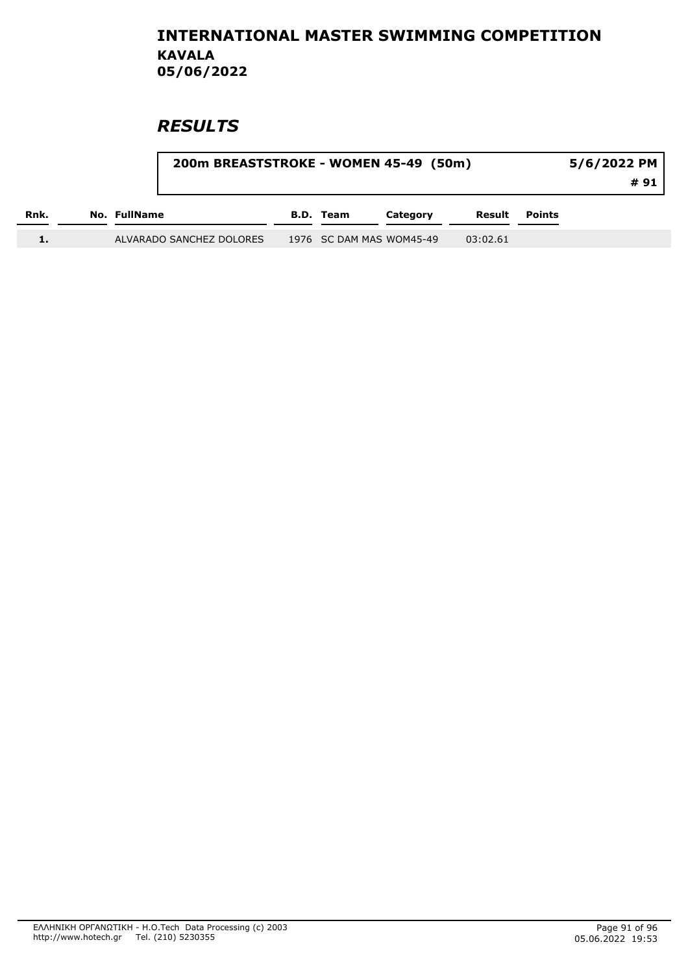|      |              | 200m BREASTSTROKE - WOMEN 45-49 (50m) |           |                          |          |               | 5/6/2022 PM<br>#91 |
|------|--------------|---------------------------------------|-----------|--------------------------|----------|---------------|--------------------|
| Rnk. | No. FullName |                                       | B.D. Team | Category                 | Result   | <b>Points</b> |                    |
|      |              | ALVARADO SANCHEZ DOLORES              |           | 1976 SC DAM MAS WOM45-49 | 03:02.61 |               |                    |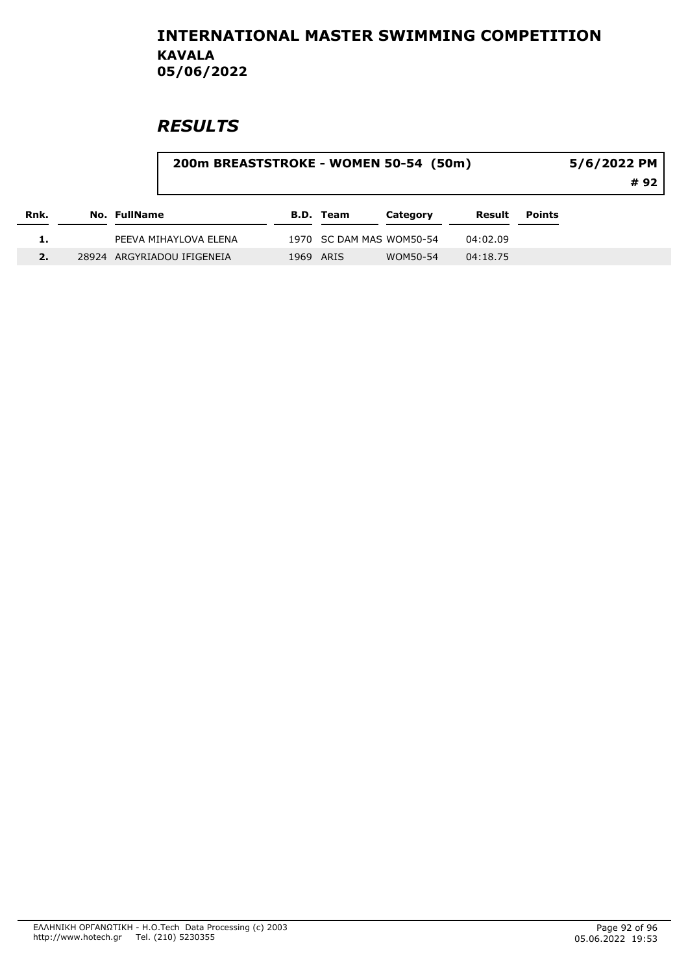# **RESULTS**

#### 200m BREASTSTROKE - WOMEN 50-54 (50m)

5/6/2022 PM

# 92

| Rnk. |  | No. FullName               | B.D. Team | Category                 | Result   | Points |
|------|--|----------------------------|-----------|--------------------------|----------|--------|
|      |  | PEEVA MIHAYLOVA ELENA      |           | 1970 SC DAM MAS WOM50-54 | 04:02.09 |        |
|      |  | 28924 ARGYRIADOU IFIGENEIA | 1969 ARIS | WOM50-54                 | 04:18.75 |        |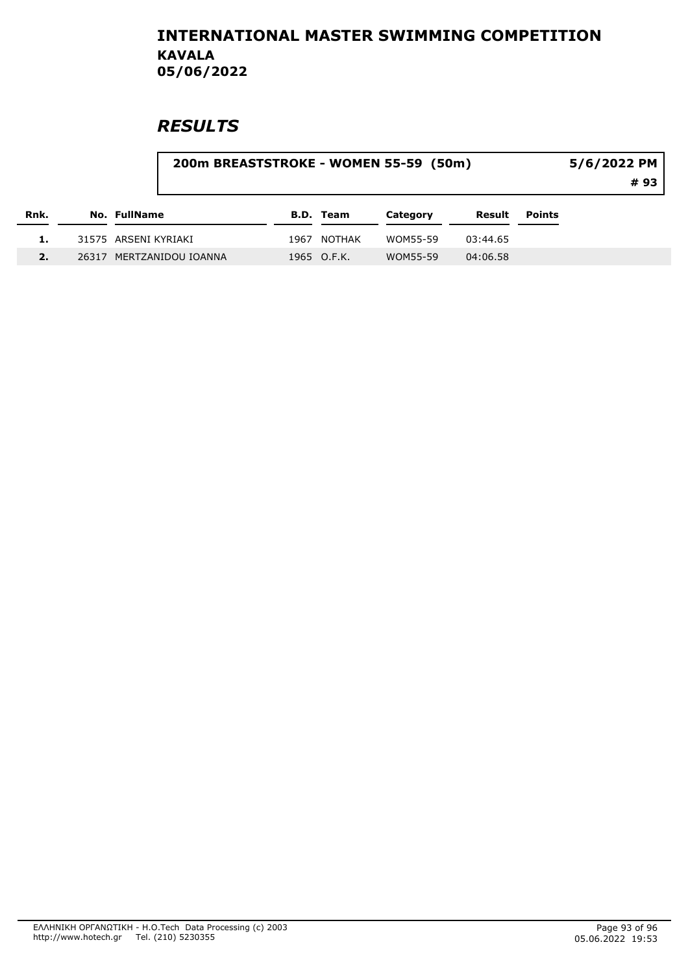# **RESULTS**

#### 200m BREASTSTROKE - WOMEN 55-59 (50m)

5/6/2022 PM

# 93

| Rnk. | <b>No. FullName</b>      | B.D. Team   | Category | Result   | Points |
|------|--------------------------|-------------|----------|----------|--------|
| 1.   | 31575 ARSENI KYRIAKI     | 1967 NOTHAK | WOM55-59 | 03:44.65 |        |
|      | 26317 MERTZANIDOU IOANNA | 1965 O.F.K. | WOM55-59 | 04:06.58 |        |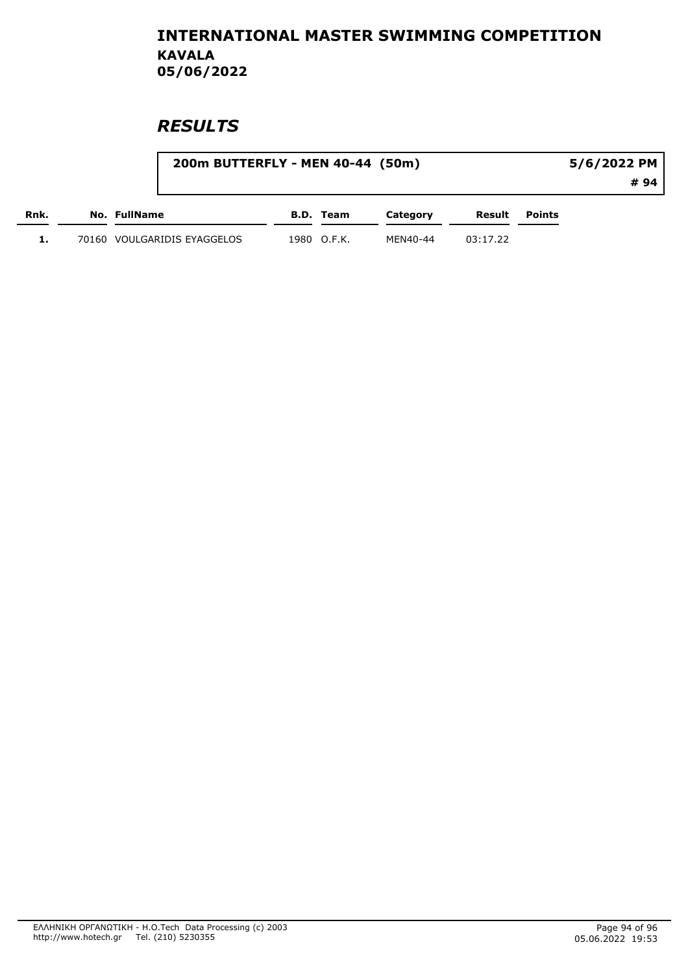|      |                             | 200m BUTTERFLY - MEN 40-44 (50m) |          |          | 5/6/2022 PM |     |
|------|-----------------------------|----------------------------------|----------|----------|-------------|-----|
|      |                             |                                  |          |          |             | #94 |
| Rnk. | No. FullName                | B.D. Team                        | Category | Result   | Points      |     |
| ı.   | 70160 VOULGARIDIS EYAGGELOS | 1980 O.F.K.                      | MEN40-44 | 03:17.22 |             |     |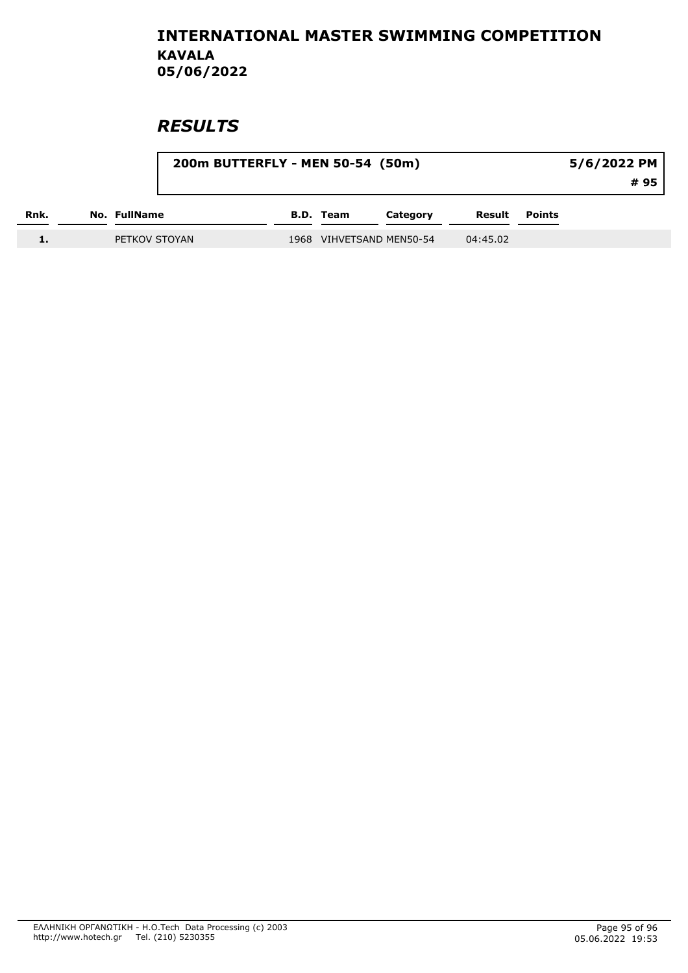|      |               | 200m BUTTERFLY - MEN 50-54 (50m) |  |           |                          |          | 5/6/2022 PM<br># 95 |  |
|------|---------------|----------------------------------|--|-----------|--------------------------|----------|---------------------|--|
| Rnk. | No. FullName  |                                  |  | B.D. Team | Category                 | Result   | <b>Points</b>       |  |
|      | PETKOV STOYAN |                                  |  |           | 1968 VIHVETSAND MEN50-54 | 04:45.02 |                     |  |